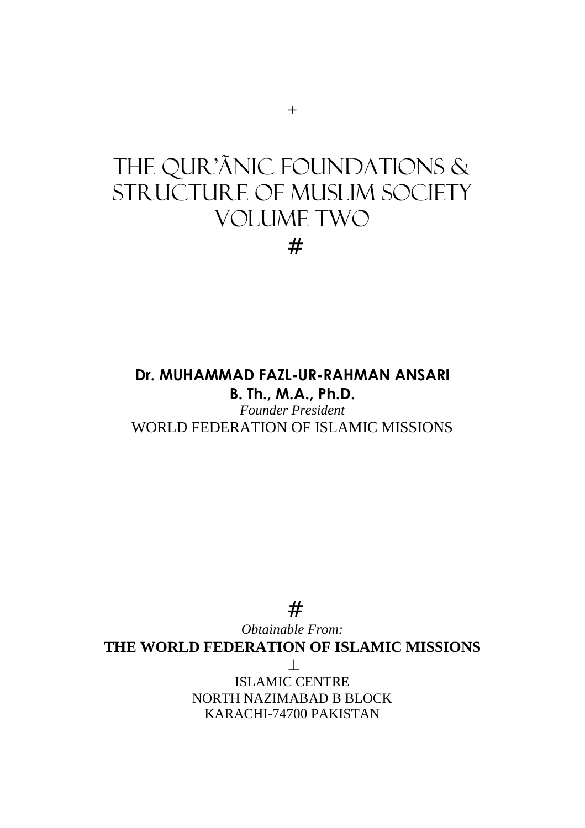#

# **Dr. MUHAMMAD FAZL-UR-RAHMAN ANSARI B. Th., M.A., Ph.D.**

*Founder President*  WORLD FEDERATION OF ISLAMIC MISSIONS

# *Obtainable From:*  **THE WORLD FEDERATION OF ISLAMIC MISSIONS**  ⊥ ISLAMIC CENTRE NORTH NAZIMABAD B BLOCK KARACHI-74700 PAKISTAN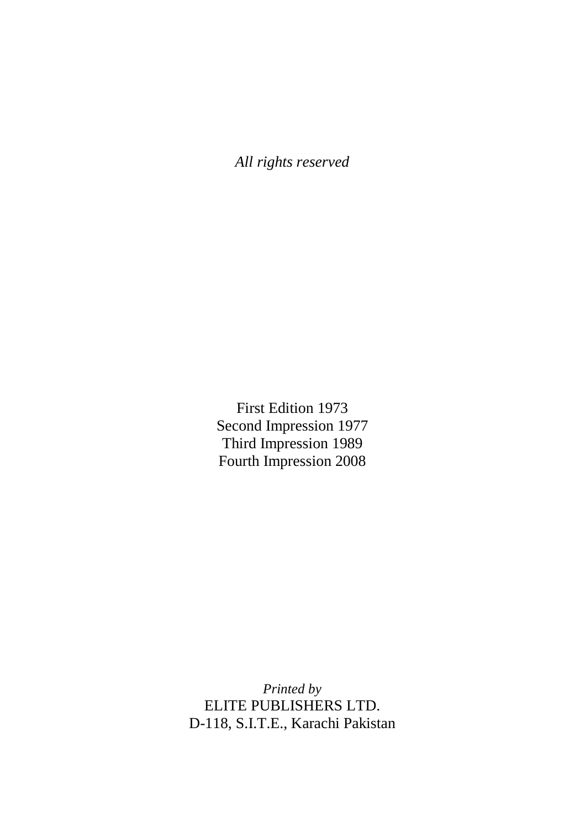*All rights reserved* 

First Edition 1973 Second Impression 1977 Third Impression 1989 Fourth Impression 2008

*Printed by*  ELITE PUBLISHERS LTD. D-118, S.I.T.E., Karachi Pakistan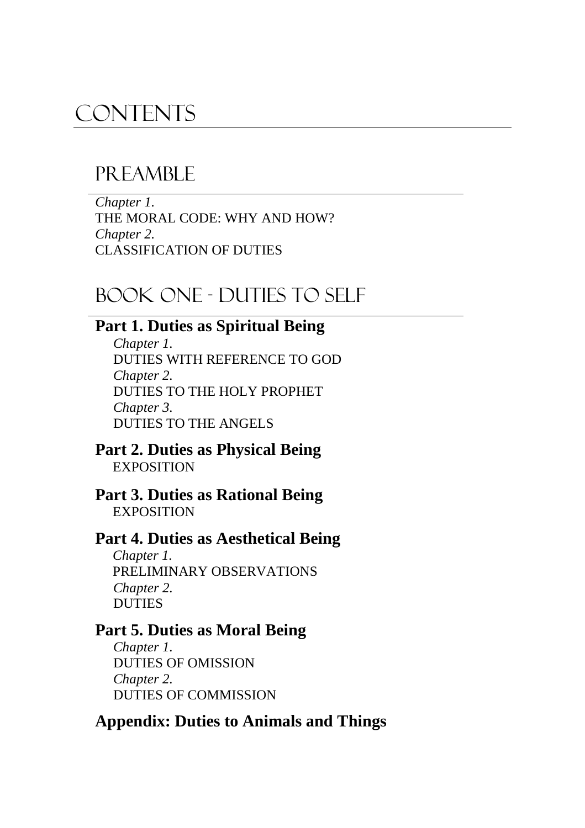# **CONTENTS**

# PR EAMBLE

*Chapter 1.*  THE MORAL CODE: WHY AND HOW? *Chapter 2.*  CLASSIFICATION OF DUTIES

# BOOK ONE - DUTIES TO SELF

# **Part 1. Duties as Spiritual Being**

*Chapter 1.*  DUTIES WITH REFERENCE TO GOD *Chapter 2.*  DUTIES TO THE HOLY PROPHET *Chapter 3.*  DUTIES TO THE ANGELS

### **Part 2. Duties as Physical Being EXPOSITION**

#### **Part 3. Duties as Rational Being EXPOSITION**

## **Part 4. Duties as Aesthetical Being**

*Chapter 1.*  PRELIMINARY OBSERVATIONS *Chapter 2.*  DUTIES

## **Part 5. Duties as Moral Being**

*Chapter 1.*  DUTIES OF OMISSION *Chapter 2.*  DUTIES OF COMMISSION

## **Appendix: Duties to Animals and Things**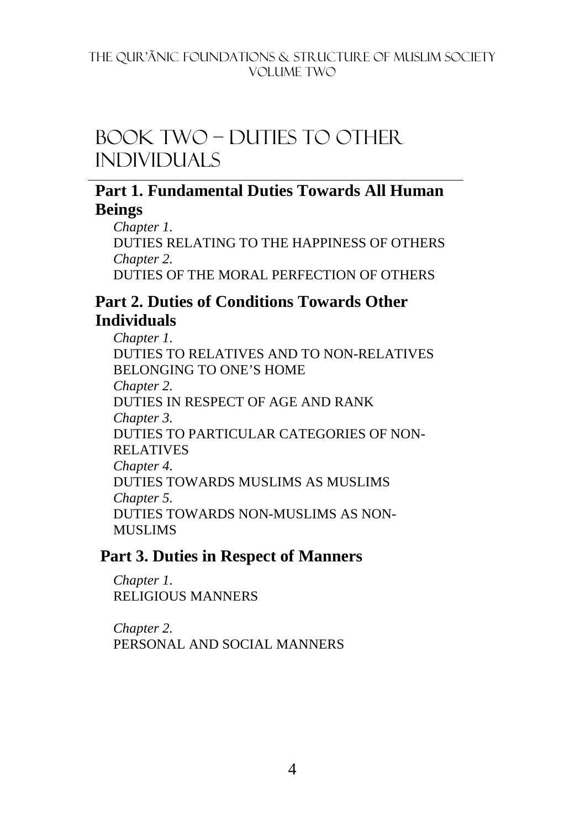# BOOK TWO – DUTIES TO other individuals

## **Part 1. Fundamental Duties Towards All Human Beings**

*Chapter 1.*  DUTIES RELATING TO THE HAPPINESS OF OTHERS *Chapter 2.*  DUTIES OF THE MORAL PERFECTION OF OTHERS

## **Part 2. Duties of Conditions Towards Other Individuals**

*Chapter 1.*  DUTIES TO RELATIVES AND TO NON-RELATIVES BELONGING TO ONE'S HOME *Chapter 2.*  DUTIES IN RESPECT OF AGE AND RANK *Chapter 3.*  DUTIES TO PARTICULAR CATEGORIES OF NON-RELATIVES *Chapter 4.*  DUTIES TOWARDS MUSLIMS AS MUSLIMS *Chapter 5.*  DUTIES TOWARDS NON-MUSLIMS AS NON-MUSLIMS

## **Part 3. Duties in Respect of Manners**

*Chapter 1.*  RELIGIOUS MANNERS

*Chapter 2.*  PERSONAL AND SOCIAL MANNERS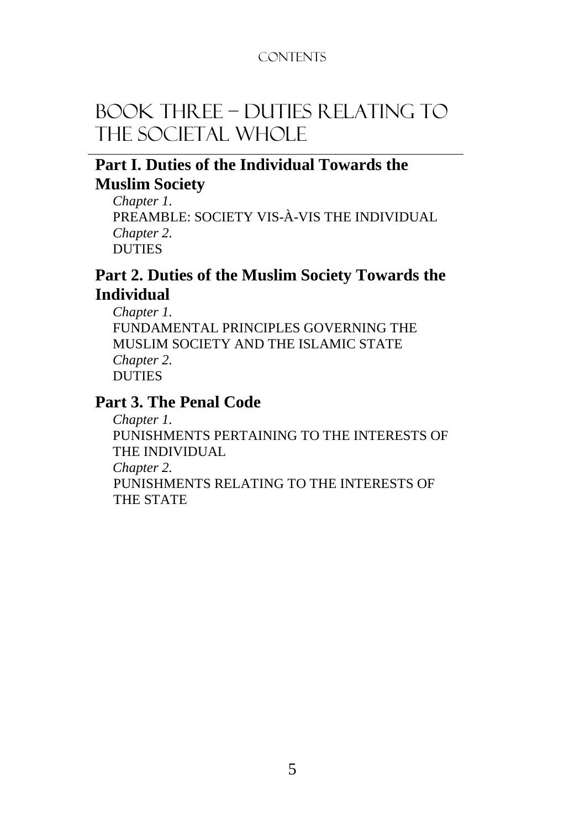## **CONTENTS**

# BOOK THREE – DUTIES RELATING TO THE SOCIETAL WHOLE

## **Part I. Duties of the Individual Towards the Muslim Society**

*Chapter 1.*  PREAMBLE: SOCIETY VIS-À-VIS THE INDIVIDUAL *Chapter 2.*  DUTIES

## **Part 2. Duties of the Muslim Society Towards the Individual**

*Chapter 1.*  FUNDAMENTAL PRINCIPLES GOVERNING THE MUSLIM SOCIETY AND THE ISLAMIC STATE *Chapter 2.*  DUTIES

## **Part 3. The Penal Code**

*Chapter 1.* 

PUNISHMENTS PERTAINING TO THE INTERESTS OF THE INDIVIDUAL

*Chapter 2.* 

PUNISHMENTS RELATING TO THE INTERESTS OF THE STATE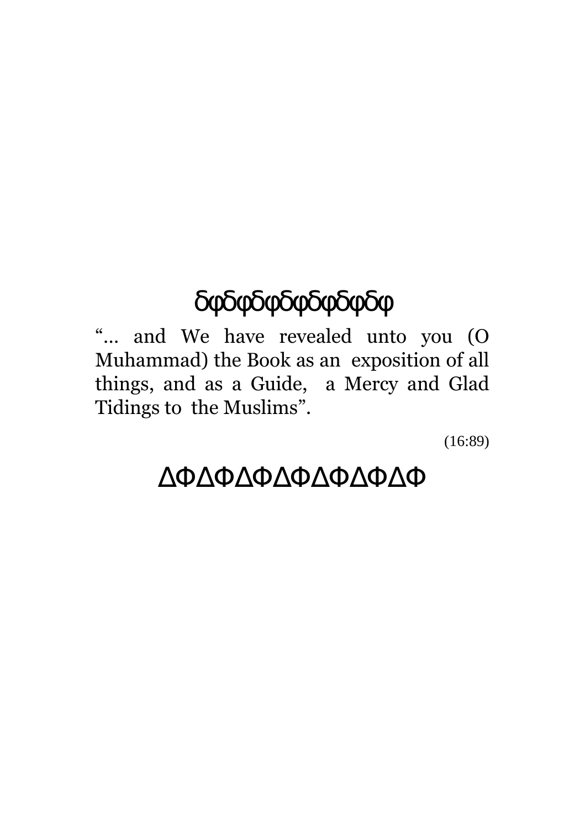# δφδφδφδφδφδφδφ

"… and We have revealed unto you (O Muhammad) the Book as an exposition of all things, and as a Guide, a Mercy and Glad Tidings to the Muslims".

(16:89)

# ∆Φ∆Φ∆Φ∆Φ∆Φ∆Φ∆Φ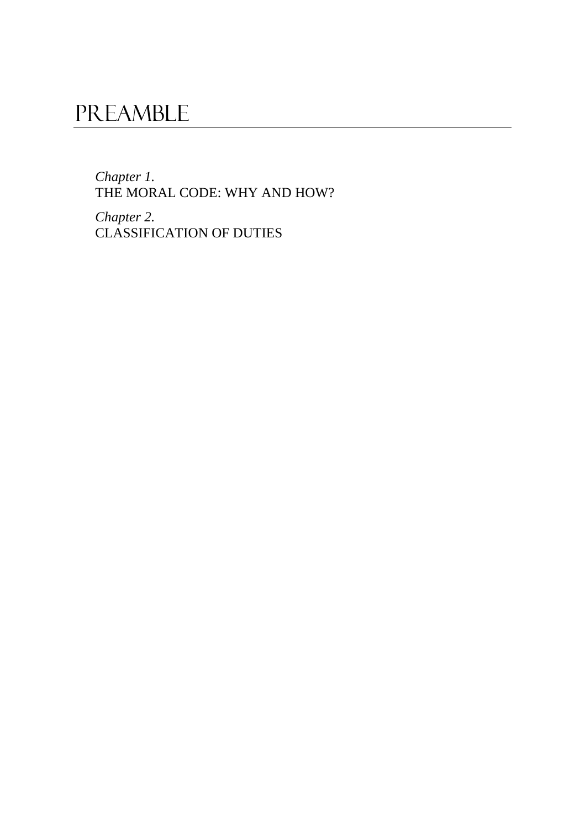*Chapter 1.*  THE MORAL CODE: WHY AND HOW?

*Chapter 2.*  CLASSIFICATION OF DUTIES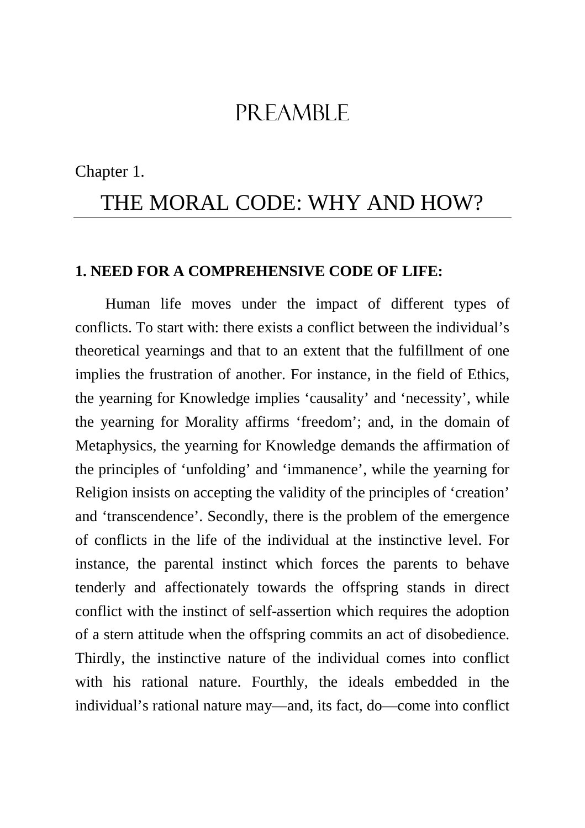Chapter 1.

# THE MORAL CODE: WHY AND HOW?

#### **1. NEED FOR A COMPREHENSIVE CODE OF LIFE:**

Human life moves under the impact of different types of conflicts. To start with: there exists a conflict between the individual's theoretical yearnings and that to an extent that the fulfillment of one implies the frustration of another. For instance, in the field of Ethics, the yearning for Knowledge implies 'causality' and 'necessity', while the yearning for Morality affirms 'freedom'; and, in the domain of Metaphysics, the yearning for Knowledge demands the affirmation of the principles of 'unfolding' and 'immanence', while the yearning for Religion insists on accepting the validity of the principles of 'creation' and 'transcendence'. Secondly, there is the problem of the emergence of conflicts in the life of the individual at the instinctive level. For instance, the parental instinct which forces the parents to behave tenderly and affectionately towards the offspring stands in direct conflict with the instinct of self-assertion which requires the adoption of a stern attitude when the offspring commits an act of disobedience. Thirdly, the instinctive nature of the individual comes into conflict with his rational nature. Fourthly, the ideals embedded in the individual's rational nature may—and, its fact, do—come into conflict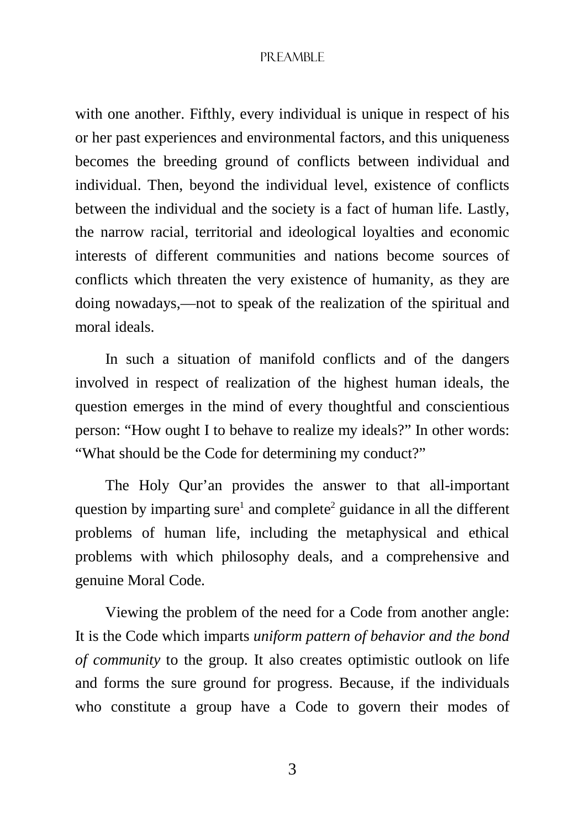with one another. Fifthly, every individual is unique in respect of his or her past experiences and environmental factors, and this uniqueness becomes the breeding ground of conflicts between individual and individual. Then, beyond the individual level, existence of conflicts between the individual and the society is a fact of human life. Lastly, the narrow racial, territorial and ideological loyalties and economic interests of different communities and nations become sources of conflicts which threaten the very existence of humanity, as they are doing nowadays,—not to speak of the realization of the spiritual and moral ideals.

In such a situation of manifold conflicts and of the dangers involved in respect of realization of the highest human ideals, the question emerges in the mind of every thoughtful and conscientious person: "How ought I to behave to realize my ideals?" In other words: "What should be the Code for determining my conduct?"

The Holy Qur'an provides the answer to that all-important question by imparting sure<sup>1</sup> and complete<sup>2</sup> guidance in all the different problems of human life, including the metaphysical and ethical problems with which philosophy deals, and a comprehensive and genuine Moral Code.

Viewing the problem of the need for a Code from another angle: It is the Code which imparts *uniform pattern of behavior and the bond of community* to the group. It also creates optimistic outlook on life and forms the sure ground for progress. Because, if the individuals who constitute a group have a Code to govern their modes of

3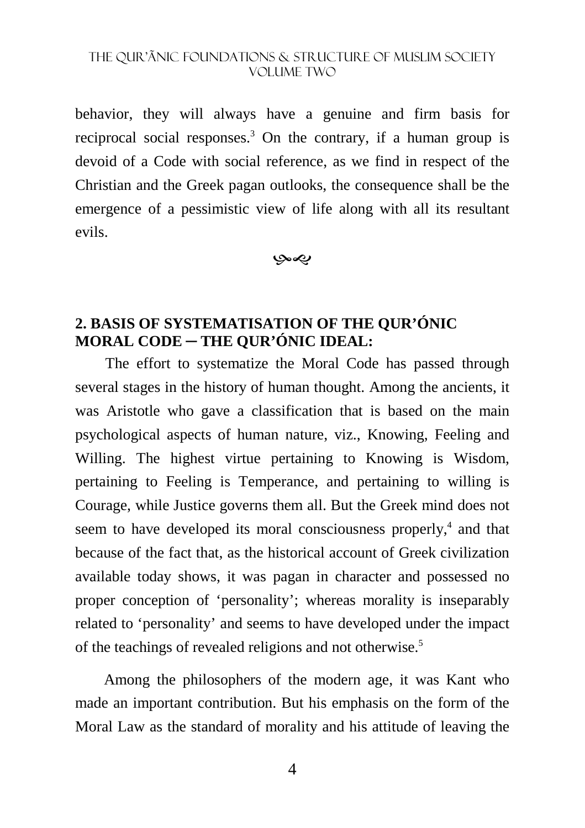behavior, they will always have a genuine and firm basis for reciprocal social responses.<sup>3</sup> On the contrary, if a human group is devoid of a Code with social reference, as we find in respect of the Christian and the Greek pagan outlooks, the consequence shall be the emergence of a pessimistic view of life along with all its resultant evils.

بهي

## **2. BASIS OF SYSTEMATISATION OF THE QUR'ÓNIC MORAL CODE ─ THE QUR'ÓNIC IDEAL:**

The effort to systematize the Moral Code has passed through several stages in the history of human thought. Among the ancients, it was Aristotle who gave a classification that is based on the main psychological aspects of human nature, viz., Knowing, Feeling and Willing. The highest virtue pertaining to Knowing is Wisdom, pertaining to Feeling is Temperance, and pertaining to willing is Courage, while Justice governs them all. But the Greek mind does not seem to have developed its moral consciousness properly,<sup>4</sup> and that because of the fact that, as the historical account of Greek civilization available today shows, it was pagan in character and possessed no proper conception of 'personality'; whereas morality is inseparably related to 'personality' and seems to have developed under the impact of the teachings of revealed religions and not otherwise.<sup>5</sup>

 Among the philosophers of the modern age, it was Kant who made an important contribution. But his emphasis on the form of the Moral Law as the standard of morality and his attitude of leaving the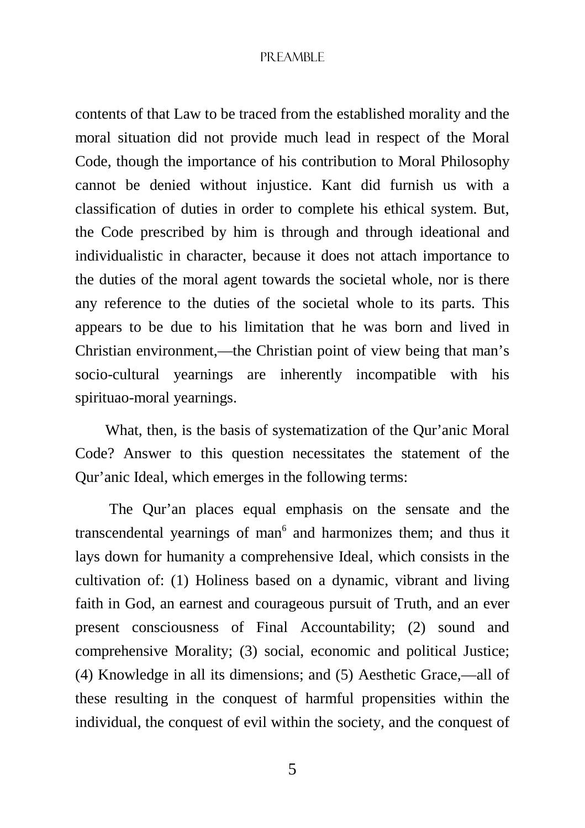contents of that Law to be traced from the established morality and the moral situation did not provide much lead in respect of the Moral Code, though the importance of his contribution to Moral Philosophy cannot be denied without injustice. Kant did furnish us with a classification of duties in order to complete his ethical system. But, the Code prescribed by him is through and through ideational and individualistic in character, because it does not attach importance to the duties of the moral agent towards the societal whole, nor is there any reference to the duties of the societal whole to its parts. This appears to be due to his limitation that he was born and lived in Christian environment,—the Christian point of view being that man's socio-cultural yearnings are inherently incompatible with his spirituao-moral yearnings.

What, then, is the basis of systematization of the Qur'anic Moral Code? Answer to this question necessitates the statement of the Qur'anic Ideal, which emerges in the following terms:

 The Qur'an places equal emphasis on the sensate and the transcendental yearnings of man<sup>6</sup> and harmonizes them; and thus it lays down for humanity a comprehensive Ideal, which consists in the cultivation of: (1) Holiness based on a dynamic, vibrant and living faith in God, an earnest and courageous pursuit of Truth, and an ever present consciousness of Final Accountability; (2) sound and comprehensive Morality; (3) social, economic and political Justice; (4) Knowledge in all its dimensions; and (5) Aesthetic Grace,—all of these resulting in the conquest of harmful propensities within the individual, the conquest of evil within the society, and the conquest of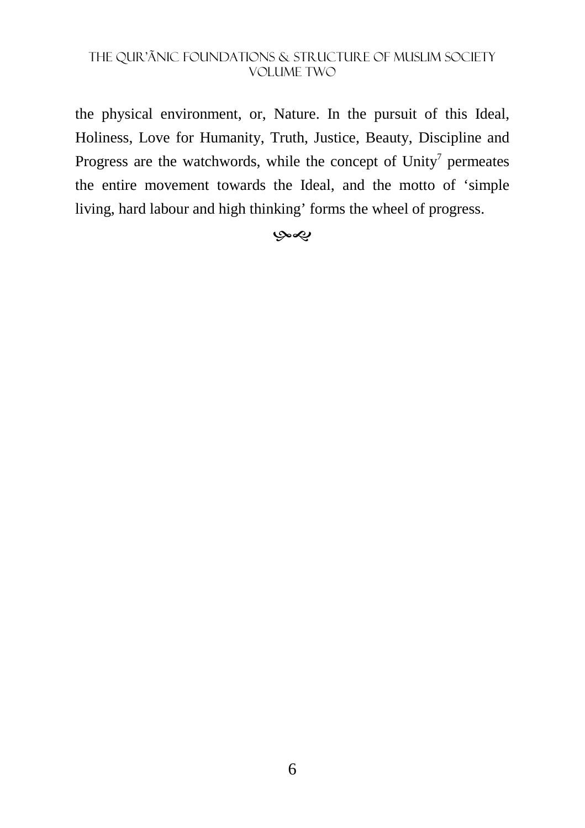the physical environment, or, Nature. In the pursuit of this Ideal, Holiness, Love for Humanity, Truth, Justice, Beauty, Discipline and Progress are the watchwords, while the concept of  $Unity<sup>7</sup>$  permeates the entire movement towards the Ideal, and the motto of 'simple living, hard labour and high thinking' forms the wheel of progress.

#### بهي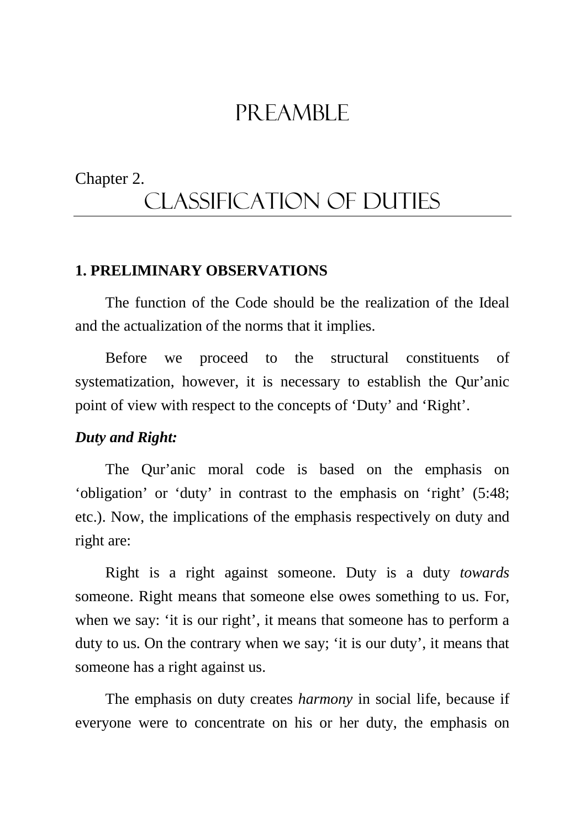# Chapter 2. CLASSIFICATION OF DUTIES

#### **1. PRELIMINARY OBSERVATIONS**

The function of the Code should be the realization of the Ideal and the actualization of the norms that it implies.

Before we proceed to the structural constituents of systematization, however, it is necessary to establish the Qur'anic point of view with respect to the concepts of 'Duty' and 'Right'.

#### *Duty and Right:*

The Qur'anic moral code is based on the emphasis on 'obligation' or 'duty' in contrast to the emphasis on 'right' (5:48; etc.). Now, the implications of the emphasis respectively on duty and right are:

Right is a right against someone. Duty is a duty *towards* someone. Right means that someone else owes something to us. For, when we say: 'it is our right', it means that someone has to perform a duty to us. On the contrary when we say; 'it is our duty', it means that someone has a right against us.

The emphasis on duty creates *harmony* in social life, because if everyone were to concentrate on his or her duty, the emphasis on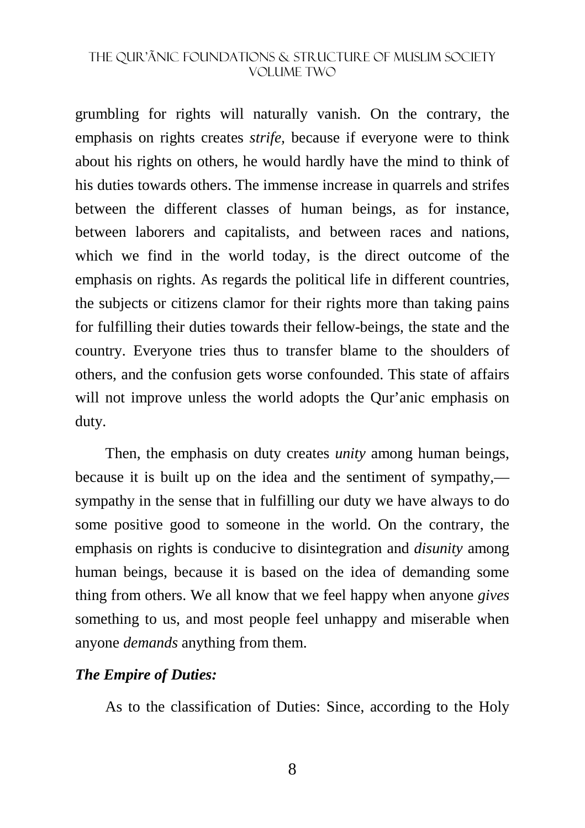grumbling for rights will naturally vanish. On the contrary, the emphasis on rights creates *strife,* because if everyone were to think about his rights on others, he would hardly have the mind to think of his duties towards others. The immense increase in quarrels and strifes between the different classes of human beings, as for instance, between laborers and capitalists, and between races and nations, which we find in the world today, is the direct outcome of the emphasis on rights. As regards the political life in different countries, the subjects or citizens clamor for their rights more than taking pains for fulfilling their duties towards their fellow-beings, the state and the country. Everyone tries thus to transfer blame to the shoulders of others, and the confusion gets worse confounded. This state of affairs will not improve unless the world adopts the Our'anic emphasis on duty.

Then, the emphasis on duty creates *unity* among human beings, because it is built up on the idea and the sentiment of sympathy, sympathy in the sense that in fulfilling our duty we have always to do some positive good to someone in the world. On the contrary, the emphasis on rights is conducive to disintegration and *disunity* among human beings, because it is based on the idea of demanding some thing from others. We all know that we feel happy when anyone *gives* something to us, and most people feel unhappy and miserable when anyone *demands* anything from them.

#### *The Empire of Duties:*

As to the classification of Duties: Since, according to the Holy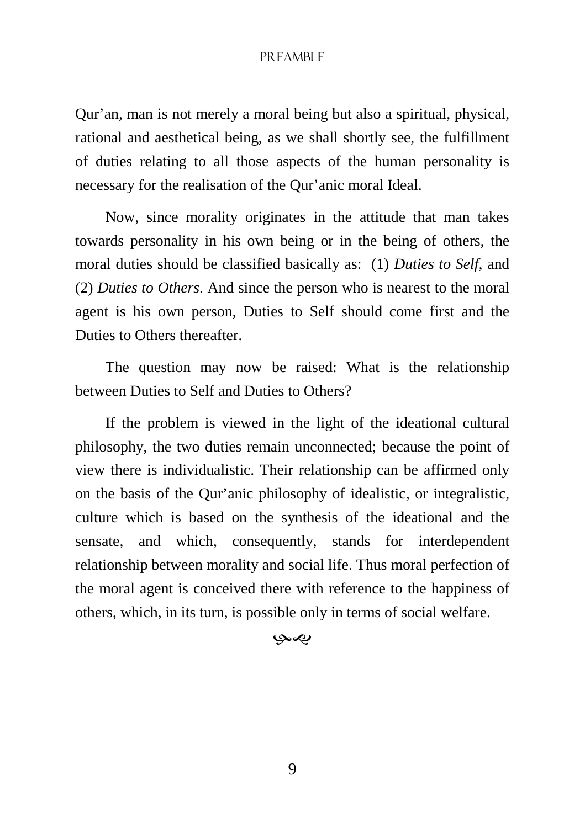Qur'an, man is not merely a moral being but also a spiritual, physical, rational and aesthetical being, as we shall shortly see, the fulfillment of duties relating to all those aspects of the human personality is necessary for the realisation of the Qur'anic moral Ideal.

Now, since morality originates in the attitude that man takes towards personality in his own being or in the being of others, the moral duties should be classified basically as: (1) *Duties to Self,* and (2) *Duties to Others*. And since the person who is nearest to the moral agent is his own person, Duties to Self should come first and the Duties to Others thereafter.

The question may now be raised: What is the relationship between Duties to Self and Duties to Others?

If the problem is viewed in the light of the ideational cultural philosophy, the two duties remain unconnected; because the point of view there is individualistic. Their relationship can be affirmed only on the basis of the Qur'anic philosophy of idealistic, or integralistic, culture which is based on the synthesis of the ideational and the sensate, and which, consequently, stands for interdependent relationship between morality and social life. Thus moral perfection of the moral agent is conceived there with reference to the happiness of others, which, in its turn, is possible only in terms of social welfare.

#### بهي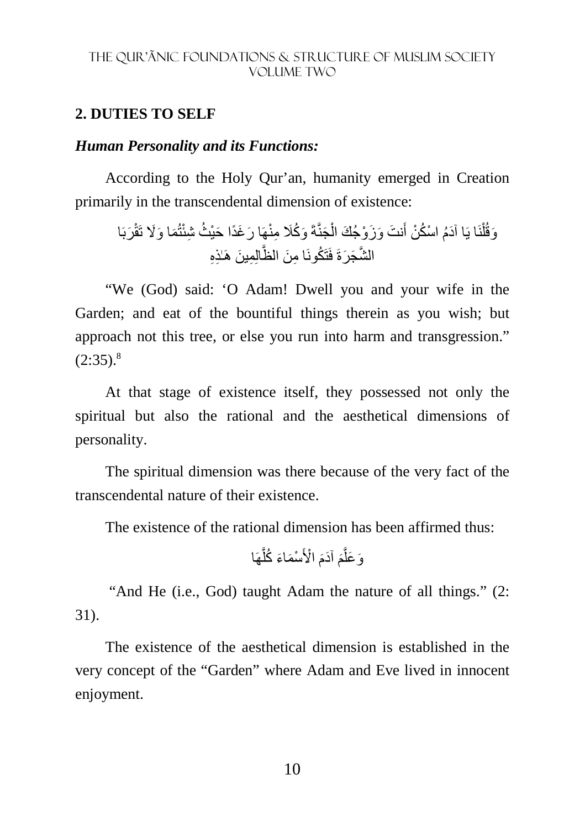#### **2. DUTIES TO SELF**

#### *Human Personality and its Functions:*

According to the Holy Qur'an, humanity emerged in Creation primarily in the transcendental dimension of existence:

َ و ُكَ َجنَّةَ ْ َ نت َ و َز ْو َجُك ال َ نَا يَ َ ا آدُم ْ اس ُك ْن أ ْ ل َوقُ ِمن َربَا ْھَا َم َ ا و%َ تَقْ تُ َر َغًد َ ا حْي ُث ِ شئْ ِ ا م َن الظَّالِ ِم َ ين َّ الش َج َرةَ ھَٰـ ِذِه فَتَ ُكونَ

"We (God) said: 'O Adam! Dwell you and your wife in the Garden; and eat of the bountiful things therein as you wish; but approach not this tree, or else you run into harm and transgression."  $(2:35).$ <sup>8</sup>

At that stage of existence itself, they possessed not only the spiritual but also the rational and the aesthetical dimensions of personality.

The spiritual dimension was there because of the very fact of the transcendental nature of their existence.

The existence of the rational dimension has been affirmed thus:

ھَا َّ ْس َم َاء ُ كل ْ ا>َ َ َ آدم َ م َّ َو َعل

 "And He (i.e., God) taught Adam the nature of all things." (2: 31).

The existence of the aesthetical dimension is established in the very concept of the "Garden" where Adam and Eve lived in innocent enjoyment.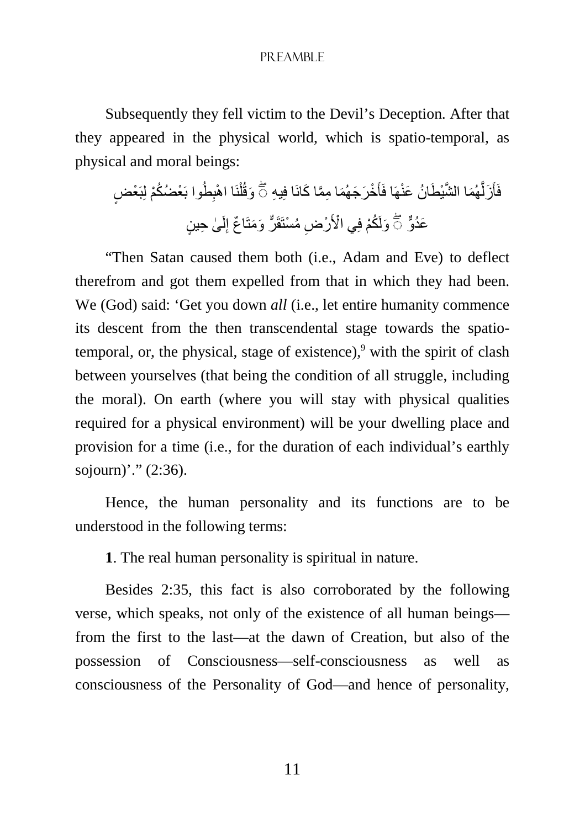Subsequently they fell victim to the Devil's Deception. After that they appeared in the physical world, which is spatio-temporal, as physical and moral beings:

فَأَزَلَّهُمَا الشَّيْطَانُ عَنْهَا فَأَخْرَجَهُمَا مِمَّا كَانَا فِيهِ ۞ وَقُلْنَا اهْبِطُوا بَعْضُكُمْ لِبَعْضٍ ْ َّ عَدُوٌّ ۚ وَلَكُمْ فِي الْأَرْضِ مُسْتَقَرٌّ وَمَتَاعٌ إِلَىٰ حِينٍ لَ ِ

"Then Satan caused them both (i.e., Adam and Eve) to deflect therefrom and got them expelled from that in which they had been. We (God) said: 'Get you down *all* (i.e., let entire humanity commence its descent from the then transcendental stage towards the spatiotemporal, or, the physical, stage of existence), $\degree$  with the spirit of clash between yourselves (that being the condition of all struggle, including the moral). On earth (where you will stay with physical qualities required for a physical environment) will be your dwelling place and provision for a time (i.e., for the duration of each individual's earthly sojourn)'." (2:36).

Hence, the human personality and its functions are to be understood in the following terms:

**1**. The real human personality is spiritual in nature.

Besides 2:35, this fact is also corroborated by the following verse, which speaks, not only of the existence of all human beings from the first to the last—at the dawn of Creation, but also of the possession of Consciousness—self-consciousness as well as consciousness of the Personality of God—and hence of personality,

11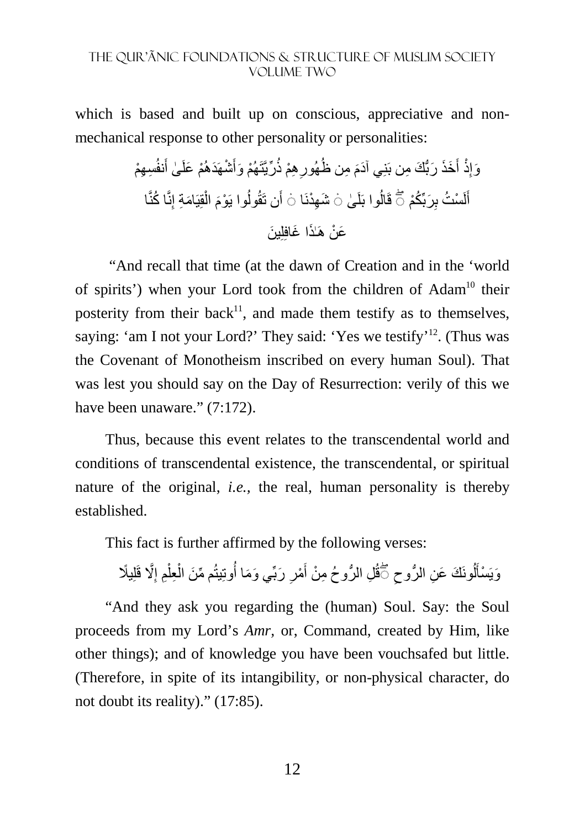which is based and built up on conscious, appreciative and nonmechanical response to other personality or personalities:

ِس ِھْم َنفُ ٰى أ ْم َ علَ َ ْشھَ َدھُ ْھُم َ وأ ِّريَّتَ ِھ ْم ذُ ِ َ ِ من ظُھُور َخَذ َ رُّب َك ِ من بَنِ َ ي آدم َ ِذْ أ َوإ ا ِنَّ ُ ا كنَّ امِة إ َ قِيَ ْ َ ال ُوا يَ ْوم َن تَقُول ِھْدنَا أ ٰى ۛ◌ َش ُوا بَلَ ُكْم ۛ◌ قَال ِ َربِّ ْس ُت ب لَ أ ۖ◌ َ َع ْن ھَٰـ َذ َ ا غافِلِ َ ين

 "And recall that time (at the dawn of Creation and in the 'world of spirits') when your Lord took from the children of Adam<sup>10</sup> their posterity from their back $11$ , and made them testify as to themselves, saying: 'am I not your Lord?' They said: 'Yes we testify'<sup>12</sup>. (Thus was the Covenant of Monotheism inscribed on every human Soul). That was lest you should say on the Day of Resurrection: verily of this we have been unaware." (7:172).

Thus, because this event relates to the transcendental world and conditions of transcendental existence, the transcendental, or spiritual nature of the original, *i.e.,* the real, human personality is thereby established.

This fact is further affirmed by the following verses:

ِ وَيَسْأَلُونَكَ عَنِ الرُّوحِ كَّقُلِ الرُّوحُ مِنْ أَمْرِ رَبِّي وَمَا أُوتِيتُم مِّنَ الْعِلْمِ إِلَّا قَلِيلًا أ أ ِ َ ِ ْ ْ

"And they ask you regarding the (human) Soul. Say: the Soul proceeds from my Lord's *Amr,* or, Command, created by Him, like other things); and of knowledge you have been vouchsafed but little. (Therefore, in spite of its intangibility, or non-physical character, do not doubt its reality)." (17:85).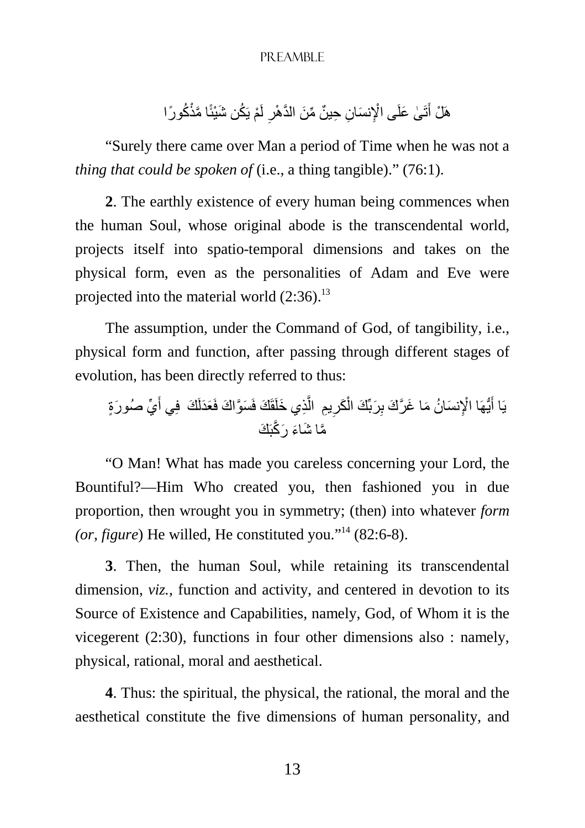هَلْ أَتَىٰ عَلَى الْإِنسَانِ حِينٌ مِّنَ الذَّهْرِ لَمْ يَكُن شَيْئًا مَّذْكُورًا ِ َ

"Surely there came over Man a period of Time when he was not a *thing that could be spoken of* (i.e., a thing tangible)." (76:1).

**2**. The earthly existence of every human being commences when the human Soul, whose original abode is the transcendental world, projects itself into spatio-temporal dimensions and takes on the physical form, even as the personalities of Adam and Eve were projected into the material world  $(2:36)$ .<sup>13</sup>

The assumption, under the Command of God, of tangibility, i.e., physical form and function, after passing through different stages of evolution, has been directly referred to thus:

يَا أَيُّهَا الْإِنسَانُ مَا غَرَّكَ بِرَبِّكَ الْكَرِيمِ الَّذِي خَلَقَكَ فَسَوَّاكَ فَعَدَلَكَ ۖ فِي أَيِّ صُورَةٍ َ َّ ْ َ َّم َ ا ش َاء َ ر َّكبَ َك

"O Man! What has made you careless concerning your Lord, the Bountiful?—Him Who created you, then fashioned you in due proportion, then wrought you in symmetry; (then) into whatever *form (or, figure*) He willed, He constituted you."<sup>14</sup> (82:6-8).

**3**. Then, the human Soul, while retaining its transcendental dimension, *viz.,* function and activity, and centered in devotion to its Source of Existence and Capabilities, namely, God, of Whom it is the vicegerent (2:30), functions in four other dimensions also : namely, physical, rational, moral and aesthetical.

**4**. Thus: the spiritual, the physical, the rational, the moral and the aesthetical constitute the five dimensions of human personality, and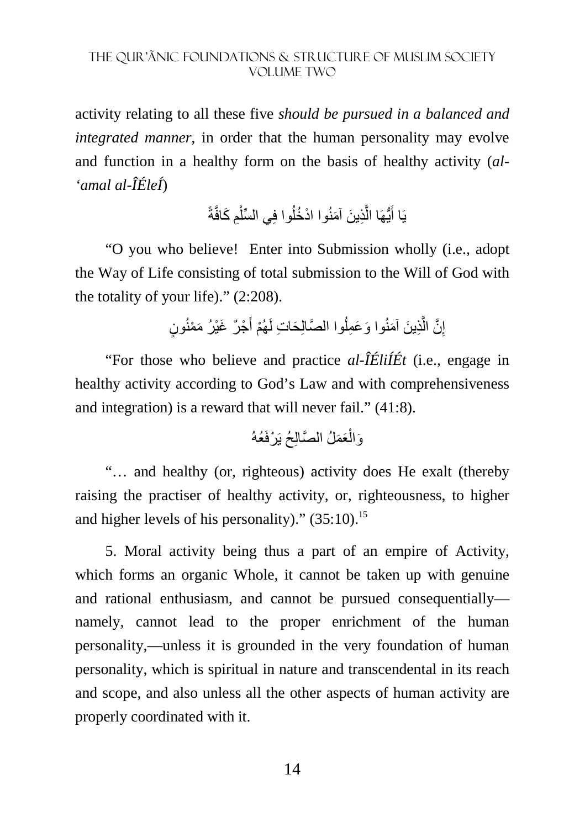activity relating to all these five *should be pursued in a balanced and integrated manner*, in order that the human personality may evolve and function in a healthy form on the basis of healthy activity (*al- 'amal al-ÎÉleÍ*)

> يَا أَيُّهَا الَّذِينَ آمَنُوا ادْخُلُوا فِي السِّلْمِ كَافَّةً ْ َّ َ

"O you who believe! Enter into Submission wholly (i.e., adopt the Way of Life consisting of total submission to the Will of God with the totality of your life)." (2:208).

> إِنَّ الَّذِينَ آمَنُوا وَعَمِلُوا الصَّالِحَاتِ لَهُمْ أَجْرٌ غَيْرُ مَمْنُونٍ َّ ِ َ ا<br>ا

"For those who believe and practice *al-ÎÉliÍÉt* (i.e., engage in healthy activity according to God's Law and with comprehensiveness and integration) is a reward that will never fail." (41:8).

ْ َوال َعَم َّ لُ الصالِحُ يَ ْرفَعُهُ

"… and healthy (or, righteous) activity does He exalt (thereby raising the practiser of healthy activity, or, righteousness, to higher and higher levels of his personality)."  $(35:10)$ .<sup>15</sup>

5. Moral activity being thus a part of an empire of Activity, which forms an organic Whole, it cannot be taken up with genuine and rational enthusiasm, and cannot be pursued consequentially namely, cannot lead to the proper enrichment of the human personality,—unless it is grounded in the very foundation of human personality, which is spiritual in nature and transcendental in its reach and scope, and also unless all the other aspects of human activity are properly coordinated with it.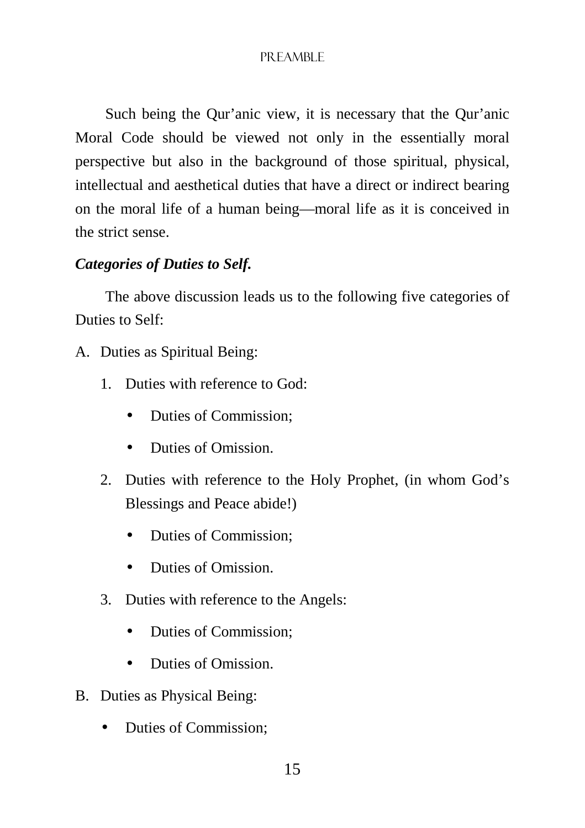Such being the Qur'anic view, it is necessary that the Qur'anic Moral Code should be viewed not only in the essentially moral perspective but also in the background of those spiritual, physical, intellectual and aesthetical duties that have a direct or indirect bearing on the moral life of a human being—moral life as it is conceived in the strict sense.

## *Categories of Duties to Self.*

The above discussion leads us to the following five categories of Duties to Self:

- A. Duties as Spiritual Being:
	- 1. Duties with reference to God:
		- Duties of Commission:
		- Duties of Omission
	- 2. Duties with reference to the Holy Prophet, (in whom God's Blessings and Peace abide!)
		- Duties of Commission;
		- Duties of Omission
	- 3. Duties with reference to the Angels:
		- Duties of Commission;
		- Duties of Omission
- B. Duties as Physical Being:
	- Duties of Commission;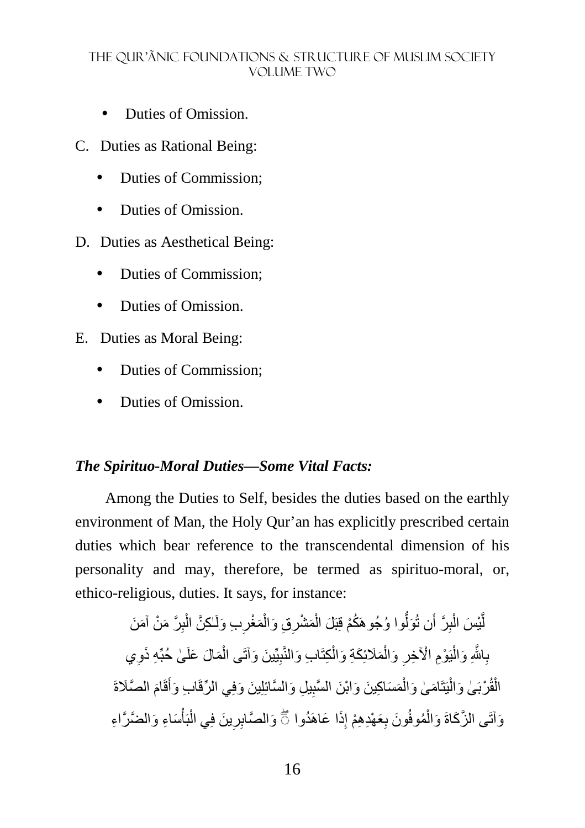- Duties of Omission.
- C. Duties as Rational Being:
	- Duties of Commission;
	- Duties of Omission
- D. Duties as Aesthetical Being:
	- Duties of Commission:
	- Duties of Omission.
- E. Duties as Moral Being:
	- Duties of Commission;
	- Duties of Omission.

#### *The Spirituo-Moral Duties—Some Vital Facts:*

Among the Duties to Self, besides the duties based on the earthly environment of Man, the Holy Qur'an has explicitly prescribed certain duties which bear reference to the transcendental dimension of his personality and may, therefore, be termed as spirituo-moral, or, ethico-religious, duties. It says, for instance:

لَّيْسَ الْبِرَّ أَن تُوَلُّوا وُجُوهَكُمْ قِبَلَ الْمَشْرِقِ وَالْمَغْرِبِ وَلَـٰكِنَّ الْبِرَّ مَنْ آمَنَ ِ ْ ِ ْ ْ ُّ ِ ْ َّ بِاللَّهِ وَالْيَوْمِ الْأَخِرِ وَالْمَلَائِكَةِ وَالْكِتَابِ وَالنَّبِيِّينَ وَأَتَى الْمَالَ عَلَىٰ حُبِّهِ ذَوِي ْ ِ ْ ْ ْ َِّ الْقُرْبَىٰ وَالْيَتَامَىٰ وَالْمَسَاكِينَ وَابْنَ السَّبِيلِ وَالسَّائِلِينَ وَفِي الرِّقَابِ وَأَقَامَ الصَّلَاةَ ْ í ْ ْ َ َ وَاتَى الزَّكَاةَ وَالْمُوفُونَ بِعَهْدِهِمْ إِذَا عَاهَدُوا ۞ وَالصَّابِرِينَ فِي الْبَأْسَاءِ وَالضَّرَّاءِ ْ ْ ِ ِ ْ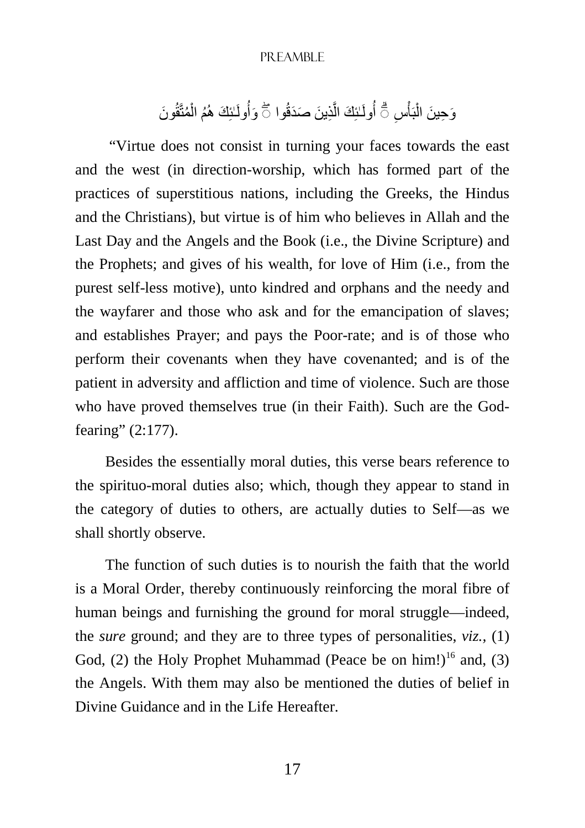وَحِينَ الْبَأْسِ ۖ أُولَـٰئِكَ الَّذِينَ صَدَقُوا ۖ ۖ وَأُولَـٰئِكَ هُمُ الْمُتَّقُونَ ْ َّ ْ ْ

 "Virtue does not consist in turning your faces towards the east and the west (in direction-worship, which has formed part of the practices of superstitious nations, including the Greeks, the Hindus and the Christians), but virtue is of him who believes in Allah and the Last Day and the Angels and the Book (i.e., the Divine Scripture) and the Prophets; and gives of his wealth, for love of Him (i.e., from the purest self-less motive), unto kindred and orphans and the needy and the wayfarer and those who ask and for the emancipation of slaves; and establishes Prayer; and pays the Poor-rate; and is of those who perform their covenants when they have covenanted; and is of the patient in adversity and affliction and time of violence. Such are those who have proved themselves true (in their Faith). Such are the Godfearing" (2:177).

Besides the essentially moral duties, this verse bears reference to the spirituo-moral duties also; which, though they appear to stand in the category of duties to others, are actually duties to Self—as we shall shortly observe.

The function of such duties is to nourish the faith that the world is a Moral Order, thereby continuously reinforcing the moral fibre of human beings and furnishing the ground for moral struggle—indeed, the *sure* ground; and they are to three types of personalities, *viz.,* (1) God, (2) the Holy Prophet Muhammad (Peace be on him!)<sup>16</sup> and, (3) the Angels. With them may also be mentioned the duties of belief in Divine Guidance and in the Life Hereafter.

17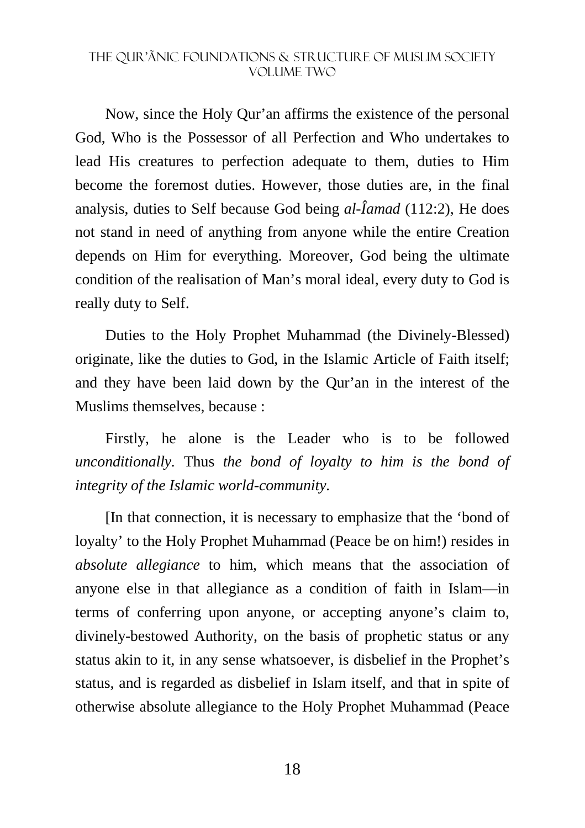Now, since the Holy Qur'an affirms the existence of the personal God, Who is the Possessor of all Perfection and Who undertakes to lead His creatures to perfection adequate to them, duties to Him become the foremost duties. However, those duties are, in the final analysis, duties to Self because God being *al-Îamad* (112:2), He does not stand in need of anything from anyone while the entire Creation depends on Him for everything. Moreover, God being the ultimate condition of the realisation of Man's moral ideal, every duty to God is really duty to Self.

Duties to the Holy Prophet Muhammad (the Divinely-Blessed) originate, like the duties to God, in the Islamic Article of Faith itself; and they have been laid down by the Qur'an in the interest of the Muslims themselves, because :

Firstly, he alone is the Leader who is to be followed *unconditionally.* Thus *the bond of loyalty to him is the bond of integrity of the Islamic world-community.* 

[In that connection, it is necessary to emphasize that the 'bond of loyalty' to the Holy Prophet Muhammad (Peace be on him!) resides in *absolute allegiance* to him, which means that the association of anyone else in that allegiance as a condition of faith in Islam—in terms of conferring upon anyone, or accepting anyone's claim to, divinely-bestowed Authority, on the basis of prophetic status or any status akin to it, in any sense whatsoever, is disbelief in the Prophet's status, and is regarded as disbelief in Islam itself, and that in spite of otherwise absolute allegiance to the Holy Prophet Muhammad (Peace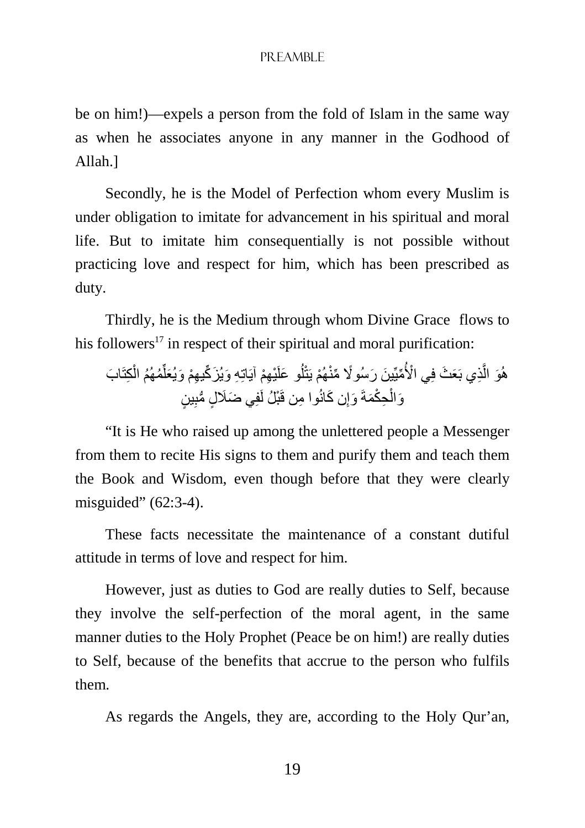be on him!)—expels a person from the fold of Islam in the same way as when he associates anyone in any manner in the Godhood of Allah.]

Secondly, he is the Model of Perfection whom every Muslim is under obligation to imitate for advancement in his spiritual and moral life. But to imitate him consequentially is not possible without practicing love and respect for him, which has been prescribed as duty.

Thirdly, he is the Medium through whom Divine Grace flows to his followers<sup>17</sup> in respect of their spiritual and moral purification:

ِكتَا ْ ُم ُھُم ال ِّ ِھْم آيَاتِ ِه َ و َ يُز ِّك ِ يھْم َ و َيُعل ْي َ و علَ ُ ل ْھُم َ يتْ ِّميِّ َ ين َ ر ًسُو% ِّ منْ ْي ا>ُ ِذي بَ َع َث فِ َّ َب َو ال ھُ ِ ٍ ين ِ وا من قَ ْبلُ لَفِ َ ي ضَ ٍل ُّ مب َن كانُ ِ َ وإ ِح ْكَمةَ ْ َوال

"It is He who raised up among the unlettered people a Messenger from them to recite His signs to them and purify them and teach them the Book and Wisdom, even though before that they were clearly misguided" (62:3-4).

These facts necessitate the maintenance of a constant dutiful attitude in terms of love and respect for him.

However, just as duties to God are really duties to Self, because they involve the self-perfection of the moral agent, in the same manner duties to the Holy Prophet (Peace be on him!) are really duties to Self, because of the benefits that accrue to the person who fulfils them.

As regards the Angels, they are, according to the Holy Qur'an,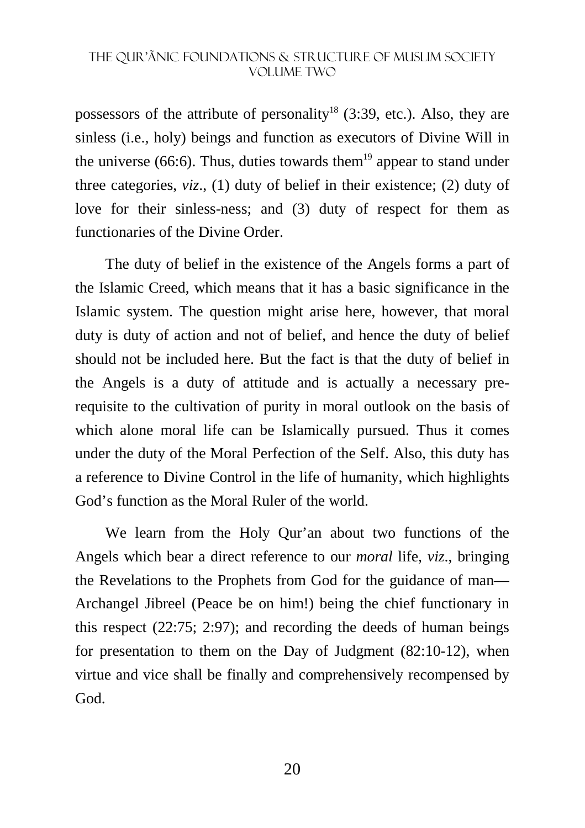possessors of the attribute of personality<sup>18</sup> (3:39, etc.). Also, they are sinless (i.e., holy) beings and function as executors of Divine Will in the universe (66:6). Thus, duties towards them<sup>19</sup> appear to stand under three categories, *viz*., (1) duty of belief in their existence; (2) duty of love for their sinless-ness; and (3) duty of respect for them as functionaries of the Divine Order.

The duty of belief in the existence of the Angels forms a part of the Islamic Creed, which means that it has a basic significance in the Islamic system. The question might arise here, however, that moral duty is duty of action and not of belief, and hence the duty of belief should not be included here. But the fact is that the duty of belief in the Angels is a duty of attitude and is actually a necessary prerequisite to the cultivation of purity in moral outlook on the basis of which alone moral life can be Islamically pursued. Thus it comes under the duty of the Moral Perfection of the Self. Also, this duty has a reference to Divine Control in the life of humanity, which highlights God's function as the Moral Ruler of the world.

We learn from the Holy Qur'an about two functions of the Angels which bear a direct reference to our *moral* life, *viz*., bringing the Revelations to the Prophets from God for the guidance of man— Archangel Jibreel (Peace be on him!) being the chief functionary in this respect (22:75; 2:97); and recording the deeds of human beings for presentation to them on the Day of Judgment (82:10-12), when virtue and vice shall be finally and comprehensively recompensed by God.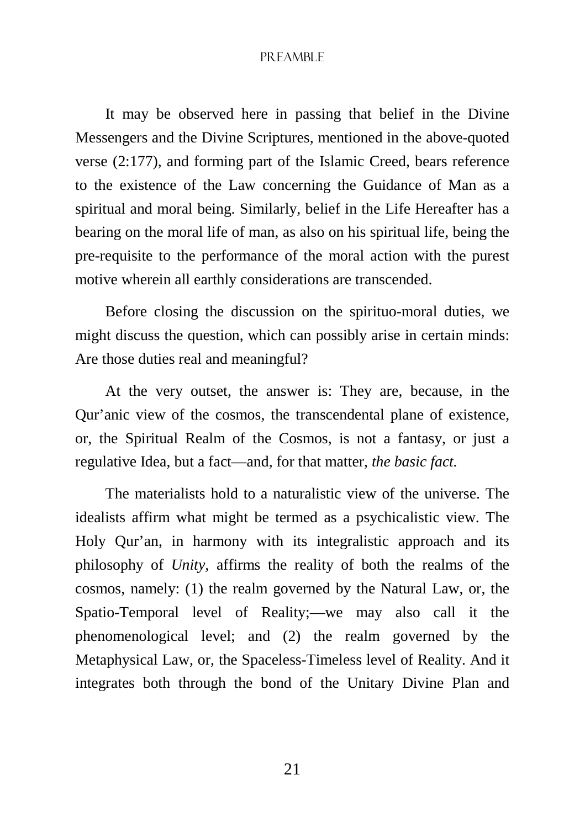It may be observed here in passing that belief in the Divine Messengers and the Divine Scriptures, mentioned in the above-quoted verse (2:177), and forming part of the Islamic Creed, bears reference to the existence of the Law concerning the Guidance of Man as a spiritual and moral being. Similarly, belief in the Life Hereafter has a bearing on the moral life of man, as also on his spiritual life, being the pre-requisite to the performance of the moral action with the purest motive wherein all earthly considerations are transcended.

Before closing the discussion on the spirituo-moral duties, we might discuss the question, which can possibly arise in certain minds: Are those duties real and meaningful?

At the very outset, the answer is: They are, because, in the Qur'anic view of the cosmos, the transcendental plane of existence, or, the Spiritual Realm of the Cosmos, is not a fantasy, or just a regulative Idea, but a fact—and, for that matter, *the basic fact.* 

The materialists hold to a naturalistic view of the universe. The idealists affirm what might be termed as a psychicalistic view. The Holy Qur'an, in harmony with its integralistic approach and its philosophy of *Unity,* affirms the reality of both the realms of the cosmos, namely: (1) the realm governed by the Natural Law, or, the Spatio-Temporal level of Reality;—we may also call it the phenomenological level; and (2) the realm governed by the Metaphysical Law, or, the Spaceless-Timeless level of Reality. And it integrates both through the bond of the Unitary Divine Plan and

21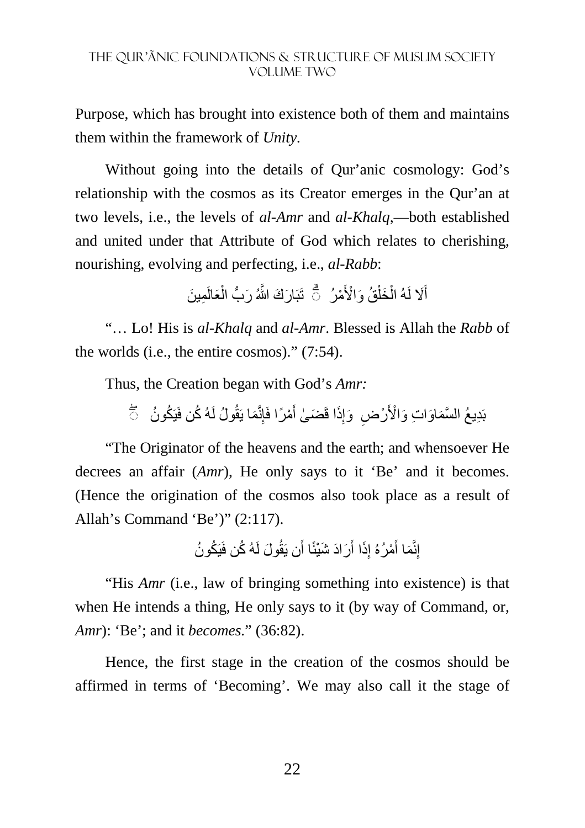Purpose, which has brought into existence both of them and maintains them within the framework of *Unity.* 

Without going into the details of Qur'anic cosmology: God's relationship with the cosmos as its Creator emerges in the Qur'an at two levels, i.e., the levels of *al-Amr* and *al-Khalq*,—both established and united under that Attribute of God which relates to cherishing, nourishing, evolving and perfecting, i.e., *al-Rabb*:

> أَلا لَهُ الْخَلْقُ وَالْأَمْرُ ۚ ثَّ تَبَارَكَ النَّهُ رَبُّ الْعَالَمِينَ ْ ْ ْ َ

"… Lo! His is *al-Khalq* and *al-Amr*. Blessed is Allah the *Rabb* of the worlds (i.e., the entire cosmos)." (7:54).

Thus, the Creation began with God's *Amr:*

بَدِيعُ السَّمَاوَاتِ وَالْأَرْضِ ۚ وَإِذَا قَضَىٰ أَمْرًا فَإِنَّمَا يَقُولُ لَهُ كُن فَيَكُونُ ۚ ۖ أَ َ ِ

"The Originator of the heavens and the earth; and whensoever He decrees an affair (*Amr*), He only says to it 'Be' and it becomes. (Hence the origination of the cosmos also took place as a result of Allah's Command 'Be')" (2:117).

> إِنَّمَا أَمْرُهُ إِذَا أَرَادَ شَيْئًا أَن يَقُولَ لَهُ كُن فَيَكُونُ َ ِ أَ

"His *Amr* (i.e., law of bringing something into existence) is that when He intends a thing, He only says to it (by way of Command, or, *Amr*): 'Be'; and it *becomes.*" (36:82).

Hence, the first stage in the creation of the cosmos should be affirmed in terms of 'Becoming'. We may also call it the stage of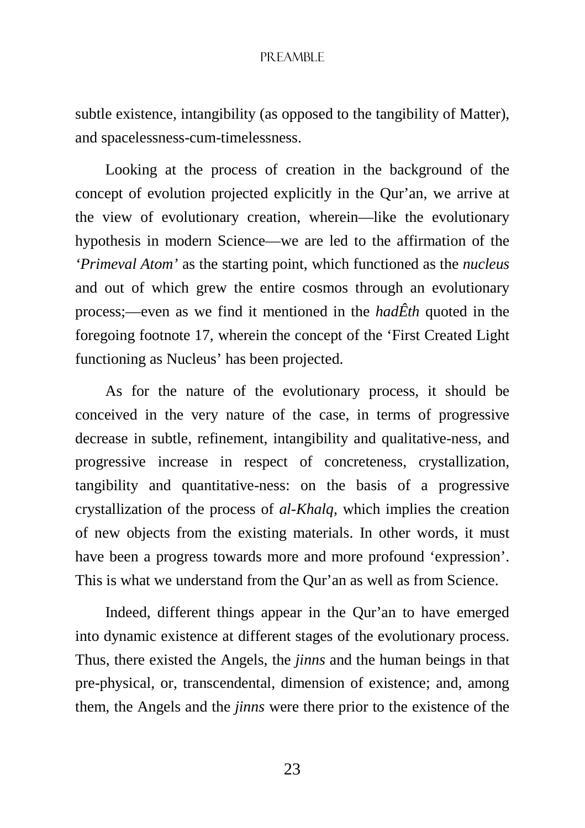subtle existence, intangibility (as opposed to the tangibility of Matter), and spacelessness-cum-timelessness.

Looking at the process of creation in the background of the concept of evolution projected explicitly in the Qur'an, we arrive at the view of evolutionary creation, wherein—like the evolutionary hypothesis in modern Science—we are led to the affirmation of the *'Primeval Atom'* as the starting point, which functioned as the *nucleus* and out of which grew the entire cosmos through an evolutionary process;—even as we find it mentioned in the *hadÊth* quoted in the foregoing footnote 17, wherein the concept of the 'First Created Light functioning as Nucleus' has been projected.

As for the nature of the evolutionary process, it should be conceived in the very nature of the case, in terms of progressive decrease in subtle, refinement, intangibility and qualitative-ness, and progressive increase in respect of concreteness, crystallization, tangibility and quantitative-ness: on the basis of a progressive crystallization of the process of *al-Khalq*, which implies the creation of new objects from the existing materials. In other words, it must have been a progress towards more and more profound 'expression'. This is what we understand from the Qur'an as well as from Science.

Indeed, different things appear in the Qur'an to have emerged into dynamic existence at different stages of the evolutionary process. Thus, there existed the Angels, the *jinns* and the human beings in that pre-physical, or, transcendental, dimension of existence; and, among them, the Angels and the *jinns* were there prior to the existence of the

23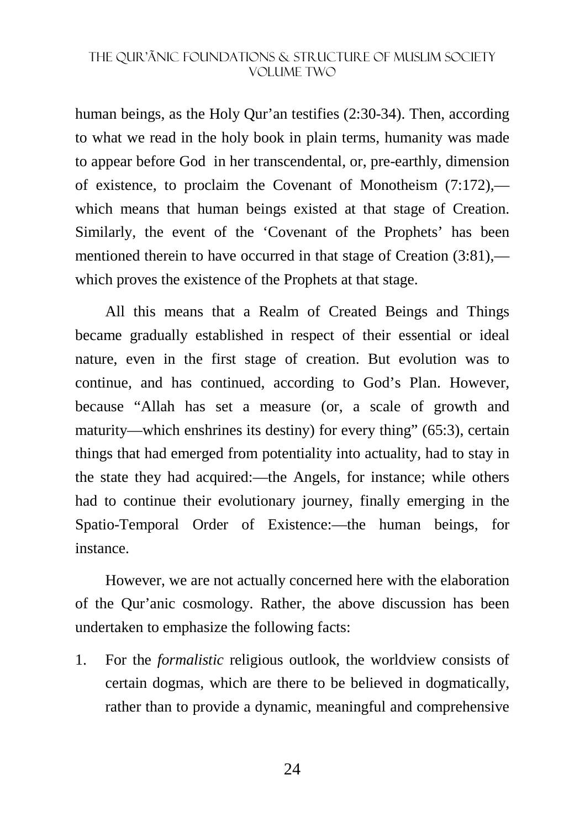human beings, as the Holy Qur'an testifies (2:30-34). Then, according to what we read in the holy book in plain terms, humanity was made to appear before God in her transcendental, or, pre-earthly, dimension of existence, to proclaim the Covenant of Monotheism (7:172), which means that human beings existed at that stage of Creation. Similarly, the event of the 'Covenant of the Prophets' has been mentioned therein to have occurred in that stage of Creation (3:81), which proves the existence of the Prophets at that stage.

All this means that a Realm of Created Beings and Things became gradually established in respect of their essential or ideal nature, even in the first stage of creation. But evolution was to continue, and has continued, according to God's Plan. However, because "Allah has set a measure (or, a scale of growth and maturity—which enshrines its destiny) for every thing" (65:3), certain things that had emerged from potentiality into actuality, had to stay in the state they had acquired:—the Angels, for instance; while others had to continue their evolutionary journey, finally emerging in the Spatio-Temporal Order of Existence:—the human beings, for instance.

However, we are not actually concerned here with the elaboration of the Qur'anic cosmology. Rather, the above discussion has been undertaken to emphasize the following facts:

1. For the *formalistic* religious outlook, the worldview consists of certain dogmas, which are there to be believed in dogmatically, rather than to provide a dynamic, meaningful and comprehensive

24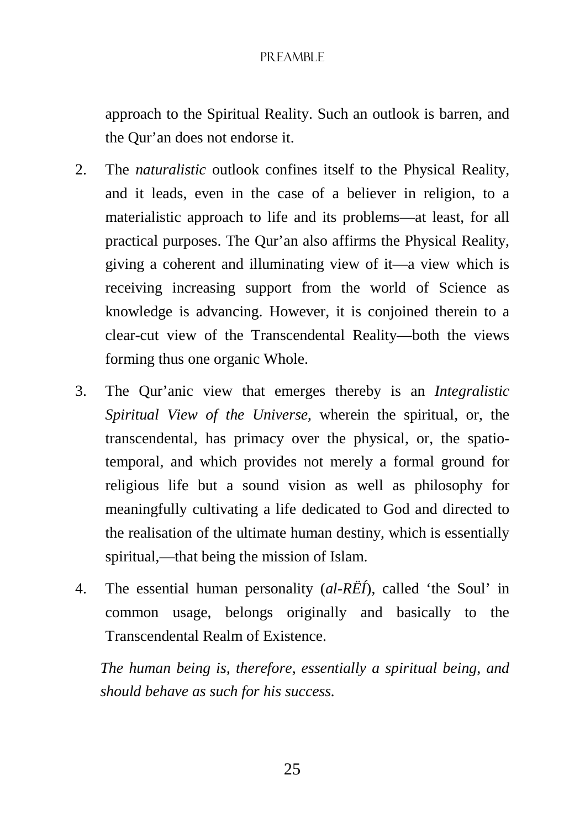approach to the Spiritual Reality. Such an outlook is barren, and the Qur'an does not endorse it.

- 2. The *naturalistic* outlook confines itself to the Physical Reality, and it leads, even in the case of a believer in religion, to a materialistic approach to life and its problems—at least, for all practical purposes. The Qur'an also affirms the Physical Reality, giving a coherent and illuminating view of it—a view which is receiving increasing support from the world of Science as knowledge is advancing. However, it is conjoined therein to a clear-cut view of the Transcendental Reality—both the views forming thus one organic Whole.
- 3. The Qur'anic view that emerges thereby is an *Integralistic Spiritual View of the Universe*, wherein the spiritual, or, the transcendental, has primacy over the physical, or, the spatiotemporal, and which provides not merely a formal ground for religious life but a sound vision as well as philosophy for meaningfully cultivating a life dedicated to God and directed to the realisation of the ultimate human destiny, which is essentially spiritual,—that being the mission of Islam.
- 4. The essential human personality (*al-RËÍ*), called 'the Soul' in common usage, belongs originally and basically to the Transcendental Realm of Existence.

*The human being is, therefore, essentially a spiritual being, and should behave as such for his success.*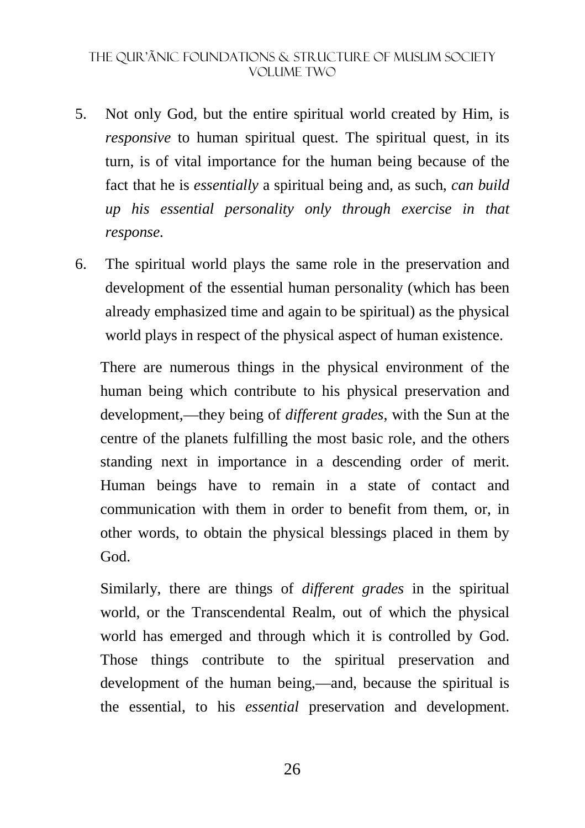- 5. Not only God, but the entire spiritual world created by Him, is *responsive* to human spiritual quest. The spiritual quest, in its turn, is of vital importance for the human being because of the fact that he is *essentially* a spiritual being and, as such, *can build up his essential personality only through exercise in that response.*
- 6. The spiritual world plays the same role in the preservation and development of the essential human personality (which has been already emphasized time and again to be spiritual) as the physical world plays in respect of the physical aspect of human existence.

There are numerous things in the physical environment of the human being which contribute to his physical preservation and development,—they being of *different grades*, with the Sun at the centre of the planets fulfilling the most basic role, and the others standing next in importance in a descending order of merit. Human beings have to remain in a state of contact and communication with them in order to benefit from them, or, in other words, to obtain the physical blessings placed in them by God.

Similarly, there are things of *different grades* in the spiritual world, or the Transcendental Realm, out of which the physical world has emerged and through which it is controlled by God. Those things contribute to the spiritual preservation and development of the human being,—and, because the spiritual is the essential, to his *essential* preservation and development.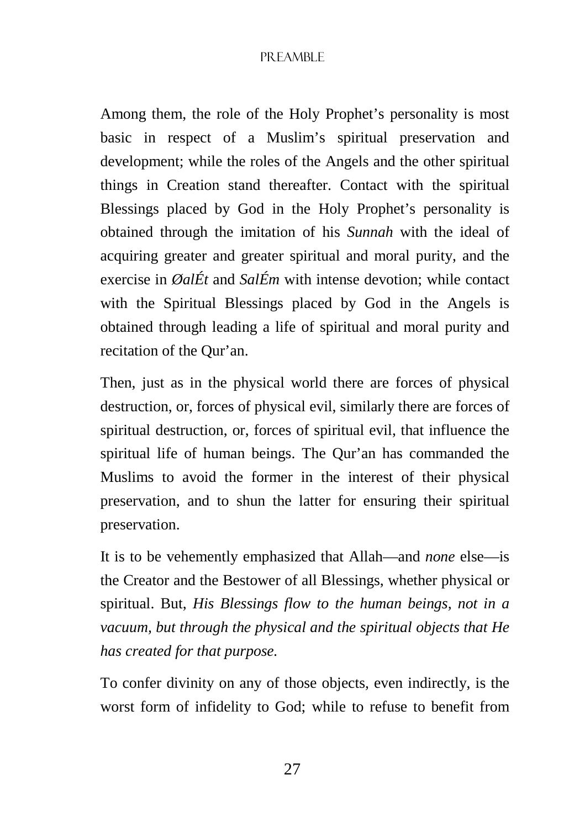Among them, the role of the Holy Prophet's personality is most basic in respect of a Muslim's spiritual preservation and development; while the roles of the Angels and the other spiritual things in Creation stand thereafter. Contact with the spiritual Blessings placed by God in the Holy Prophet's personality is obtained through the imitation of his *Sunnah* with the ideal of acquiring greater and greater spiritual and moral purity, and the exercise in *ØalÉt* and *SalÉm* with intense devotion; while contact with the Spiritual Blessings placed by God in the Angels is obtained through leading a life of spiritual and moral purity and recitation of the Qur'an.

Then, just as in the physical world there are forces of physical destruction, or, forces of physical evil, similarly there are forces of spiritual destruction, or, forces of spiritual evil, that influence the spiritual life of human beings. The Qur'an has commanded the Muslims to avoid the former in the interest of their physical preservation, and to shun the latter for ensuring their spiritual preservation.

It is to be vehemently emphasized that Allah—and *none* else—is the Creator and the Bestower of all Blessings, whether physical or spiritual. But, *His Blessings flow to the human beings, not in a vacuum, but through the physical and the spiritual objects that He has created for that purpose.* 

To confer divinity on any of those objects, even indirectly, is the worst form of infidelity to God; while to refuse to benefit from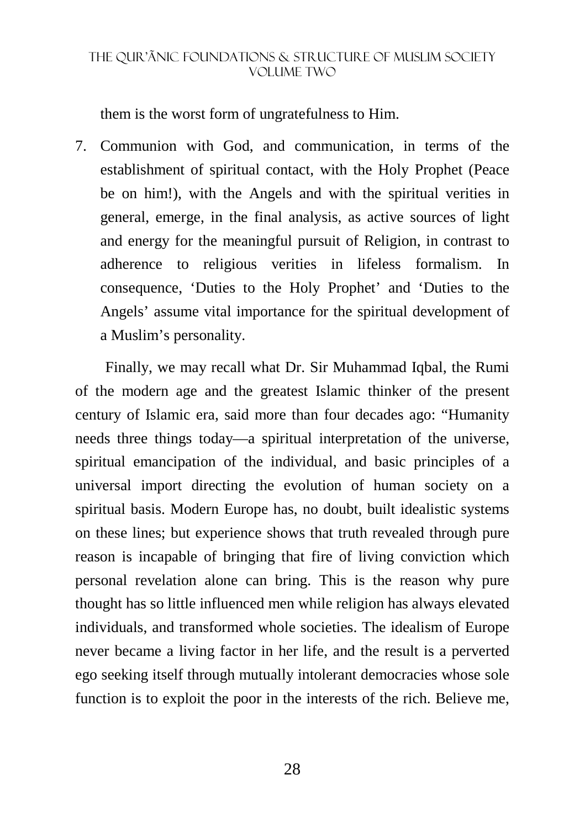them is the worst form of ungratefulness to Him.

7. Communion with God, and communication, in terms of the establishment of spiritual contact, with the Holy Prophet (Peace be on him!), with the Angels and with the spiritual verities in general, emerge, in the final analysis, as active sources of light and energy for the meaningful pursuit of Religion, in contrast to adherence to religious verities in lifeless formalism. In consequence, 'Duties to the Holy Prophet' and 'Duties to the Angels' assume vital importance for the spiritual development of a Muslim's personality.

Finally, we may recall what Dr. Sir Muhammad Iqbal, the Rumi of the modern age and the greatest Islamic thinker of the present century of Islamic era, said more than four decades ago: "Humanity needs three things today—a spiritual interpretation of the universe, spiritual emancipation of the individual, and basic principles of a universal import directing the evolution of human society on a spiritual basis. Modern Europe has, no doubt, built idealistic systems on these lines; but experience shows that truth revealed through pure reason is incapable of bringing that fire of living conviction which personal revelation alone can bring. This is the reason why pure thought has so little influenced men while religion has always elevated individuals, and transformed whole societies. The idealism of Europe never became a living factor in her life, and the result is a perverted ego seeking itself through mutually intolerant democracies whose sole function is to exploit the poor in the interests of the rich. Believe me,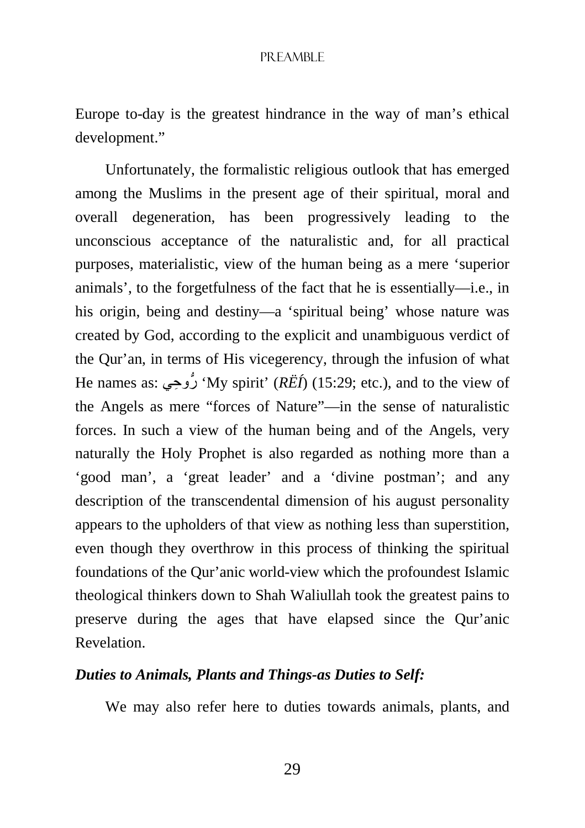Europe to-day is the greatest hindrance in the way of man's ethical development."

Unfortunately, the formalistic religious outlook that has emerged among the Muslims in the present age of their spiritual, moral and overall degeneration, has been progressively leading to the unconscious acceptance of the naturalistic and, for all practical purposes, materialistic, view of the human being as a mere 'superior animals', to the forgetfulness of the fact that he is essentially—i.e., in his origin, being and destiny—a 'spiritual being' whose nature was created by God, according to the explicit and unambiguous verdict of the Qur'an, in terms of His vicegerency, through the infusion of what He names as: وحيِ ُّر' My spirit' (*RËÍ*) (15:29; etc.), and to the view of the Angels as mere "forces of Nature"—in the sense of naturalistic forces. In such a view of the human being and of the Angels, very naturally the Holy Prophet is also regarded as nothing more than a 'good man', a 'great leader' and a 'divine postman'; and any description of the transcendental dimension of his august personality appears to the upholders of that view as nothing less than superstition, even though they overthrow in this process of thinking the spiritual foundations of the Qur'anic world-view which the profoundest Islamic theological thinkers down to Shah Waliullah took the greatest pains to preserve during the ages that have elapsed since the Qur'anic Revelation.

#### *Duties to Animals, Plants and Things-as Duties to Self:*

We may also refer here to duties towards animals, plants, and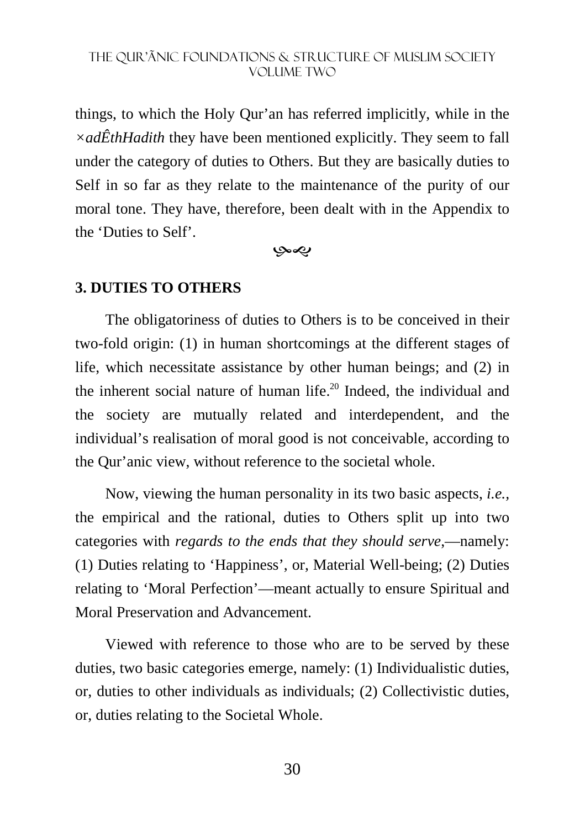things, to which the Holy Qur'an has referred implicitly, while in the *×adÊthHadith* they have been mentioned explicitly. They seem to fall under the category of duties to Others. But they are basically duties to Self in so far as they relate to the maintenance of the purity of our moral tone. They have, therefore, been dealt with in the Appendix to the 'Duties to Self'.

-

#### **3. DUTIES TO OTHERS**

The obligatoriness of duties to Others is to be conceived in their two-fold origin: (1) in human shortcomings at the different stages of life, which necessitate assistance by other human beings; and (2) in the inherent social nature of human life.<sup>20</sup> Indeed, the individual and the society are mutually related and interdependent, and the individual's realisation of moral good is not conceivable, according to the Qur'anic view, without reference to the societal whole.

Now, viewing the human personality in its two basic aspects, *i.e.,* the empirical and the rational, duties to Others split up into two categories with *regards to the ends that they should serve*,—namely: (1) Duties relating to 'Happiness', or, Material Well-being; (2) Duties relating to 'Moral Perfection'—meant actually to ensure Spiritual and Moral Preservation and Advancement.

Viewed with reference to those who are to be served by these duties, two basic categories emerge, namely: (1) Individualistic duties, or, duties to other individuals as individuals; (2) Collectivistic duties, or, duties relating to the Societal Whole.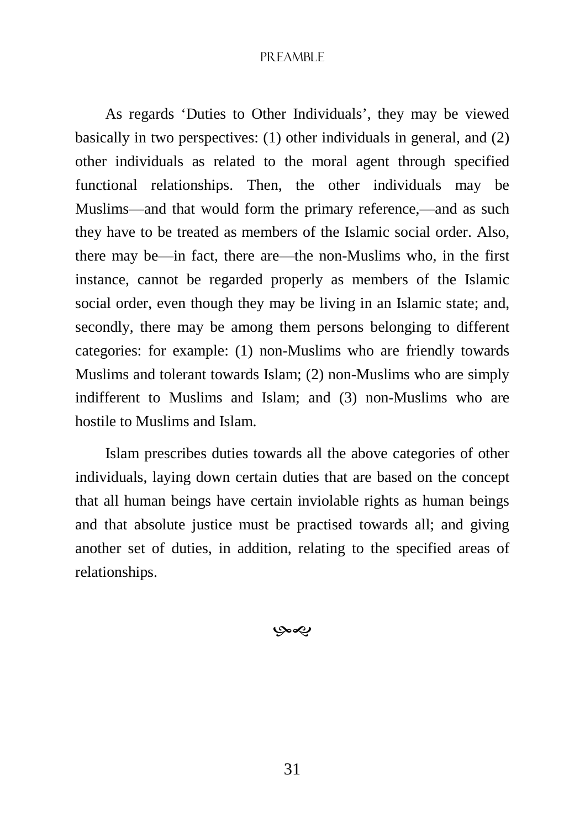#### PREAMBLE

As regards 'Duties to Other Individuals', they may be viewed basically in two perspectives: (1) other individuals in general, and (2) other individuals as related to the moral agent through specified functional relationships. Then, the other individuals may be Muslims—and that would form the primary reference,—and as such they have to be treated as members of the Islamic social order. Also, there may be—in fact, there are—the non-Muslims who, in the first instance, cannot be regarded properly as members of the Islamic social order, even though they may be living in an Islamic state; and, secondly, there may be among them persons belonging to different categories: for example: (1) non-Muslims who are friendly towards Muslims and tolerant towards Islam; (2) non-Muslims who are simply indifferent to Muslims and Islam; and (3) non-Muslims who are hostile to Muslims and Islam.

Islam prescribes duties towards all the above categories of other individuals, laying down certain duties that are based on the concept that all human beings have certain inviolable rights as human beings and that absolute justice must be practised towards all; and giving another set of duties, in addition, relating to the specified areas of relationships.

بهي

31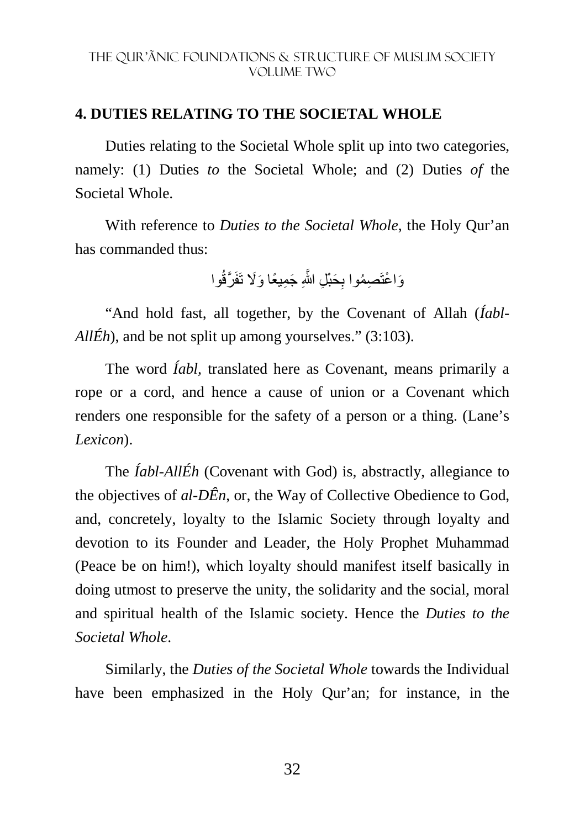### **4. DUTIES RELATING TO THE SOCIETAL WHOLE**

Duties relating to the Societal Whole split up into two categories, namely: (1) Duties *to* the Societal Whole; and (2) Duties *of* the Societal Whole.

With reference to *Duties to the Societal Whole*, the Holy Qur'an has commanded thus:

وَاعْتَصِمُوا بِحَبْلِ اللَّهِ جَمِيعًا وَلَا تَفَرَّقُوا

"And hold fast, all together, by the Covenant of Allah (*Íabl-AllÉh*), and be not split up among yourselves." (3:103).

The word *Íabl,* translated here as Covenant, means primarily a rope or a cord, and hence a cause of union or a Covenant which renders one responsible for the safety of a person or a thing. (Lane's *Lexicon*).

The *Íabl-AllÉh* (Covenant with God) is, abstractly, allegiance to the objectives of *al-DÊn*, or, the Way of Collective Obedience to God, and, concretely, loyalty to the Islamic Society through loyalty and devotion to its Founder and Leader, the Holy Prophet Muhammad (Peace be on him!), which loyalty should manifest itself basically in doing utmost to preserve the unity, the solidarity and the social, moral and spiritual health of the Islamic society. Hence the *Duties to the Societal Whole*.

Similarly, the *Duties of the Societal Whole* towards the Individual have been emphasized in the Holy Qur'an; for instance, in the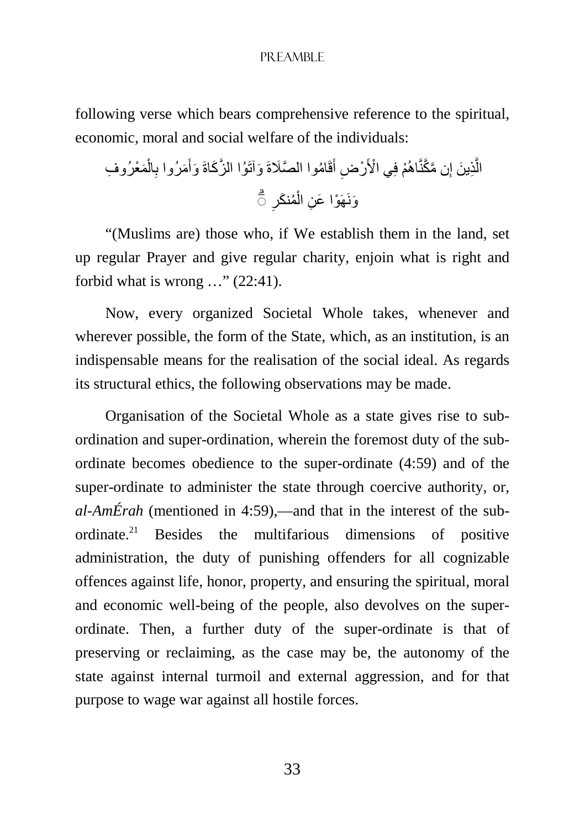#### PREAMBLE

following verse which bears comprehensive reference to the spiritual, economic, moral and social welfare of the individuals:

الَّذِينَ إِن مَّعَّنَّاهُم۫ في الأُرُضِ أَقَامُوا المصَّلاَةَ وَآتَوُا الأِنَّكَاةَ وَأَمَرُوا بِالُمَعُرُوفِ 
$$
\overline{5}
$$

"(Muslims are) those who, if We establish them in the land, set up regular Prayer and give regular charity, enjoin what is right and forbid what is wrong …" (22:41).

Now, every organized Societal Whole takes, whenever and wherever possible, the form of the State, which, as an institution, is an indispensable means for the realisation of the social ideal. As regards its structural ethics, the following observations may be made.

Organisation of the Societal Whole as a state gives rise to subordination and super-ordination, wherein the foremost duty of the subordinate becomes obedience to the super-ordinate (4:59) and of the super-ordinate to administer the state through coercive authority, or, *al-AmÉrah* (mentioned in 4:59),—and that in the interest of the subordinate.<sup>21</sup> Besides the multifarious dimensions of positive administration, the duty of punishing offenders for all cognizable offences against life, honor, property, and ensuring the spiritual, moral and economic well-being of the people, also devolves on the superordinate. Then, a further duty of the super-ordinate is that of preserving or reclaiming, as the case may be, the autonomy of the state against internal turmoil and external aggression, and for that purpose to wage war against all hostile forces.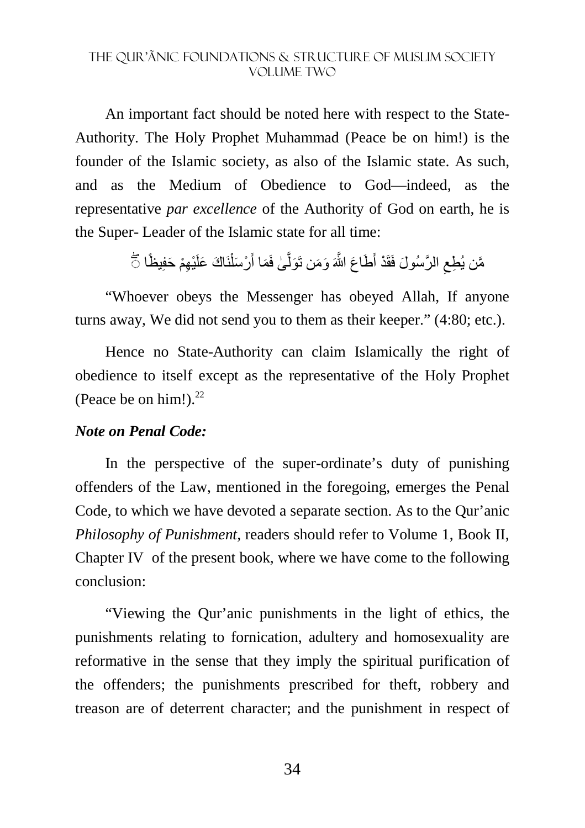An important fact should be noted here with respect to the State-Authority. The Holy Prophet Muhammad (Peace be on him!) is the founder of the Islamic society, as also of the Islamic state. As such, and as the Medium of Obedience to God—indeed, as the representative *par excellence* of the Authority of God on earth, he is the Super- Leader of the Islamic state for all time:

> مَّن يُطِعِ الرَّسُولَ فَقَدْ أَطَاعَ اللَّهَ وَمَن تَوَلَّىٰ فَمَا أَرْسَلْنَاكَ عَلَيْهِمْ حَفِيظًا نَّ َ ِ ًْ َ َّ

"Whoever obeys the Messenger has obeyed Allah, If anyone turns away, We did not send you to them as their keeper." (4:80; etc.).

Hence no State-Authority can claim Islamically the right of obedience to itself except as the representative of the Holy Prophet (Peace be on him!). $^{22}$ 

#### *Note on Penal Code:*

In the perspective of the super-ordinate's duty of punishing offenders of the Law, mentioned in the foregoing, emerges the Penal Code, to which we have devoted a separate section. As to the Qur'anic *Philosophy of Punishment,* readers should refer to Volume 1, Book II, Chapter IV of the present book, where we have come to the following conclusion:

"Viewing the Qur'anic punishments in the light of ethics, the punishments relating to fornication, adultery and homosexuality are reformative in the sense that they imply the spiritual purification of the offenders; the punishments prescribed for theft, robbery and treason are of deterrent character; and the punishment in respect of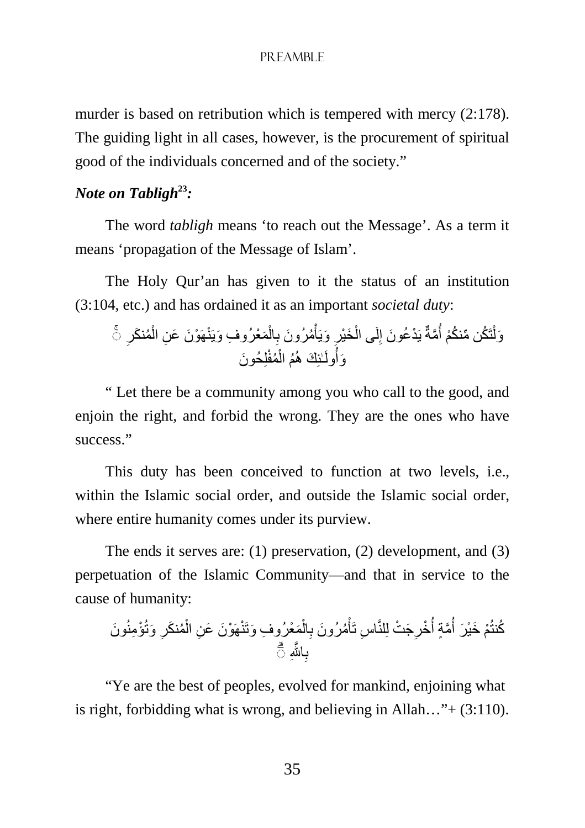#### PREAMBLE

murder is based on retribution which is tempered with mercy (2:178). The guiding light in all cases, however, is the procurement of spiritual good of the individuals concerned and of the society."

# *Note on Tabligh***<sup>23</sup>***:*

The word *tabligh* means 'to reach out the Message'. As a term it means 'propagation of the Message of Islam'.

The Holy Qur'an has given to it the status of an institution (3:104, etc.) and has ordained it as an important *societal duty*:

ِ وَلْتَكُن مِّنكُمْ أُمَّةٌ يَدْعُونَ إِلَى الْخَيْرِ وَيَأْمُرُونَ بِالْمَعْرُوفِ وَيَنْهَوْنَ عَنِ الْمُنكَرِ تَّ ْ ْ ِ ْ ْ ِ ا<br>استعمال ْ وَلَٰٓ لِلٰٓئِكَ هُمُ الْمُفْلِحُونَ ْ

" Let there be a community among you who call to the good, and enjoin the right, and forbid the wrong. They are the ones who have success<sup>"</sup>

This duty has been conceived to function at two levels, i.e., within the Islamic social order, and outside the Islamic social order, where entire humanity comes under its purview.

The ends it serves are: (1) preservation, (2) development, and (3) perpetuation of the Islamic Community—and that in service to the cause of humanity:

َون ِ َ وتُ ْؤ ِمنُ ُم َنكر ْ َمْع ِ رُوف َ وَتنْھَ ْو َن َ ع ِن ال ْ ال ِ ُم َ رُون ب ْ اس تَأ ِ َج ْت لِلنَّ ِ ْخر ُ َّمٍة أ ُ ْم َ خْي َر أ ُكنتُ َّ اjِ ب ۗ◌ ِ

"Ye are the best of peoples, evolved for mankind, enjoining what is right, forbidding what is wrong, and believing in Allah..." $+$  (3:110).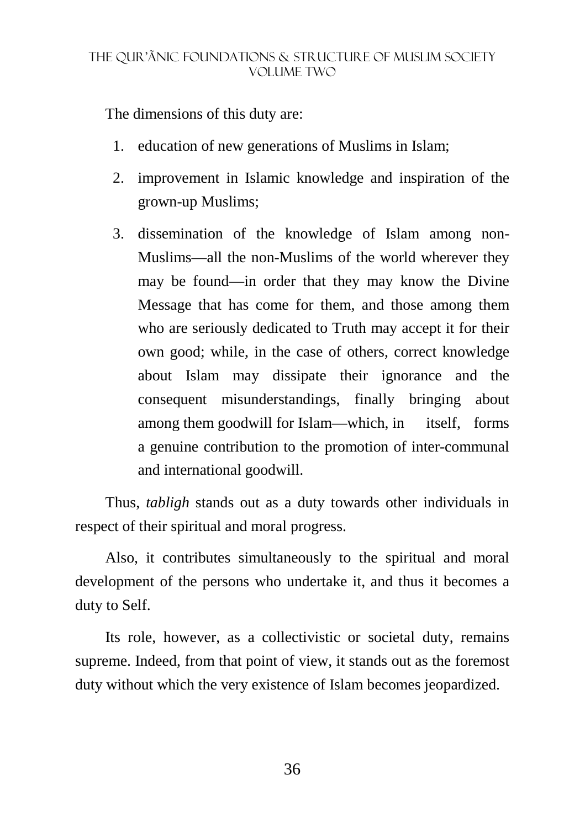The dimensions of this duty are:

- 1. education of new generations of Muslims in Islam;
- 2. improvement in Islamic knowledge and inspiration of the grown-up Muslims;
- 3. dissemination of the knowledge of Islam among non-Muslims—all the non-Muslims of the world wherever they may be found—in order that they may know the Divine Message that has come for them, and those among them who are seriously dedicated to Truth may accept it for their own good; while, in the case of others, correct knowledge about Islam may dissipate their ignorance and the consequent misunderstandings, finally bringing about among them goodwill for Islam—which, in itself, forms a genuine contribution to the promotion of inter-communal and international goodwill.

Thus, *tabligh* stands out as a duty towards other individuals in respect of their spiritual and moral progress.

Also, it contributes simultaneously to the spiritual and moral development of the persons who undertake it, and thus it becomes a duty to Self.

Its role, however, as a collectivistic or societal duty, remains supreme. Indeed, from that point of view, it stands out as the foremost duty without which the very existence of Islam becomes jeopardized.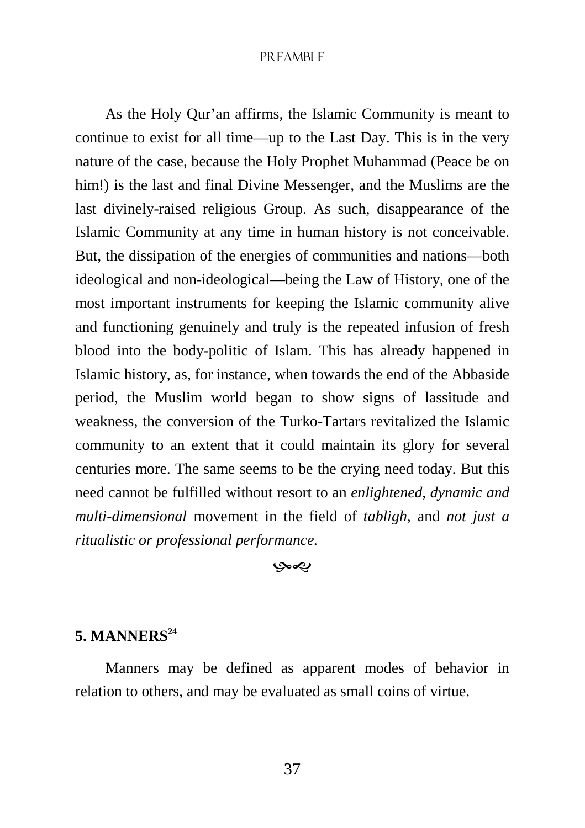#### PREAMBLE

As the Holy Qur'an affirms, the Islamic Community is meant to continue to exist for all time—up to the Last Day. This is in the very nature of the case, because the Holy Prophet Muhammad (Peace be on him!) is the last and final Divine Messenger, and the Muslims are the last divinely-raised religious Group. As such, disappearance of the Islamic Community at any time in human history is not conceivable. But, the dissipation of the energies of communities and nations—both ideological and non-ideological—being the Law of History, one of the most important instruments for keeping the Islamic community alive and functioning genuinely and truly is the repeated infusion of fresh blood into the body-politic of Islam. This has already happened in Islamic history, as, for instance, when towards the end of the Abbaside period, the Muslim world began to show signs of lassitude and weakness, the conversion of the Turko-Tartars revitalized the Islamic community to an extent that it could maintain its glory for several centuries more. The same seems to be the crying need today. But this need cannot be fulfilled without resort to an *enlightened, dynamic and multi-dimensional* movement in the field of *tabligh,* and *not just a ritualistic or professional performance.* 

-

# **5. MANNERS<sup>24</sup>**

Manners may be defined as apparent modes of behavior in relation to others, and may be evaluated as small coins of virtue.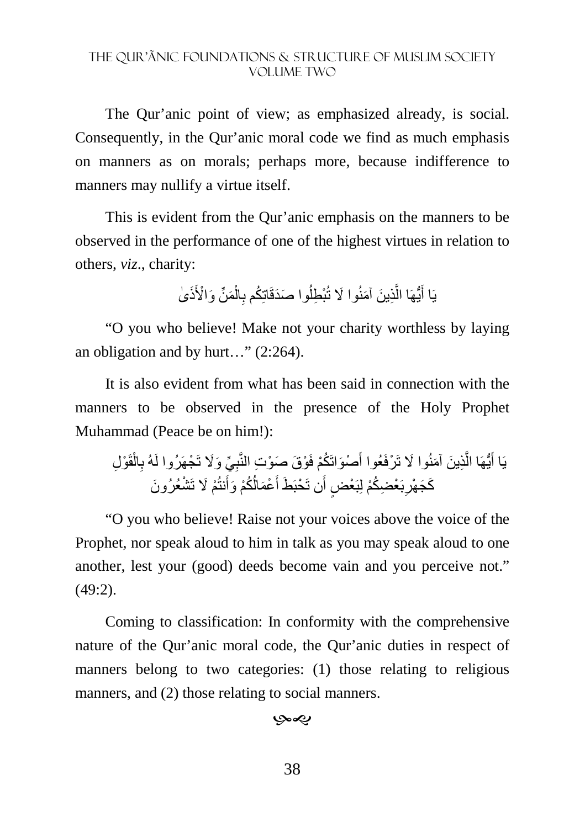The Qur'anic point of view; as emphasized already, is social. Consequently, in the Qur'anic moral code we find as much emphasis on manners as on morals; perhaps more, because indifference to manners may nullify a virtue itself.

This is evident from the Qur'anic emphasis on the manners to be observed in the performance of one of the highest virtues in relation to others, *viz*., charity:

> يَا أَيُّهَا الَّذِينَ آمَنُوا لَا تُبْطِلُوا صَدَقَاتِكُم بِالْمَنِّ وَالْأَذَىٰ ْ ِ اُ َّ َ

"O you who believe! Make not your charity worthless by laying an obligation and by hurt…" (2:264).

It is also evident from what has been said in connection with the manners to be observed in the presence of the Holy Prophet Muhammad (Peace be on him!):

ْو ِل قَ ْ ال ِ ِ ِّي َ و%َ تَ ْجھَرُوا لَهُ ب ْو َق َ ص ْو ِت النَّب ْص َواتَ ُكْم فَ َ ِذ َ ين َ آمنُ َ وا % تَ ْرفَعُوا أ َّ ُّيھَا ال َ يَا أ ُ ُكْم ْع َمال َ َط أ َن تَ ْحبَ ٍض أ َب ْع ِض ُكْم لِبَ ْع ِ ْم َ % تَ ْش َ عُرُون َك َج ْھر َنتُ َوأ

"O you who believe! Raise not your voices above the voice of the Prophet, nor speak aloud to him in talk as you may speak aloud to one another, lest your (good) deeds become vain and you perceive not." (49:2).

Coming to classification: In conformity with the comprehensive nature of the Qur'anic moral code, the Qur'anic duties in respect of manners belong to two categories: (1) those relating to religious manners, and (2) those relating to social manners.

بهي

38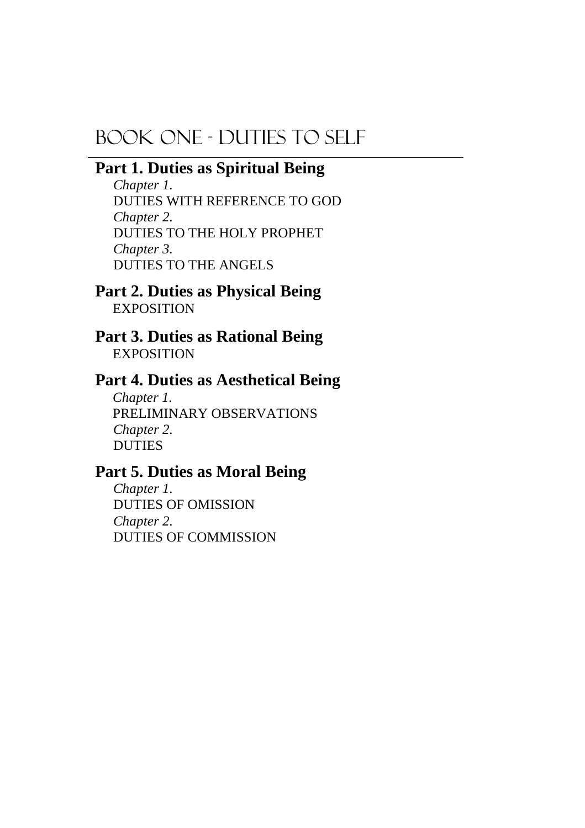# BOOK ONE - DUTIES TO SELF

# **Part 1. Duties as Spiritual Being**

*Chapter 1.*  DUTIES WITH REFERENCE TO GOD *Chapter 2.*  DUTIES TO THE HOLY PROPHET *Chapter 3.*  DUTIES TO THE ANGELS

**Part 2. Duties as Physical Being EXPOSITION** 

**Part 3. Duties as Rational Being EXPOSITION** 

# **Part 4. Duties as Aesthetical Being**

*Chapter 1.*  PRELIMINARY OBSERVATIONS *Chapter 2.*  DUTIES

# **Part 5. Duties as Moral Being**

*Chapter 1.*  DUTIES OF OMISSION *Chapter 2.*  DUTIES OF COMMISSION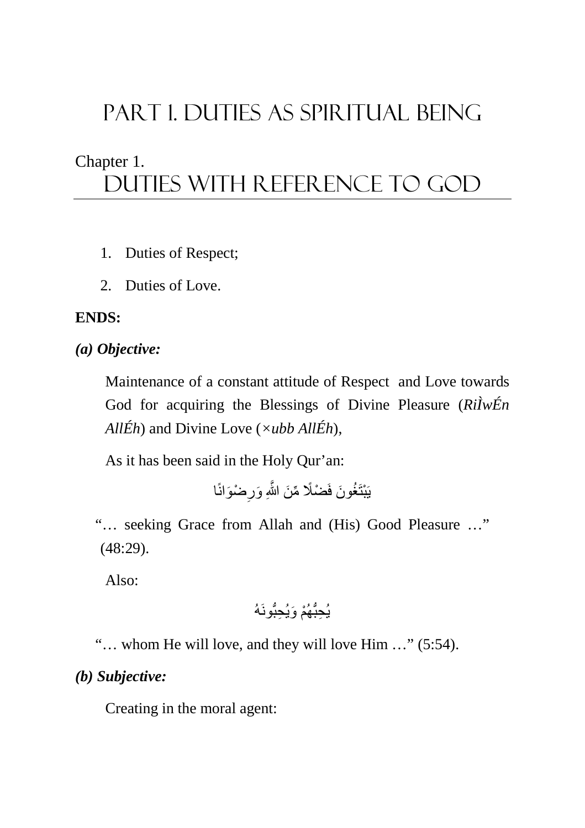# PART 1. DUTIES AS SPIRITUAL BEING

# Chapter 1. Duties with reference to god

- 1. Duties of Respect;
- 2. Duties of Love.

# **ENDS:**

# *(a) Objective:*

Maintenance of a constant attitude of Respect and Love towards God for acquiring the Blessings of Divine Pleasure (*RiÌwÉn AllÉh*) and Divine Love (*×ubb AllÉh*),

As it has been said in the Holy Qur'an:

يَبْتَغُونَ فَضْلًا مِّنَ اللَّهِ وَرِضْوَانًا ِ

"… seeking Grace from Allah and (His) Good Pleasure …" (48:29).

Also:

# يُحبُّهُمْ وَ يُحبُّو نَهُ

"… whom He will love, and they will love Him …" (5:54).

# *(b) Subjective:*

Creating in the moral agent: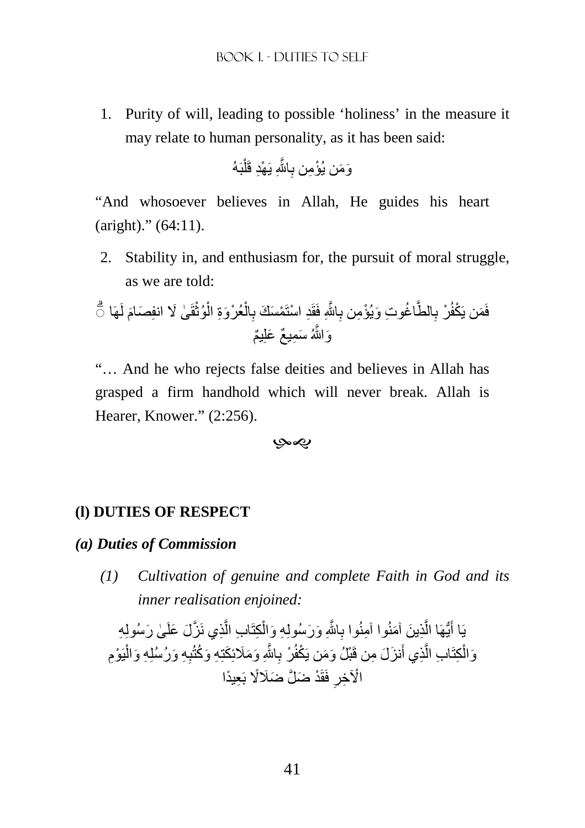1. Purity of will, leading to possible 'holiness' in the measure it may relate to human personality, as it has been said:

بَهُ ْ َّ اjِ َ ي ْھِد قَل ِ َو َم ْ ن يُؤ ِمن ب

"And whosoever believes in Allah, He guides his heart (aright)." (64:11).

2. Stability in, and enthusiasm for, the pursuit of moral struggle, as we are told:

َ لَھَا ٰى َ % ِ انف َصام قَ ْ ُوث ْ ْعُر َوِة ال ْ ال ِ ْم َس َك ب ِد ْ استَ َّ اjِ فَقَ ِ ُ اغ ِ وت َ و ْيُؤ ِمن ب الطَّ ِ ْر ب ْكفُ فَ ۗ◌ َمن يَ َو َّاللهُ َ س ِم ٌ يع َ علِ ٌيم

"… And he who rejects false deities and believes in Allah has grasped a firm handhold which will never break. Allah is Hearer, Knower." (2:256).

-

#### **(l) DUTIES OF RESPECT**

#### *(a) Duties of Commission*

*(1) Cultivation of genuine and complete Faith in God and its inner realisation enjoined:* 

يَا أَيُّهَا الَّذِينَ آمَنُوا آمِنُوا بِاللَّهِ وَرَسُولِهِ وَالْكِتَابِ الَّذِي نَزَّلَ عَلَىٰ رَسُولِهِ َّ ْ َِّ َّ َ وَالْكِتَابِ الَّذِي أَنزَلَ مِن قَبْلُ وَمَن يَكْفُرْ بِاللَّهِ وَمَلَائِكَتِهِ وَكُتُبِهِ وَرُسُلِهِ وَالْيَوْمِ َ ْ َِّ َّ ْ الْآخِرِ فَقَدْ ضَلَّ ضَلَالًا بَعِيدًا **∶**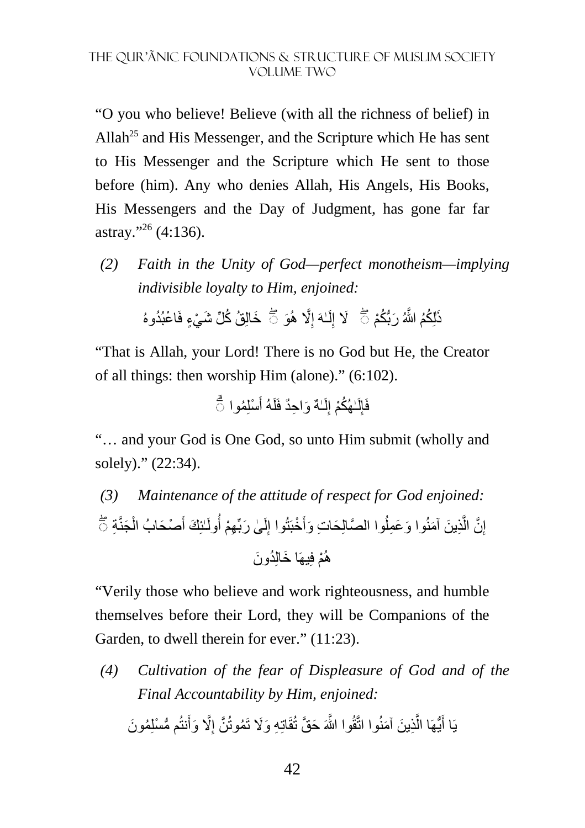"O you who believe! Believe (with all the richness of belief) in Allah<sup>25</sup> and His Messenger, and the Scripture which He has sent to His Messenger and the Scripture which He sent to those before (him). Any who denies Allah, His Angels, His Books, His Messengers and the Day of Judgment, has gone far far astray."<sup>26</sup> (4:136).

*(2) Faith in the Unity of God—perfect monotheism—implying indivisible loyalty to Him, enjoined:* 

> ذَلِكُمُ اللَّهُ رَبُّكُمْ ۚ ۚ ۖ لَا إِلَـٰهَ إِلَّا هُوَ ۚ خَالِقُ كُلِّ شَيْءٍ فَاعْبُدُوهُ ِ لَ

"That is Allah, your Lord! There is no God but He, the Creator of all things: then worship Him (alone)." (6:102).

> فَإِلْـهُكُمْ إِلَـٰـهٌ وَاحِدٌ فَلَهُ أَسْلِمُوا ۖ َ لَ ِ لَ

"… and your God is One God, so unto Him submit (wholly and solely)." (22:34).

*(3) Maintenance of the attitude of respect for God enjoined:*  إِنَّ الَّذِينَ آمَنُوا وَعَمِلُوا الصَّالِحَاتِ وَأَخْبَتُوا إِلَىٰ رَبِّهِمْ أُولَـٰئِكَ أَصْحَابُ الْجَنَّةِ جَ ْ َ لَ ِ ُ َّ هُمْ فِيهَا خَالِدُونَ

"Verily those who believe and work righteousness, and humble themselves before their Lord, they will be Companions of the Garden, to dwell therein for ever." (11:23).

*(4) Cultivation of the fear of Displeasure of God and of the Final Accountability by Him, enjoined:*  يَا أَيُّهَا الَّذِينَ آمَنُوا اتَّقُوا اللَّهَ حَقَّ تُقَاتِهِ وَلَا تَمُوتُنَّ إِلَّا وَأَنتُم مُّسْلِمُونَ ِ َّ َ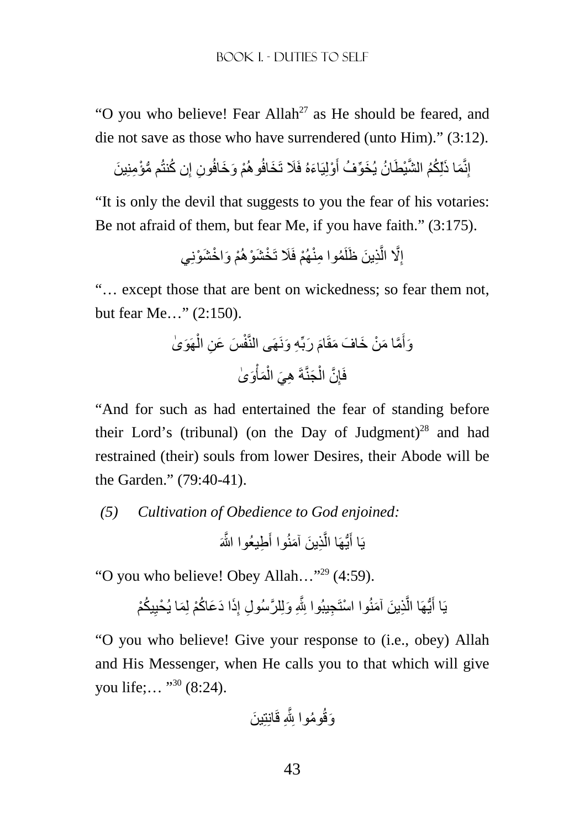"O you who believe! Fear Allah<sup>27</sup> as He should be feared, and die not save as those who have surrendered (unto Him)." (3:12).

إِنَّمَا ذَلِّكُمُ الشَّيْطَانُ يُخَوِّفُ أَوْلِيَاءَهُ فَلَا تَخَافُو هُمْ وَخَافُونِ إِن كُنتُم مُّؤْمِنِينَ ِ َ

"It is only the devil that suggests to you the fear of his votaries: Be not afraid of them, but fear Me, if you have faith." (3:175).

> إِلَّا الَّذِينَ ظَلَمُوا مِنْهُمْ فَلَا تَخْشَوْهُمْ وَاخْشَوْنِي َّ

"… except those that are bent on wickedness; so fear them not, but fear Me…" (2:150).

وَأَمَّا مَنْ خَافَ مَقَّامَ رَبِّهِ وَنَهَى الَنَّفْسَ عَنِ الُّهَوَىٰ
$$
\begin{array}{c}\n\overrightarrow{a} \\
\overrightarrow{b} \\
\overrightarrow{c}\n\end{array}
$$

"And for such as had entertained the fear of standing before their Lord's (tribunal) (on the Day of Judgment)<sup>28</sup> and had restrained (their) souls from lower Desires, their Abode will be the Garden." (79:40-41).

*(5) Cultivation of Obedience to God enjoined:*  يَا أَيُّهَا الَّذِينَ آمَنُوا أَطِيعُوا اللَّهَ َ َّ َ

"O you who believe! Obey Allah…"<sup>29</sup> (4:59).

يَا أَيُّهَا الَّذِينَ آمَنُوا اسْتَجِيبُوا بِلَّهِ وَلِلرَّسُولِ إِذَا دَعَاكُمْ لِمَا يُحْيِيكُمْ ِ ِ َّ َ

"O you who believe! Give your response to (i.e., obey) Allah and His Messenger, when He calls you to that which will give you life;... "<sup>30</sup> (8:24).

ِ قَانِتِ َ ين ُوم ِ وا jَّ َوقُ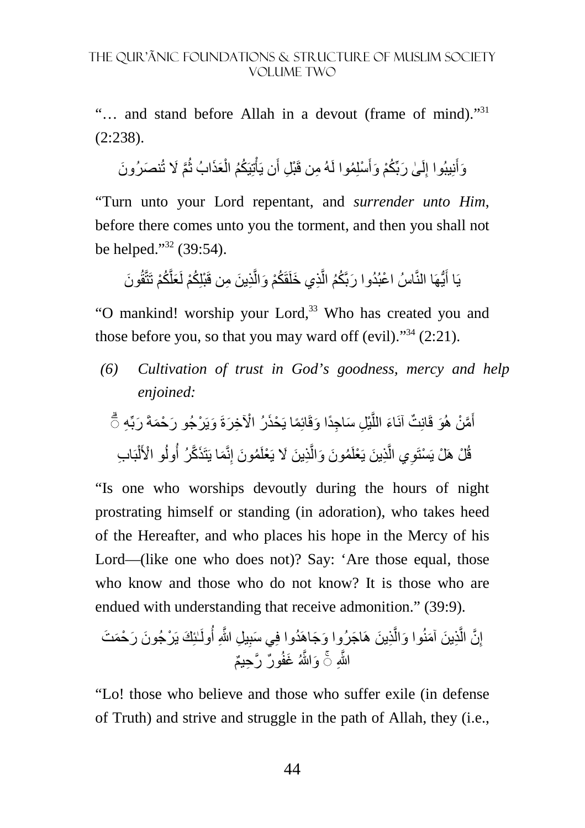"… and stand before Allah in a devout (frame of mind)."<sup>31</sup> (2:238).

وَأَنِيبُوا إِلَىٰ رَبِّكُمْ وَأَسْلِمُوا لَهُ مِن قَبْلِ أَن يَأْتِيَكُمُ الْعَذَابُ ثُمَّ لَا تُنصَرُونَ لَ ِ أَ ا<br>ا ْ ْ َ

"Turn unto your Lord repentant, and *surrender unto Him*, before there comes unto you the torment, and then you shall not be helped." $39:54$ ).

يَا أَيُّهَا النَّاسُ اعْبُدُوا رَبَّكُمُ الَّذِي خَلَقَكُمْ وَالَّذِينَ مِن قَبْلِكُمْ لَعَلَّكُمْ تَتَّقُونَ َّ َّ

"O mankind! worship your Lord,<sup>33</sup> Who has created you and those before you, so that you may ward off (evil). $\cdot^{34}$  (2:21).

*(6) Cultivation of trust in God's goodness, mercy and help enjoined:* 

ِه َ ربِّ َ ويَ ْر َ جُو ر ْح َمةَ ِل َ س ِ اجًد َ ا وقَائِ ًما يَ ْحَذ ْ رُ اi ِخ َرةَ ْي َّ َاء الل ٌت آنَ َو قَانِ َّم ْن ھُ أ ۗ◌ َ بَ ِ اب ْ ل ُ ْ و ا>َ ُول َما يَتَ َذ َّكرُ أ ِنَّ ُم َون إ ِذ َ ين َ % يَ ْعلَ َّ ُم َون َ وال ِذ َ ين يَ ْعلَ َّ ِي ال ْل ھَ ْل يَ ْستَو قُ

"Is one who worships devoutly during the hours of night prostrating himself or standing (in adoration), who takes heed of the Hereafter, and who places his hope in the Mercy of his Lord—(like one who does not)? Say: 'Are those equal, those who know and those who do not know? It is those who are endued with understanding that receive admonition." (39:9).

ٰـئِ َك يَ ْر َ جُون َ ر ْح َم َت ُولَ ِ ِ يل َّ اللهِ أ ِذ َ ين ھَ َ اج َ رُوا و َجاھَ ُدوا فِ َي سب َّ َ وا وال ِذ َ ين َ آمنُ َّ َّن ال ِ إ ٌور َّ ر ِح ٌيم َّاللهِ َو َّاللهُ َ غفُ ◌ۚ

"Lo! those who believe and those who suffer exile (in defense of Truth) and strive and struggle in the path of Allah, they (i.e.,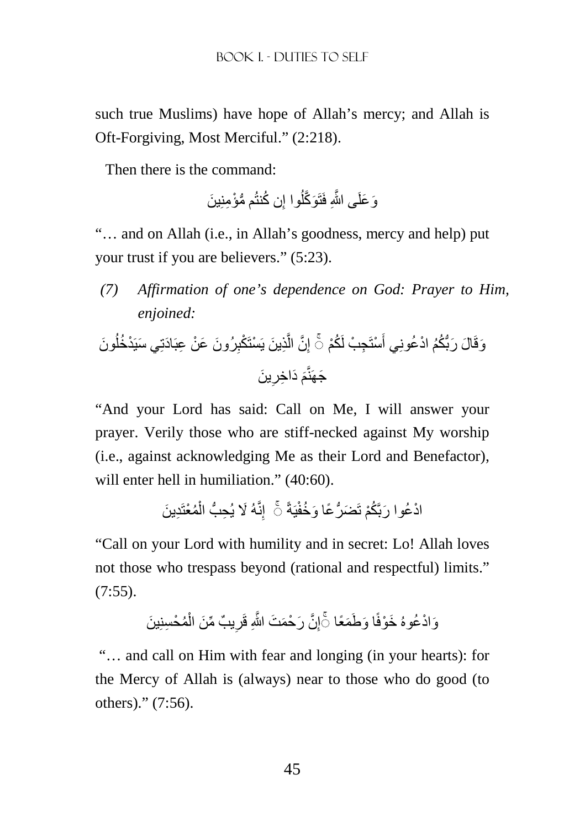such true Muslims) have hope of Allah's mercy; and Allah is Oft-Forgiving, Most Merciful." (2:218).

Then there is the command:

ُّ م مْؤ ِمنِ َ ين ُن كنتُ ِ ُوا إ َو َّكل َو َعلَ َّ ى اللهِ فَتَ

"… and on Allah (i.e., in Allah's goodness, mercy and help) put your trust if you are believers." (5:23).

*(7) Affirmation of one's dependence on God: Prayer to Him, enjoined:* 

َون ُ ْد ُخل َ رُون َ ع ْن ِ عبَ َادتِ َي سيَ ِ ِذ َ ين يَ ْستَ ْكب َّ َّن ال ِ ِج ْب لَ ُكْم إ ْستَ َ َ ال َ رُّب ُكُم ْ اد ُعونِي أ َوقَ ◌ۚ َ ين ِ َ د ِ اخر َ َجھَنَّم

"And your Lord has said: Call on Me, I will answer your prayer. Verily those who are stiff-necked against My worship (i.e., against acknowledging Me as their Lord and Benefactor), will enter hell in humiliation." (40:60).

ِد َ ين ُمْعتَ ْ ِنَّ َهُ % ِ يُح ُّب ال إ يَةً َض ُّر ًع َ ا و ُخفْ ْاد ُع ۚ◌ َ وا ربَّ ُكْم تَ

"Call on your Lord with humility and in secret: Lo! Allah loves not those who trespass beyond (rational and respectful) limits."  $(7:55)$ .

> وَادْعُوهُ خَوْفًا وَطَمَعًا ۞َإِنَّ رَحْمَتَ اللَّهِ قَرِيبٌ مِّنَ الْمُحْسِنِينَ ْ ِ ِ

"… and call on Him with fear and longing (in your hearts): for the Mercy of Allah is (always) near to those who do good (to others)." (7:56).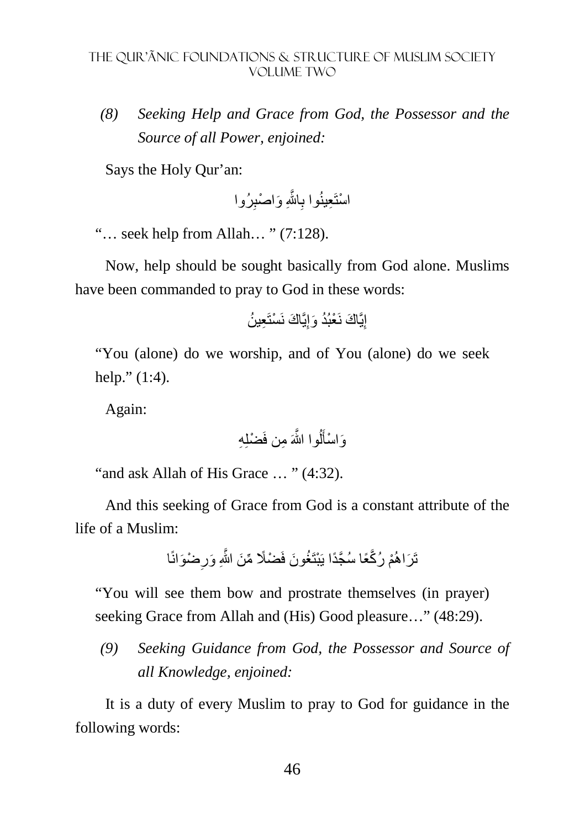*(8) Seeking Help and Grace from God, the Possessor and the Source of all Power, enjoined:* 

Says the Holy Qur'an:

ِرُوا َّ اjِ َ و ْ اصب ِ ِعينُوا ب ْ استَ

"… seek help from Allah… " (7:128).

Now, help should be sought basically from God alone. Muslims have been commanded to pray to God in these words:

ِيَّ َ اك نَ ْسَت ِع ُ ين ِيَّ َ اك نَ ْع ُبُد َ وإ إ

"You (alone) do we worship, and of You (alone) do we seek help." (1:4).

Again:

ُ َّ وا اللهَ ِ من فَ ْضلِ ِه ل َ َو ْ اسأ

"and ask Allah of His Grace … " (4:32).

And this seeking of Grace from God is a constant attribute of the life of a Muslim:

> تَرَاهُمْ رُكَّعًا سُجَّدًا يَبْتَغُونَ فَضْلًا مِّنَ اللَّهِ وَرِضْوَانًا ِ

"You will see them bow and prostrate themselves (in prayer) seeking Grace from Allah and (His) Good pleasure..." (48:29).

*(9) Seeking Guidance from God, the Possessor and Source of all Knowledge, enjoined:* 

It is a duty of every Muslim to pray to God for guidance in the following words: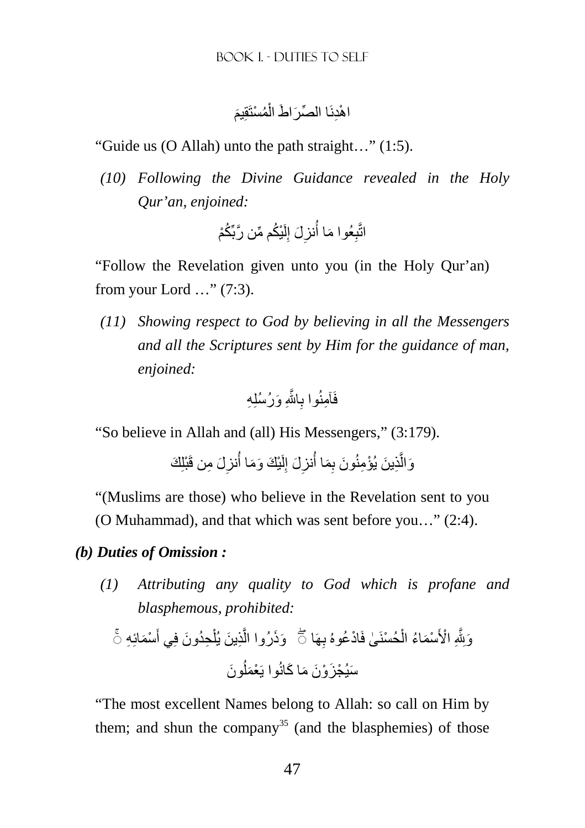#### َ اهْدِنَا الصِّرَاطَ الْمُسْتَقِيمَ ْ

"Guide us (O Allah) unto the path straight…" (1:5).

*(10) Following the Divine Guidance revealed in the Holy Qur'an, enjoined:*

> اتَّبِعُوا مَا أُنزِلَ إِلَيْكُم مِّن رَّبِّكُمْ لَ ِ ِ

"Follow the Revelation given unto you (in the Holy Qur'an) from your Lord …" (7:3).

*(11) Showing respect to God by believing in all the Messengers and all the Scriptures sent by Him for the guidance of man, enjoined:* 

َّ اjِ َ ورُسُلِ ِه ِ ِآمنُوا ب فَ

"So believe in Allah and (all) His Messengers," (3:179).

وَالَّذِينَ يُؤْمِنُونَ بِمَا أُنزِلَ إِلَيْكَ وَمَا أُنزِلَ مِن قَبْلِكَ ِ لَ ِ ِ َّ

"(Muslims are those) who believe in the Revelation sent to you (O Muhammad), and that which was sent before you…" (2:4).

# *(b) Duties of Omission :*

*(1) Attributing any quality to God which is profane and blasphemous, prohibited:* 

ْس َمائِ ِه َ ِحُد َون فِي أ ْ ِذ َ ين يُل َّ َو َذرُوا ال ِھَاۚ◌ ْحُسنَ ٰى فَ ْاد ُعوهُ ب ْ ْس َم ُاء ال ْ ا>َ ِ ۖ◌ َوِjَّ َون ُ َس ْ يُج َز ْو َن َ م َ ا كانُوا يَ ْعَمل

"The most excellent Names belong to Allah: so call on Him by them; and shun the company<sup>35</sup> (and the blasphemies) of those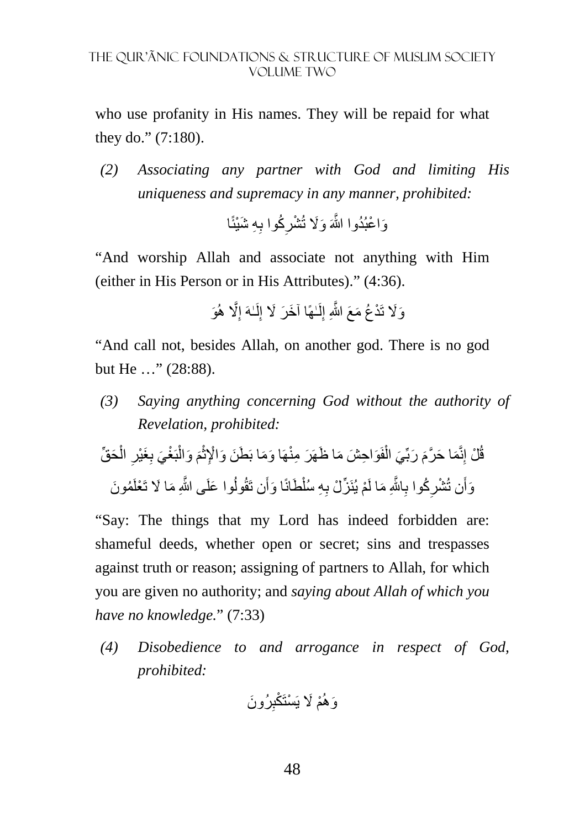who use profanity in His names. They will be repaid for what they do." (7:180).

*(2) Associating any partner with God and limiting His uniqueness and supremacy in any manner, prohibited:*

> وَاعْبُدُوا اللَّهَ وَلَا تُشْرِكُوا بِهِ شَيْئًا **∶**

"And worship Allah and associate not anything with Him (either in His Person or in His Attributes)." (4:36).

َو َّ% ھُ ِ ٰـهَ إ لَ ِ ٰـھً َ ا آخ َر %َ إ لَ ِ َو%َ تَ ْد ُع َ م َع َّ اللهِ إ

"And call not, besides Allah, on another god. There is no god but He …" (28:88).

*(3) Saying anything concerning God without the authority of Revelation, prohibited:* 

بَ ْ َ َ وال م ْ ث َو ِ اح َش َ م َ ا ظھَ َر ِ منْھَ َ ا و َم َ ا ب َط َن َ و ْا]ِ فَ ْ َي ال َ َ ربِّ َم َ ا ح َّرم ِنَّ ْل إ ق َح ِّق ُ ْ ال ِ َغْير ِ ْغ َي ب ُم َون َ وا علَ َّ ى اللهِ َ م َ ا % تَ ْعلَ ُ َن تَقُول َ ا وأ َطانً ْ ِ ِه سُل ْم يُنَ ِّز ْل ب َّ اjِ َ ما لَ ِ ُكوا ب ِ َن تُ ْشر َوأ

"Say: The things that my Lord has indeed forbidden are: shameful deeds, whether open or secret; sins and trespasses against truth or reason; assigning of partners to Allah, for which you are given no authority; and *saying about Allah of which you have no knowledge.*" (7:33)

*(4) Disobedience to and arrogance in respect of God, prohibited:* 

ِرُو ْم َ % يَ ْسَت ْكب َن َوھُ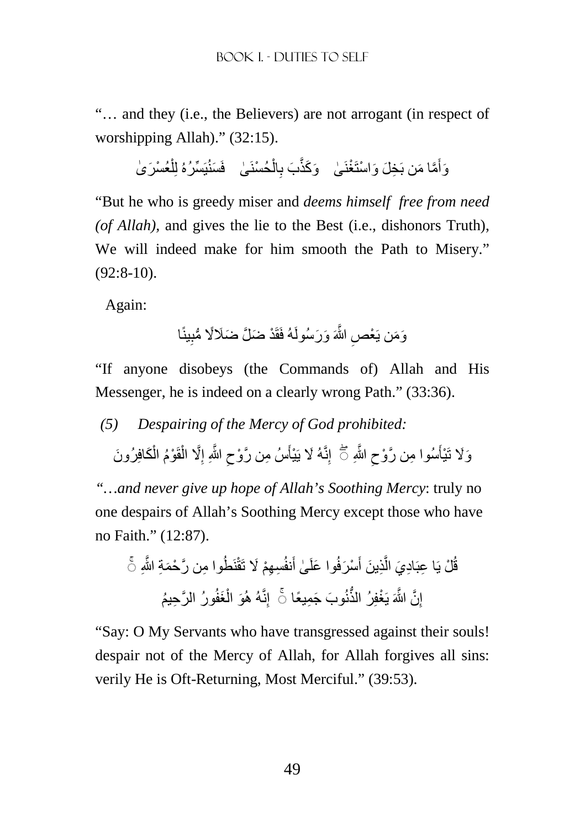"… and they (i.e., the Believers) are not arrogant (in respect of worshipping Allah)." (32:15).

وَأَمَّا مَن بَخِلَ وَاسْتَغْنَىٰ وَكَنَّبَ بِالْحُسْنَىٰ فَسَنُيَسِّرُهُ لِلْعُسْرَىٰ ْ ْ ِ أَ

"But he who is greedy miser and *deems himself free from need (of Allah),* and gives the lie to the Best (i.e., dishonors Truth), We will indeed make for him smooth the Path to Misery." (92:8-10).

Again:

وَمَن يَعْصِ اللَّهَ وَرَسُولَهُ فَقَدْ ضَلَّ ضَلَالًا مُّبِينًا ِ

"If anyone disobeys (the Commands of) Allah and His Messenger, he is indeed on a clearly wrong Path." (33:36).

*(5) Despairing of the Mercy of God prohibited:* 

وَلَا تَيْأَسُوا مِن رَّوْحِ اللَّهِ ۖ أَ ۖ إِنَّهُ لَا يَيْأَسُ مِن رَّوْحِ اللَّهِ إِلَّا الْقَوْمُ الْكَافِرُونَ ْ ْ ِ ِ اً<br>أ ِ م<br>أ

*"…and never give up hope of Allah's Soothing Mercy*: truly no one despairs of Allah's Soothing Mercy except those who have no Faith." (12:87).

قُلْ يَا عِبَادِيَ الَّذِينَ أَسْرَفُوا عَلَىٰ أَنفُسِهِمْ لَا تَقْنَطُوا مِن رَّحْمَةِ اللَّهِ ۚ خَ َ َّ إِنَّ اللَّهَ يَغْفِرُ الذُّنُوبَ جَمِيعًا ۞ إِنَّهُ هُوَ الْغَفُورُ الرَّحِيمُ ْ ِ

"Say: O My Servants who have transgressed against their souls! despair not of the Mercy of Allah, for Allah forgives all sins: verily He is Oft-Returning, Most Merciful." (39:53).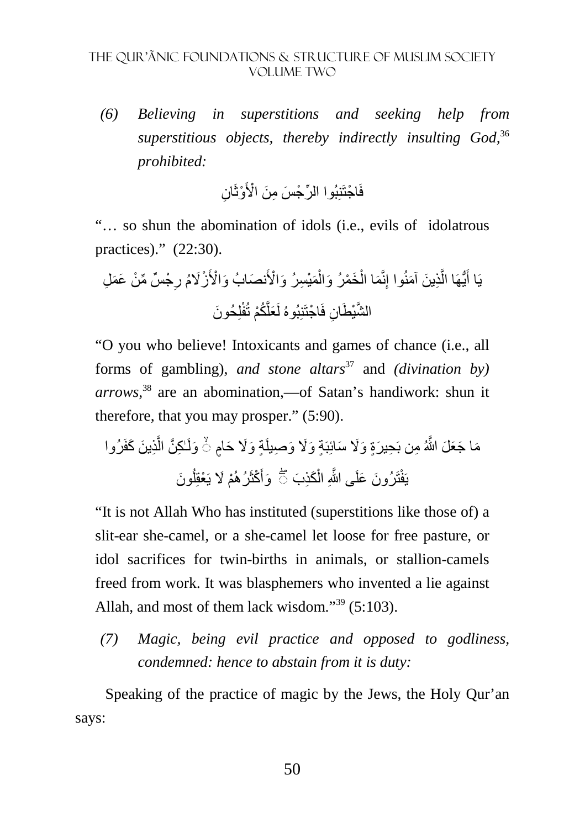*(6) Believing in superstitions and seeking help from superstitious objects, thereby indirectly insulting God,*<sup>36</sup> *prohibited:* 

> فَاجْتَنِبُوا الرِّجْسَ مِنَ الْأَوْثَانِ ِ

"… so shun the abomination of idols (i.e., evils of idolatrous practices)." (22:30).

ْج ٌس ِّ م ْن َ ع َم ِل ِ َ نص َ ابُ و ْا>َ ْزُ%َم ر َمْي ِس َرُ و ْا>َ ْ َخ ْم َرُ وال ْ َما ال ِنَّ ِذ َ ين َ آمنُوا إ َّ ُّيھَا ال َ يَا أ لِ َ حُون َّ ُكْم تُفْ َعل ان فَ ْ اجتَنِبُوهُ لَ َّ الشْي َطِ

"O you who believe! Intoxicants and games of chance (i.e., all forms of gambling), *and stone altars*<sup>37</sup> and *(divination by) arrows,*<sup>38</sup> are an abomination,—of Satan's handiwork: shun it therefore, that you may prosper." (5:90).

ِذ َ ين َ كفَرُوا َّ ٰـ ِك َّن ال َم ٍ َ ا ج َع َل َّ اللهُ ِ من بَ ِح َ يرٍة َ و%َ َ سائِبَ ٍة َ و%َ َ و َولَ ٍة َ و%َ َ حام ۙ◌ ِصيل َ َون ُ ْم َ % َ ي ْعقِل َ ْكثَرُھُ َوأ َكِذ َب ْ تَ َ رُون َ علَ َّ ى اللهِ ال يَف ۖ◌ ْ

"It is not Allah Who has instituted (superstitions like those of) a slit-ear she-camel, or a she-camel let loose for free pasture, or idol sacrifices for twin-births in animals, or stallion-camels freed from work. It was blasphemers who invented a lie against Allah, and most of them lack wisdom."<sup>39</sup> (5:103).

*(7) Magic, being evil practice and opposed to godliness, condemned: hence to abstain from it is duty:* 

Speaking of the practice of magic by the Jews, the Holy Qur'an says: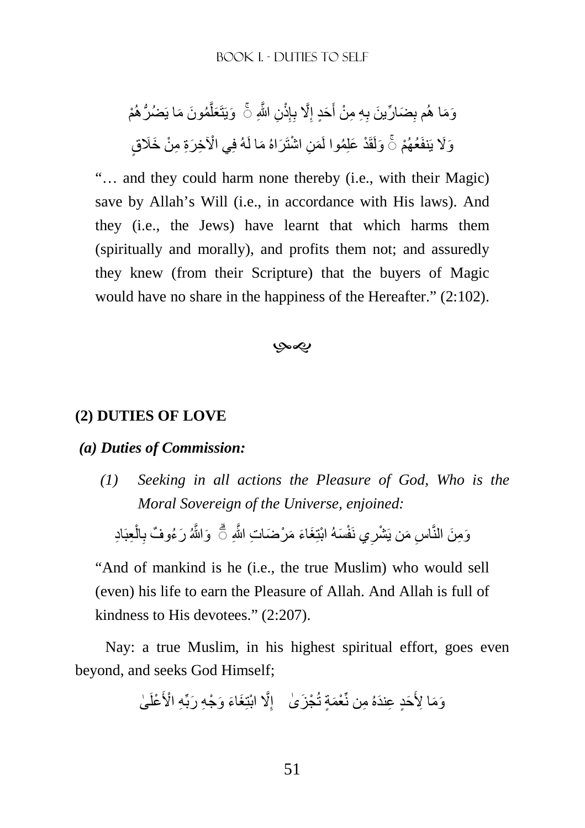ْم ُم َون َ ما يَ ُّضُرھُ َّ َعل َويَتَ ِن َّ اللهِ ِذْ إ ِ َّ% ب ِ َحٍد إ َ ِ ِه ِ م ْن أ ِ َض ِّ ار َ ين ب َو َما ھُم ب ◌ۚ ْي اi ِخ َرِة ِ م ْن َ خَ ٍق َراهُ َ ما لَهُ فِ ِن ْ اشتَ َم َنف ْ عُھُم َولَقَ ْد َ علِ ُموا لَ َو%َ يَ ◌ۚ

"… and they could harm none thereby (i.e., with their Magic) save by Allah's Will (i.e., in accordance with His laws). And they (i.e., the Jews) have learnt that which harms them (spiritually and morally), and profits them not; and assuredly they knew (from their Scripture) that the buyers of Magic would have no share in the happiness of the Hereafter." (2:102).

بهي

#### **(2) DUTIES OF LOVE**

#### *(a) Duties of Commission:*

*(1) Seeking in all actions the Pleasure of God, Who is the Moral Sovereign of the Universe, enjoined:* 

وَمِنَ النَّاسِ مَن يَشْرِي نَفْسَهُ ابْنِغَاءَ مَرْضَاتِ اللَّهِ ۞ وَاللَّهُ رَعُوفٌ بِالْعِبَادِ ْ **∶** ِ

"And of mankind is he (i.e., the true Muslim) who would sell (even) his life to earn the Pleasure of Allah. And Allah is full of kindness to His devotees." (2:207).

Nay: a true Muslim, in his highest spiritual effort, goes even beyond, and seeks God Himself;

ٰى ْعلَ ِه ْ ا>َ َغ َاء َ و ْج ِه َ ربِّ َّ% ْ ابتِ ِ ْج َز ٰىإ َحٍد ِ ع َندهُ ِ من نِّ ْعَمٍة تُ َو َم ِ ا >َ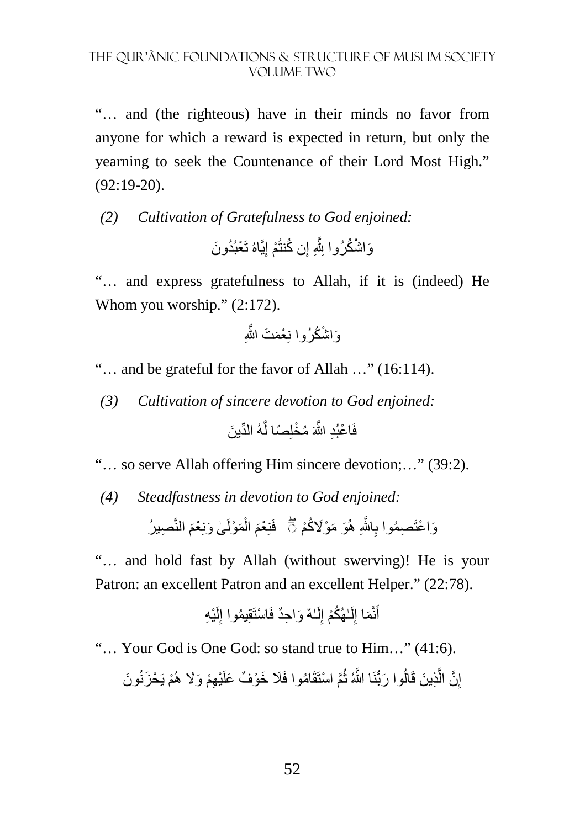"… and (the righteous) have in their minds no favor from anyone for which a reward is expected in return, but only the yearning to seek the Countenance of their Lord Most High." (92:19-20).

# *(2) Cultivation of Gratefulness to God enjoined:*  وَاشْكُرُوا بِثُّهِ إِن كُنتُمْ إِيَّاهُ تَعْبُدُونَ ِ

"… and express gratefulness to Allah, if it is (indeed) He Whom you worship."  $(2:172)$ .

ْ اش ُكرُوا نِ ْعَم َت َّالله َو ِ

"… and be grateful for the favor of Allah …" (16:114).

*(3) Cultivation of sincere devotion to God enjoined:* 

ِّ هُ الد َ ين َّ فَ ْ اع ِبُد َّ اللهَ ُ م ْخلِ ًصا ل

"… so serve Allah offering Him sincere devotion;…" (39:2).

*(4) Steadfastness in devotion to God enjoined:*

وَاعْتَصِمُوا بِاللَّهِ هُوَ مَوْلَاكُمْ ۖ ۚ فَنِعْمَ الْمَوْلَىٰ وَنِعْمَ النَّصِي*نُ* ْ ֺ֖֖֖֖֚֚֚֚֚֚֝֝֝֝֝֝֝<br>֧֪֪֪֪֪֪֝**֓ ∶** 

"… and hold fast by Allah (without swerving)! He is your Patron: an excellent Patron and an excellent Helper." (22:78).

ْي ِه لَ ِ َ و ِ احٌد فَ ْ استَقِ ُيموا إ ٰـهٌ لَ ِ ٰـ ُھُكْم إ لَ ِ َما إ نَّ َ أ

"… Your God is One God: so stand true to Him…" (41:6).

إِنَّ الَّذِينَ قَالُوا رَبُّنَا اللَّهُ ثُمَّ اسْتَقَامُوا فَلَا خَوْفٌ عَلَيْهِمْ وَلَا هُمْ يَحْزَنُونَ ُ َّاُ َّ ِ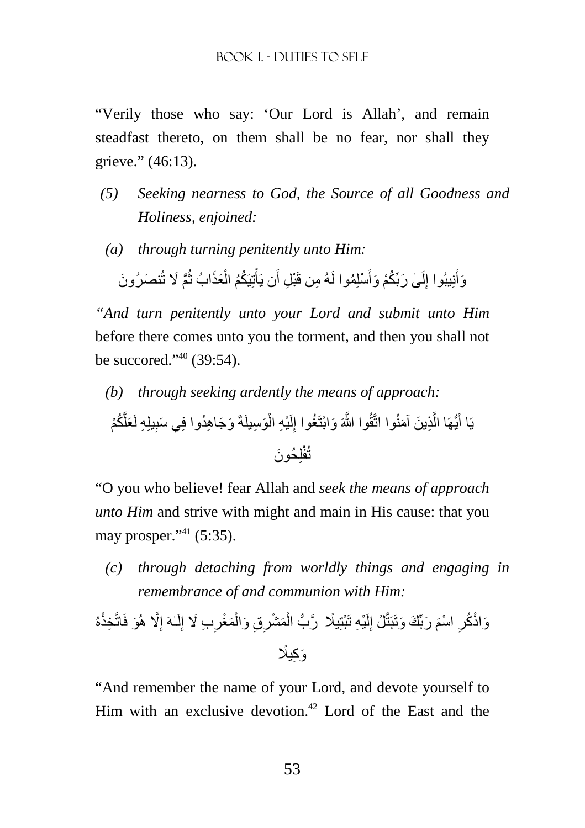"Verily those who say: 'Our Lord is Allah', and remain steadfast thereto, on them shall be no fear, nor shall they grieve." (46:13).

- *(5) Seeking nearness to God, the Source of all Goodness and Holiness, enjoined:*
- *(a) through turning penitently unto Him:*

أَ وَأَنِيبُوا إِلَىٰ رَبِّكُمْ وَأَسْلِمُوا لَهُ مِن قَبْلِ أَن يَأْتِيَكُمُ الْعَذَابُ ثُمَّ لَا تُنصَرُونَ ُ ْ ْ َ لَ ِ

*"And turn penitently unto your Lord and submit unto Him*  before there comes unto you the torment, and then you shall not be succored."<sup>40</sup> (39:54).

*(b) through seeking ardently the means of approach:* 

َّ ُكْم َعل يلِ ِه لَ َ و َج ِ اھ ُدوا فِ َي سب َو ِسيلَةَ ْي ِه ال ِذ َ ين َ آمنُوا اتَّقُ َّ وا اللهَ َ و ْابتَ ُغوا إ ُّيھَا ال يَا أ ِ ْ لَ ِ َّ َ لِ َ حُون تُفْ

"O you who believe! fear Allah and *seek the means of approach unto Him* and strive with might and main in His cause: that you may prosper." $^{41}$  (5:35).

*(c) through detaching from worldly things and engaging in remembrance of and communion with Him:* 

َو فَاتَّ َّ% ھُ ِ ٰـهَ إ لَ ِ ِب َ % إ ِ َمْغر ْ ِ ِق َ وال َم ْشر ْ هُ َّر ُّب ال ًيِخذْ ْي ِه تَ ْبتِ لَ ِ ْل إ َ َ ربِّ َك َ وتَبَتَّ ْ اسم ِ َواذْ ُكر َو ِك ًي

"And remember the name of your Lord, and devote yourself to Him with an exclusive devotion.<sup>42</sup> Lord of the East and the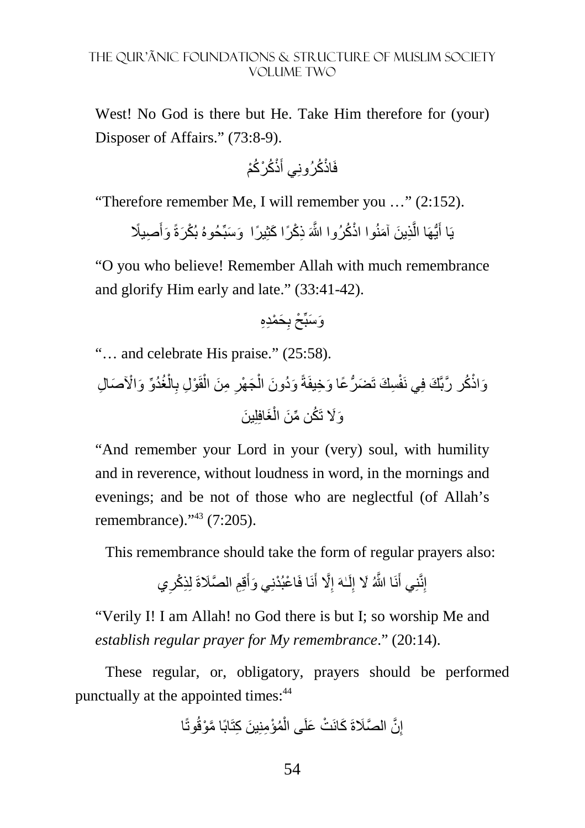West! No God is there but He. Take Him therefore for (your) Disposer of Affairs." (73:8-9).

ذْ ُك ْر ُكْم َ فَاذْ ُكرُونِي أ

"Therefore remember Me, I will remember you …" (2:152).

يَا أَيُّهَا الَّذِينَ آمَنُوا اذْكُرُوا اللَّهَ ذِكْرًا كَثِيرًا وَسَبِّحُوهُ بُكْرَةً وَأَصِيلًا َ َّ َ

"O you who believe! Remember Allah with much remembrance and glorify Him early and late." (33:41-42).

ِ َح ْمِدِه َو َسبِّ ْح ب

"… and celebrate His praise." (25:58).

ْ ال ِ ْو ِل ب قَ ْ ِ م َن ال ِ َج ْھر ْ َ و ُد َون ال َض ُّر ًع َ ا و ِخيفَةً ِس َك تَ ُغُدِّو َ و ْاi َو َص ِ ال اذْ ُك َّ ر ربَّ َك فِي نَفْ َغافِلِ َ ين ْ َو%َ تَ ُك ِّن م َن ال

"And remember your Lord in your (very) soul, with humility and in reverence, without loudness in word, in the mornings and evenings; and be not of those who are neglectful (of Allah's remembrance)."<sup>43</sup> (7:205).

This remembrance should take the form of regular prayers also:

ِي قِِم َّ الصَةَ لِ ِذ ْكر َ نَا فَ ْ اع ْبُدنِ َي وأ َ َّ% أ ِ ٰـهَ إ لَ ِ َّ ا اللهُ َ % إ نَ َ ِنَّنِي أ إ

"Verily I! I am Allah! no God there is but I; so worship Me and *establish regular prayer for My remembrance*." (20:14).

These regular, or, obligatory, prayers should be performed punctually at the appointed times:<sup>44</sup>

$$
\lfloor
$$
نَّ المَتَّلاَةَ كَانَتُ عَلَى الُمُوُمِنِينَ كِتَابًا مَّوْقُو تَّا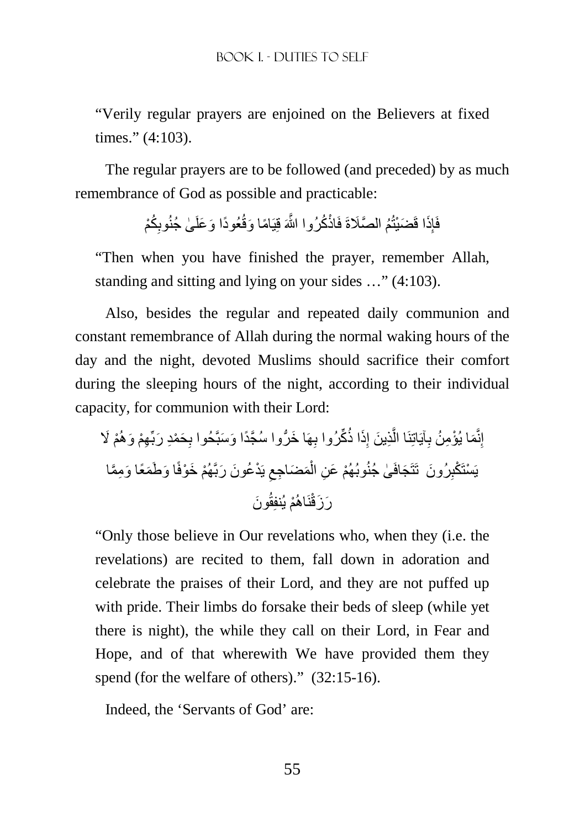"Verily regular prayers are enjoined on the Believers at fixed times." (4:103).

The regular prayers are to be followed (and preceded) by as much remembrance of God as possible and practicable:

> فَإِذَا قَضَيْتُمُ الصَّلَاةَ فَاذْكُرُوا اللَّهَ قِيَامًا وَقُعُودًا وَعَلَىٰ جُنُوبِكُمْ ِ ار<br>ءِ

"Then when you have finished the prayer, remember Allah, standing and sitting and lying on your sides …" (4:103).

Also, besides the regular and repeated daily communion and constant remembrance of Allah during the normal waking hours of the day and the night, devoted Muslims should sacrifice their comfort during the sleeping hours of the night, according to their individual capacity, for communion with their Lord:

ْم َ % ِھْم َ وھُ ِ َح ْمِد َ ربِّ ِھَ َ ا خ ُّر َّ وا سُجًد َ ا و َسبَّحُوا ب َذا ذُ ِّكرُوا ب ِ ِذ َ ين إ َّ آيَاتِنَا ال ِ َم ْ ا يُؤ ِم ُن ب ِنَّ إ َ ا و َط َمًع َ ا و ِمَّما ْھُم َ خ ْوفً ْد ُع َون َ ربَّ يَ ِ َم َض ِ اجع ْ ْ وبُھُم َ ع ِن ال ٰى جُنُ َجافَ َ رُون تَتَ ِ يَ ْستَ ْكب ْم يُن نَاھُ َر َون َزقْ فِقُ

"Only those believe in Our revelations who, when they (i.e. the revelations) are recited to them, fall down in adoration and celebrate the praises of their Lord, and they are not puffed up with pride. Their limbs do forsake their beds of sleep (while yet there is night), the while they call on their Lord, in Fear and Hope, and of that wherewith We have provided them they spend (for the welfare of others)." (32:15-16).

Indeed, the 'Servants of God' are: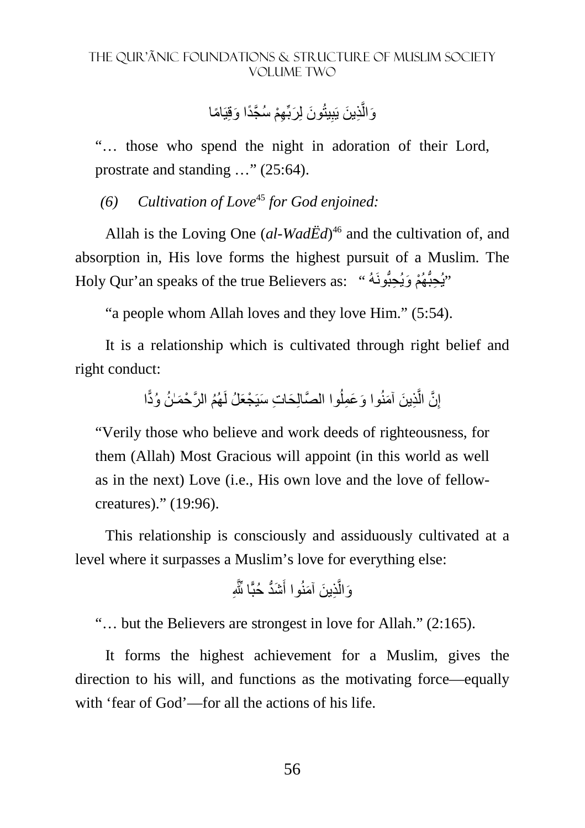وَالَّذِينَ يَبِيثُونَ لِرَبِّهِمْ سُجَّدًا وَقِيَامًا ِ َّ

"… those who spend the night in adoration of their Lord, prostrate and standing …" (25:64).

*(6) Cultivation of Love*<sup>45</sup> *for God enjoined:* 

Allah is the Loving One (al-WadEd)<sup>46</sup> and the cultivation of, and absorption in, His love forms the highest pursuit of a Muslim. The Holy Qur'an speaks of the true Believers as: "يُحبُّهُمْ وَيُحِبُّونَهُ "

"a people whom Allah loves and they love Him." (5:54).

It is a relationship which is cultivated through right belief and right conduct:

> إِنَّ الَّذِينَ آمَنُوا وَعَمِلُوا الصَّالِحَاتِ سَيَجْعَلُ لَهُمُ الرَّحْمَـٰنُ وُدًّا ِ اُ َّ

"Verily those who believe and work deeds of righteousness, for them (Allah) Most Gracious will appoint (in this world as well as in the next) Love (i.e., His own love and the love of fellowcreatures)." (19:96).

This relationship is consciously and assiduously cultivated at a level where it surpasses a Muslim's love for everything else:

ِ َشُّد حُبًّ ِّ ا jَّ َ ِذ َ ين َ آمنُوا أ َّ َوال

"… but the Believers are strongest in love for Allah." (2:165).

It forms the highest achievement for a Muslim, gives the direction to his will, and functions as the motivating force—equally with 'fear of God'—for all the actions of his life.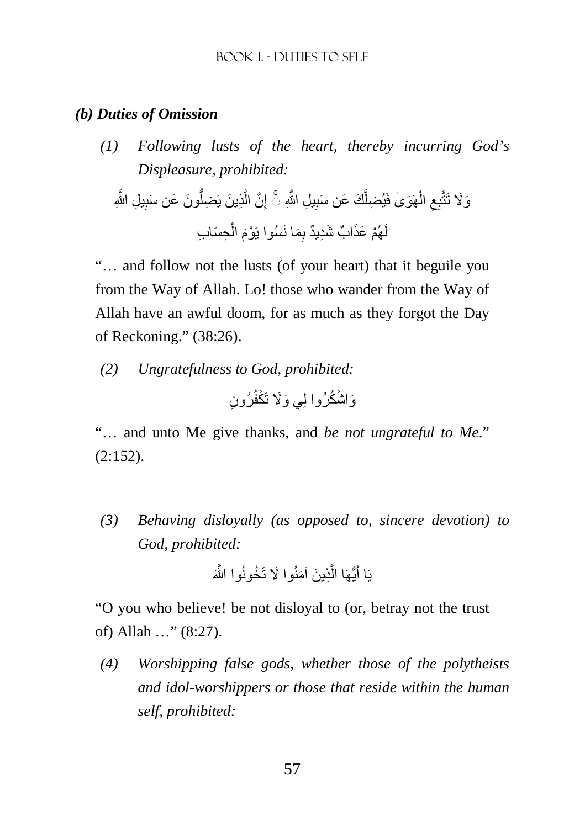# *(b) Duties of Omission*

*(1) Following lusts of the heart, thereby incurring God's Displeasure, prohibited:* 

ِ ِ يل َّ اللهِ َون َ ع َ ن سب ُّ ِذ َ ين يَ ِضل َّ َّن ال ِ ِ ِ يل َّ اللهِ إ َك َ ع َ ن سب َّ ِ يُضل ھَ َو ٰى فَ ْ ال ِ ِع َو%َ تَتَّب ◌ۚ ِح َس ِ اب ْ َ ال ِ َما نَسُوا يَ ْوم ْھُم َ عَذ ٌ اب َ شِد ٌيد ب لَ

"… and follow not the lusts (of your heart) that it beguile you from the Way of Allah. Lo! those who wander from the Way of Allah have an awful doom, for as much as they forgot the Day of Reckoning." (38:26).

*(2) Ungratefulness to God, prohibited:* 

ِ رُون َو ْ اش ُكرُوا لِ َي و%َ تَ ْكفُ

"… and unto Me give thanks, and *be not ungrateful to Me*."  $(2:152)$ .

*(3) Behaving disloyally (as opposed to, sincere devotion) to God, prohibited:* 

ِذ َ ين َ آمنُ َ وا % تَ ُخونُ َّ وا اللهَ َّ ُّيھَا ال َ يَا أ

"O you who believe! be not disloyal to (or, betray not the trust of) Allah …" (8:27).

*(4) Worshipping false gods, whether those of the polytheists and idol-worshippers or those that reside within the human self, prohibited:*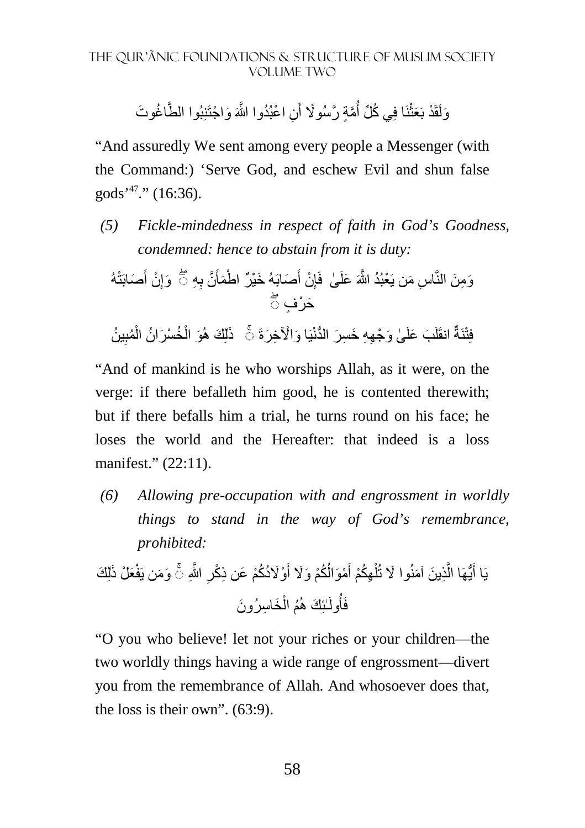وَلَقَدْ بَعَثْنَا فِي كُلِّ أُمَّةٍ رَّسُو لَا أَنِ اعْبُدُوا اللَّهَ وَاجْتَنِبُوا الطَّاغُوتَ َ اُ ْ

"And assuredly We sent among every people a Messenger (with the Command:) 'Serve God, and eschew Evil and shun false gods<sup>'47</sup>." (16:36).

*(5) Fickle-mindedness in respect of faith in God's Goodness, condemned: hence to abstain from it is duty:* 

وَمِنَ الٰنَّاسِ مَن يَعُبُدُ الِّمَ عَلَىٰ فَاِنٰ أَصَابَهُ خَيْرُ المُمَائَّ بِهِ 7َّ وَ إِنٰ أَصَابَتُهُ
$$
\overline{7}
$$
فَتِنَةُ انقَلَبَ عَلَىٰ وَجِهِ خَسِرَ اللَدُّنِّا وَالُاَخِرَةَ ڻَ  ذَلِكَهُوَ الُخُسْرَانُ الُمُنِينُ

"And of mankind is he who worships Allah, as it were, on the verge: if there befalleth him good, he is contented therewith; but if there befalls him a trial, he turns round on his face; he loses the world and the Hereafter: that indeed is a loss manifest." (22:11).

*(6) Allowing pre-occupation with and engrossment in worldly things to stand in the way of God's remembrance, prohibited:* 

َع ْل َ ذ َّ اللهِ ٰلِ َك َو َمن يَفْ ِ ْوُ%َد ُكْم َ ع ِن ذ ْكر َ ُ ُكْم َ و%َ أ ْمَوال َ ِھُكْم أ ْ ل ِذ َ ين َ آمنُ َ وا % تُ َّ ُّيھَا ال َ ۚ◌ يَا أ َخ ِ اس َ رُون ْ ُم ال ٰـئِ َك ھُ ُولَ فَأ

"O you who believe! let not your riches or your children—the two worldly things having a wide range of engrossment—divert you from the remembrance of Allah. And whosoever does that, the loss is their own". (63:9).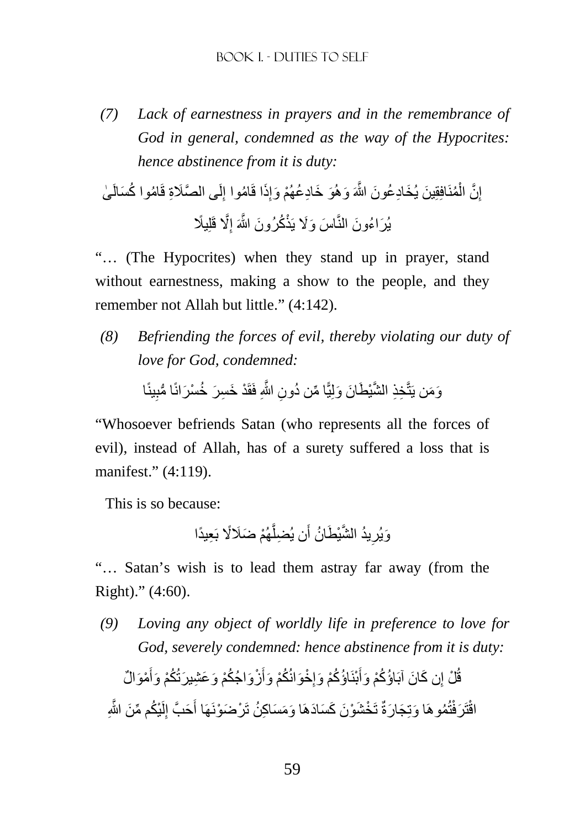*(7) Lack of earnestness in prayers and in the remembrance of God in general, condemned as the way of the Hypocrites: hence abstinence from it is duty:* 

ٰى ُام ُ وا ك َسالَ َّ ى الصَِة قَ لَ ِ ُاموا إ َذا قَ ِ َو َ خ ِاد ُع ْھُم َ وإ ُمنَافِقِ َ ين َ يُخ ِاد ُع َون َّ اللهَ َ وھُ ْ َّن ال ِ إ ًي َّ% قَلِ ِ َ اس َ و%َ يَذْ ُك َ رُون َّ اللهَ إ َ يُر ُ اء َون النَّ

"… (The Hypocrites) when they stand up in prayer, stand without earnestness, making a show to the people, and they remember not Allah but little." (4:142).

*(8) Befriending the forces of evil, thereby violating our duty of love for God, condemned:* 

> وَمَن يَتَّخِذِ الشَّيْطَانَ وَلِيًّا مِّن دُونِ اللَّهِ فَقَدْ خَسِرَ خُسْرَانًا مُّبِينًا ِ

"Whosoever befriends Satan (who represents all the forces of evil), instead of Allah, has of a surety suffered a loss that is manifest." (4:119).

This is so because:

وَيُرِيدُ الشَّيْطَانُ أَن يُضلِّهُمْ ضَلَالًا بَعِيدًا َّ َ ِ

"… Satan's wish is to lead them astray far away (from the Right)." (4:60).

*(9) Loving any object of worldly life in preference to love for God, severely condemned: hence abstinence from it is duty:* 

قُلْ إِن كَانَ آبَاؤُكُمْ وَأَبْنَاؤُكُمْ وَإِخْوَانُكُمْ وَأَزْوَاجُكُمْ وَعَشِيرَتُكُمْ وَأَمْوَالٌ |<br>ءِ َ ِ َ اقْتَرَ فْتُمُو هَا وَتِجَارَةٌ تَخْشَوْنَ كَسَادَهَا وَمَسَاكِنُ تَرْضَوْنَهَا أَحَبَّ إِلَيْكُم مِّنَ اللَّهِ لَ ِ َ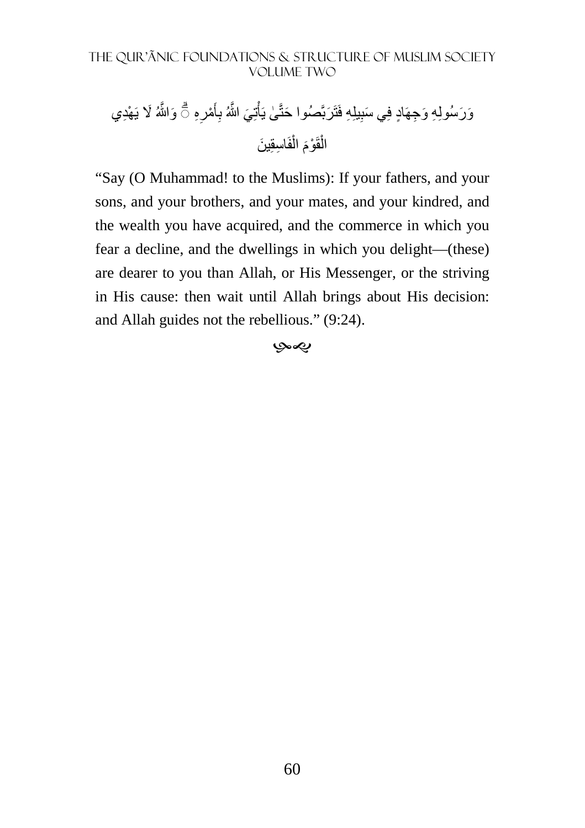تِ َي َّ اللهُ َو َّاللهُ َ % َ ي ْھِدي ْ ٰى يَأ َ صُوا حتَّ َربَّ يلِ ِه فَتَ ِ ِ َو َرسُولِ ِه َ و ِجھَ ٍاد فِ َي سب ِه ْمر َ أ ب ۗ◌ ِ ِ اسقِ َ ين فَ ْ َ ال ْوم قَ ْ ال

"Say (O Muhammad! to the Muslims): If your fathers, and your sons, and your brothers, and your mates, and your kindred, and the wealth you have acquired, and the commerce in which you fear a decline, and the dwellings in which you delight—(these) are dearer to you than Allah, or His Messenger, or the striving in His cause: then wait until Allah brings about His decision: and Allah guides not the rebellious." (9:24).

#### -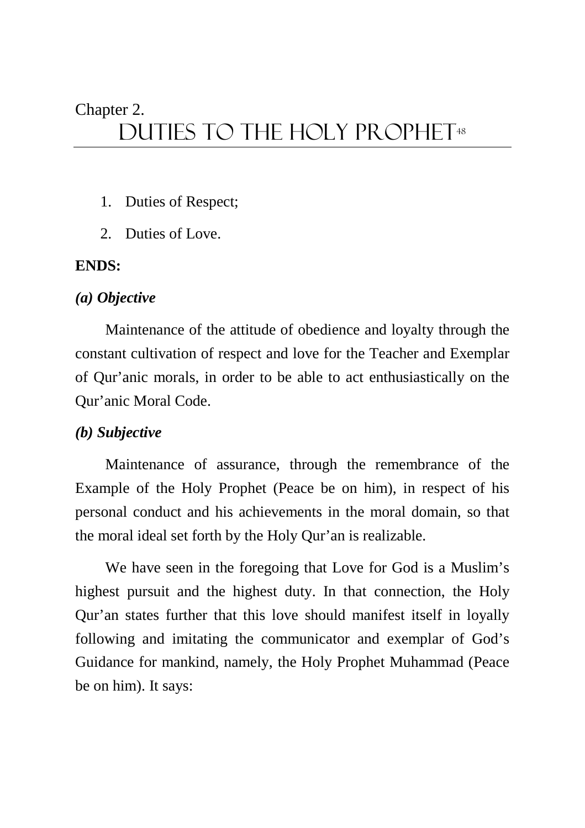# Chapter 2.

# DUTIES TO THE HOLY PROPHET<sup>48</sup>

- 1. Duties of Respect;
- 2. Duties of Love.

# **ENDS:**

# *(a) Objective*

Maintenance of the attitude of obedience and loyalty through the constant cultivation of respect and love for the Teacher and Exemplar of Qur'anic morals, in order to be able to act enthusiastically on the Qur'anic Moral Code.

# *(b) Subjective*

Maintenance of assurance, through the remembrance of the Example of the Holy Prophet (Peace be on him), in respect of his personal conduct and his achievements in the moral domain, so that the moral ideal set forth by the Holy Qur'an is realizable.

We have seen in the foregoing that Love for God is a Muslim's highest pursuit and the highest duty. In that connection, the Holy Qur'an states further that this love should manifest itself in loyally following and imitating the communicator and exemplar of God's Guidance for mankind, namely, the Holy Prophet Muhammad (Peace be on him). It says: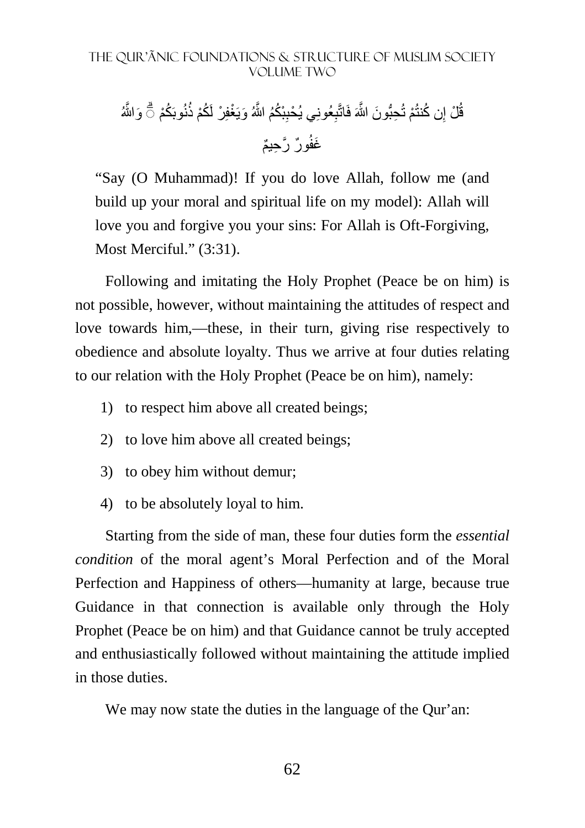قُلْ إِن كُنتُمْ تُحِبُّونَ اللَّهَ فَاتَّبِعُونِي يُحْبِبْكُمُ اللَّهُ وَيَغْفِرْ لَكُمْ ذُنُوبَكُمْ ۞ وَاللَّهُ ِ ِ غَفُورٌ رَّحِيمٌ

"Say (O Muhammad)! If you do love Allah, follow me (and build up your moral and spiritual life on my model): Allah will love you and forgive you your sins: For Allah is Oft-Forgiving, Most Merciful." (3:31).

Following and imitating the Holy Prophet (Peace be on him) is not possible, however, without maintaining the attitudes of respect and love towards him,—these, in their turn, giving rise respectively to obedience and absolute loyalty. Thus we arrive at four duties relating to our relation with the Holy Prophet (Peace be on him), namely:

- 1) to respect him above all created beings;
- 2) to love him above all created beings;
- 3) to obey him without demur;
- 4) to be absolutely loyal to him.

Starting from the side of man, these four duties form the *essential condition* of the moral agent's Moral Perfection and of the Moral Perfection and Happiness of others—humanity at large, because true Guidance in that connection is available only through the Holy Prophet (Peace be on him) and that Guidance cannot be truly accepted and enthusiastically followed without maintaining the attitude implied in those duties.

We may now state the duties in the language of the Our'an: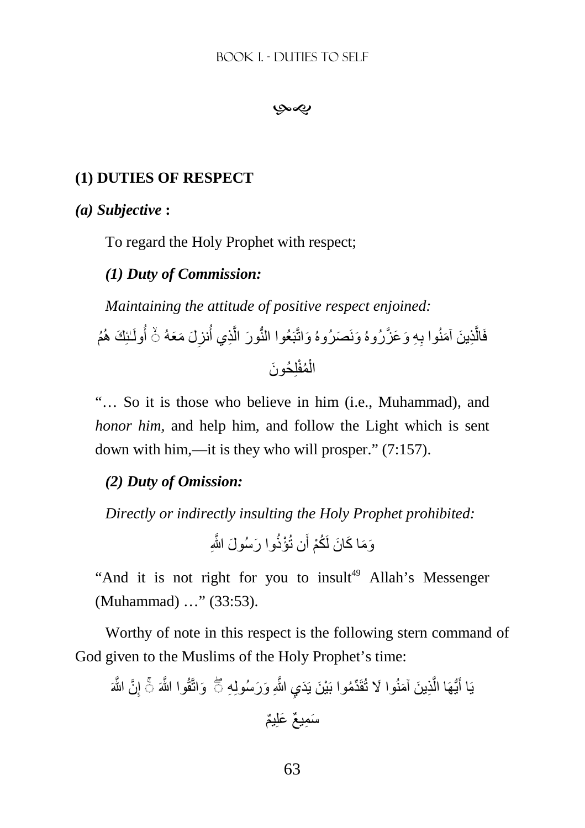بهي

# **(1) DUTIES OF RESPECT**

## *(a) Subjective* **:**

To regard the Holy Prophet with respect;

# *(1) Duty of Commission:*

*Maintaining the attitude of positive respect enjoined:* 

فَالَّذِينَ آمَنُوا بِهِ وَعَزَّرُوهُ وَنَصَرُوهُ وَاتَّبَعُوا النُّورَ الَّذِي أُنزِلَ مَعَهُ ۞ أُولَـٰئِكَ هُمُ َّ **∶** َّ الْمُفْلِحُونَ ْ

"… So it is those who believe in him (i.e., Muhammad), and *honor him,* and help him, and follow the Light which is sent down with him,—it is they who will prosper." (7:157).

# *(2) Duty of Omission:*

*Directly or indirectly insulting the Holy Prophet prohibited:* 

وَمَا كَانَ لَكُمْ أَن تُؤْذُوا رَسُولَ اللَّهِ

"And it is not right for you to insult<sup>49</sup> Allah's Messenger (Muhammad) …" (33:53).

Worthy of note in this respect is the following stern command of God given to the Muslims of the Holy Prophet's time:

َّن َّ اللهَ ِ َواتَّقُ َّ وا اللهَ إ ِي َّ اللهِ َ و َرسُولِ ِه ۚ◌ ِذ َ ين َ آمنُ َ وا % تُقَ ِّدُم َ وا بْي َن يَ َد َّ ُّيھَا ال يَا أ ۖ◌ َ َس ِم ٌ يع َ علِ ٌيم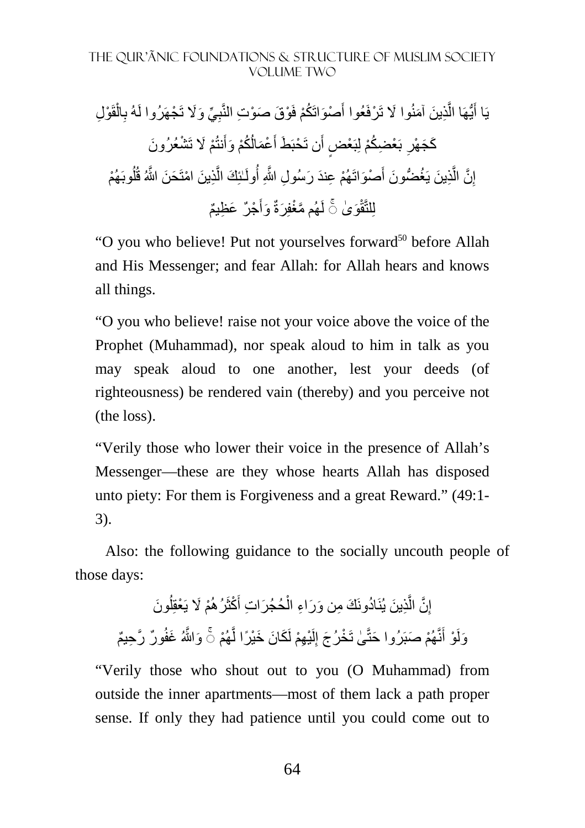ْو ِل قَ ْ ال ِ ِذي لَهُ ب َّ ُّيھَا ال َ ِ ِّي َ و يَا أ %َ تَ ْجھَرُوا ْو َق َ ص ْو ِت النَّب ْص َواتَ ُكْم فَ َ َن َ آمنُ َ وا % تَ ْرفَعُوا أ ْم َ % تَ ْش َ عُرُون َنتُ ُ ُكْم َ وأ ْع َمال َ َط أ َن تَ ْحبَ ٍض أ َ ب ْع ِض ُكْم لِبَ ْع ِ َك َج ْھر َح ِذ َ ين ْ امتَ َّ ٰـئِ َك ال ُولَ ْھُم ِ ع َند َ ر ِ سُول َّ اللهِ أ ْص َواتَ َ ُغ ُّض َون أ ِذ َ ين يَ َّ َّن ال ِ إ وبَ ْھُم ُ ل َن َّ اللهُ قُ ْج ٌر َ ع ِظ ٌيم َ َ وأ َّ ھُم مْغفِ َرةٌ َو ٰى لَ ۚ◌ لِلتَّق ْ

"O you who believe! Put not yourselves forward<sup>50</sup> before Allah and His Messenger; and fear Allah: for Allah hears and knows all things.

"O you who believe! raise not your voice above the voice of the Prophet (Muhammad), nor speak aloud to him in talk as you may speak aloud to one another, lest your deeds (of righteousness) be rendered vain (thereby) and you perceive not (the loss).

"Verily those who lower their voice in the presence of Allah's Messenger—these are they whose hearts Allah has disposed unto piety: For them is Forgiveness and a great Reward." (49:1- 3).

Also: the following guidance to the socially uncouth people of those days:

إِنَّ الَّذِينَ يُنَادُونَكَ مِن وَرَاءِ الْحُجُرَاتِ أَكْثَرُ هُمْ لَا يَعْقِلُونَ ُ ْ َّ ِ وَلَوْ أَنَّهُمْ صَبَرُوا حَتَّىٰ تَخْرُجَ إِلَيْهِمْ لَكَانَ خَيْرًا لَّهُمْ ۞ وَاللَّهُ غَفُورٌ رَّحِيمٌ َّ لَ ِ َ

"Verily those who shout out to you (O Muhammad) from outside the inner apartments—most of them lack a path proper sense. If only they had patience until you could come out to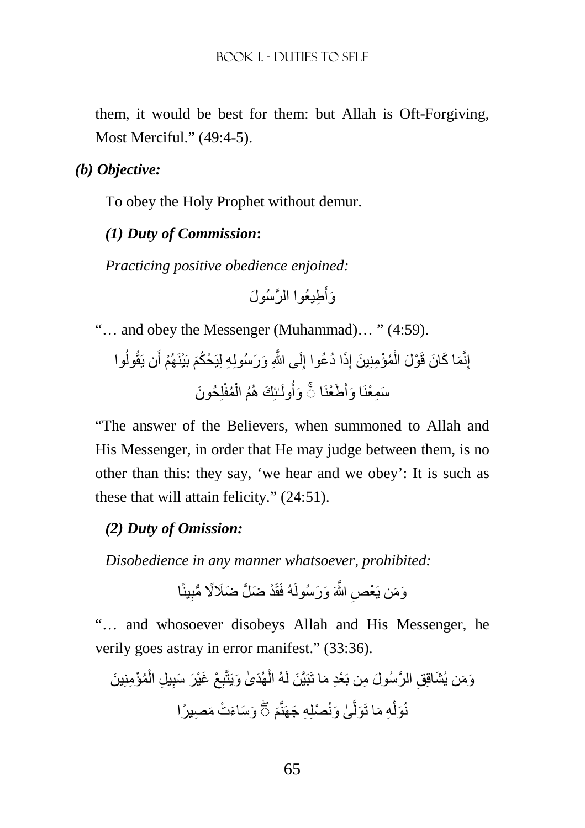them, it would be best for them: but Allah is Oft-Forgiving, Most Merciful." (49:4-5).

*(b) Objective:*

To obey the Holy Prophet without demur.

# *(1) Duty of Commission***:**

*Practicing positive obedience enjoined:* 

ِط َّ يعُوا الر َ سُول َ َوأ

"… and obey the Messenger (Muhammad)… " (4:59).

ُوا َن يَقُول ْھُم أ َ بَ ْينَ لَ َّ ى اللهِ َ و َرسُولِ ِه لِيَ ْح ُكم ِ َذ ُ ا د ُعوا إ ِ ُمْؤ ِمنِ َ ين إ ْ ْو َل ال َم َ ا ك َ ان قَ ِنَّ إ لِ َ حُون ُمفْ ْ ُم ال ٰـئِ َك ھُ ُولَ َوأ َط ْعنَا َ َ ا وأ ۚ◌ َس ِم ْعنَ

"The answer of the Believers, when summoned to Allah and His Messenger, in order that He may judge between them, is no other than this: they say, 'we hear and we obey': It is such as these that will attain felicity." (24:51).

# *(2) Duty of Omission:*

*Disobedience in any manner whatsoever, prohibited:* 

وَمَن يَعْصِ اللَّهَ وَرَسُولَهُ فَقَدْ ضَلَّ ضَلَالًا مُّبِينًا ِ

"… and whosoever disobeys Allah and His Messenger, he verily goes astray in error manifest." (33:36).

ْع ِ َھُد ٰى َ ويَتَّب ْ َبيَّ َن لَهُ ال َ ما تَ ِق َّ الر َ سُول ِ من بَ ْعِد ُمْؤ ِمنِ َ ين َو َم َ ن يُشاقِ ْ ِ ِ يل ال َغْي َر َ سب َ َو َس َاء ْت َ م ِص ً يرا ْصلِ ِه َ جھَنَّم ٰى َ ونُ َّ َول ِه َ ما تَ ِّ نُ ۖ◌ َول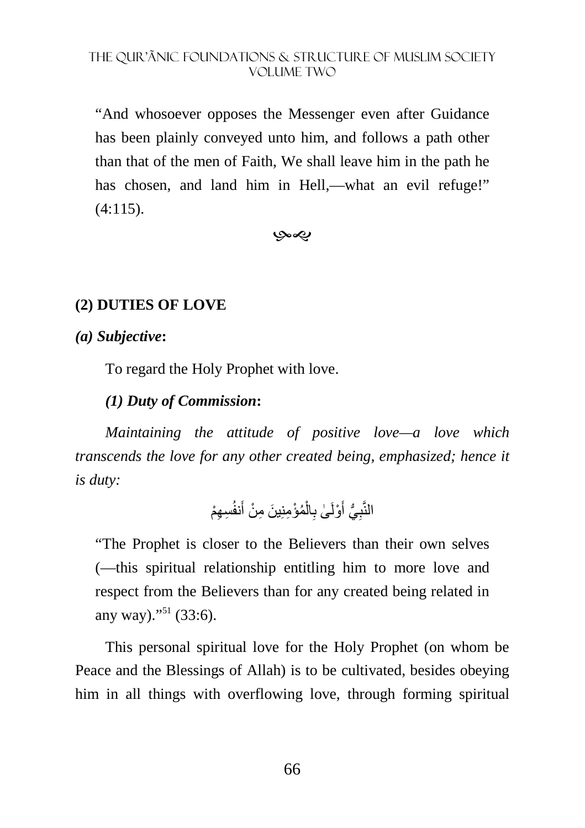"And whosoever opposes the Messenger even after Guidance has been plainly conveyed unto him, and follows a path other than that of the men of Faith, We shall leave him in the path he has chosen, and land him in Hell,—what an evil refuge!"  $(4:115).$ 

بهي

# **(2) DUTIES OF LOVE**

# *(a) Subjective***:**

To regard the Holy Prophet with love.

# *(1) Duty of Commission***:**

*Maintaining the attitude of positive love—a love which transcends the love for any other created being, emphasized; hence it is duty:* 

```
النَّبِيُّ أَوْلَىٰ بِالْمُؤْمِنِينَ مِنْ أَنفُسِهِمْ
                                 ْ
                                   ِ
                                             َ
```
"The Prophet is closer to the Believers than their own selves (—this spiritual relationship entitling him to more love and respect from the Believers than for any created being related in any way)."<sup>51</sup> (33:6).

This personal spiritual love for the Holy Prophet (on whom be Peace and the Blessings of Allah) is to be cultivated, besides obeying him in all things with overflowing love, through forming spiritual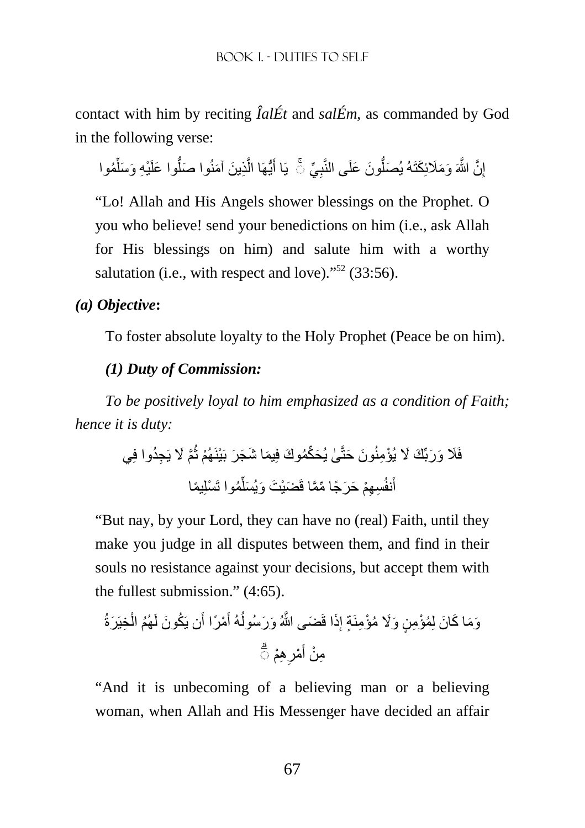contact with him by reciting *ÎalÉt* and *salÉm*, as commanded by God in the following verse:

إِنَّ اللَّهَ وَمَلَائِكَتَهُ يُصَلُّونَ عَلَى النَّبِيِّ ۚ يَا أَيُّهَا الَّذِينَ آمَنُوا صَلُّوا عَلَيْهِ وَسَلِّمُوا ِّ ُّ َّ أ ُّ ِ

"Lo! Allah and His Angels shower blessings on the Prophet. O you who believe! send your benedictions on him (i.e., ask Allah for His blessings on him) and salute him with a worthy salutation (i.e., with respect and love)."<sup>52</sup> (33:56).

# *(a) Objective***:**

To foster absolute loyalty to the Holy Prophet (Peace be on him).

# *(1) Duty of Commission:*

*To be positively loyal to him emphasized as a condition of Faith; hence it is duty:* 

َّم َ % يَ ِجُدوا فِي ُ ْھُم ث ٰى َ يُح ِّكُم َوك فِ َيم َ ا ش َج َر بَ ْينَ َون َ حتَّ فَ َ َ و َربِّ َك َ % ْ يُؤ ِمنُ ُموا تَ ْسلِ ًيما ِّ َضْي َت َ و َ يُسل ِس ِھْم َ ح َر ًج ِّ ا مَّما قَ َنفُ أ

"But nay, by your Lord, they can have no (real) Faith, until they make you judge in all disputes between them, and find in their souls no resistance against your decisions, but accept them with the fullest submission." (4:65).

ِخيَ َرةُ ْ ُھُم ال ُك َون لَ َن يَ ْم ًرا أ َ ُهُ أ َض َّ ى اللهُ َ و َرسُول َذا قَ ِ ٍة إ َو َم َ ا ك َ ان لِ ُمْؤ ِم ٍن َ و%َ ُ مْؤ ِمنَ ِھ ْم ِ ْمر َ ۗ◌ ِم ْن أ

"And it is unbecoming of a believing man or a believing woman, when Allah and His Messenger have decided an affair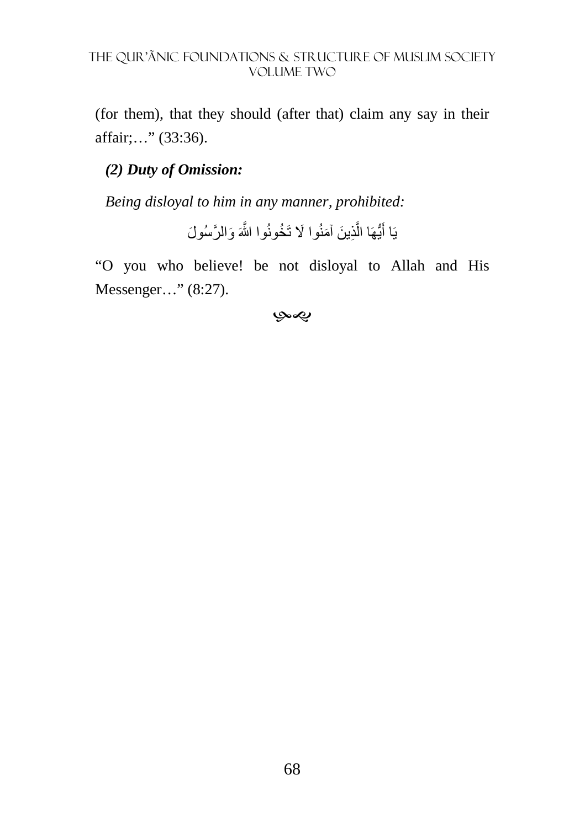(for them), that they should (after that) claim any say in their affair;…" (33:36).

# *(2) Duty of Omission:*

*Being disloyal to him in any manner, prohibited:* 

يَا أَيُّهَا الَّذِينَ آمَنُوا لَا تَخُونُوا اللَّهَ وَالرَّسُولَ َّ أ

"O you who believe! be not disloyal to Allah and His Messenger…" (8:27).

#### بهي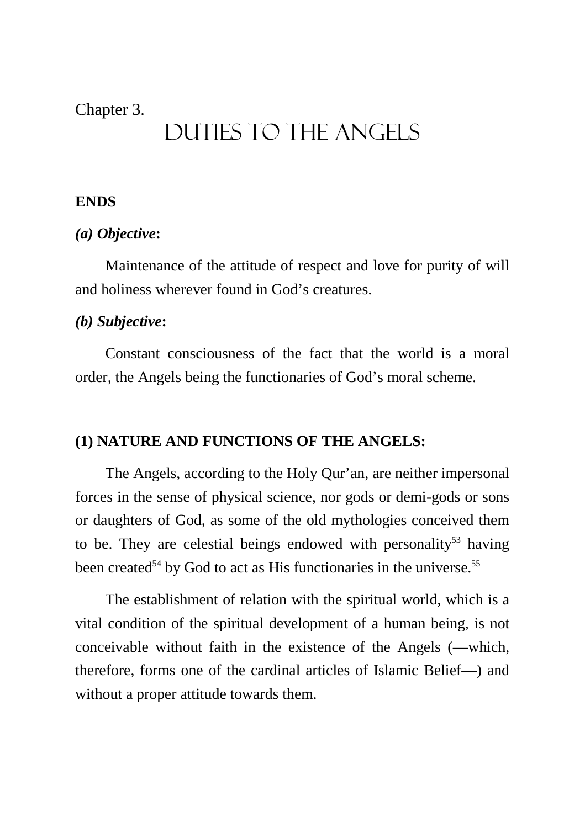## Chapter 3.

# Duties TO THE ANGELS

## **ENDS**

## *(a) Objective***:**

Maintenance of the attitude of respect and love for purity of will and holiness wherever found in God's creatures.

## *(b) Subjective***:**

Constant consciousness of the fact that the world is a moral order, the Angels being the functionaries of God's moral scheme.

## **(1) NATURE AND FUNCTIONS OF THE ANGELS:**

The Angels, according to the Holy Qur'an, are neither impersonal forces in the sense of physical science, nor gods or demi-gods or sons or daughters of God, as some of the old mythologies conceived them to be. They are celestial beings endowed with personality<sup>53</sup> having been created<sup>54</sup> by God to act as His functionaries in the universe.<sup>55</sup>

The establishment of relation with the spiritual world, which is a vital condition of the spiritual development of a human being, is not conceivable without faith in the existence of the Angels (—which, therefore, forms one of the cardinal articles of Islamic Belief—) and without a proper attitude towards them.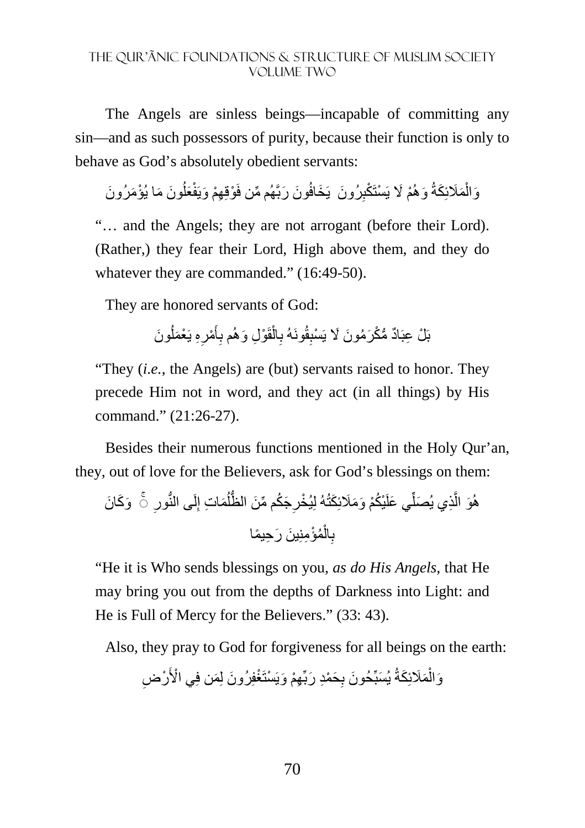The Angels are sinless beings—incapable of committing any sin—and as such possessors of purity, because their function is only to behave as God's absolutely obedient servants:

وَالْمَلَائِكَةُ وَهُمْ لَا يَسْتَكْبِرُونَ يَخَافُونَ رَبَّهُم مِّن فَوْقِهِمْ وَيَفْعَلُونَ مَا يُؤْمَرُونَ اُ ِ ْ

"… and the Angels; they are not arrogant (before their Lord). (Rather,) they fear their Lord, High above them, and they do whatever they are commanded." (16:49-50).

They are honored servants of God:

بَلْ عِبَادٌ مُّكْرَمُونَ لَا يَسْبِقُونَهُ بِالْقَوْلِ وَهُم بِأَمْرِهِ يَعْمَلُونَ اُ ِ أً **∶** ْ ِ ِ

"They (*i.e.*, the Angels) are (but) servants raised to honor. They precede Him not in word, and they act (in all things) by His command." (21:26-27).

Besides their numerous functions mentioned in the Holy Qur'an, they, out of love for the Believers, ask for God's blessings on them:

َو َك َ ان  ِ لَ ُّ ى النور ِ َم ِ ات إ ُ َج ُك ِّ م م َن ُّ الظل ِ ْ يُخر َكتُهُ لِ ْي ُكْم َ و َمَئِ َي علَ ِّ ِذ َ ي يُصل َّ ھُ ۚ◌ َو ال ُمْؤ ِمِن َ ين َ ر ِح ًيما ْ ال ِ ب

"He it is Who sends blessings on you*, as do His Angels,* that He may bring you out from the depths of Darkness into Light: and He is Full of Mercy for the Believers." (33: 43).

Also, they pray to God for forgiveness for all beings on the earth:

وَالْمَلَائِكَةُ يُسَبِّحُونَ بِحَمْدِ رَبِّهِمْ وَيَسْتَغْفِرُونَ لِمَن فِي الْأَرْضِ ْ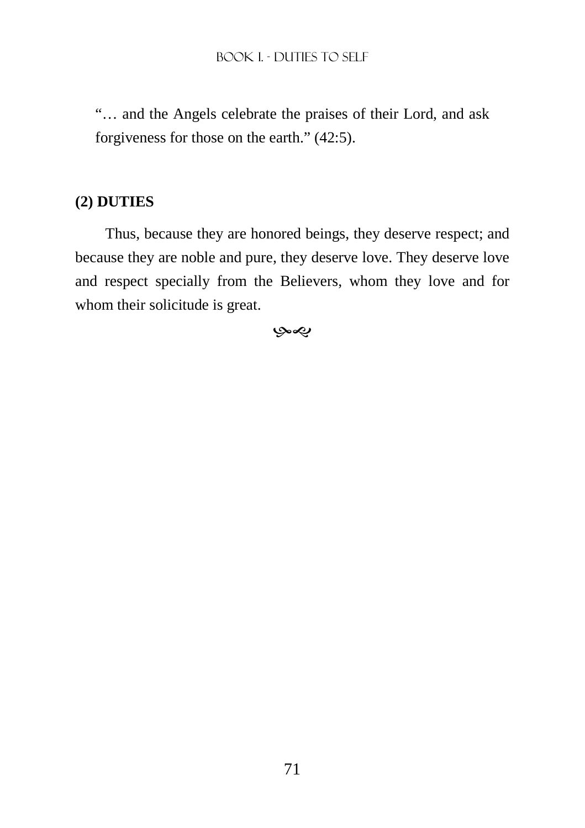"… and the Angels celebrate the praises of their Lord, and ask forgiveness for those on the earth." (42:5).

# **(2) DUTIES**

Thus, because they are honored beings, they deserve respect; and because they are noble and pure, they deserve love. They deserve love and respect specially from the Believers, whom they love and for whom their solicitude is great.

بهي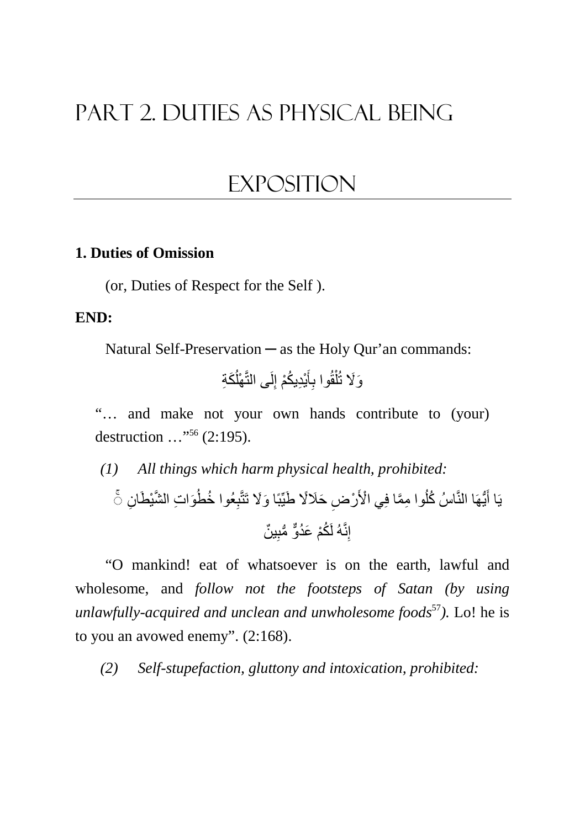# Part 2. DUTIES AS PHYSICAL BEING

# **EXPOSITION**

## **1. Duties of Omission**

(or, Duties of Respect for the Self ).

#### **END:**

Natural Self-Preservation — as the Holy Qur'an commands:

َكِة ُ ْھل لَى التَّ ِ ْي ِد ُيكْم إ َ أ ِ قُوا ب ْ ل َو%َ تُ

"… and make not your own hands contribute to (your) destruction …"<sup>56</sup> (2:195).

*(1) All things which harm physical health, prohibited:*  ان َو ِ ات َّ الشْي َط ِ ُ عُوا خطُ ِ َ ا و%َ َ تتَّب ِض َ ح%ًَ َ طِّيبً ْر ْي ا>َ ِ وا مَّما فِ ُ ُّيھَا النَّ ُ اسُ كل َ ۚ◌ يَا أ إ ٌ ين ِنَّهُ لَ ُكْم َ عُدٌّو ُّ م ِ ب

"O mankind! eat of whatsoever is on the earth, lawful and wholesome, and *follow not the footsteps of Satan (by using unlawfully-acquired and unclean and unwholesome foods*<sup>57</sup>*).* Lo! he is to you an avowed enemy". (2:168).

*(2) Self-stupefaction, gluttony and intoxication, prohibited:*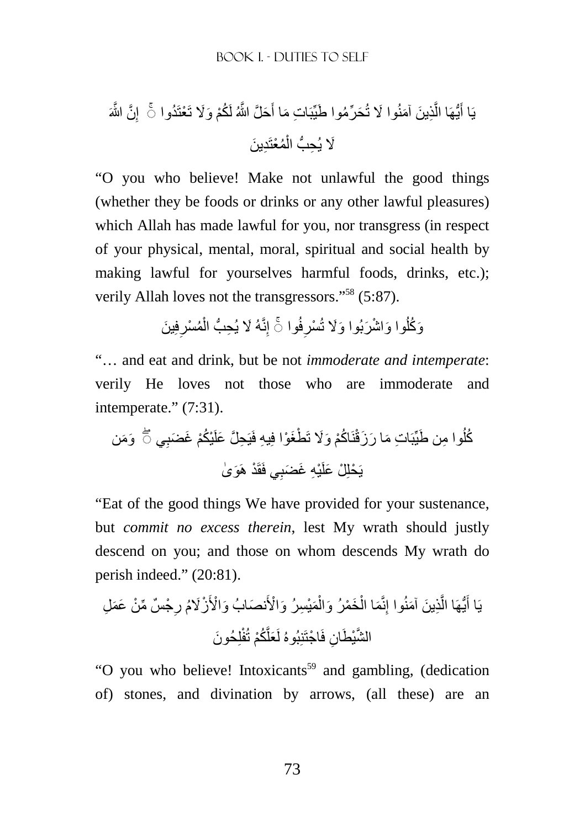َّن َّ اللهَ ِ َح َّل َّ اللهُ لَ ُكْم َ و%َ َ ت ْعتَ ُدواإ َ َح ِّر ُم َ وا طيِّبَ ِ ات َ ما أ ِذ َ ين َ آمنُ َ وا % تُ َّ ُّيھَا ال َ ۚ◌ يَا أ ِد َ ين ُمْعتَ ْ %َ ِ يُح ُّب ال

"O you who believe! Make not unlawful the good things (whether they be foods or drinks or any other lawful pleasures) which Allah has made lawful for you, nor transgress (in respect of your physical, mental, moral, spiritual and social health by making lawful for yourselves harmful foods, drinks, etc.); verily Allah loves not the transgressors."<sup>58</sup> (5:87).

> وَكُلُوا وَاشْرَبُوا وَلَا تُسْرِفُوا ۞ إِنَّهُ لَا يُحِبُّ الْمُسْرِفِينَ **∶** ْ ِ ا<br>ا

"… and eat and drink, but be not *immoderate and intemperate*: verily He loves not those who are immoderate and intemperate." (7:31).

َو َمن ِ وا م َ ن طيِّبَ ِ ات َ م َ ا ر َز ُ ُك ي ل ِ ْي ُكْم َ غ َضب ْط َغْوا فِ ِيه فَيَ ِح َّل َ علَ اكْم َ و%َ تَ نَ ُ ق ۖ◌ ْ َو ٰى ِي فَقَ ْد ھَ ْي ِه َ غ َضب يَ ْحلِ ْل َ علَ

"Eat of the good things We have provided for your sustenance, but *commit no excess therein*, lest My wrath should justly descend on you; and those on whom descends My wrath do perish indeed." (20:81).

ْج ٌس ِّ م ْن َ ع َم ِل ِ َ نص َ ابُ و ْا>َ ْزُ%َم ر َمْي ِس َرُ و ْا>َ ْ َخ ْم َرُ وال ْ َما ال ِنَّ ِذ َ ين َ آمنُوا إ َّ ُّيھَا ال َ يَا أ لِ َ حُون َّ ُكْم تُفْ َعل ان فَ ْ اجتَنِبُوهُ لَ َّ الشْي َطِ

"O you who believe! Intoxicants<sup>59</sup> and gambling, (dedication of) stones, and divination by arrows, (all these) are an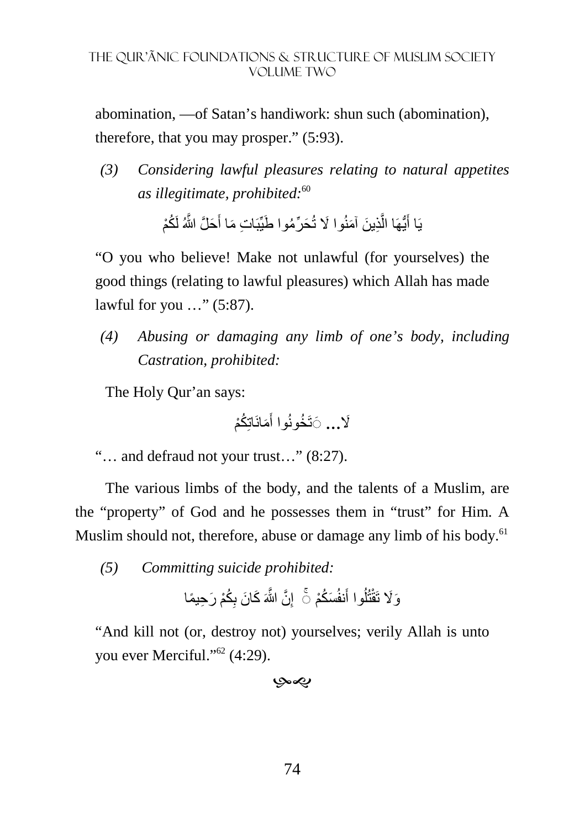abomination, —of Satan's handiwork: shun such (abomination), therefore, that you may prosper." (5:93).

*(3) Considering lawful pleasures relating to natural appetites as illegitimate, prohibited:*<sup>60</sup>

> يَا أَيُّهَا الَّذِينَ آمَنُوا لَا تُحَرِّمُوا طَيِّبَاتِ مَا أَحَلَّ اللَّهُ لَكُمْ أَ َّ َ

"O you who believe! Make not unlawful (for yourselves) the good things (relating to lawful pleasures) which Allah has made lawful for you …" (5:87).

*(4) Abusing or damaging any limb of one's body, including Castration, prohibited:* 

The Holy Qur'an says:

لاً**...** ۞َتَخُونُوا أَمَانَاتِكُمْ َ

"… and defraud not your trust…" (8:27).

The various limbs of the body, and the talents of a Muslim, are the "property" of God and he possesses them in "trust" for Him. A Muslim should not, therefore, abuse or damage any limb of his body.<sup>61</sup>

*(5) Committing suicide prohibited:* 

ُكْم َ ر ِح ًيما ِ َ ك َ ان ب َّن َّ اللهَ ِ َس ُكْمإ َنفُ ُوا أ ل تُ َو%َ تَقْ ◌ۚ

"And kill not (or, destroy not) yourselves; verily Allah is unto you ever Merciful."<sup>62</sup> (4:29).

بهيوبا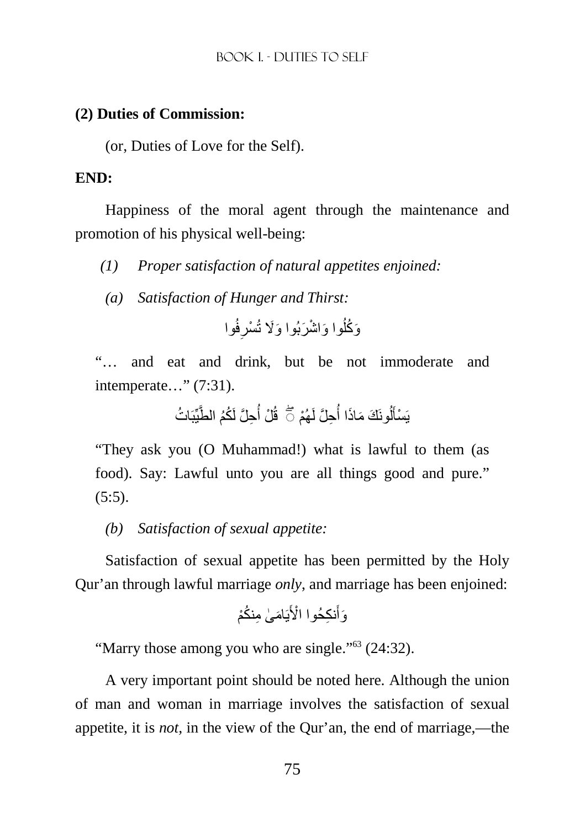### **(2) Duties of Commission:**

(or, Duties of Love for the Self).

### **END:**

Happiness of the moral agent through the maintenance and promotion of his physical well-being:

- *(1) Proper satisfaction of natural appetites enjoined:*
- *(a) Satisfaction of Hunger and Thirst:*

فُوا ِ ْسر َ وا و ْ اش َر َ بُوا و%َ تُ ُ َو ُكل

"… and eat and drink, but be not immoderate and intemperate…" (7:31).

ُ ات يِّبَ ِح َّل لَ ُكُم الطَّ ُ ْل أ قُ ُ ُونَ َك َ م َاذا أ ل َ ْھُم ۖ◌ ْسأ يَ ِح َّل لَ

"They ask you (O Muhammad!) what is lawful to them (as food). Say: Lawful unto you are all things good and pure."  $(5:5)$ .

# *(b) Satisfaction of sexual appetite:*

Satisfaction of sexual appetite has been permitted by the Holy Qur'an through lawful marriage *only*, and marriage has been enjoined:

نكْم ام ٰى ِ م ُ َ يَ ِ نك ْ حُوا ا>َ َ َوأ

"Marry those among you who are single."<sup>63</sup> (24:32).

A very important point should be noted here. Although the union of man and woman in marriage involves the satisfaction of sexual appetite, it is *not,* in the view of the Qur'an, the end of marriage,—the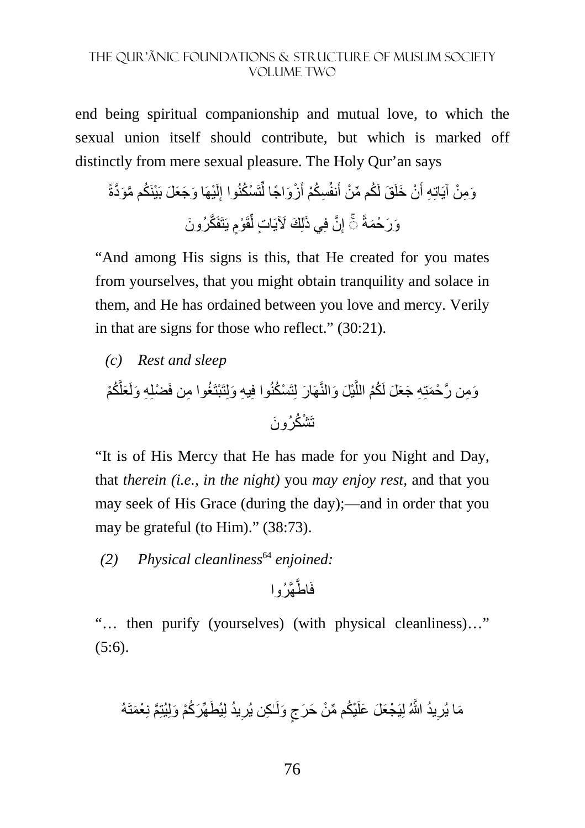end being spiritual companionship and mutual love, to which the sexual union itself should contribute, but which is marked off distinctly from mere sexual pleasure. The Holy Qur'an says

ْيھَ َ ا و َج َع َل بَ ْينَ ُك َّ م مَو َّدةً لَ ِ تَ ْس ُكنُوا إ ِّ َ ْز َو ً اجا ل ِس ُكْم أ َنفُ َق لَ ُك ِّ م م ْن أ ْن َ خلَ َ َو ِم ْن آيَاتِ ِه أ َي ذ َّن فِ ْوٍم يََتفَ َّك إ ٰ َ رُون ِ قَ ِّ لِ َك َ iيَ ٍ ات ل َو َر ْح َمةً ◌ۚ

"And among His signs is this, that He created for you mates from yourselves, that you might obtain tranquility and solace in them, and He has ordained between you love and mercy. Verily in that are signs for those who reflect." (30:21).

*(c) Rest and sleep*  وَمِن رَّحْمَتِهِ جَعَلَ لَكُمُ اللَّيْلَ وَالنَّهَارَ لِتَسْكُنُوا فِيهِ وَلِتَبْتَغُوا مِن فَضْلِهِ وَلَعَلَّكُمْ َّ تَشْكُرُ و نَ

"It is of His Mercy that He has made for you Night and Day, that *therein (i.e., in the night)* you *may enjoy rest,* and that you may seek of His Grace (during the day);—and in order that you may be grateful (to Him)." (38:73).

*(2) Physical cleanliness*<sup>64</sup> *enjoined:* 

ھَّرُوا فَاطَّ

"… then purify (yourselves) (with physical cleanliness)…"  $(5:6)$ .

َ يُط ُيد لِ ِ ٰـ ِكن يُر ٍج َ ولَ ْي ُك ِّ م م ْن َ ح َر ُيد َّ اللهُ لِيَ ْج َع َل َ علَ ِ َما يُر ھِّ َر ُكْم َ ولِيُتِ َّم نِ ْعَمتَهُ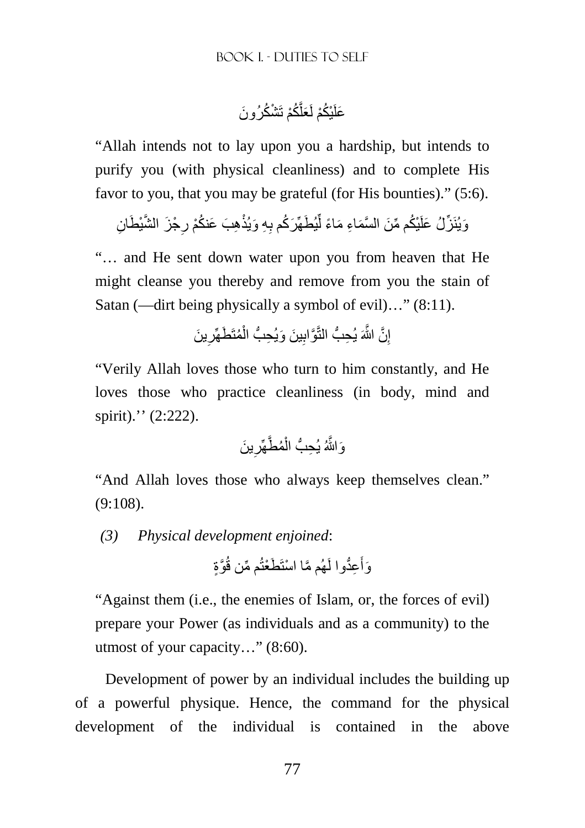عَلَيْكُمْ لَعَلَّكُمْ تَشْكُرُونَ

"Allah intends not to lay upon you a hardship, but intends to purify you (with physical cleanliness) and to complete His favor to you, that you may be grateful (for His bounties)." (5:6).

وَيُنَزِّلُ عَلَيْكُم مِّنَ السَّمَاءِ مَاءً لِّيُطَهِّرَكُم بِهِ وَيُذْهِبَ عَنكُمْ رِجْزَ الشَّيْطَانِ ِ ِ

"… and He sent down water upon you from heaven that He might cleanse you thereby and remove from you the stain of Satan (—dirt being physically a symbol of evil)…" (8:11).

> إِنَّ اللَّهَ يُحِبُّ الْتَّوَّابِينَ وَيُحِبُّ الْمُتَطَهِّرِينَ ِ ْ ِ ِ

"Verily Allah loves those who turn to him constantly, and He loves those who practice cleanliness (in body, mind and spirit)." (2:222).

َ ين ِ ُم َّطھِّر ْ َو َّاللهُ ِ يُح ُّب ال

"And Allah loves those who always keep themselves clean." (9:108).

*(3) Physical development enjoined*:

وَأَعِدُّوا لَـهُم مَّا اسْتَطَعْتُم مِّن قُوَّةٍ َ

"Against them (i.e., the enemies of Islam, or, the forces of evil) prepare your Power (as individuals and as a community) to the utmost of your capacity…" (8:60).

Development of power by an individual includes the building up of a powerful physique. Hence, the command for the physical development of the individual is contained in the above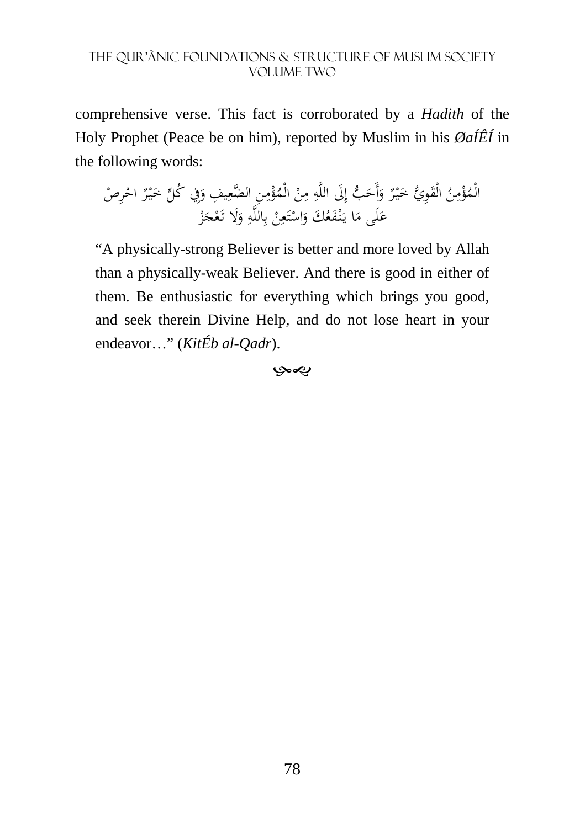comprehensive verse. This fact is corroborated by a *Hadith* of the Holy Prophet (Peace be on him), reported by Muslim in his *ØaÍÊÍ* in the following words:

ُ ن ِ م ْ ؤ ُ ي الْم ِو َ الْق ٌ ر ْ يـَ ب خ َ أَح َ َلى ِ و إ ِ الله ْ ن م ِن ِ ِ م ْ ؤ ُ ِ ِ يف الْم ِفي الضع َ و ُ كل ٌ ر ْ يـ َ ْص خ ِر ْ اح َى ل َ ا ع َ ُ َك م َع ْف نـ َ يـ ْ ن ِ ع َ ت ْ اس َ و ِ َلا ِالله ب َ و ْ ز َ ْج َع تـ

"A physically-strong Believer is better and more loved by Allah than a physically-weak Believer. And there is good in either of them. Be enthusiastic for everything which brings you good, and seek therein Divine Help, and do not lose heart in your endeavor…" (*KitÉb al-Qadr*).

 $\infty$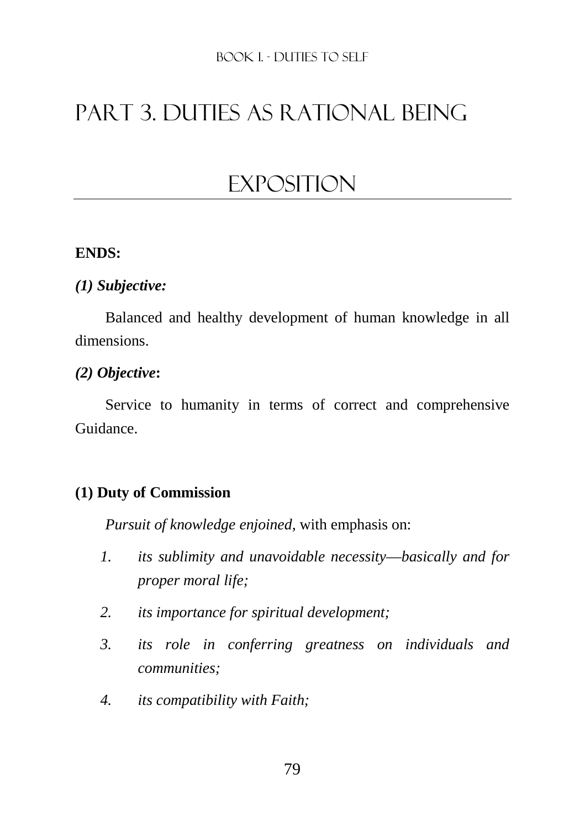# Part 3. DUTIES AS RATIONAL BEING

# **EXPOSITION**

## **ENDS:**

## *(1) Subjective:*

Balanced and healthy development of human knowledge in all dimensions.

## *(2) Objective***:**

Service to humanity in terms of correct and comprehensive Guidance.

# **(1) Duty of Commission**

*Pursuit of knowledge enjoined,* with emphasis on:

- *1. its sublimity and unavoidable necessity*—*basically and for proper moral life;*
- *2. its importance for spiritual development;*
- *3. its role in conferring greatness on individuals and communities;*
- *4. its compatibility with Faith;*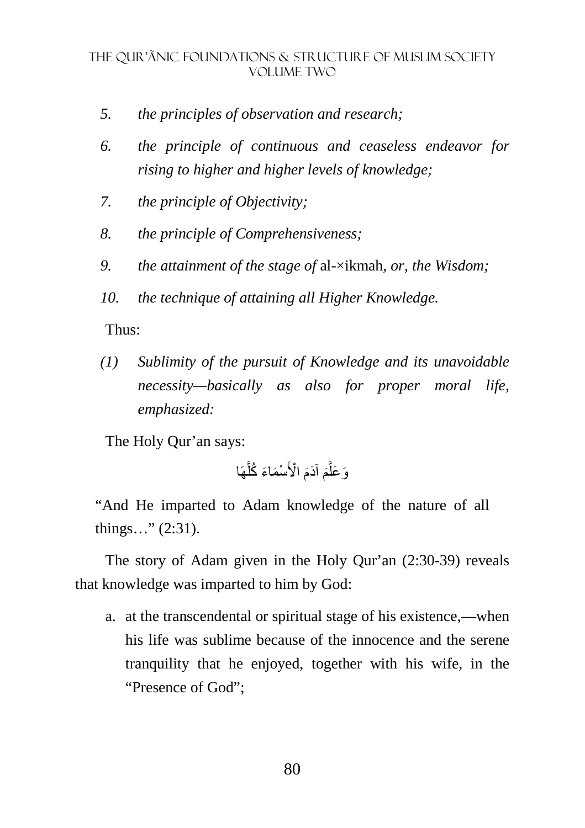- *5. the principles of observation and research;*
- *6. the principle of continuous and ceaseless endeavor for rising to higher and higher levels of knowledge;*
- *7. the principle of Objectivity;*
- *8. the principle of Comprehensiveness;*
- *9. the attainment of the stage of* al-×ikmah*, or, the Wisdom;*
- *10. the technique of attaining all Higher Knowledge.*

Thus:

*(1) Sublimity of the pursuit of Knowledge and its unavoidable necessity—basically as also for proper moral life, emphasized:* 

The Holy Qur'an says:

ھَا َّ ْس َم َاء ُ كل ْ ا>َ َ َ آدم َ م َّ َو َعل

"And He imparted to Adam knowledge of the nature of all things…" (2:31).

The story of Adam given in the Holy Qur'an (2:30-39) reveals that knowledge was imparted to him by God:

a. at the transcendental or spiritual stage of his existence,—when his life was sublime because of the innocence and the serene tranquility that he enjoyed, together with his wife, in the "Presence of God";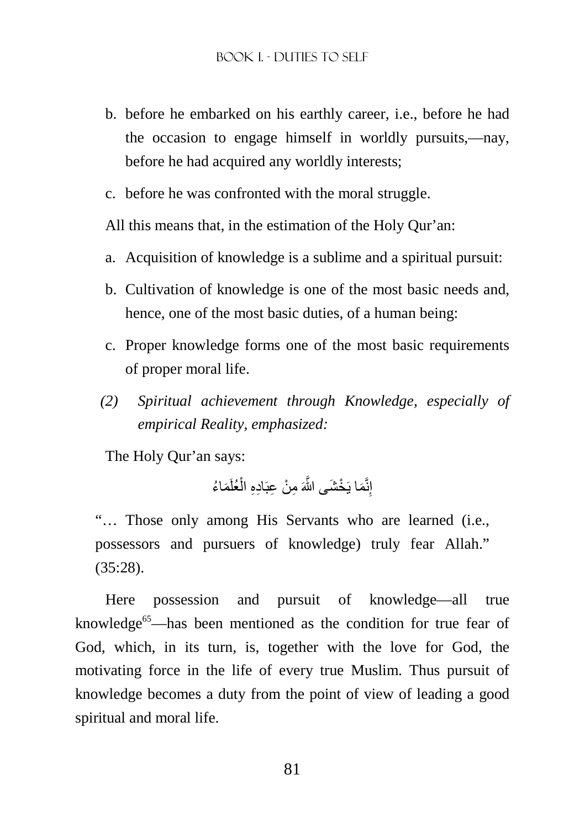- b. before he embarked on his earthly career, i.e., before he had the occasion to engage himself in worldly pursuits,—nay, before he had acquired any worldly interests;
- c. before he was confronted with the moral struggle.

All this means that, in the estimation of the Holy Qur'an:

- a. Acquisition of knowledge is a sublime and a spiritual pursuit:
- b. Cultivation of knowledge is one of the most basic needs and, hence, one of the most basic duties, of a human being:
- c. Proper knowledge forms one of the most basic requirements of proper moral life.
- *(2) Spiritual achievement through Knowledge, especially of empirical Reality, emphasized:*

The Holy Qur'an says:

إِنَّمَا يَخْشَى اللَّهَ مِنْ عِبَادِهِ الْعُلَمَاءُ

"… Those only among His Servants who are learned (i.e., possessors and pursuers of knowledge) truly fear Allah." (35:28).

Here possession and pursuit of knowledge—all true knowledge<sup>65</sup>—has been mentioned as the condition for true fear of God, which, in its turn, is, together with the love for God, the motivating force in the life of every true Muslim. Thus pursuit of knowledge becomes a duty from the point of view of leading a good spiritual and moral life.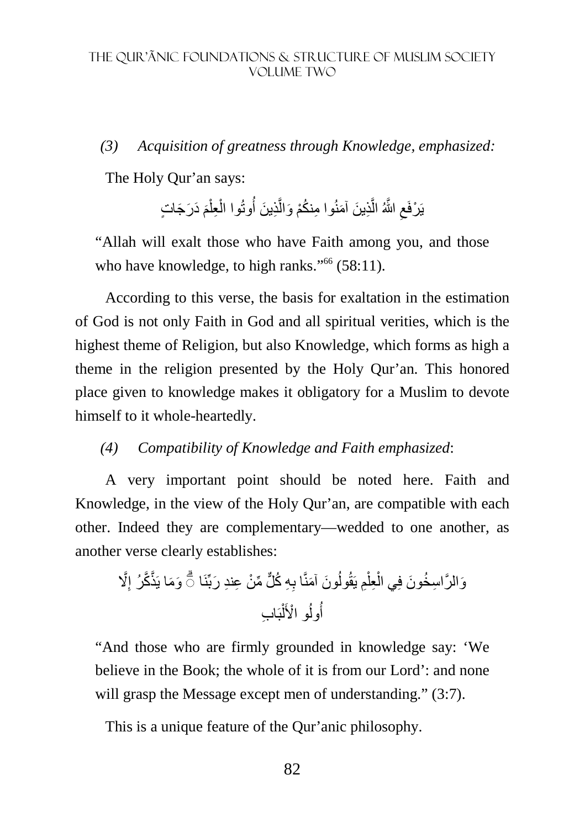### *(3) Acquisition of greatness through Knowledge, emphasized:*

The Holy Qur'an says:

يَرْفَعِ اللَّهُ الَّذِينَ آمَنُوا مِنكُمْ وَالَّذِينَ أُوتُوا الْعِلْمَ دَرَجَاتٍ َ ْ ْ َّ َّ ِ

"Allah will exalt those who have Faith among you, and those who have knowledge, to high ranks."<sup>66</sup> (58:11).

According to this verse, the basis for exaltation in the estimation of God is not only Faith in God and all spiritual verities, which is the highest theme of Religion, but also Knowledge, which forms as high a theme in the religion presented by the Holy Qur'an. This honored place given to knowledge makes it obligatory for a Muslim to devote himself to it whole-heartedly.

#### *(4) Compatibility of Knowledge and Faith emphasized*:

A very important point should be noted here. Faith and Knowledge, in the view of the Holy Qur'an, are compatible with each other. Indeed they are complementary—wedded to one another, as another verse clearly establishes:

َّ% ِ َو َما يَذَّ َّكرُ إ ِ ِه ُ ك ٌّل ِّ م ْن ِ ع ِند َ ربِّنَا َون َ آمنَّا ب ُ ِم يَقُول ْ ِعل ْ ۗ◌ َو َّ الر ِ اس ُخ َون فِي ال بَ ِ اب ْ ل ُ ْ و ا>َ ُول أ

"And those who are firmly grounded in knowledge say: 'We believe in the Book; the whole of it is from our Lord': and none will grasp the Message except men of understanding." (3:7).

This is a unique feature of the Qur'anic philosophy.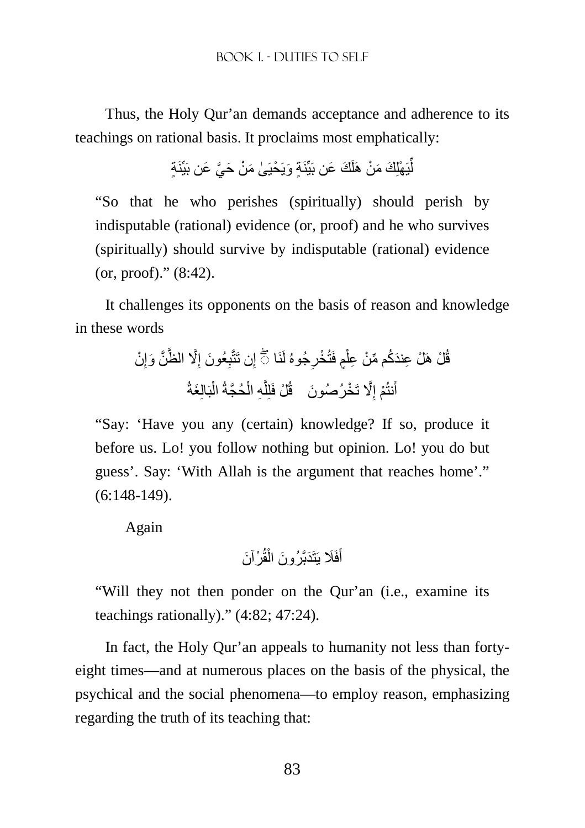Thus, the Holy Qur'an demands acceptance and adherence to its teachings on rational basis. It proclaims most emphatically:

ٍة ٍة َ ويَ ْحيَ ٰى َ م ْن َ ح َّي َ عن بَيِّنَ َك َ عن بَيِّنَ يَ ْھلِ َك َ م ْن ھَلَ ِّ ل

"So that he who perishes (spiritually) should perish by indisputable (rational) evidence (or, proof) and he who survives (spiritually) should survive by indisputable (rational) evidence (or, proof)." (8:42).

It challenges its opponents on the basis of reason and knowledge in these words

ْن ِ َّن َ وإ َّ% الظَّ ِ َ عُون إ ِ ِن تَتَّب ِجُوهُ لَنَا إ ٍم فَتُ ْخر ْ ْل ھَ ْل ِ ع َند ُك ِّ م م ْن ِ عل ق ۖ◌ ُ َغةُ بَالِ ْ َّحُجةُ ال ْ ِه ال َّ ْل فَلِل قُ َّ% َ ت ْخ أ َ رُصُون َ ِ ْم إ نتُ

"Say: 'Have you any (certain) knowledge? If so, produce it before us. Lo! you follow nothing but opinion. Lo! you do but guess'. Say: 'With Allah is the argument that reaches home'." (6:148-149).

Again

فَ َ يَتَ َدبَّ أ ْر َ آن َ قُ ْ َ رُون ال

"Will they not then ponder on the Qur'an (i.e., examine its teachings rationally)." (4:82; 47:24).

In fact, the Holy Qur'an appeals to humanity not less than fortyeight times—and at numerous places on the basis of the physical, the psychical and the social phenomena—to employ reason, emphasizing regarding the truth of its teaching that: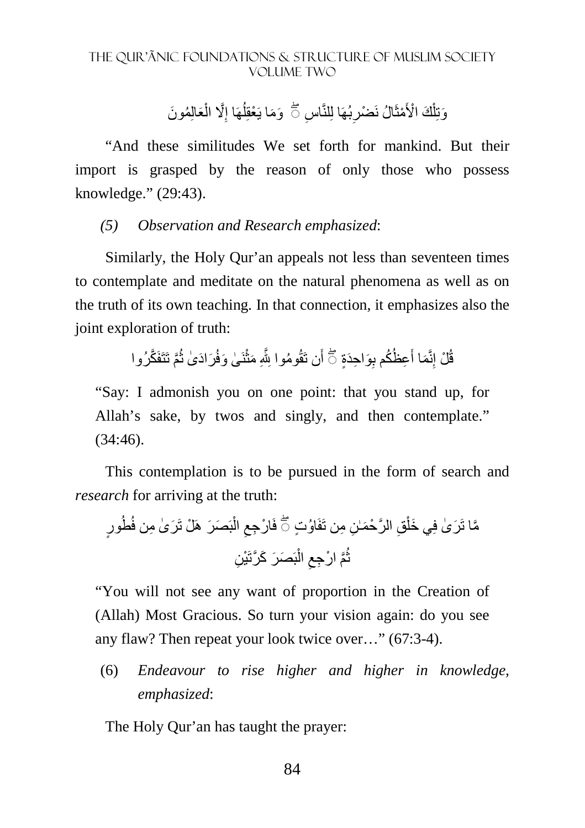وَتِلْكَ الْأَمْثَالُ نَضْرِبُهَا لِلنَّاسِ ٢َ ۖ وَمَا يَعْقِلُهَا إِلَّا الْعَالِمُونَ ْ ِ ِ ِ ْ

"And these similitudes We set forth for mankind. But their import is grasped by the reason of only those who possess knowledge." (29:43).

## *(5) Observation and Research emphasized*:

Similarly, the Holy Qur'an appeals not less than seventeen times to contemplate and meditate on the natural phenomena as well as on the truth of its own teaching. In that connection, it emphasizes also the joint exploration of truth:

> قُلْ إِنَّمَا أَعِظُكُم بِوَاحِدَةٍ ۞ أَن تَقُومُوا بِلَّهِ مَثْنَىٰ وَفُرَادَىٰ ثُمَّ تَتَفَكَّرُوا ُ ْ َ

"Say: I admonish you on one point: that you stand up, for Allah's sake, by twos and singly, and then contemplate."  $(34:46)$ .

This contemplation is to be pursued in the form of search and *research* for arriving at the truth:

ٍور َر ٰى ِ من فُطُ بَ َص َر ھَ ْل تَ ْ ال ِ ُاو ٍت فَ ْ ار ِجع ِن ِ من تَفَ ِق َّ الر ْح َمٰـ ْ َي خل ۖ◌ َّما تَ َر ٰى فِ ِن بَ َص َر َ ك َّرتَ ْي ْ ال ِ َّم ْ ار ِجع ُ ث

"You will not see any want of proportion in the Creation of (Allah) Most Gracious. So turn your vision again: do you see any flaw? Then repeat your look twice over…" (67:3-4).

(6) *Endeavour to rise higher and higher in knowledge, emphasized*:

The Holy Qur'an has taught the prayer: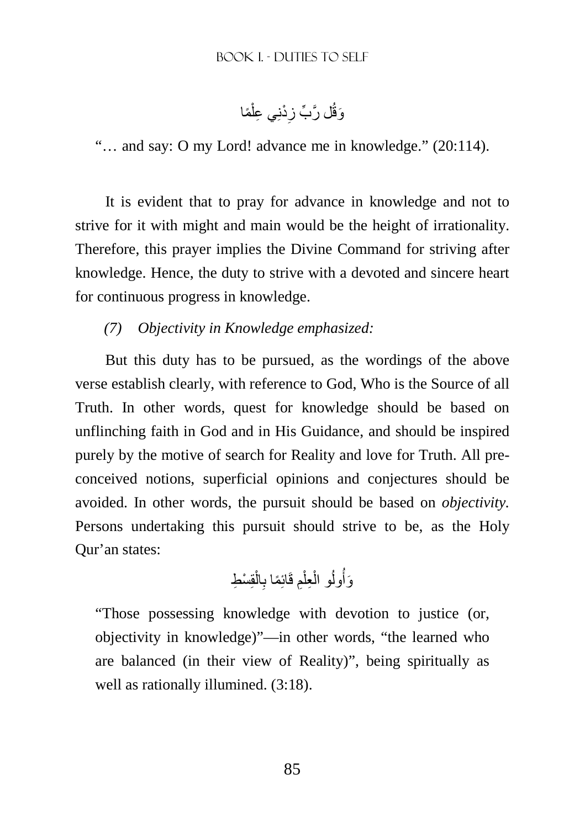وَقُل رَّبٍّ زِدْنِي عِلْمًا ْ ِ

"… and say: O my Lord! advance me in knowledge." (20:114).

It is evident that to pray for advance in knowledge and not to strive for it with might and main would be the height of irrationality. Therefore, this prayer implies the Divine Command for striving after knowledge. Hence, the duty to strive with a devoted and sincere heart for continuous progress in knowledge.

# *(7) Objectivity in Knowledge emphasized:*

But this duty has to be pursued, as the wordings of the above verse establish clearly, with reference to God, Who is the Source of all Truth. In other words, quest for knowledge should be based on unflinching faith in God and in His Guidance, and should be inspired purely by the motive of search for Reality and love for Truth. All preconceived notions, superficial opinions and conjectures should be avoided. In other words, the pursuit should be based on *objectivity.* Persons undertaking this pursuit should strive to be, as the Holy Qur'an states:

ُ ُول قِ ْس َو ِط أ ْ ال ِ ِم قَائِ ًما ب ْ ِعل ْ و ال

"Those possessing knowledge with devotion to justice (or, objectivity in knowledge)"—in other words, "the learned who are balanced (in their view of Reality)", being spiritually as well as rationally illumined. (3:18).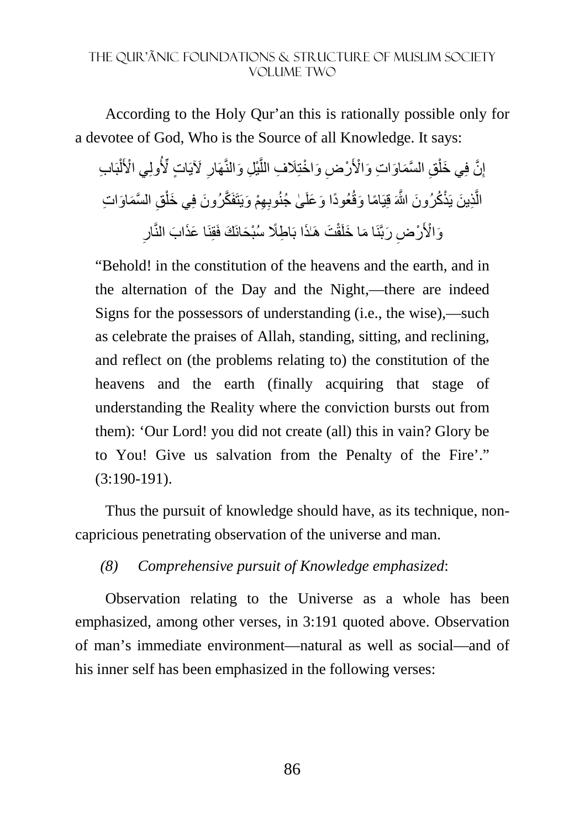According to the Holy Qur'an this is rationally possible only for a devotee of God, Who is the Source of all Knowledge. It says:

إِنَّ فِي خَلْقِ السَّمَاوَاتِ وَالْأَرْضِ وَاخْتِلَافِ اللَّيْلِ وَالنَّهَارِ ۖ لَآيَاتٍ لِّأُولِي الْأَلْبَابِ ْ **∶** َّ ْ ِ الَّذِينَ يَذْكُرُونَ اللَّهَ قِيَامًا وَقُعُودًا وَعَلَىٰ جُنُوبِهِمْ وَيَتَفَكَّرُونَ فِي خَلْقِ السَّمَاوَاتِ ْ َّ ِ وَالْأَرْضِ رَبَّنَا مَا خَلَقْتَ هَـٰذَا بَاطِلًا سُبْحَانَكَ فَقِنَا عَذَابَ النَّارِ ً<br>م

"Behold! in the constitution of the heavens and the earth, and in the alternation of the Day and the Night,—there are indeed Signs for the possessors of understanding (i.e., the wise),—such as celebrate the praises of Allah, standing, sitting, and reclining, and reflect on (the problems relating to) the constitution of the heavens and the earth (finally acquiring that stage of understanding the Reality where the conviction bursts out from them): 'Our Lord! you did not create (all) this in vain? Glory be to You! Give us salvation from the Penalty of the Fire'." (3:190-191).

Thus the pursuit of knowledge should have, as its technique, noncapricious penetrating observation of the universe and man.

*(8) Comprehensive pursuit of Knowledge emphasized*:

Observation relating to the Universe as a whole has been emphasized, among other verses, in 3:191 quoted above. Observation of man's immediate environment—natural as well as social—and of his inner self has been emphasized in the following verses: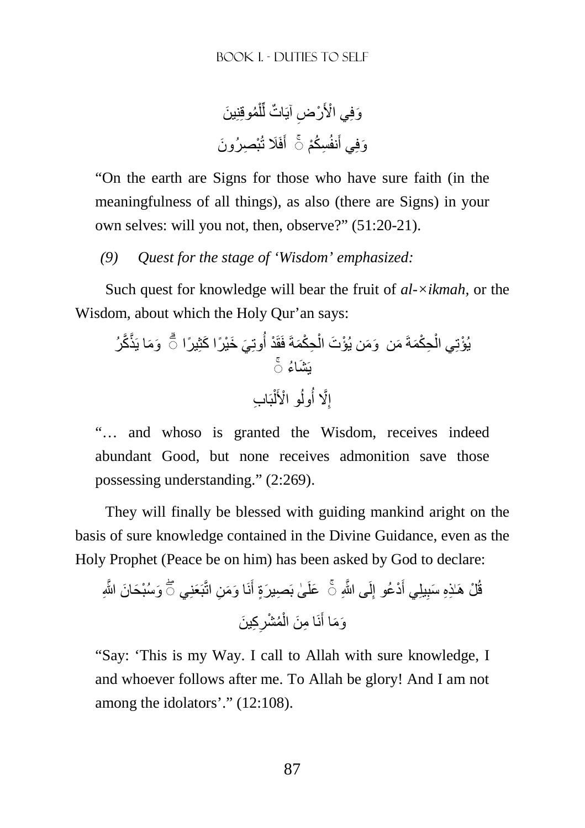ُموقِنِ َ ين ْ ل ِّ ات ل ٌ ِض آيَ ْر ْي ا>َ َوفِ ْب ِص َ رُون فَ َ تُ َ ِس ُكْم أ َنفُ َوفِي أ ◌ۚ

"On the earth are Signs for those who have sure faith (in the meaningfulness of all things), as also (there are Signs) in your own selves: will you not, then, observe?" (51:20-21).

*(9) Quest for the stage of 'Wisdom' emphasized:* 

Such quest for knowledge will bear the fruit of *al-×ikmah,* or the Wisdom, about which the Holy Qur'an says:

َو َما يَذَّ َّكرُ ُوتِ َي َ خْي ًر َ ا كِث ً يرا ِح ْكَمةَ فَقَ ْد أ ْ َ من ۗ◌ َو َم ْ ن يُؤ َت ال ِح ْكَمةَ ْ ْيُؤتِي ال ۚ◌ يَ َش ُاء بَ ِ اب ْ ل ُ ْ و ا>َ ُول َّ% أ ِ إ

"… and whoso is granted the Wisdom, receives indeed abundant Good, but none receives admonition save those possessing understanding." (2:269).

They will finally be blessed with guiding mankind aright on the basis of sure knowledge contained in the Divine Guidance, even as the Holy Prophet (Peace be on him) has been asked by God to declare:

ِن اتَّبَ َعنِي َو ْسُب َح َ ان َّ اللهِ َ ا و َم نَ َ ٰى بَ ِص َ يرٍة أ ْد ُعو َعل ۖ◌ َ َ يلِي أ ِ ْل ھَٰـ ِذِه َ سب ُ لَ َّ ى الله ق ِ ِ ۚ◌ إ ِك َ ين ِ ُم ْشر ْ ِ ا م َن ال نَ َ َو َما أ

"Say: 'This is my Way. I call to Allah with sure knowledge, I and whoever follows after me. To Allah be glory! And I am not among the idolators'." (12:108).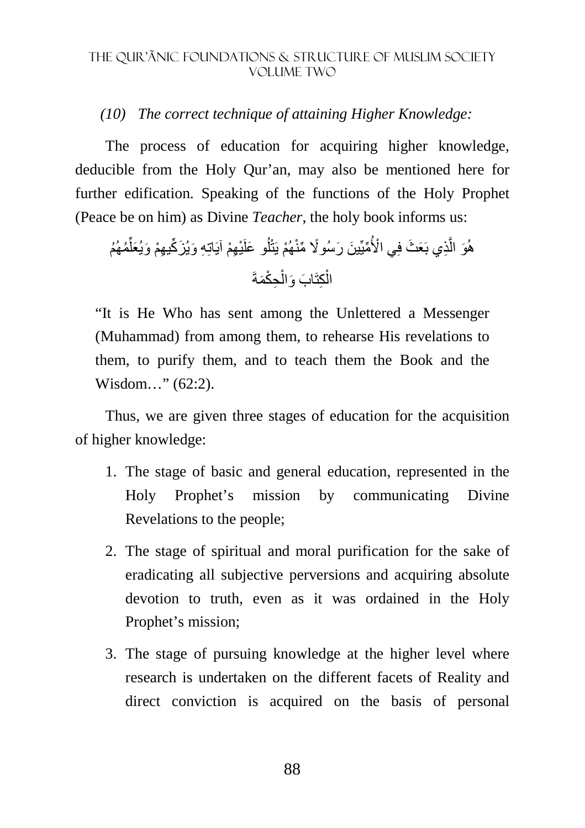## *(10) The correct technique of attaining Higher Knowledge:*

The process of education for acquiring higher knowledge, deducible from the Holy Qur'an, may also be mentioned here for further edification. Speaking of the functions of the Holy Prophet (Peace be on him) as Divine *Teacher*, the holy book informs us:

ُم ُھُم ِّ ِھْم آيَاتِ ِه َ و َ يُز ِّك ِ يھْم َ و َيُعل ْي َ و علَ ُ ل ْھُم َ يتْ ِّميِّ َ ين َ ر ًسُو% ِّ منْ ْي ا>ُ ِذي بَ َع َث فِ َّ َو ال ھُ ِح ْكَمةَ ْ َ اب َ وال ِكتَ ْ ال

"It is He Who has sent among the Unlettered a Messenger (Muhammad) from among them, to rehearse His revelations to them, to purify them, and to teach them the Book and the Wisdom..." (62:2).

Thus, we are given three stages of education for the acquisition of higher knowledge:

- 1. The stage of basic and general education, represented in the Holy Prophet's mission by communicating Divine Revelations to the people;
- 2. The stage of spiritual and moral purification for the sake of eradicating all subjective perversions and acquiring absolute devotion to truth, even as it was ordained in the Holy Prophet's mission;
- 3. The stage of pursuing knowledge at the higher level where research is undertaken on the different facets of Reality and direct conviction is acquired on the basis of personal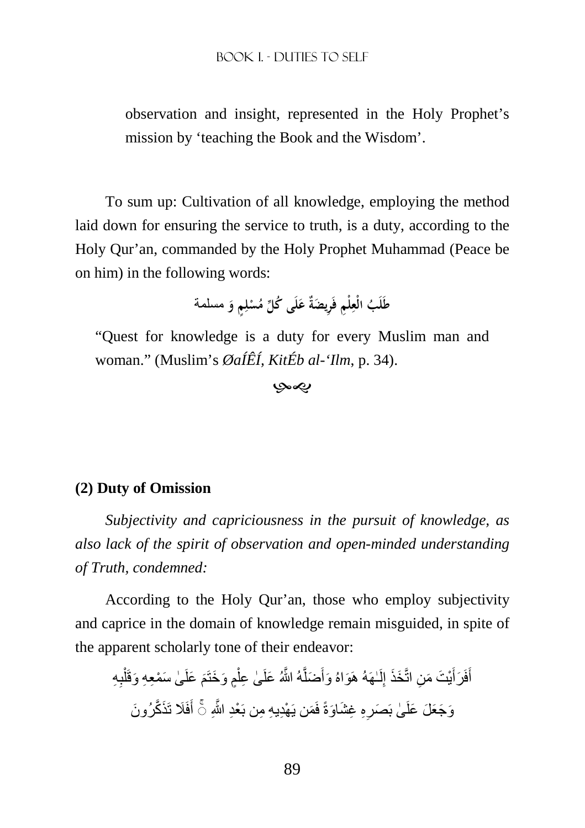observation and insight, represented in the Holy Prophet's mission by 'teaching the Book and the Wisdom'.

To sum up: Cultivation of all knowledge, employing the method laid down for ensuring the service to truth, is a duty, according to the Holy Qur'an, commanded by the Holy Prophet Muhammad (Peace be on him) in the following words:

> طَلَبُ الْعِلْمِ فَرِيضَةٌ عَلَى كُلِّ مُسْلِمٍ وَ مسلمة **ِ َ َ ِ ْ َ**

"Quest for knowledge is a duty for every Muslim man and woman." (Muslim's *ØaÍÊÍ, KitÉb al-'Ilm*, p. 34).

-

#### **(2) Duty of Omission**

*Subjectivity and capriciousness in the pursuit of knowledge, as also lack of the spirit of observation and open-minded understanding of Truth, condemned:* 

According to the Holy Qur'an, those who employ subjectivity and caprice in the domain of knowledge remain misguided, in spite of the apparent scholarly tone of their endeavor:

أَفَرَ أَيْتَ مَنِ اتَّخَذَ إِلَــهَهُ هَوَاهُ وَأَصْلَهُ اللَّهُ عَلَـىٰ عِلْمٍ وَخَتَمَ عَلَـىٰ سَمْعِهِ وَقَلْبِهِ ْ َ ْ َ لَ ِ َ َ وَجَعَلَ عَلَىٰ بَصَرِهِ غِشَاوَةً فَمَن يَهْدِيهِ مِن بَعْدِ اللَّهِ ۞ أَفَلَا تَذَكَّرُونَ َ ِ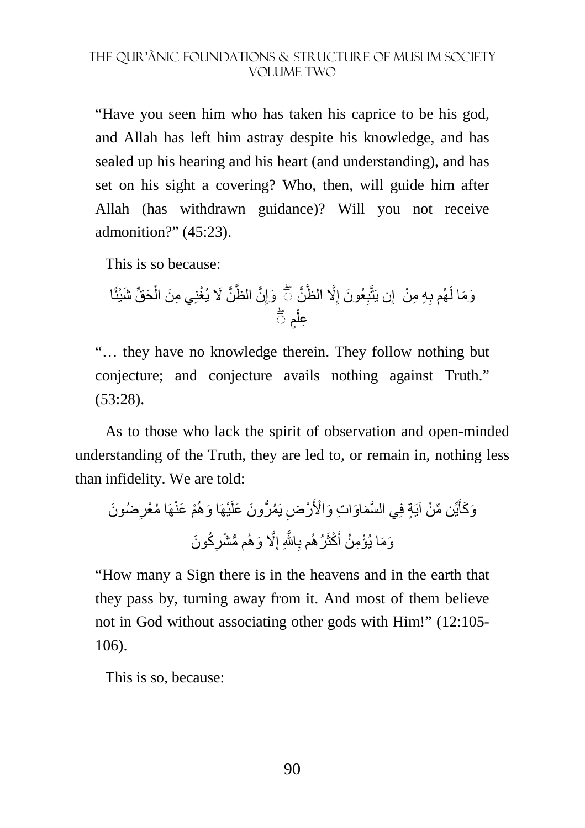"Have you seen him who has taken his caprice to be his god, and Allah has left him astray despite his knowledge, and has sealed up his hearing and his heart (and understanding), and has set on his sight a covering? Who, then, will guide him after Allah (has withdrawn guidance)? Will you not receive admonition?" (45:23).

This is so because:

َح ِّق َ شْيئًا ْ َّن َ % ْ يُغنِ ِي م َن ال َّن الظَّ ِ َوإ َّن َّ% الظَّ ِ َ عُون إ ِ ِ ِه ِ م ْن إ ۖ◌ ِن يَتَّب َو َما لَھُم ب ٍم ْ ۖ◌ ِعل

"… they have no knowledge therein. They follow nothing but conjecture; and conjecture avails nothing against Truth." (53:28).

As to those who lack the spirit of observation and open-minded understanding of the Truth, they are led to, or remain in, nothing less than infidelity. We are told:

ْم َ عنْھَ ُ ا م ْيھَ َ ا وھُ ِض يَ ُم ُّر َون َ علَ ْر ِّن م ْن آيَ ٍة فِ َّ ي الس َم َاو ِ ات َ و ْا>َ يِّ َ َضُون َو َكأ ِ ْعر ُك َون ِ ُّ م م ْشر َّ% َ وھُ ِ َّ اjِ إ ِ َ ْكثَرُھُم ب َو َم ْ ا يُؤ ِم ُن أ

"How many a Sign there is in the heavens and in the earth that they pass by, turning away from it. And most of them believe not in God without associating other gods with Him!" (12:105- 106).

This is so, because: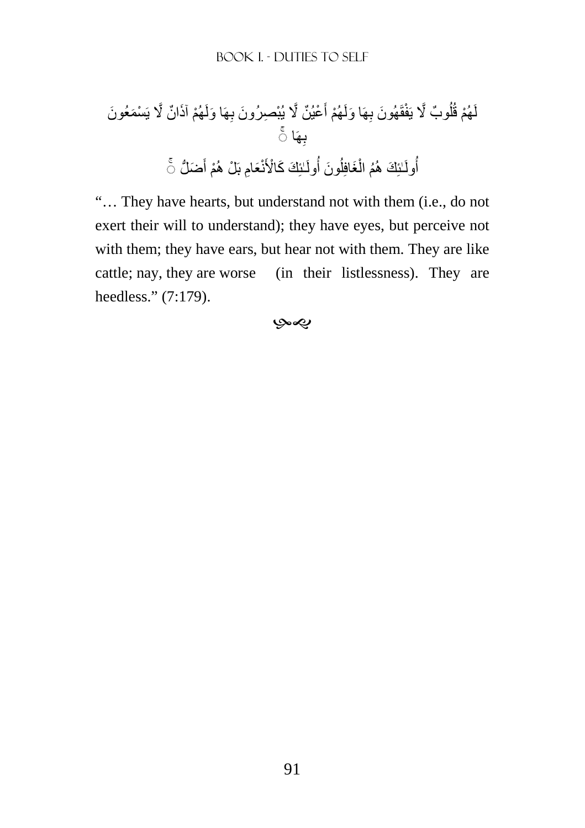ْھُم َ آذ ٌ ان َّ % يَ ْس َم َ عُون ِھَ َ ا ولَ ْع ٌ يُن َّ % ْ يُب ِص َ رُون ب َ ْھُم أ ِھَ َ ا ولَ َق َ ھُون ب ٌ وب َّ % يَفْ ُ ل ْھُم قُ لَ ِھَا ۚ◌ ب َض ُّل َ ْم أ َع ِام بَ ْل ھُ نْ ٰـئِ َك َ ك ْا>َ ُولَ َون ۚ◌ أ ُ َغافِل ْ ُم ال ٰـئِ َك ھُ ُولَ أ

"… They have hearts, but understand not with them (i.e., do not exert their will to understand); they have eyes, but perceive not with them; they have ears, but hear not with them. They are like cattle; nay, they are worse (in their listlessness). They are heedless." (7:179).

بهي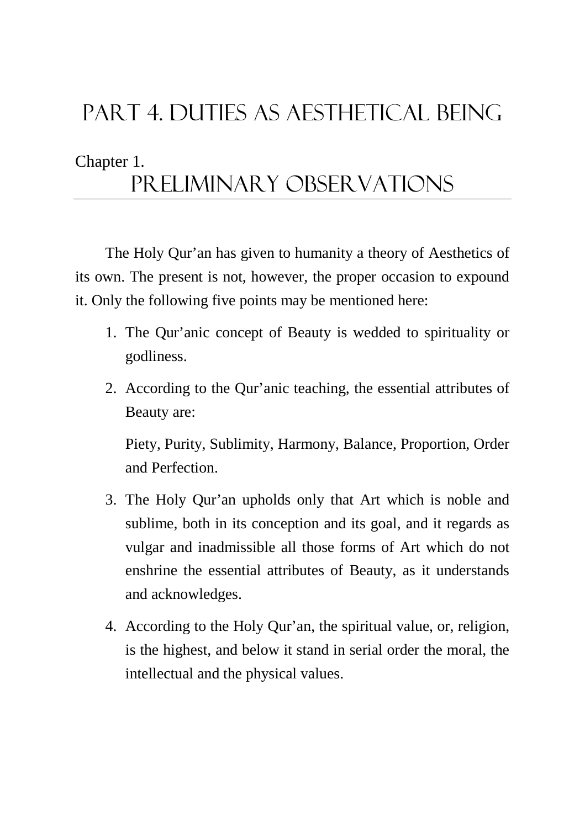# Part 4. DUTIES AS AESTHETICAL BEING

# Chapter 1.

# Preliminary observations

The Holy Qur'an has given to humanity a theory of Aesthetics of its own. The present is not, however, the proper occasion to expound it. Only the following five points may be mentioned here:

- 1. The Qur'anic concept of Beauty is wedded to spirituality or godliness.
- 2. According to the Qur'anic teaching, the essential attributes of Beauty are:

Piety, Purity, Sublimity, Harmony, Balance, Proportion, Order and Perfection.

- 3. The Holy Qur'an upholds only that Art which is noble and sublime, both in its conception and its goal, and it regards as vulgar and inadmissible all those forms of Art which do not enshrine the essential attributes of Beauty, as it understands and acknowledges.
- 4. According to the Holy Qur'an, the spiritual value, or, religion, is the highest, and below it stand in serial order the moral, the intellectual and the physical values.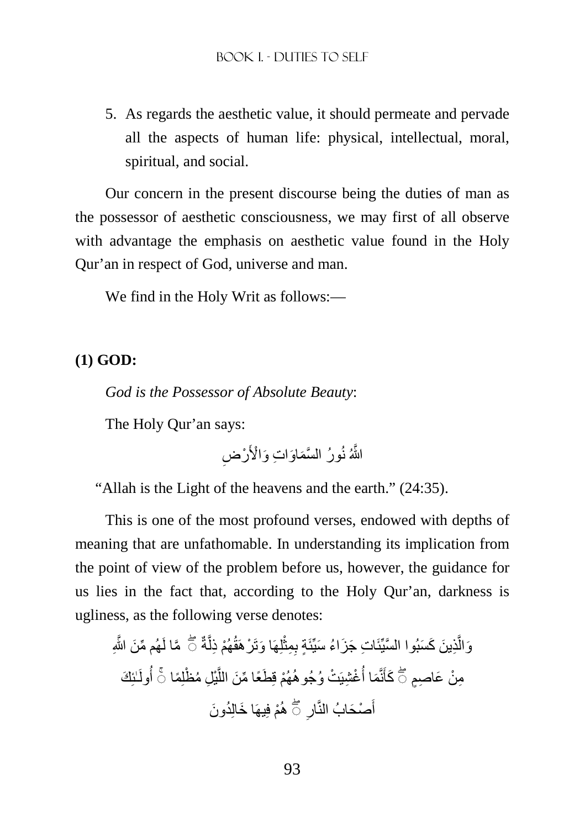5. As regards the aesthetic value, it should permeate and pervade all the aspects of human life: physical, intellectual, moral, spiritual, and social.

Our concern in the present discourse being the duties of man as the possessor of aesthetic consciousness, we may first of all observe with advantage the emphasis on aesthetic value found in the Holy Qur'an in respect of God, universe and man.

We find in the Holy Writ as follows:—

# **(1) GOD:**

*God is the Possessor of Absolute Beauty*:

The Holy Qur'an says:

اللَّهُ نُورُ السَّمَاوَاتِ وَالْأَرْضِ

"Allah is the Light of the heavens and the earth." (24:35).

This is one of the most profound verses, endowed with depths of meaning that are unfathomable. In understanding its implication from the point of view of the problem before us, however, the guidance for us lies in the fact that, according to the Holy Qur'an, darkness is ugliness, as the following verse denotes:

ِّ ھُم م َن َّ اللهِ َّما لَ ةٌ َّ ْھُم ِ ذل لِھَ َ ا وتَ ْر َھقُ ْ ِ ِمث ٍة ب ِذ َ ين َ ك َس َّ بُوا السيَِّئ ِ ات َ ج َز ُ اء َ سيِّئَ َّ ۖ◌ َوال ٰـئِ َك ُولَ ِل ُ م ْظلِ ًما أ ْي َّ َط ًع ِّ ا م َن الل ْھُم قِ ْت ُ وجُوھُ ْغ ِشيَ ُ َما أ نَّ ۖ◌ ِم ْن َع ِ اصٍم َكأ ۚ◌ َ ُد َون ْم فِيھَ َ ا خالِ ِ ھُ ْص َحابُ النَّار أ ۖ◌ َ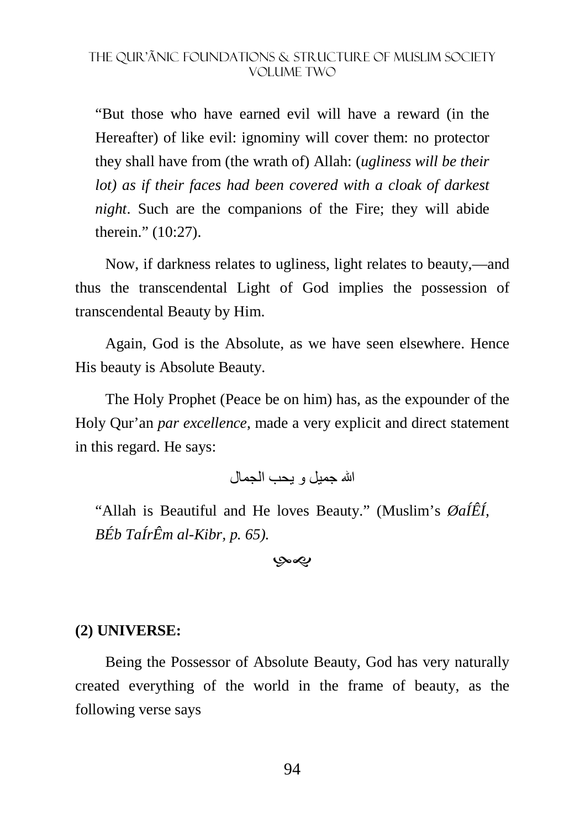"But those who have earned evil will have a reward (in the Hereafter) of like evil: ignominy will cover them: no protector they shall have from (the wrath of) Allah: (*ugliness will be their lot)* as if their faces had been covered with a cloak of darkest *night*. Such are the companions of the Fire; they will abide therein." (10:27).

Now, if darkness relates to ugliness, light relates to beauty,—and thus the transcendental Light of God implies the possession of transcendental Beauty by Him.

Again, God is the Absolute, as we have seen elsewhere. Hence His beauty is Absolute Beauty.

The Holy Prophet (Peace be on him) has, as the expounder of the Holy Qur'an *par excellence*, made a very explicit and direct statement in this regard. He says:

الله جميل و يحب الجمال

"Allah is Beautiful and He loves Beauty." (Muslim's *ØaÍÊÍ, BÉb TaÍrÊm al-Kibr, p. 65).* 

بهي

#### **(2) UNIVERSE:**

Being the Possessor of Absolute Beauty, God has very naturally created everything of the world in the frame of beauty, as the following verse says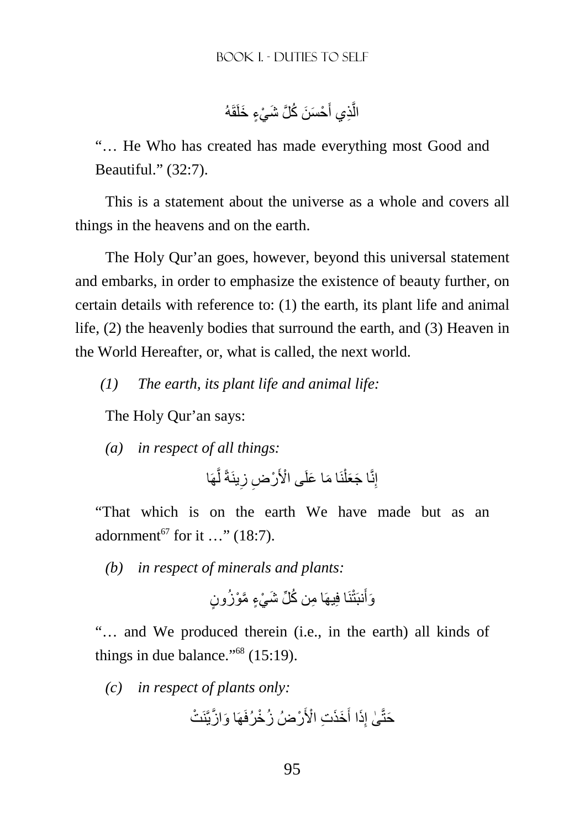الَّذِي أَحْسَنَ كُلَّ شَيْءٍ خَلَقَهُ َ َّ

"… He Who has created has made everything most Good and Beautiful." (32:7).

This is a statement about the universe as a whole and covers all things in the heavens and on the earth.

The Holy Qur'an goes, however, beyond this universal statement and embarks, in order to emphasize the existence of beauty further, on certain details with reference to: (1) the earth, its plant life and animal life, (2) the heavenly bodies that surround the earth, and (3) Heaven in the World Hereafter, or, what is called, the next world.

*(1) The earth, its plant life and animal life:* 

The Holy Qur'an says:

*(a) in respect of all things:* 

ھَا َّ ينَةً ل ِ ِض ز ْر ا م َ ا علَ ْى ا>َ َ نَ ْ َ ا ج َعل ِنَّ إ

"That which is on the earth We have made but as an adornment<sup>67</sup> for it ..." (18:7).

*(b) in respect of minerals and plants:* 

نَا فِيھَ ِ ا م ُن ك ِّل َ ش ْي ٍء َّ مْو ُز ٍون َنبَتْ َوأ

"… and We produced therein (i.e., in the earth) all kinds of things in due balance." $68$  (15:19).

*(c) in respect of plants only:* 

ْر ُضُ ز ْخرُفَھَ َ ا و َّ ازيَّنَ ْت َخَذ ِت ْ ا>َ َ َذا أ ِ ٰى إ َحتَّ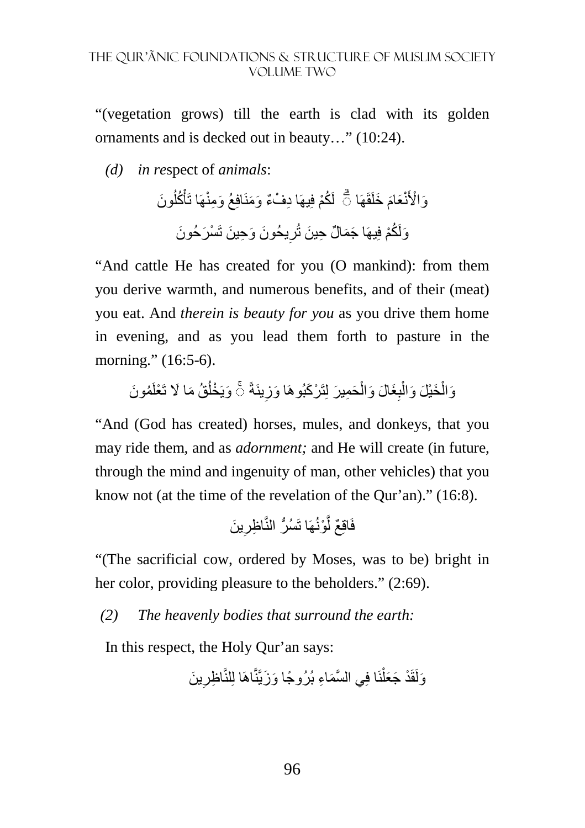"(vegetation grows) till the earth is clad with its golden ornaments and is decked out in beauty…" (10:24).

*(d) in re*spect of *animals*:

َون ُ ُكل ْ َ خلَقَھَالَ ُكْم فِيھَ ِ ا د ْفٌء َ و َمنَافِ َ عُ و ِمنْھَا تَأ َ َعام نْ ۗ◌ َو ْا>َ َ يحُون َ و ِح َ ين تَ ْس َر َ حُون ِ َولَ ُكْم فِيھَ َ ا ج َم ٌ ال ِ ح َ ين تُر

"And cattle He has created for you (O mankind): from them you derive warmth, and numerous benefits, and of their (meat) you eat. And *therein is beauty for you* as you drive them home in evening, and as you lead them forth to pasture in the morning." (16:5-6).

وَالْخَيْلَ وَالْبِغَالَ وَالْحَمِيرَ لِتَرْكَبُوهَا وَزِينَةً ۚ وَيَخْلُقُ مَا لَا تَعْلَمُونَ ا<br>ا **∶** ْ ِ ْ ْ

"And (God has created) horses, mules, and donkeys, that you may ride them, and as *adornment;* and He will create (in future, through the mind and ingenuity of man, other vehicles) that you know not (at the time of the revelation of the Qur'an)." (16:8).

َ ين ِ ِ اظر ْونُھَا تَ ُّسُر النَّ َّ فَاقِ ٌع ل

"(The sacrificial cow, ordered by Moses, was to be) bright in her color, providing pleasure to the beholders." (2:69).

*(2) The heavenly bodies that surround the earth:* 

In this respect, the Holy Qur'an says:

وَلَقَدْ جَعَلْنَا فِي السَّمَاءِ بُرُوجًا وَزَيَّنَّاهَا لِلنَّاظِرِينَ **∶** ْ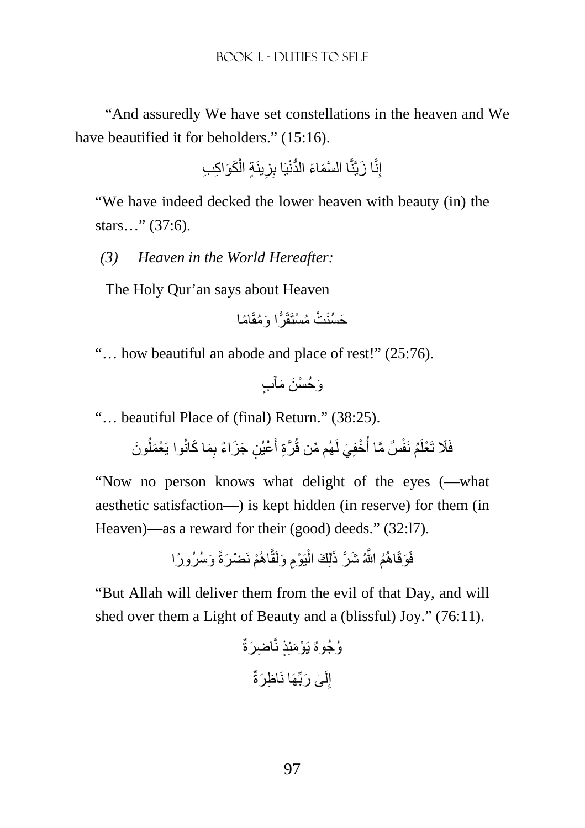"And assuredly We have set constellations in the heaven and We have beautified it for beholders." (15:16).

$$
\textcolor{red}{\check{\mathcal{L}}} \textcolor{red}{\check{\mathcal{L}}}\textcolor{red}{\check{\mathcal{L}}}\textcolor{red}{\check{\mathcal{L}}}\textcolor{red}{\check{\mathcal{L}}}\textcolor{red}{\check{\mathcal{L}}}\textcolor{red}{\check{\mathcal{L}}}\textcolor{red}{\check{\mathcal{L}}}\textcolor{red}{\check{\mathcal{L}}}\textcolor{red}{\check{\mathcal{L}}}\textcolor{red}{\check{\mathcal{L}}}\textcolor{red}{\check{\mathcal{L}}}\textcolor{red}{\check{\mathcal{L}}}\textcolor{red}{\check{\mathcal{L}}}\textcolor{red}{\check{\mathcal{L}}}\textcolor{red}{\check{\mathcal{L}}}\textcolor{red}{\check{\mathcal{L}}}\textcolor{red}{\check{\mathcal{L}}}\textcolor{red}{\check{\mathcal{L}}}\textcolor{red}{\check{\mathcal{L}}}\textcolor{red}{\check{\mathcal{L}}}\textcolor{red}{\check{\mathcal{L}}}\textcolor{red}{\check{\mathcal{L}}}\textcolor{red}{\check{\mathcal{L}}}\textcolor{red}{\check{\mathcal{L}}}\textcolor{red}{\check{\mathcal{L}}}\textcolor{red}{\check{\mathcal{L}}}\textcolor{red}{\check{\mathcal{L}}}\textcolor{red}{\check{\mathcal{L}}}\textcolor{red}{\check{\mathcal{L}}}\textcolor{red}{\check{\mathcal{L}}}\textcolor{red}{\check{\mathcal{L}}}\textcolor{red}{\check{\mathcal{L}}}\textcolor{red}{\check{\mathcal{L}}}\textcolor{red}{\check{\mathcal{L}}}\textcolor{red}{\check{\mathcal{L}}}\textcolor{red}{\check{\mathcal{L}}}\textcolor{red}{\check{\mathcal{L}}}\textcolor{red}{\check{\mathcal{L}}}\textcolor{red}{\check{\mathcal{L}}}\textcolor{red}{\check{\mathcal{L}}}\textcolor{red}{\check{\mathcal{L}}}\textcolor{red}{\check{\mathcal{L}}}\textcolor{red}{\check{\mathcal{L}}}\textcolor{red}{\check{\mathcal{L}}}\textcolor{red}{\check{\mathcal{L}}}\textcolor{red}{\check{\mathcal{L}}}\textcolor{red}{\check{\mathcal{L}}}\textcolor{red}{\check{\mathcal{L}}}\textcolor{red}{\check{\mathcal{L}}}\textcolor{red}{\check{\mathcal{L}}}\textcolor{red}{\check{\mathcal{L}}}\textcolor{red}{\check{\mathcal{L}}}\textcolor{red}{\check{\mathcal{L}}}\textcolor{
$$

"We have indeed decked the lower heaven with beauty (in) the stars…" (37:6).

*(3) Heaven in the World Hereafter:* 

The Holy Qur'an says about Heaven

َح ًاما َ ا و ُمقَ سُنَ ْت ُ م ْستَقَ ّرً

"… how beautiful an abode and place of rest!" (25:76).

وَكُسْنَ مَأَب

"… beautiful Place of (final) Return." (38:25).

فَلَا تَعْلَمُ نَفْسٌ مَّا أُخْفِيَ لَهُم مِّن قُرَّةِ أَعْيُنٍ جَزَاءً بِمَا كَانُوا يَعْمَلُونَ َ اُ اُ

"Now no person knows what delight of the eyes (—what aesthetic satisfaction—) is kept hidden (in reserve) for them (in Heaven)—as a reward for their (good) deeds." (32:17).

> فَوَقَاهُمُ اللَّهُ شَرَّ ذَٰلِكَ الْيَوْمِ وَلَقَّاهُمْ نَضْرَةً وَسُرُورًا ْ

"But Allah will deliver them from the evil of that Day, and will shed over them a Light of Beauty and a (blissful) Joy." (76:11).

ِ اض َرةٌ ُوجُوهٌ يَ ْو َمئِ ٍذ نَّ ِ اظ َرةٌ ٰى َ ربِّھَا نَ لَ ِ إ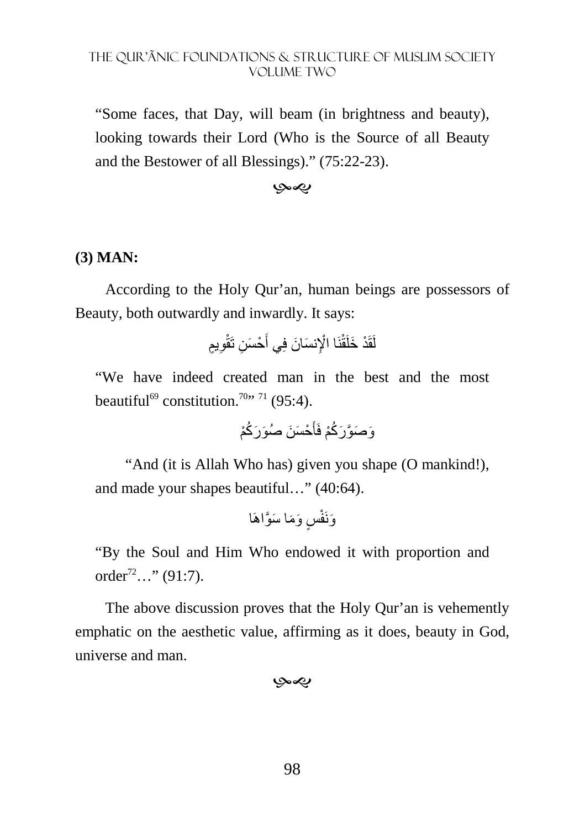"Some faces, that Day, will beam (in brightness and beauty), looking towards their Lord (Who is the Source of all Beauty and the Bestower of all Blessings)." (75:22-23).

#### -

## **(3) MAN:**

According to the Holy Qur'an, human beings are possessors of Beauty, both outwardly and inwardly. It says:

ِ ٍيم ْح َس ِن تَقْو َ ْ ا ا]ِ َ نس َ ان فِي أ نَ لَقَ ْد َ خلَقْ

"We have indeed created man in the best and the most beautiful<sup>69</sup> constitution.<sup>70</sup><sup>, 71</sup> (95:4).

ْح َس َن َ صُو َر ُكْم َ َو َص َّو َر ُكْم فَأ

"And (it is Allah Who has) given you shape (O mankind!), and made your shapes beautiful…" (40:64).

ٍس َ و َم َ ا س َّواھَا َونَفْ

"By the Soul and Him Who endowed it with proportion and order<sup>72</sup>…" (91:7).

The above discussion proves that the Holy Qur'an is vehemently emphatic on the aesthetic value, affirming as it does, beauty in God, universe and man.

بهيوبا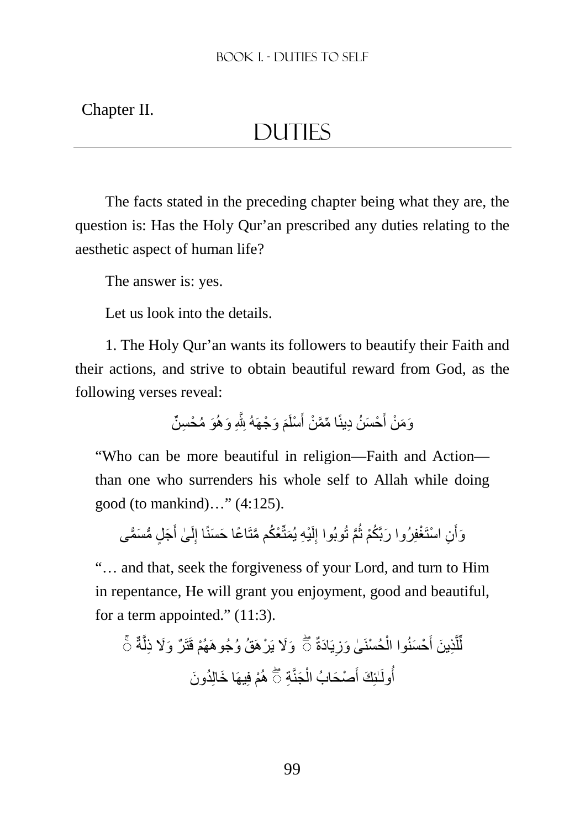Chapter II.

# **DUTIES**

The facts stated in the preceding chapter being what they are, the question is: Has the Holy Qur'an prescribed any duties relating to the aesthetic aspect of human life?

The answer is: yes.

Let us look into the details.

1. The Holy Qur'an wants its followers to beautify their Faith and their actions, and strive to obtain beautiful reward from God, as the following verses reveal:

> وَمَنْ أَحْسَنُ دِينًا مِّمَّنْ أَسْلَمَ وَجْهَهُ لِثَّهِ وَهُوَ مُحْسِنٌ َ َ

"Who can be more beautiful in religion—Faith and Action than one who surrenders his whole self to Allah while doing good (to mankind)…" (4:125).

وَأْنِ اسْتَغْفِرُوا رَبَّكُمْ ثُمَّ تُوبُوا إِلَيْهِ يُمَثِّعُكُم مَّتَاعًا حَسَنًا إِلَىٰ أَجَلٍ مُّسَمًّى ُ َ َ لَ ِ لَ ِ

"… and that, seek the forgiveness of your Lord, and turn to Him in repentance, He will grant you enjoyment, good and beautiful, for a term appointed." (11:3).

َو%َ يَ ْرھَ ُق ُ وجُو ةٌ َّ ھَ ْھُم قَتَ ٌر ۚ◌ َ و%َ ِ ذل يَ َادةٌ ِ ْحُسنَ ٰى َ وز ْ ْح َسنُوا ال َ ِذ َ ين أ َّ ل ل ۖ◌ ِّ ُد َون ْم فِيھَ َ ا خالِ ِة ھُ َجنَّ ْ ْص َحابُ ال َ ٰـئِ َك أ أ ۖ◌ ُولَ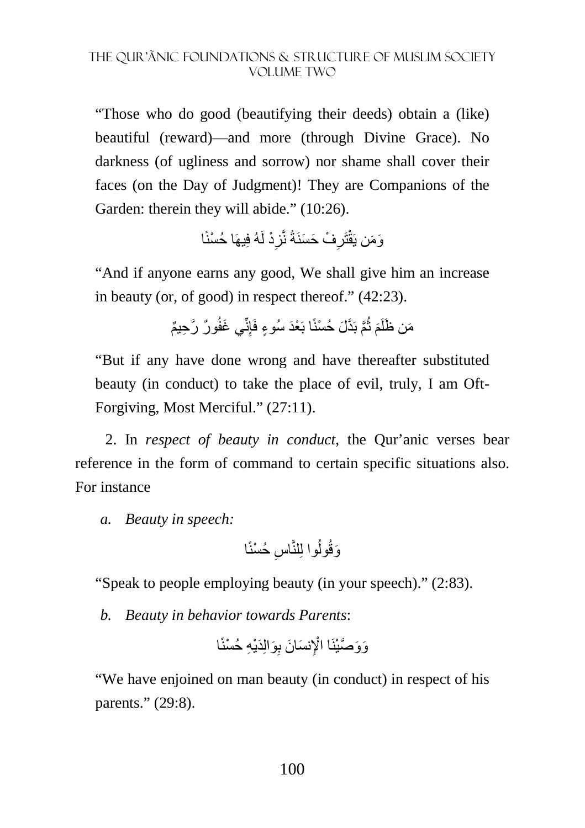"Those who do good (beautifying their deeds) obtain a (like) beautiful (reward)—and more (through Divine Grace). No darkness (of ugliness and sorrow) nor shame shall cover their faces (on the Day of Judgment)! They are Companions of the Garden: therein they will abide." (10:26).

ْد لَهُ فِيھَ ْ ا حُسنًا ِ ْف َ ح َسنَةً نَّز ِ تَر َو َمن يَقْ

"And if anyone earns any good, We shall give him an increase in beauty (or, of good) in respect thereof." (42:23).

> مَن ظَلَمَ ثُمَّ بَدَّلَ حُسْنًا بَعْدَ سُوءٍ فَإِنِّي غَفُورٌ رَّحِيمٌ ן<br>ְ≀ ُ

"But if any have done wrong and have thereafter substituted beauty (in conduct) to take the place of evil, truly, I am Oft-Forgiving, Most Merciful." (27:11).

2. In *respect of beauty in conduct*, the Qur'anic verses bear reference in the form of command to certain specific situations also. For instance

*a. Beauty in speech:* 

اس ْ حُسنًا ِ ُوا لِلنَّ َوقُول

"Speak to people employing beauty (in your speech)." (2:83).

*b. Beauty in behavior towards Parents*:

ِ َوالِ َدْي ِه ْ حُسنًا ْ ا ا]ِ َ نس َ ان ب َو َو َّصْينَ

"We have enjoined on man beauty (in conduct) in respect of his parents." (29:8).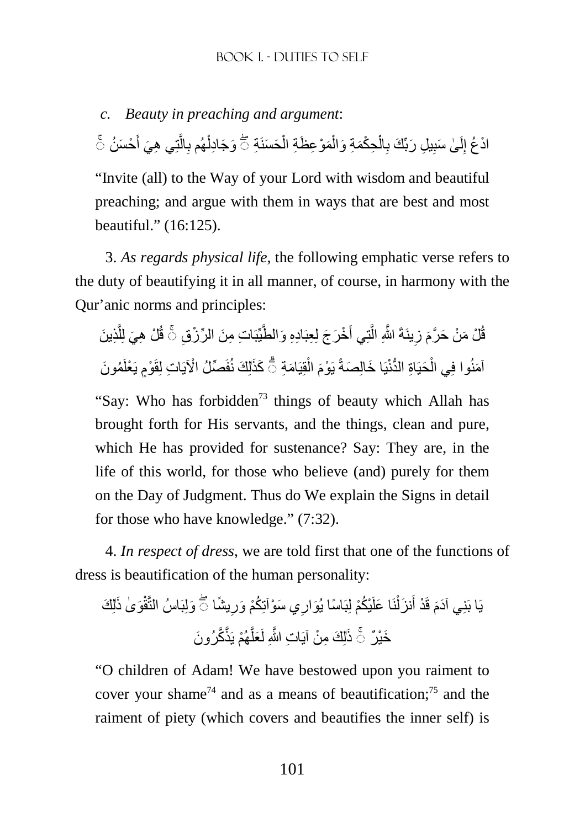*c. Beauty in preaching and argument*: ادْعُ إِلَىٰ سَبِيلِ رَبِّكَ بِالْحِكْمَةِ وَالْمَوْعِظَةِ الْحَسَنَةِ ۞ وَجَادِلْهُم بِالَّتِي هِيَ أَحْسَنُ ۚ َ َّ ِ ْ ْ ْ ِ لَ

"Invite (all) to the Way of your Lord with wisdom and beautiful preaching; and argue with them in ways that are best and most beautiful." (16:125).

3. *As regards physical life*, the following emphatic verse refers to the duty of beautifying it in all manner, of course, in harmony with the Qur'anic norms and principles:

قُلْ مَنْ حَرَّمَ زِينَةَ اللَّهِ الَّتِي أَخْرَجَ لِعِبَادِهِ وَالطَّيِّبَاتِ مِنَ الرِّرْزِقِ ۞ قُلْ هِيَ لِلَّذِينَ َّ َّ **∶** آمَنُوا فِي الْحَيَاةِ الدُّنْيَا خَالِصَةً يَوْمَ الْقِيَامَةِ ۖ كَذَلِكَ نُفَصِّلُ الْآيَاتِ لِقَوْمٍ يَعْلَمُونَ í ْ ْ

"Say: Who has forbidden<sup>73</sup> things of beauty which Allah has brought forth for His servants, and the things, clean and pure, which He has provided for sustenance? Say: They are, in the life of this world, for those who believe (and) purely for them on the Day of Judgment. Thus do We explain the Signs in detail for those who have knowledge." (7:32).

4. *In respect of dress*, we are told first that one of the functions of dress is beautification of the human personality:

يَا بَنِي اَدَمَ قَدْ أَنزَلْنَا عَلَيْكُمْ لِبَاسًا يُوَارِي سَوْاتِكُمْ وَرِيشًا ۞ وَلِبَاسُ النَّقْوَىٰ ذَلِكَ ِ ِ ْ َ خَيْرٌ ۚ ذَٰلِكَ مِنْ آيَاتِ اللَّهِ لَعَلَّهُمْ يَذَّكَّرُونَ َّ

"O children of Adam! We have bestowed upon you raiment to cover your shame<sup>74</sup> and as a means of beautification;<sup>75</sup> and the raiment of piety (which covers and beautifies the inner self) is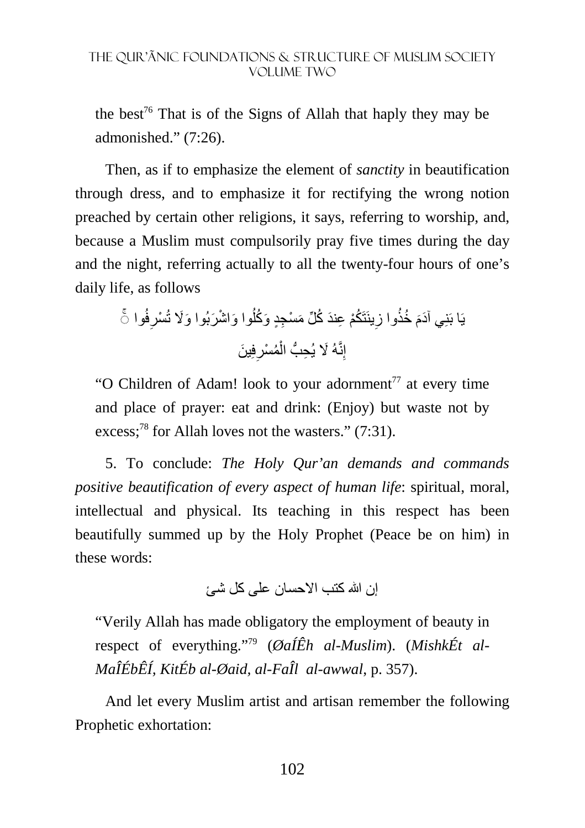the best<sup>76</sup> That is of the Signs of Allah that haply they may be admonished." (7:26).

Then, as if to emphasize the element of *sanctity* in beautification through dress, and to emphasize it for rectifying the wrong notion preached by certain other religions, it says, referring to worship, and, because a Muslim must compulsorily pray five times during the day and the night, referring actually to all the twenty-four hours of one's daily life, as follows

فُوا ِ ْسر َ وا و ْ اش َر َ بُوا و%َ تُ ُ ينَتَ ُكْم ِ ع َند ُ ك ِّل َ م ْس ِجٍد َ و ُكل ِ ُ خذُوا ز َ ۚ◌ يَا بَنِ َ ي آدم فِ َ ين ِ ُم ْسر ْ ِنَّ َهُ % ِ يُح ُّب ال إ

"O Children of Adam! look to your adornment<sup> $77$ </sup> at every time and place of prayer: eat and drink: (Enjoy) but waste not by excess;<sup>78</sup> for Allah loves not the wasters."  $(7:31)$ .

5. To conclude: *The Holy Qur'an demands and commands positive beautification of every aspect of human life*: spiritual, moral, intellectual and physical. Its teaching in this respect has been beautifully summed up by the Holy Prophet (Peace be on him) in these words:

إن الله كتب الإحسان على كل شئ

"Verily Allah has made obligatory the employment of beauty in respect of everything."79 (*ØaÍÊh al-Muslim*). (*MishkÉt al-MaÎÉbÊÍ, KitÉb al-Øaid, al-FaÎl al-awwal*, p. 357).

And let every Muslim artist and artisan remember the following Prophetic exhortation: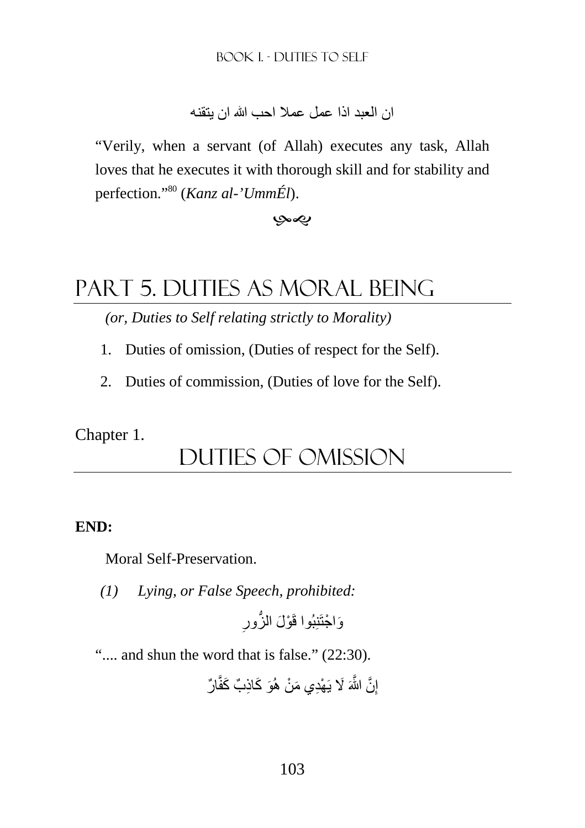ان العبد اذا عمل عملا احب الله ان يتقنه

"Verily, when a servant (of Allah) executes any task, Allah loves that he executes it with thorough skill and for stability and perfection."<sup>80</sup> (*Kanz al-'UmmÉl*).

بصب

# Part 5. DUTIES AS moral BEING

*(or, Duties to Self relating strictly to Morality)* 

- 1. Duties of omission, (Duties of respect for the Self).
- 2. Duties of commission, (Duties of love for the Self).

Chapter 1.

## DUTIES of omission

#### **END:**

Moral Self-Preservation.

*(1) Lying, or False Speech, prohibited:* 

ِ وَاجْتَنِبُوا قَوْلَ الزُّورِ

".... and shun the word that is false." (22:30).

إِنَّ اللَّهَ لَا يَهْدِي مَنْ هُوَ كَاذِبٌ كَفَّارٌ ِ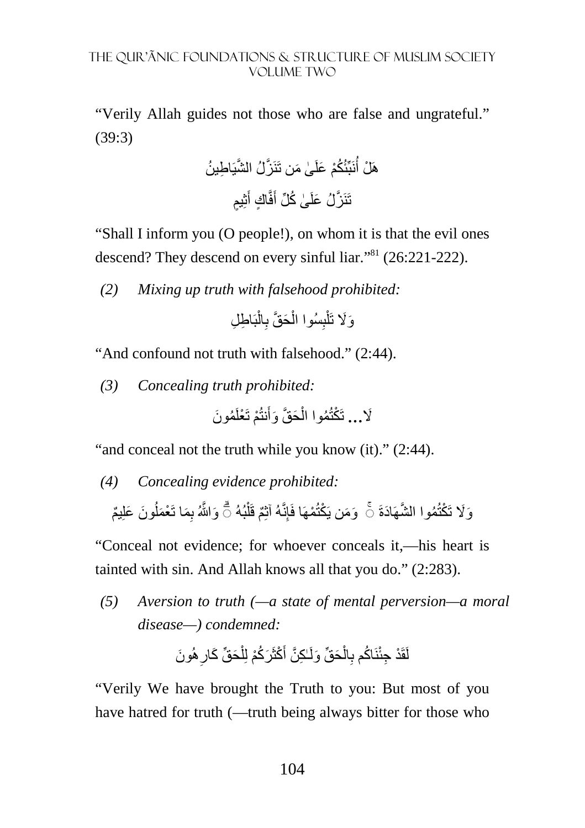"Verily Allah guides not those who are false and ungrateful." (39:3)

ٰى َ من تَ نَبِّئُ ُكْم َ علَ ھَ ْل أ نَ َّز َّ لُ الشيَ ِ اط ُ ين ُ ثِ ٍيم َ ٍ اك أ فَّ َ ٰى ُ ك ِّل أ تَنَ َّز َ لُ علَ

"Shall I inform you (O people!), on whom it is that the evil ones descend? They descend on every sinful liar."<sup>81</sup> (26:221-222).

*(2) Mixing up truth with falsehood prohibited:* 

َو َ ِ اط ِل %َ ب ْ ال ِ َح َّق ب ْ ِسُوا ال ب ْ تَل

"And confound not truth with falsehood." (2:44).

*(3) Concealing truth prohibited:* 

ُم َون ْم تَ ْعلَ َنتُ َح َّق َ وأ ْ ُموا ال %َ**...** تَ ْكتُ

"and conceal not the truth while you know (it)." (2:44).

*(4) Concealing evidence prohibited:* 

وَلَا تَكْتُمُوا الشَّهَادَةَ ۞ وَمَن يَكْتُمْهَا فَإِنَّهُ آثِمٌ قَلْبُهُ ۞ وَاللَّهُ بِمَا تَعْمَلُونَ عَلِيمٌ ُ

"Conceal not evidence; for whoever conceals it,—his heart is tainted with sin. And Allah knows all that you do." (2:283).

*(5) Aversion to truth (—a state of mental perversion—a moral disease—) condemned:* 

ِھُ َون َح ِّق َ كار ْ َر ُكْم لِل َ ْكثَ ٰـ ِك َّن أ َح ِّق َ ولَ ْ ال ِ اكم ب نَ ُ لَقَ ْد ِ جئْ

"Verily We have brought the Truth to you: But most of you have hatred for truth (—truth being always bitter for those who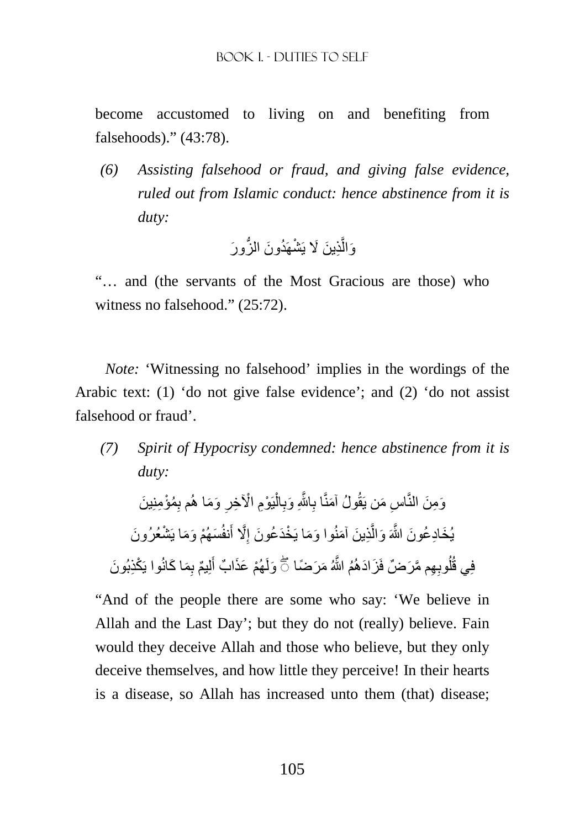become accustomed to living on and benefiting from falsehoods)." (43:78).

*(6) Assisting falsehood or fraud, and giving false evidence, ruled out from Islamic conduct: hence abstinence from it is duty:* 

ْشھَ ُد َون ُّ الز َور ِذ َ ين َ % يَ َّ َوال

"… and (the servants of the Most Gracious are those) who witness no falsehood." (25:72).

*Note:* 'Witnessing no falsehood' implies in the wordings of the Arabic text: (1) 'do not give false evidence'; and (2) 'do not assist falsehood or fraud'.

*(7) Spirit of Hypocrisy condemned: hence abstinence from it is duty:* 

وَمِنَ النَّاسِ مَن يَقُولُ آمَنًا بِاللَّهِ وَبِالْيَوْمِ الْأَخِرِ وَمَا هُم بِمُؤْمِنِينَ ْ ِ َِّ ِ يُخَادِعُونَ اللَّهَ وَالَّذِينَ آمَنُوا وَمَا يَخْدَعُونَ إِلَّا أَنفُسَهُمْ وَمَا يَشْعُرُونَ َّ ِ فِي قُلُوبِهِم مَّرَضٌ فَزَادَهُمُ اللَّهُ مَرَضَا ۞ وَلَهُمْ عَذَابٌ أَلِيمٌ بِمَا كَانُوا يَكْذِبُونَ َ

"And of the people there are some who say: 'We believe in Allah and the Last Day'; but they do not (really) believe. Fain would they deceive Allah and those who believe, but they only deceive themselves, and how little they perceive! In their hearts is a disease, so Allah has increased unto them (that) disease;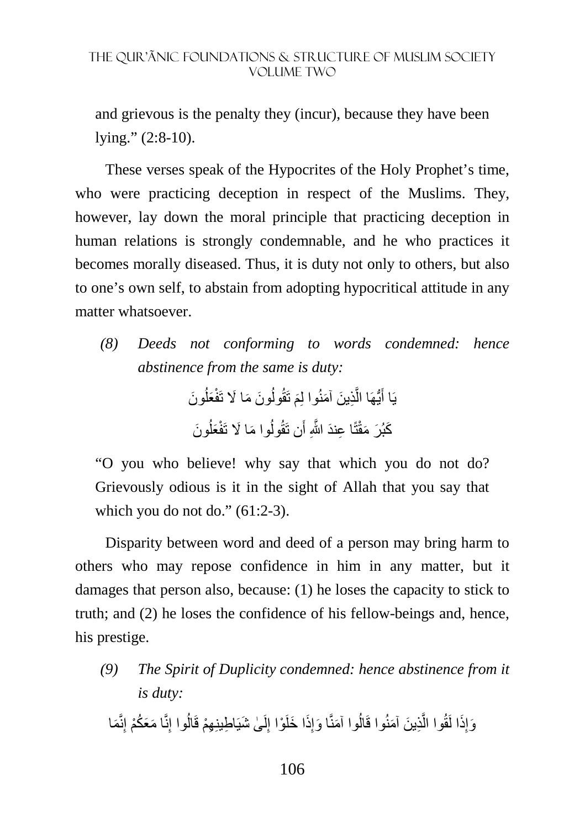and grievous is the penalty they (incur), because they have been lying." (2:8-10).

These verses speak of the Hypocrites of the Holy Prophet's time, who were practicing deception in respect of the Muslims. They, however, lay down the moral principle that practicing deception in human relations is strongly condemnable, and he who practices it becomes morally diseased. Thus, it is duty not only to others, but also to one's own self, to abstain from adopting hypocritical attitude in any matter whatsoever.

*(8) Deeds not conforming to words condemned: hence abstinence from the same is duty:* 

> يَا أَيُّهَا الَّذِينَ آمَنُوا لِمَ تَقُولُونَ مَا لَا تَفْعَلُونَ ُ ُ َّ َ كَبُرَ مَقْتًا عِندَ اللَّهِ أَن تَقُولُوا مَا لَا تَفْعَلُونَ ُ ا<br>ا

"O you who believe! why say that which you do not do? Grievously odious is it in the sight of Allah that you say that which you do not do."  $(61:2-3)$ .

Disparity between word and deed of a person may bring harm to others who may repose confidence in him in any matter, but it damages that person also, because: (1) he loses the capacity to stick to truth; and (2) he loses the confidence of his fellow-beings and, hence, his prestige.

*(9) The Spirit of Duplicity condemned: hence abstinence from it is duty:* 

وَإِذَا لَقُوا الَّذِينَ آمَنُوا قَالُوا آمَنَّا وَإِذَا خَلَوْا إِلَىٰ شَيَاطِينِهِمْ قَالُوا إِنَّا مَعَكُمْ إِنَّمَا َ لَ ِ ِ اُ َّ ِ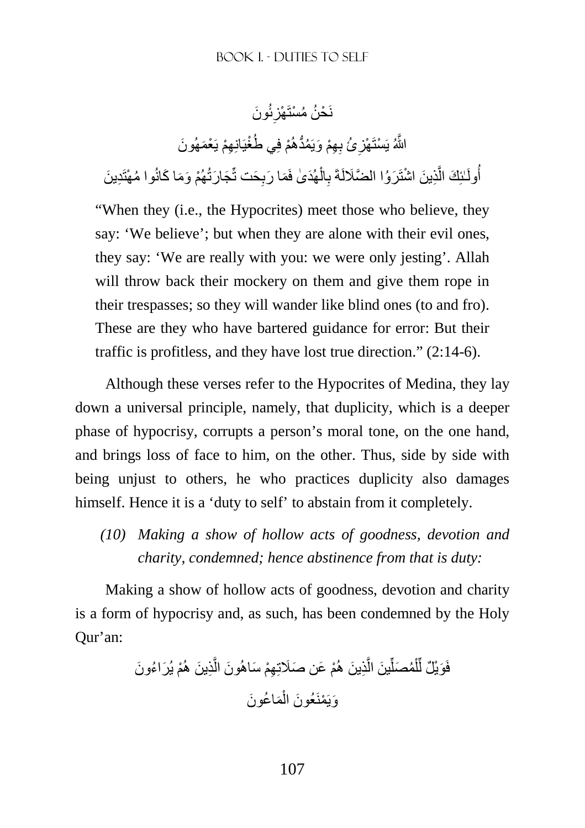#### نَضْ مُسْتَهْزِئُونَ ِ

اللَّهُ يَسْتَهْزِئُ بِهِمْ وَيَمُدُّهُمْ فِي طُغْيَانِهِمْ يَعْمَهُونَ

أُولَـٰئِكَ الَّذِينَ اشْتَرَوُا الضَّلَالَةَ بِالْهُدَىٰ فَمَا رَبِحَت تِّجَارَتُهُمْ وَمَا كَانُوا مُهْتَدِينَ َّ ْ ِ

"When they (i.e., the Hypocrites) meet those who believe, they say: 'We believe'; but when they are alone with their evil ones, they say: 'We are really with you: we were only jesting'. Allah will throw back their mockery on them and give them rope in their trespasses; so they will wander like blind ones (to and fro). These are they who have bartered guidance for error: But their traffic is profitless, and they have lost true direction." (2:14-6).

Although these verses refer to the Hypocrites of Medina, they lay down a universal principle, namely, that duplicity, which is a deeper phase of hypocrisy, corrupts a person's moral tone, on the one hand, and brings loss of face to him, on the other. Thus, side by side with being unjust to others, he who practices duplicity also damages himself. Hence it is a 'duty to self' to abstain from it completely.

*(10) Making a show of hollow acts of goodness, devotion and charity, condemned; hence abstinence from that is duty:* 

Making a show of hollow acts of goodness, devotion and charity is a form of hypocrisy and, as such, has been condemned by the Holy Qur'an:

ْم َ يُر ُ اء َون ِذ َ ين ھُ َّ ْم َ ع َ ن صَتِ ِھْم َ ساھُ َون ال ِذ َ ين ھُ َّ َ ين ال ِّ ُم َصل ْ ل ِّ َوْي ٌل ل فَ َم ُ اع َون ْ َويَ ْمَن َ عُون ال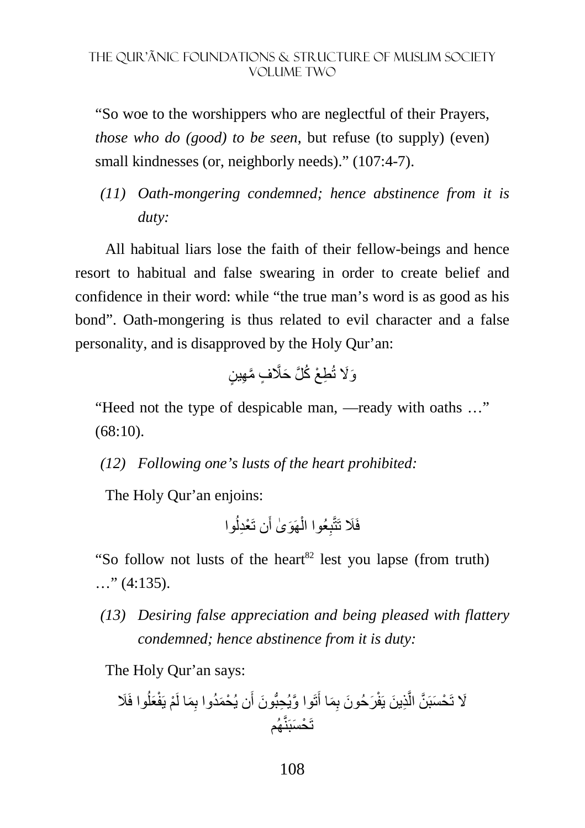"So woe to the worshippers who are neglectful of their Prayers, *those who do (good) to be seen*, but refuse (to supply) (even) small kindnesses (or, neighborly needs)." (107:4-7).

*(11) Oath-mongering condemned; hence abstinence from it is duty:* 

All habitual liars lose the faith of their fellow-beings and hence resort to habitual and false swearing in order to create belief and confidence in their word: while "the true man's word is as good as his bond". Oath-mongering is thus related to evil character and a false personality, and is disapproved by the Holy Qur'an:

ِط ْع ُ ك َّل َ حَّ ٍف َّ م ِھ ٍ ين َو%َ تُ

"Heed not the type of despicable man, —ready with oaths …"  $(68:10)$ .

*(12) Following one's lusts of the heart prohibited:* 

The Holy Qur'an enjoins:

ُوا َن تَ ْعِدل ھَ َو ٰى أ ْ ِعُوا ال فَ َ تَتَّب

"So follow not lusts of the heart<sup>82</sup> lest you lapse (from truth)  $\ldots$ " (4:135).

*(13) Desiring false appreciation and being pleased with flattery condemned; hence abstinence from it is duty:* 

The Holy Qur'an says:

ِ َم َر َ حُون ب ِذ َ ين يَفْ َّ %َ تَ ْح وا فَ َ َسبَ َّن ال ُ َعل ْم يَفْ ِ َما لَ ْ ن يُح َمُدوا ب َ تَ َّ وا و ِ يُحُّب َون أ َ ا أ تَ ْح َسبَنَّھُم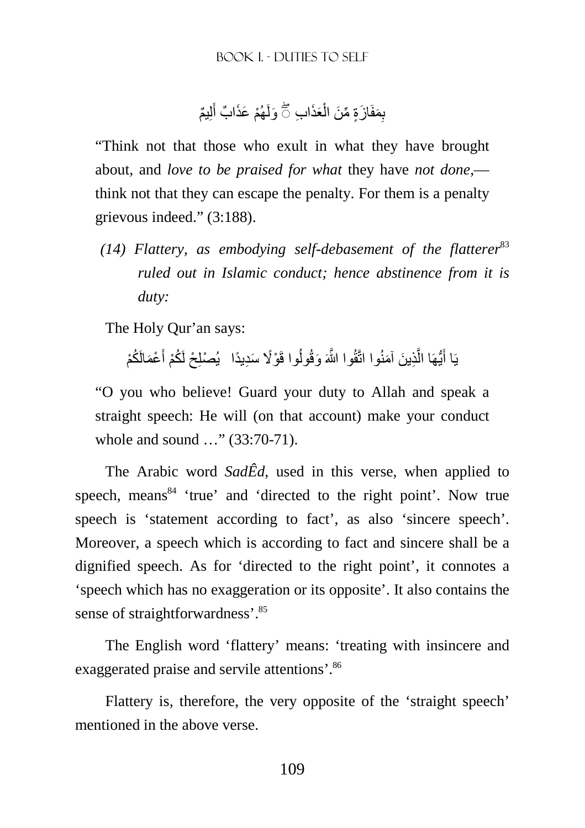بِمَفَازَةٍ مِّنَ الْعَذَابِ ۞ وَلَهُمْ عَذَابٌ أَلِيمٌ َ ْ

"Think not that those who exult in what they have brought about, and *love to be praised for what* they have *not done*, think not that they can escape the penalty. For them is a penalty grievous indeed." (3:188).

*(14) Flattery, as embodying self-debasement of the flatterer*<sup>83</sup> *ruled out in Islamic conduct; hence abstinence from it is duty:* 

The Holy Qur'an says:

يَا أَيُّهَا الَّذِينَ آمَنُوا اتَّقُوا اللَّهَ وَقُولُوا قَوْلًا سَدِيدًا ۖ يُصْلِحْ لَكُمْ أَعْمَالَكُمْ َ َّ اً

"O you who believe! Guard your duty to Allah and speak a straight speech: He will (on that account) make your conduct whole and sound ..." (33:70-71).

The Arabic word *SadÊd*, used in this verse, when applied to speech, means $84$  'true' and 'directed to the right point'. Now true speech is 'statement according to fact', as also 'sincere speech'. Moreover, a speech which is according to fact and sincere shall be a dignified speech. As for 'directed to the right point', it connotes a 'speech which has no exaggeration or its opposite'. It also contains the sense of straightforwardness'.<sup>85</sup>

The English word 'flattery' means: 'treating with insincere and exaggerated praise and servile attentions'.<sup>86</sup>

Flattery is, therefore, the very opposite of the 'straight speech' mentioned in the above verse.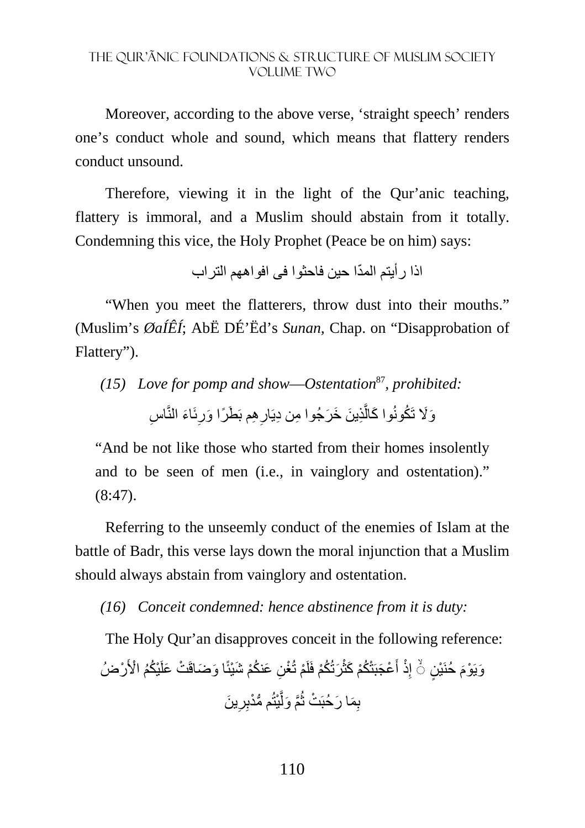Moreover, according to the above verse, 'straight speech' renders one's conduct whole and sound, which means that flattery renders conduct unsound.

Therefore, viewing it in the light of the Qur'anic teaching, flattery is immoral, and a Muslim should abstain from it totally. Condemning this vice, the Holy Prophet (Peace be on him) says:

ّ اذا رأيتم المدا حين فاحثوا فى افواھھم التراب

"When you meet the flatterers, throw dust into their mouths." (Muslim's *ØaÍÊÍ*; AbË DÉ'Ëd's *Sunan,* Chap. on "Disapprobation of Flattery").

*(15) Love for pomp and show*—*Ostentation*<sup>87</sup>*, prohibited:*  وَلَا تَكُونُوا كَالَّذِينَ خَرَجُوا مِن دِيَارِهِم بَطَرًا وَرِئَاءَ النَّاسِ ِ ِ **∶** َّ

"And be not like those who started from their homes insolently and to be seen of men (i.e., in vainglory and ostentation)."  $(8:47)$ .

Referring to the unseemly conduct of the enemies of Islam at the battle of Badr, this verse lays down the moral injunction that a Muslim should always abstain from vainglory and ostentation.

*(16) Conceit condemned: hence abstinence from it is duty:* 

The Holy Qur'an disapproves conceit in the following reference:

ْرضُ ْي ُكُم ْ ا>َ َ ا و َضاقَ ْت َ علَ نكْم َ شْيئً ِن َ ع ُ ْم تُ ْغ َرتُ ُكْم فَلَ ْ ْع َجبَتْ ُكْم َ كث َ ِذْ أ ٍن إ َ حُنَ ْي َويَ ْوم ◌ۙ َ ين ِ ِر ُّ م مْدب ْيتُ َّ َّم َ ول ُ ْت ث ِ َم َ ا رحُبَ ب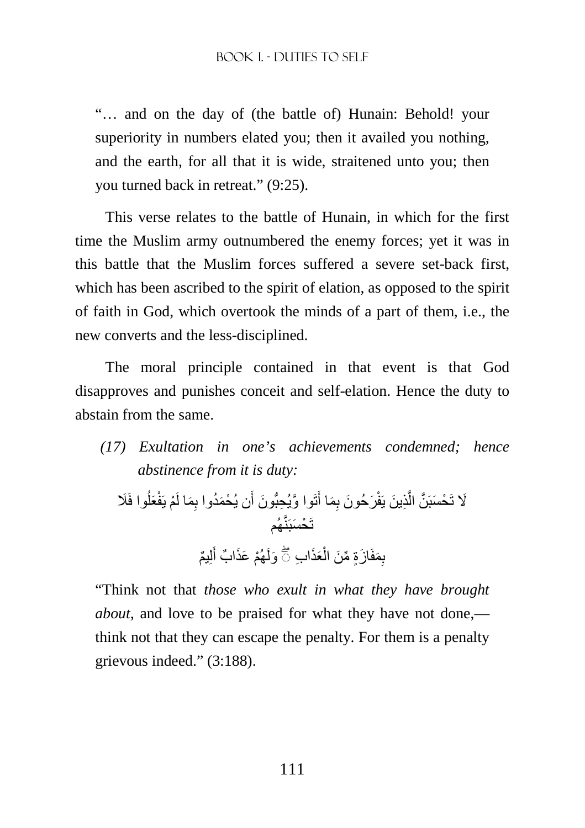"… and on the day of (the battle of) Hunain: Behold! your superiority in numbers elated you; then it availed you nothing, and the earth, for all that it is wide, straitened unto you; then you turned back in retreat." (9:25).

This verse relates to the battle of Hunain, in which for the first time the Muslim army outnumbered the enemy forces; yet it was in this battle that the Muslim forces suffered a severe set-back first, which has been ascribed to the spirit of elation, as opposed to the spirit of faith in God, which overtook the minds of a part of them, i.e., the new converts and the less-disciplined.

The moral principle contained in that event is that God disapproves and punishes conceit and self-elation. Hence the duty to abstain from the same.

*(17) Exultation in one's achievements condemned; hence abstinence from it is duty:* 

%َ تَ ْح وا فَ َ َسبَ ُ َعل ْم يَفْ ِ َما لَ ْ ن يُح َمُدوا ب َ تَ َّ وا و ِ يُحُّب َون أ َ ِ َما أ َر َ حُون ب ِذ َ ين يَفْ َّ َّن ال تَ ْح َسبَنَّھُم لِ ٌيم َ ْھُم َ عَذ ٌ اب أ َعَذ ِ اب َولَ ْ ب ۖ◌ ِ َمفَ َ ازٍة ِّ م َن ال

"Think not that *those who exult in what they have brought about*, and love to be praised for what they have not done, think not that they can escape the penalty. For them is a penalty grievous indeed." (3:188).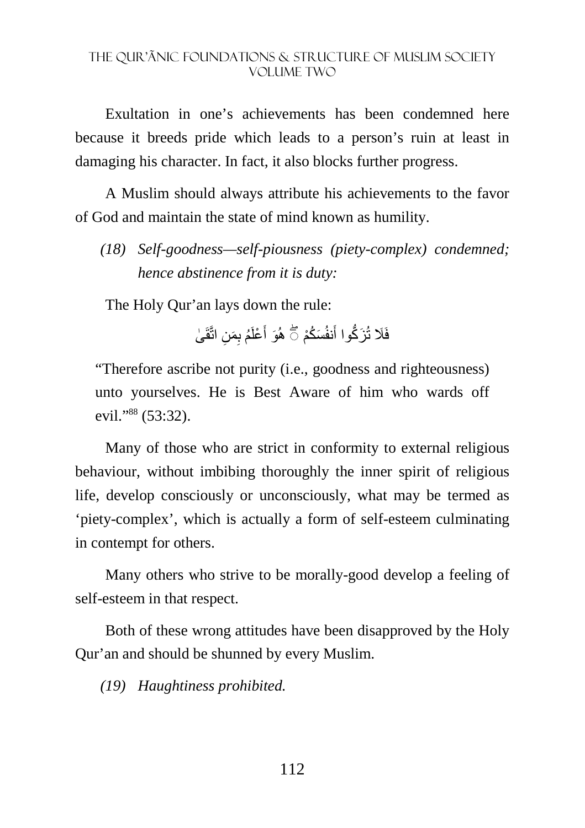Exultation in one's achievements has been condemned here because it breeds pride which leads to a person's ruin at least in damaging his character. In fact, it also blocks further progress.

A Muslim should always attribute his achievements to the favor of God and maintain the state of mind known as humility.

*(18) Self-goodness—self-piousness (piety-complex) condemned; hence abstinence from it is duty:* 

The Holy Qur'an lays down the rule:

فَلَا تُزَكُّوا أَنفُسَكُمْ ۞ هُوَ أَعْلَمُ بِمَنِ اتَّقَىٰ َ

"Therefore ascribe not purity (i.e., goodness and righteousness) unto yourselves. He is Best Aware of him who wards off evil."<sup>88</sup> (53:32).

Many of those who are strict in conformity to external religious behaviour, without imbibing thoroughly the inner spirit of religious life, develop consciously or unconsciously, what may be termed as 'piety-complex', which is actually a form of self-esteem culminating in contempt for others.

Many others who strive to be morally-good develop a feeling of self-esteem in that respect.

Both of these wrong attitudes have been disapproved by the Holy Qur'an and should be shunned by every Muslim.

*(19) Haughtiness prohibited.*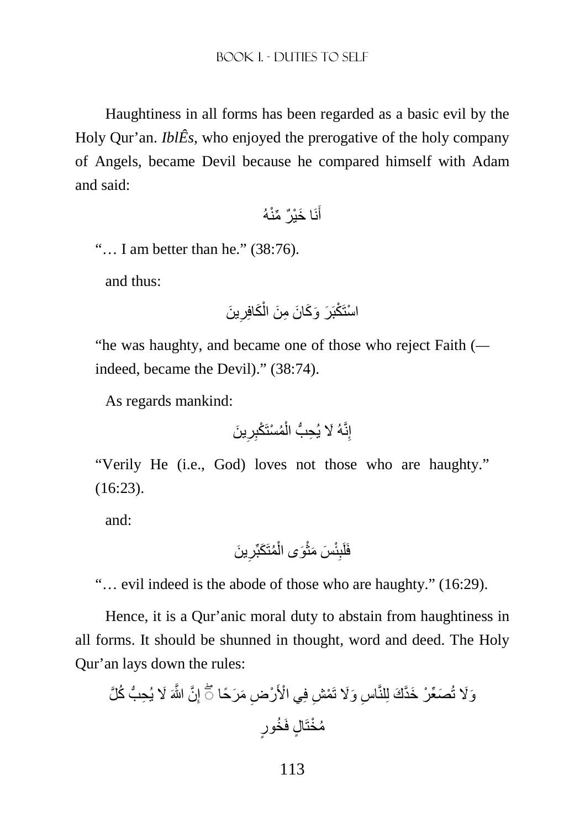Haughtiness in all forms has been regarded as a basic evil by the Holy Qur'an. *IblÊs*, who enjoyed the prerogative of the holy company of Angels, became Devil because he compared himself with Adam and said:

نَ َ ا خْي ٌر ِّ منْهُ َ أ

"… I am better than he." (38:76).

and thus:

َ ين ِ َكافِر ْ ْ استَ ْكبَ َر َ و َك َ ان ِ م َن ال

"he was haughty, and became one of those who reject Faith ( indeed, became the Devil)." (38:74).

As regards mankind:

إ َ ين ِنَّ َهُ % ِ ِر ُم ْستَ ْكب ْ ِ يُح ُّب ال

"Verily He (i.e., God) loves not those who are haughty." (16:23).

and:

َ ين ِ ُمَت َكبِّر ْ َوى ال ْ َس َ مث ئْ ِ فَلَب

"… evil indeed is the abode of those who are haughty." (16:29).

Hence, it is a Qur'anic moral duty to abstain from haughtiness in all forms. It should be shunned in thought, word and deed. The Holy Qur'an lays down the rules:

َ % ِ يُح ُّب ُ ك َّل َّن َّ اللهَ ِ ِض َ م َر ًحا إ ْر ْي ا>َ ِش فِ ْم اس َ و%َ تَ ِ َص ِّع ْر َ خَّد َك لِلنَّ ۖ◌ َو%َ تُ ٍل فَ ُخ ٍور ُم ْختَا

113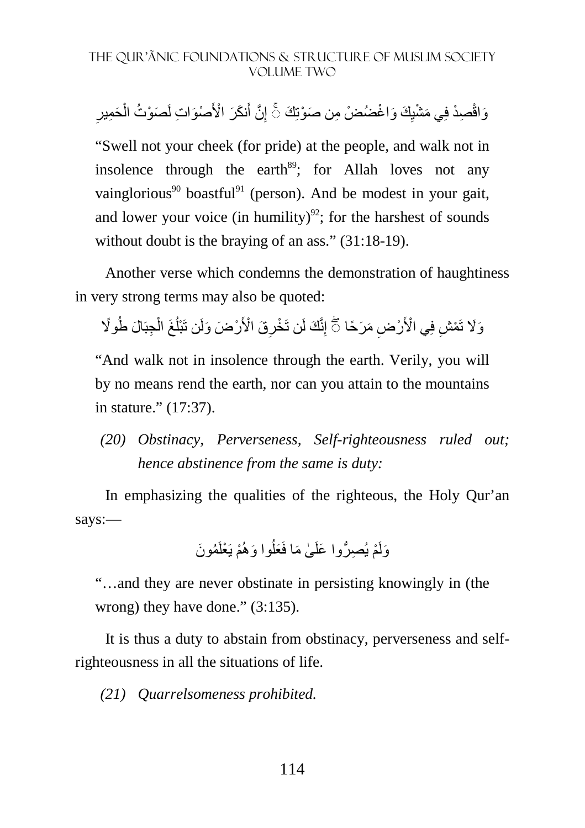ِ وَاقْصِدْ فِي مَشْيِكَ وَاغْضُضْ مِن صَوْتِكَ ۞ إِنَّ أَنكَرَ الْأَصْوَاتِ لَصَوْتُ الْحَمِيرِ ْ َ ِ ِ

"Swell not your cheek (for pride) at the people, and walk not in insolence through the earth $89$ ; for Allah loves not any vainglorious<sup>90</sup> boastful<sup>91</sup> (person). And be modest in your gait, and lower your voice (in humility)<sup>92</sup>; for the harshest of sounds without doubt is the braying of an ass." (31:18-19).

Another verse which condemns the demonstration of haughtiness in very strong terms may also be quoted:

وَلَا نَمْشِ فِي الْأَرْضِ مَرَحًا ۞ إِنَّكَ لَن تَخْرِقَ الْأَرْضَ وَلَن تَبْلُغَ الْجِبَالَ طُولًا ْ ُ **∶** 

"And walk not in insolence through the earth. Verily, you will by no means rend the earth, nor can you attain to the mountains in stature." (17:37).

*(20) Obstinacy, Perverseness, Self-righteousness ruled out; hence abstinence from the same is duty:* 

In emphasizing the qualities of the righteous, the Holy Qur'an says:—

ُم َون ْم يَ ْعلَ َ وا وھُ ُ َعل ٰى َ ما فَ ْم ِ يُص ُّر َ وا علَ َولَ

"…and they are never obstinate in persisting knowingly in (the wrong) they have done." (3:135).

It is thus a duty to abstain from obstinacy, perverseness and selfrighteousness in all the situations of life.

*(21) Quarrelsomeness prohibited.*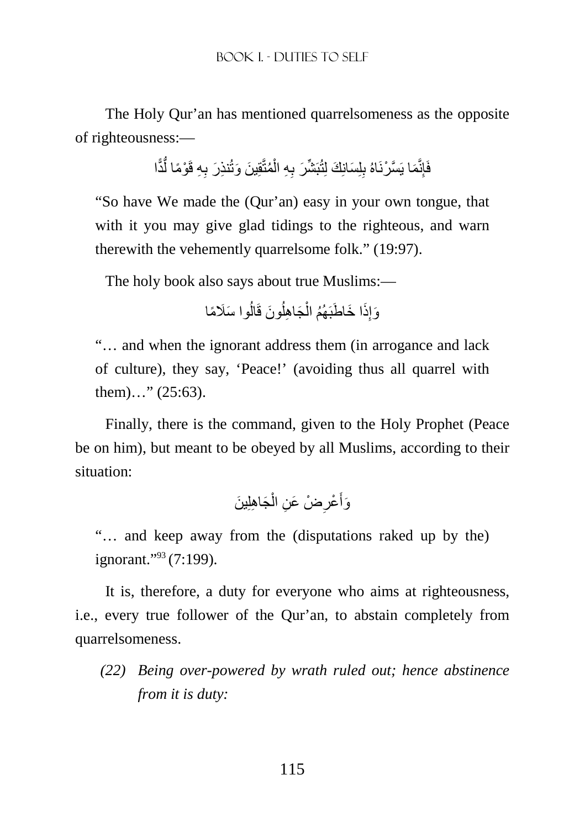The Holy Qur'an has mentioned quarrelsomeness as the opposite of righteousness:—

> فَإِنَّمَا يَسَّرْنَاهُ بِلِسَانِكَ لِتُبَشِّرَ بِهِ الْمُتَّقِينَ وَتُنذِرَ بِهِ قَوْمًا لَّذًّا ُّ ْ ِ

"So have We made the (Qur'an) easy in your own tongue, that with it you may give glad tidings to the righteous, and warn therewith the vehemently quarrelsome folk." (19:97).

The holy book also says about true Muslims:—

وَإِذَا خَاطَبَهُمُ الْجَاهِلُونَ قَالُوا سَلَامًا ا<br>ا ا<br>ا ْ ِ

"… and when the ignorant address them (in arrogance and lack of culture), they say, 'Peace!' (avoiding thus all quarrel with them)…" (25:63).

Finally, there is the command, given to the Holy Prophet (Peace be on him), but meant to be obeyed by all Muslims, according to their situation:

> وَأَعْرِضْ عَنِ الْجَاهِلِينَ ْ ِ َ

"… and keep away from the (disputations raked up by the) ignorant."<sup>93</sup> (7:199).

It is, therefore, a duty for everyone who aims at righteousness, i.e., every true follower of the Qur'an, to abstain completely from quarrelsomeness.

*(22) Being over-powered by wrath ruled out; hence abstinence from it is duty:*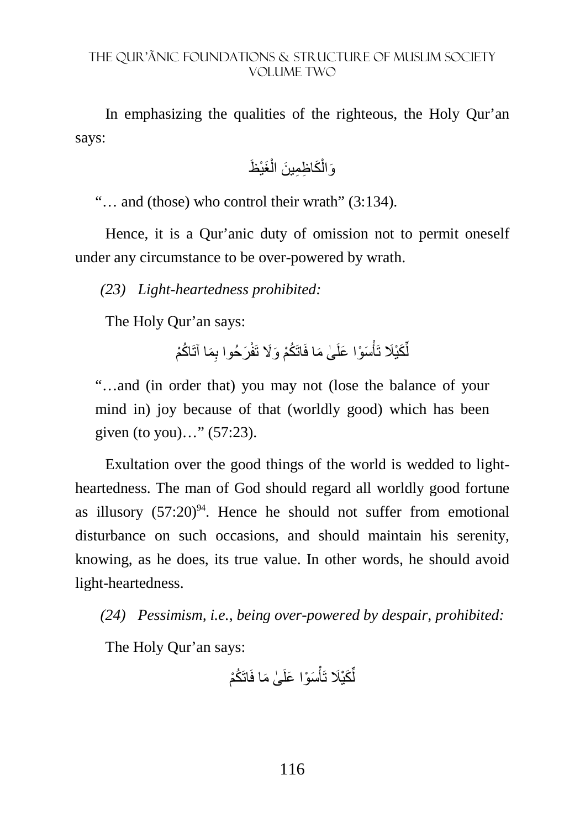In emphasizing the qualities of the righteous, the Holy Qur'an says:

َغْي َظ ْ َك ِ اظِم َ ين ال ْ َوال

"… and (those) who control their wrath" (3:134).

Hence, it is a Qur'anic duty of omission not to permit oneself under any circumstance to be over-powered by wrath.

*(23) Light-heartedness prohibited:* 

The Holy Qur'an says:

لِّكَيْلَا تَأْسَوْا عَلَىٰ مَا فَاتَكُمْ وَلَا تَفْرَحُوا بِمَا آتَاكُمْ ْ ِّ

"…and (in order that) you may not (lose the balance of your mind in) joy because of that (worldly good) which has been given (to you)…" (57:23).

Exultation over the good things of the world is wedded to lightheartedness. The man of God should regard all worldly good fortune as illusory  $(57:20)^{94}$ . Hence he should not suffer from emotional disturbance on such occasions, and should maintain his serenity, knowing, as he does, its true value. In other words, he should avoid light-heartedness.

*(24) Pessimism, i.e., being over-powered by despair, prohibited:* 

The Holy Qur'an says:

ٰى َ ما فَاتَ ُكْم َس ْو َ ا علَ ْ َكْي َ تَأ ِّ ل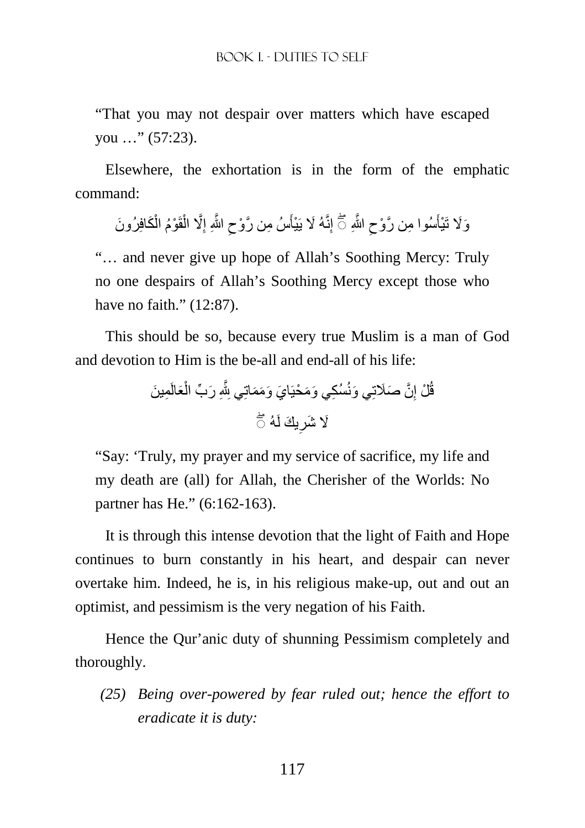"That you may not despair over matters which have escaped you …" (57:23).

Elsewhere, the exhortation is in the form of the emphatic command:

ْ وَلَا تَذِأَسُوا مِن رَّوْحِ اللَّهِ ۞ إِنَّهُ لَا يَذِأَسُ مِن رَّوْحِ اللَّهِ إِلَّا الْقَوْمُ الْكَافِرُونَ ْ ِ ِ َ  $\zeta$ َ

"… and never give up hope of Allah's Soothing Mercy: Truly no one despairs of Allah's Soothing Mercy except those who have no faith." (12:87).

This should be so, because every true Muslim is a man of God and devotion to Him is the be-all and end-all of his life:

> قُلْ إِنَّ صَلَاتِي وَنُسُكِي وَمَحْيَايَ وَمَمَاتِي بِلَّهِ رَبِّ الْعَالَمِينَ ْ ِ لَا شَرِيكَ لَهُ ۖ **∶**

"Say: 'Truly, my prayer and my service of sacrifice, my life and my death are (all) for Allah, the Cherisher of the Worlds: No partner has He." (6:162-163).

It is through this intense devotion that the light of Faith and Hope continues to burn constantly in his heart, and despair can never overtake him. Indeed, he is, in his religious make-up, out and out an optimist, and pessimism is the very negation of his Faith.

Hence the Qur'anic duty of shunning Pessimism completely and thoroughly.

*(25) Being over-powered by fear ruled out; hence the effort to eradicate it is duty:*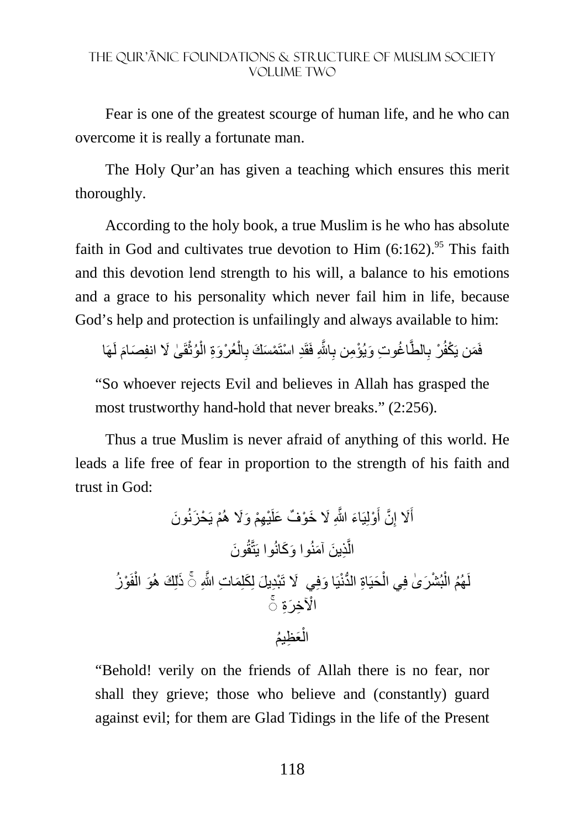Fear is one of the greatest scourge of human life, and he who can overcome it is really a fortunate man.

The Holy Qur'an has given a teaching which ensures this merit thoroughly.

According to the holy book, a true Muslim is he who has absolute faith in God and cultivates true devotion to Him  $(6:162)$ .<sup>95</sup> This faith and this devotion lend strength to his will, a balance to his emotions and a grace to his personality which never fail him in life, because God's help and protection is unfailingly and always available to him:

فَمَن يَكْفُرْ بِالطَّاغُوتِ وَيُؤْمِن بِاللَّهِ فَقَدِ اسْتَمْسَكَ بِالْعُرْوَةِ الْوُثْقَىٰ لَا انفِصَامَ لَهَا ْ ْ ْ ِ َِّ ِ

"So whoever rejects Evil and believes in Allah has grasped the most trustworthy hand-hold that never breaks." (2:256).

Thus a true Muslim is never afraid of anything of this world. He leads a life free of fear in proportion to the strength of his faith and trust in God:

َون ْم يَ ْح َزنُ ِھْم َ و%َ ھُ ْي َ % َ خ ْو ٌف َ علَ ْولِيَ َاء َّ اللهِ َ َّن أ ِ %َ إ َ أ ِذ َ ين َ آمنُوا َو َكانُوا يَتَّقُ ال َون َّ ٰذ ُز ْو َ فَ ْ َو ال َكلِ َم ِ ات َّ اللهِ لِ َك ھُ يَ َ ا وفِي %َ َ تْب ۚ◌ ِد َ يل لِ َحيَ ِاة ُّ الدنْ ْ ْ ْ بُش َر ٰى فِي ال ُھُم ال لَ ۚ◌ ْاi ِخ َرِة َع ِظ ُيم ْ ال

"Behold! verily on the friends of Allah there is no fear, nor shall they grieve; those who believe and (constantly) guard against evil; for them are Glad Tidings in the life of the Present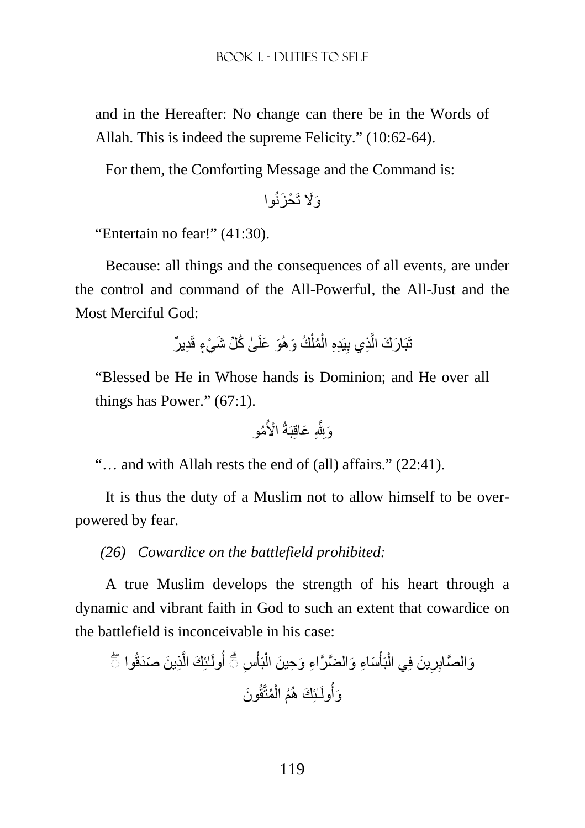and in the Hereafter: No change can there be in the Words of Allah. This is indeed the supreme Felicity." (10:62-64).

For them, the Comforting Message and the Command is:

َو%َ تَ ْح َزنُوا

"Entertain no fear!" (41:30).

Because: all things and the consequences of all events, are under the control and command of the All-Powerful, the All-Just and the Most Merciful God:

> تَبَارَكَ الَّذِي بِيَدِهِ الْمُلْكُ وَهُوَ عَلَىٰ كُلِّ شَيْءٍ قَدِيرٌ ْ ْ ِ لَ

"Blessed be He in Whose hands is Dominion; and He over all things has Power." (67:1).

ُمو ِ َ عاقِبَةُ ْ ا>ُ َوِjَّ

"… and with Allah rests the end of (all) affairs." (22:41).

It is thus the duty of a Muslim not to allow himself to be overpowered by fear.

*(26) Cowardice on the battlefield prohibited:* 

A true Muslim develops the strength of his heart through a dynamic and vibrant faith in God to such an extent that cowardice on the battlefield is inconceivable in his case:

وَالمَّالِرِينَ في المَُّاُسَاءِ وَالضَّرَّاءِ وَحِينَ الُبََاُسِ ٿَ أُولَلَئِكَ الَّذِينَ صَدَقُوا تُ
$$
\vec{a}
$$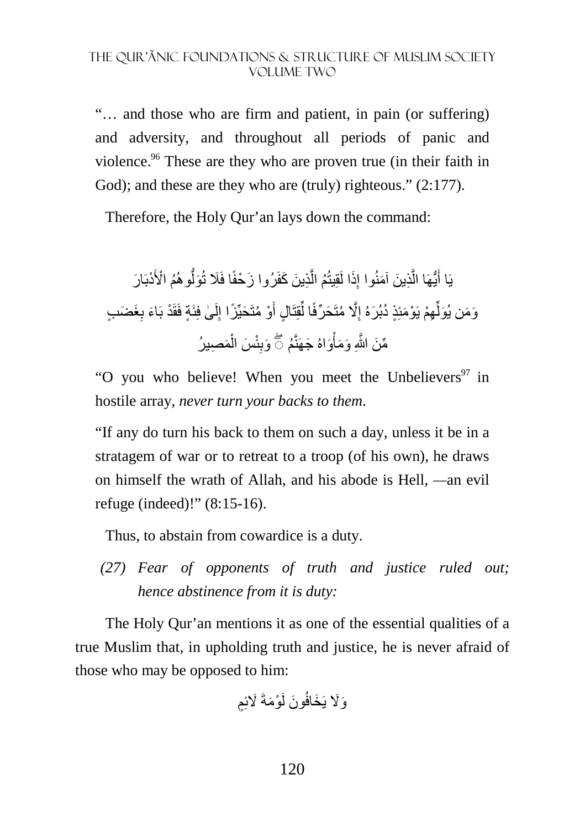"… and those who are firm and patient, in pain (or suffering) and adversity, and throughout all periods of panic and violence.<sup>96</sup> These are they who are proven true (in their faith in God); and these are they who are (truly) righteous." (2:177).

Therefore, the Holy Qur'an lays down the command:

ِذ َ ين َ كفَرُوا َّ ُم ال َذا لَقِيتُ ِ ِذ َ ين َ آمنُوا إ َّ ُّيھَا ال يَا أ ْدبَ َ ار َ ُم ْ ا>َ ُّوھُ َول َز ْحفًا فَ َ تُ َغ َض ٍب ِ ٍة فَقَ ْد بَ َاء ب ٰى فِئَ لَ ِ َحيِّ ًزا إ ْو ُ متَ َ ٍ ال أ قِتَ ِّ َح ِّرفًا ل َّ% ُ متَ ِ ِھْم يَ ْو َمئِ ٍذ ُ د َ بُرهُ إ ِّ َو َم َ ن يُول َم ِصيرُ ْ َس ال ئْ ِ ُم َوب َواهُ َ جھَنَّ ْ َّ اللهِ َ و َمأ ۖ◌ ِّم َن

"O you who believe! When you meet the Unbelievers<sup>97</sup> in hostile array*, never turn your backs to them*.

"If any do turn his back to them on such a day, unless it be in a stratagem of war or to retreat to a troop (of his own), he draws on himself the wrath of Allah, and his abode is Hell, *—*an evil refuge (indeed)!" (8:15-16).

Thus, to abstain from cowardice is a duty.

*(27) Fear of opponents of truth and justice ruled out; hence abstinence from it is duty:* 

The Holy Qur'an mentions it as one of the essential qualities of a true Muslim that, in upholding truth and justice, he is never afraid of those who may be opposed to him:

ْو َمةَ َ %ئٍِم َون لَ َو%َ يَ َخافُ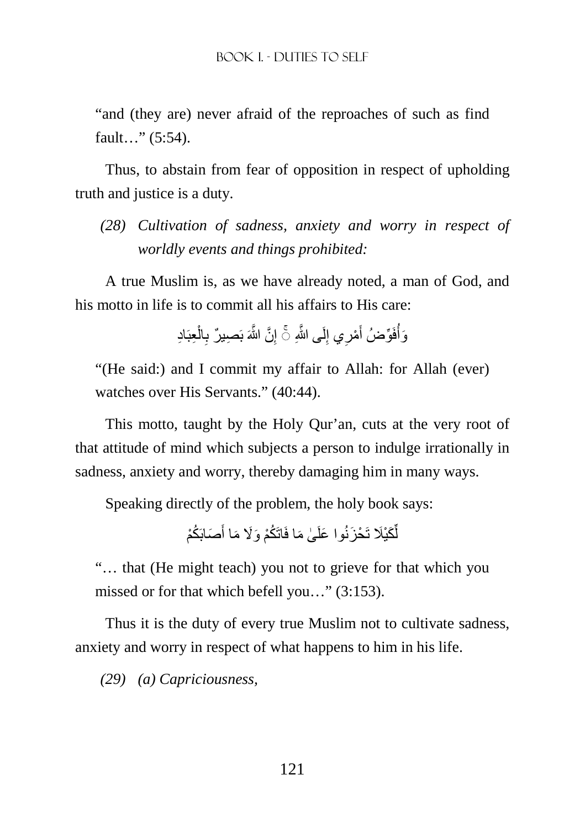"and (they are) never afraid of the reproaches of such as find fault…" (5:54).

Thus, to abstain from fear of opposition in respect of upholding truth and justice is a duty.

*(28) Cultivation of sadness, anxiety and worry in respect of worldly events and things prohibited:* 

A true Muslim is, as we have already noted, a man of God, and his motto in life is to commit all his affairs to His care:

> وَأُفَوِّضُ أَمْرِي إِلَى اللَّهِ ۞ إِنَّ اللَّهَ بَصِيلٌ بِالْعِبَادِ ْ ِ ِ ِ َ اُ

"(He said:) and I commit my affair to Allah: for Allah (ever) watches over His Servants." (40:44).

This motto, taught by the Holy Qur'an, cuts at the very root of that attitude of mind which subjects a person to indulge irrationally in sadness, anxiety and worry, thereby damaging him in many ways.

Speaking directly of the problem, the holy book says:

لَّكَيْلَا تَحْزَنُوا عَلَىٰ مَا فَاتَكُمْ وَلَا مَا أَصَابَكُمْ َ ِّ

"… that (He might teach) you not to grieve for that which you missed or for that which befell you…" (3:153).

Thus it is the duty of every true Muslim not to cultivate sadness, anxiety and worry in respect of what happens to him in his life.

*(29) (a) Capriciousness,*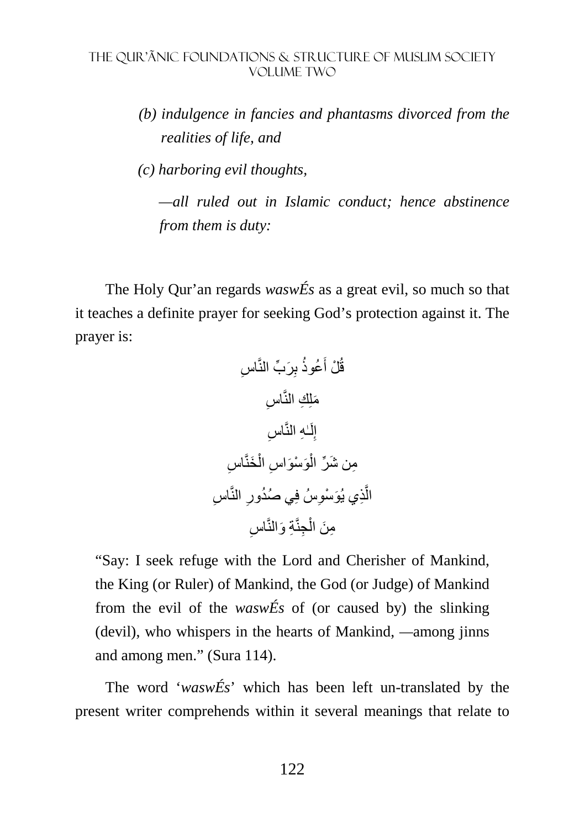*(b) indulgence in fancies and phantasms divorced from the realities of life, and* 

 *(c) harboring evil thoughts,* 

 *—all ruled out in Islamic conduct; hence abstinence from them is duty:* 

The Holy Qur'an regards *waswÉs* as a great evil, so much so that it teaches a definite prayer for seeking God's protection against it. The prayer is:

اس ِ ِ َر ِّب النَّ ُعوذُ ب َ ْل أ قُ اس ِ َملِ ِك النَّ اس ِ ٰـ ِه النَّ لَ ِ إ َخنَّ ْ اس ال ِ َو ْس َو ْ اس ِم َ ن ش ِّر ال ِ اس ِ النَّ ِ ُ ي صُدور ِسُ فِ ِذ َ ي يُو ْسو َّ ال اس ِ ِة َ والنَّ ِجنَّ ْ ِم َن ال

"Say: I seek refuge with the Lord and Cherisher of Mankind, the King (or Ruler) of Mankind, the God (or Judge) of Mankind from the evil of the *waswÉs* of (or caused by) the slinking (devil), who whispers in the hearts of Mankind, *—*among jinns and among men." (Sura 114).

The word '*waswÉs*' which has been left un-translated by the present writer comprehends within it several meanings that relate to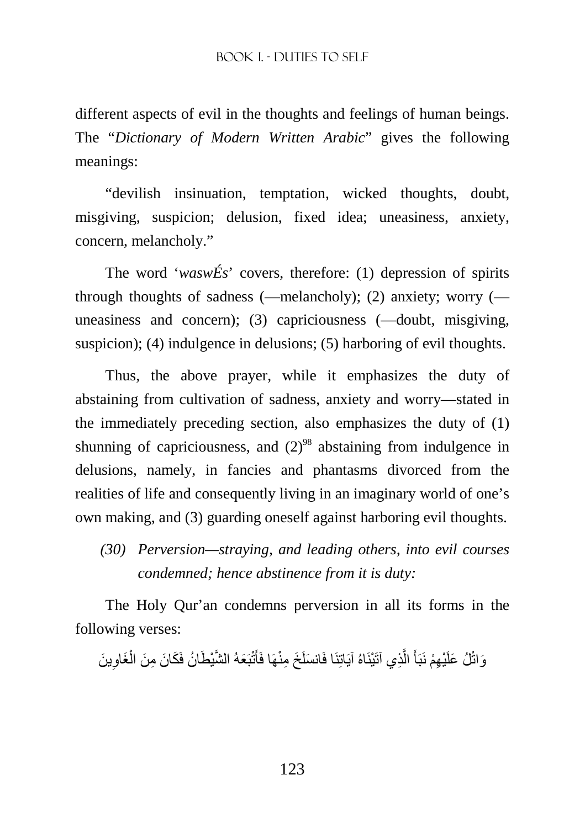different aspects of evil in the thoughts and feelings of human beings. The "*Dictionary of Modern Written Arabic*" gives the following meanings:

"devilish insinuation, temptation, wicked thoughts, doubt, misgiving, suspicion; delusion, fixed idea; uneasiness, anxiety, concern, melancholy."

The word '*waswÉs*' covers, therefore: (1) depression of spirits through thoughts of sadness (—melancholy); (2) anxiety; worry ( uneasiness and concern); (3) capriciousness (—doubt, misgiving, suspicion); (4) indulgence in delusions; (5) harboring of evil thoughts.

Thus, the above prayer, while it emphasizes the duty of abstaining from cultivation of sadness, anxiety and worry—stated in the immediately preceding section, also emphasizes the duty of (1) shunning of capriciousness, and  $(2)^{98}$  abstaining from indulgence in delusions, namely, in fancies and phantasms divorced from the realities of life and consequently living in an imaginary world of one's own making, and (3) guarding oneself against harboring evil thoughts.

*(30) Perversion—straying, and leading others, into evil courses condemned; hence abstinence from it is duty:* 

The Holy Qur'an condemns perversion in all its forms in the following verses:

وَاتْلُ عَلَيْهِمْ نَبَأَ الَّذِي آتَيْنَاهُ آيَاتِنَا فَانسَلَخَ مِنْهَا فَأَتْبَعَهُ الشَّيْطَانُ فَكَانَ مِنَ الْغَاوِينَ ِ ْ م<br>أ َّ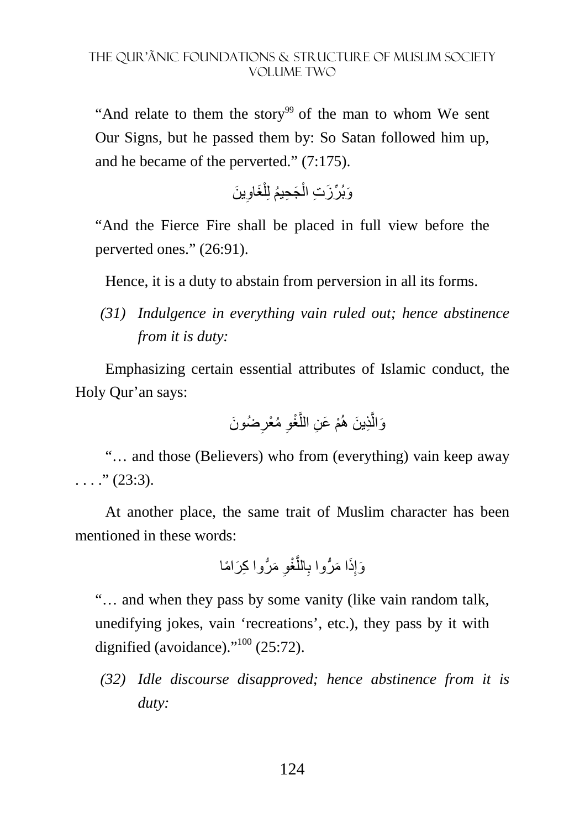"And relate to them the story<sup>99</sup> of the man to whom We sent Our Signs, but he passed them by: So Satan followed him up, and he became of the perverted." (7:175).

> وَبُرِّزَتِ الْجَحِيمُ لِلْغَاوِينَ ِ ْ ْ

"And the Fierce Fire shall be placed in full view before the perverted ones." (26:91).

Hence, it is a duty to abstain from perversion in all its forms.

*(31) Indulgence in everything vain ruled out; hence abstinence from it is duty:* 

Emphasizing certain essential attributes of Islamic conduct, the Holy Qur'an says:

> وَالَّذِينَ هُمْ عَنِ اللَّغْوِ مُعْرِضُونَ **∶** َّ

"… and those (Believers) who from (everything) vain keep away  $\ldots$  ." (23:3).

At another place, the same trait of Muslim character has been mentioned in these words:

ِ َ م ُّر ِ وا ك َر ً اما َّ ْغو الل ِ ا م ُّروا ب َ َذ ِ َوإ

"… and when they pass by some vanity (like vain random talk, unedifying jokes, vain 'recreations', etc.), they pass by it with dignified (avoidance). $100$ <sup>, (25:72).</sup>

*(32) Idle discourse disapproved; hence abstinence from it is duty:*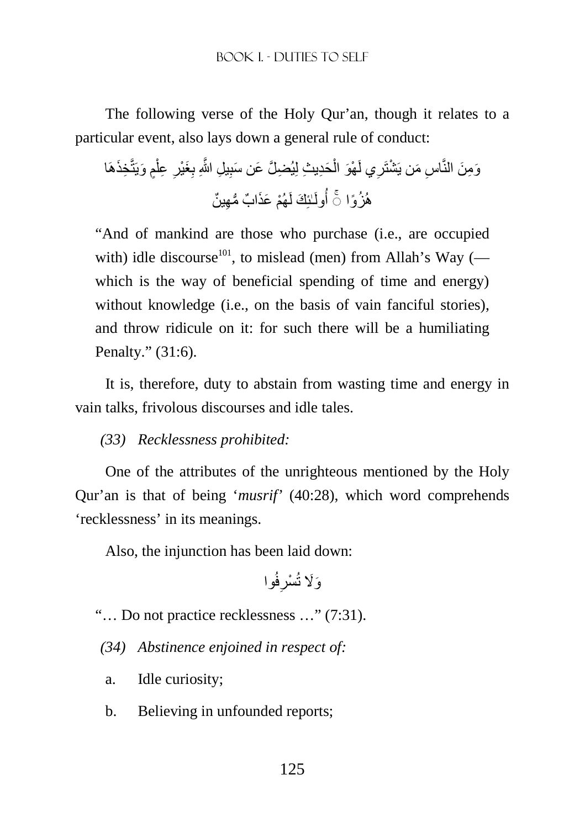The following verse of the Holy Qur'an, though it relates to a particular event, also lays down a general rule of conduct:

ِخَذھَا ٍم َ ويَتَّ ْ ِ عل ِ َغْير ِ ِ ِ يل َّ اللهِ ب َحِد ِ يث لِ ِ يُض َّل َ ع َ ن سب ْ ْھَو ال ِي لَ ْشتَر اس َ من يَ ِ َو ِم َن النَّ ْھُم َ عَذ ٌ اب ُّ م ِھ ٌ ين ٰـئِ َك لَ ُولَ ھُ ُز ۚ◌ ًوا أ

"And of mankind are those who purchase (i.e., are occupied with) idle discourse<sup>101</sup>, to mislead (men) from Allah's Way ( $$ which is the way of beneficial spending of time and energy) without knowledge (i.e., on the basis of vain fanciful stories), and throw ridicule on it: for such there will be a humiliating Penalty." (31:6).

It is, therefore, duty to abstain from wasting time and energy in vain talks, frivolous discourses and idle tales.

*(33) Recklessness prohibited:* 

One of the attributes of the unrighteous mentioned by the Holy Qur'an is that of being '*musrif'* (40:28), which word comprehends 'recklessness' in its meanings.

Also, the injunction has been laid down:

فُوا ِ ْسر َو%َ تُ

"… Do not practice recklessness …" (7:31).

*(34) Abstinence enjoined in respect of:* 

- a. Idle curiosity;
- b. Believing in unfounded reports;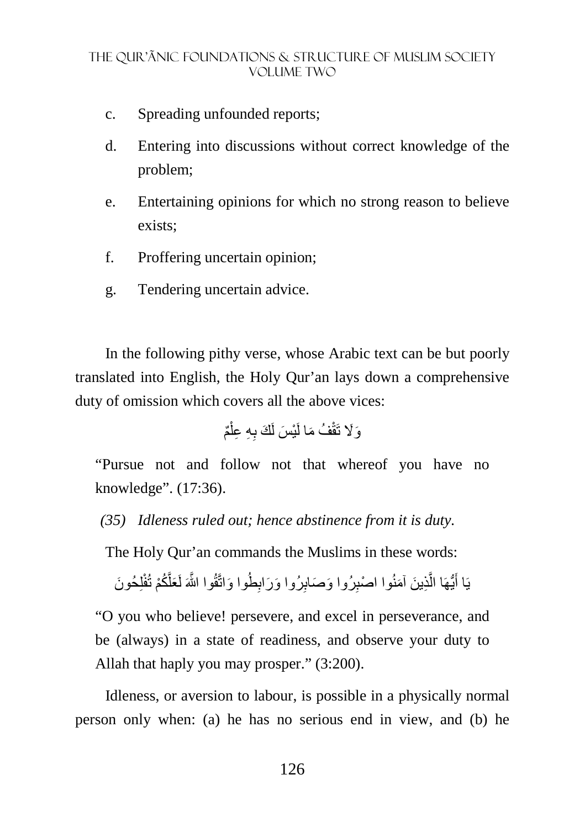- c. Spreading unfounded reports;
- d. Entering into discussions without correct knowledge of the problem;
- e. Entertaining opinions for which no strong reason to believe exists;
- f. Proffering uncertain opinion;
- g. Tendering uncertain advice.

In the following pithy verse, whose Arabic text can be but poorly translated into English, the Holy Qur'an lays down a comprehensive duty of omission which covers all the above vices:

ٌم ْ ِ ِه ِ عل َك ب ْي َس لَ ُف َ ما لَ َو%َ تَقْ

"Pursue not and follow not that whereof you have no knowledge". (17:36).

*(35) Idleness ruled out; hence abstinence from it is duty.* 

The Holy Qur'an commands the Muslims in these words:

يَا أَيُّهَا الَّذِينَ آمَنُوا اصْبِرُوا وَصَابِرُوا وَرَابِطُوا وَاتَّقُوا اللَّهَ لَعَلَّكُمْ تُفْلِحُونَ َّ

"O you who believe! persevere, and excel in perseverance, and be (always) in a state of readiness, and observe your duty to Allah that haply you may prosper." (3:200).

Idleness, or aversion to labour, is possible in a physically normal person only when: (a) he has no serious end in view, and (b) he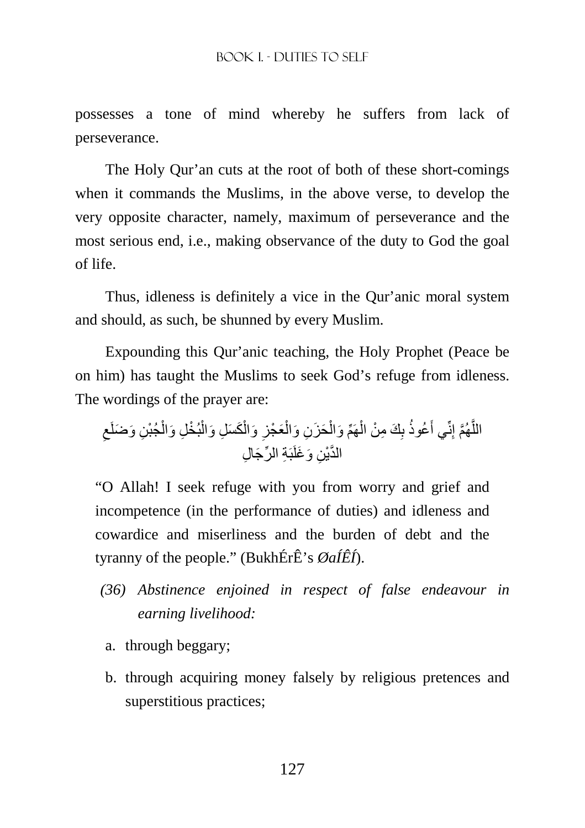possesses a tone of mind whereby he suffers from lack of perseverance.

The Holy Qur'an cuts at the root of both of these short-comings when it commands the Muslims, in the above verse, to develop the very opposite character, namely, maximum of perseverance and the most serious end, i.e., making observance of the duty to God the goal of life.

Thus, idleness is definitely a vice in the Qur'anic moral system and should, as such, be shunned by every Muslim.

Expounding this Qur'anic teaching, the Holy Prophet (Peace be on him) has taught the Muslims to seek God's refuge from idleness. The wordings of the prayer are:

َح َز ِن ْ ھَِّم َ وال ْ َك ِ م ْن ال ِ ُعوذُ ب َ ِنِّي أ َّھُم إ َّ الل ِ ِن َ و َضلَع ْجُب ْ ْ ْ بُخ ِل َ وال َك َس ِل َ وال ْ ِ َ وال َع ْجز ْ َوال ِن َ و َغلَبَ ِة ِّ الر َج ِ ال َّ الدْي

"O Allah! I seek refuge with you from worry and grief and incompetence (in the performance of duties) and idleness and cowardice and miserliness and the burden of debt and the tyranny of the people." (BukhÉrÊ's *ØaÍÊÍ*).

- *(36) Abstinence enjoined in respect of false endeavour in earning livelihood:*
- a. through beggary;
- b. through acquiring money falsely by religious pretences and superstitious practices;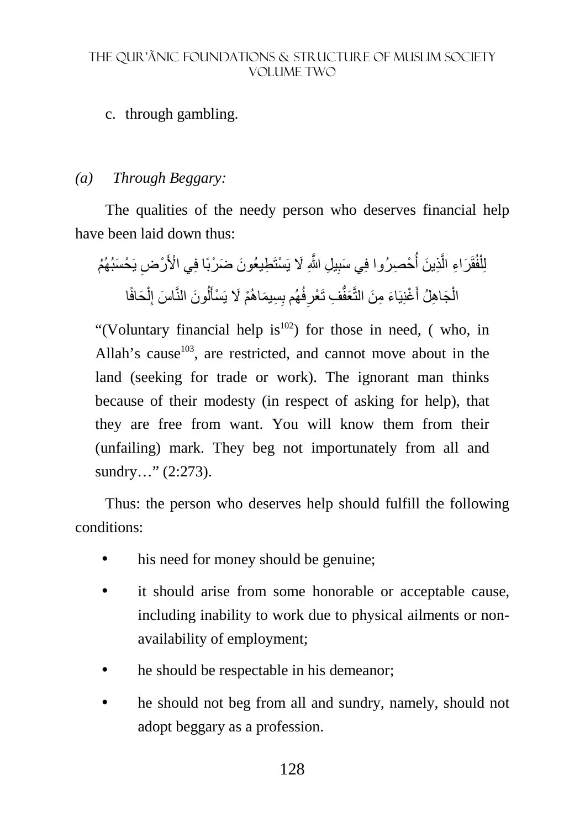### c. through gambling.

#### *(a) Through Beggary:*

The qualities of the needy person who deserves financial help have been laid down thus:

لِلْفُقَرَاءِ الَّذِينَ أُحْصِرُوا فِي سَبِيلِ اللَّهِ لَا يَسْتَطِيعُونَ ضَرْبًا فِي الْأَرْضِ يَحْسَبُهُمُ ر<br>أ َّ ْ الْجَاهِلُ أَغْنِيَاءَ مِنَ النَّعَفُّفِ تَعْرِفُهُم بِسِيمَاهُمْ لَا يَسْأَلُونَ النَّاسَ إِلْحَافًا ْ ِ ُ َ ِ ْ

"(Voluntary financial help is $^{102}$ ) for those in need, (who, in Allah's cause<sup>103</sup>, are restricted, and cannot move about in the land (seeking for trade or work). The ignorant man thinks because of their modesty (in respect of asking for help), that they are free from want. You will know them from their (unfailing) mark. They beg not importunately from all and sundry..." (2:273).

Thus: the person who deserves help should fulfill the following conditions:

- his need for money should be genuine;
- it should arise from some honorable or acceptable cause, including inability to work due to physical ailments or nonavailability of employment;
- he should be respectable in his demeanor;
- he should not beg from all and sundry, namely, should not adopt beggary as a profession.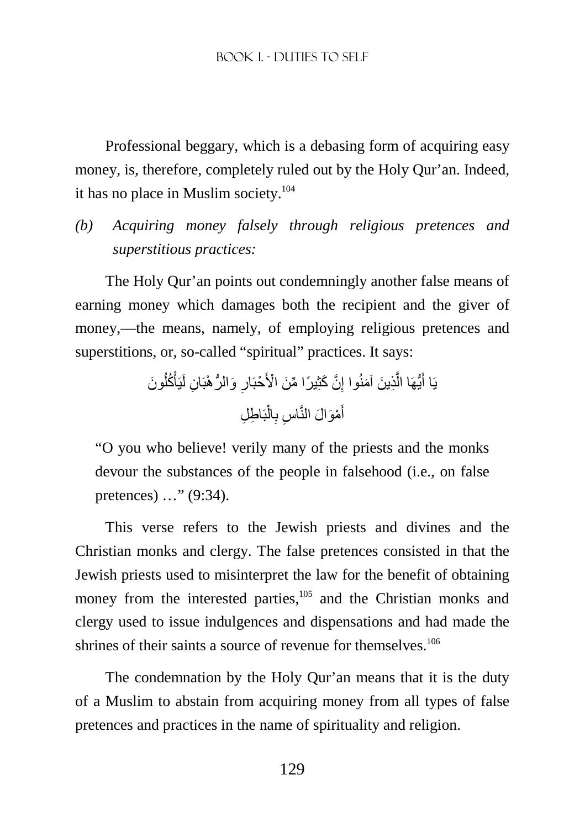#### BOOK I. - DUTIES TO SELF

Professional beggary, which is a debasing form of acquiring easy money, is, therefore, completely ruled out by the Holy Qur'an. Indeed, it has no place in Muslim society. $104$ 

*(b) Acquiring money falsely through religious pretences and superstitious practices:* 

The Holy Qur'an points out condemningly another false means of earning money which damages both the recipient and the giver of money,—the means, namely, of employing religious pretences and superstitions, or, so-called "spiritual" practices. It says:

ِذ َّ ُّيھَا ال يَا أ َون َ ُ ُكل ْ ان لَيَأ ِ ِ َ و ُّ الر ْھبَ ْحبَار َّن َ كثِ ً ير ِّ ا م َن ْ ا>َ ِ َ ين َ آمنُوا إ بَ ِ اط ِل ْ ال ِ اس ب ِ ْمَو َ ال النَّ َ أ

"O you who believe! verily many of the priests and the monks devour the substances of the people in falsehood (i.e., on false pretences) …" (9:34).

This verse refers to the Jewish priests and divines and the Christian monks and clergy. The false pretences consisted in that the Jewish priests used to misinterpret the law for the benefit of obtaining money from the interested parties,<sup>105</sup> and the Christian monks and clergy used to issue indulgences and dispensations and had made the shrines of their saints a source of revenue for themselves.<sup>106</sup>

The condemnation by the Holy Qur'an means that it is the duty of a Muslim to abstain from acquiring money from all types of false pretences and practices in the name of spirituality and religion.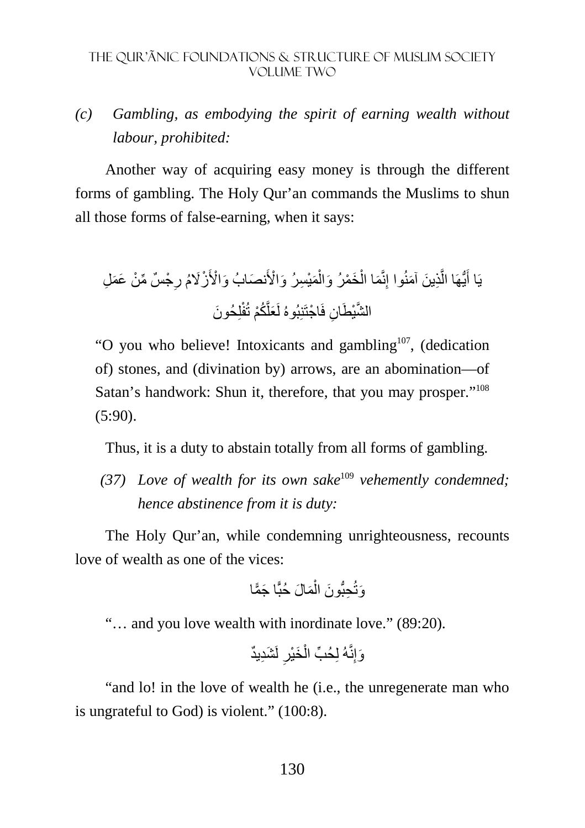### *(c) Gambling, as embodying the spirit of earning wealth without labour, prohibited:*

Another way of acquiring easy money is through the different forms of gambling. The Holy Qur'an commands the Muslims to shun all those forms of false-earning, when it says:

ْج ٌس ِّ م ْن َ ع َم ِل ِ َ نص َ ابُ و ْا>َ ْزُ%َم ر َمْي ِس َرُ و ْا>َ ْ َخ ْم َرُ وال ْ َما ال ِنَّ ِذ َ ين َ آمنُوا إ َّ ُّيھَا ال َ يَا أ لِ َ حُون َّ ُكْم تُفْ َعل ان فَ ْ اجتَنِبُوهُ لَ َّ الشْي َطِ

"O you who believe! Intoxicants and gambling<sup>107</sup>, (dedication of) stones, and (divination by) arrows, are an abomination—of Satan's handwork: Shun it, therefore, that you may prosper."<sup>108</sup> (5:90).

Thus, it is a duty to abstain totally from all forms of gambling.

*(37) Love of wealth for its own sake*<sup>109</sup> *vehemently condemned; hence abstinence from it is duty:* 

The Holy Qur'an, while condemning unrighteousness, recounts love of wealth as one of the vices:

َ ا ج ّمًا َم َ ال حُبًّ ْ ِحُّب َون ال َوتُ

"… and you love wealth with inordinate love." (89:20).

وَإِنَّهُ لِحُبٍّ الْخَيْرِ لَشَدِيدٌ **∶** ْ

"and lo! in the love of wealth he (i.e., the unregenerate man who is ungrateful to God) is violent." (100:8).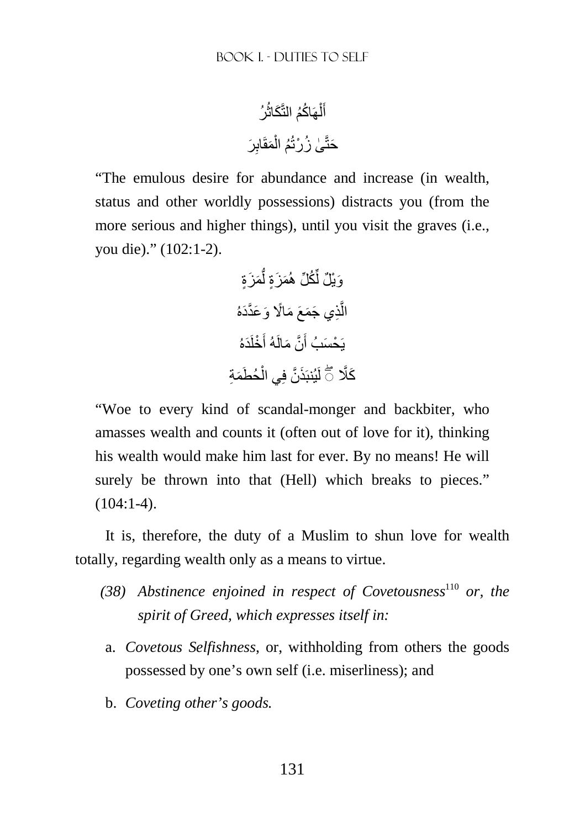ُرُ اكُم التَّ َكاث ُ ھَ ْ ل َ أ ِ َر َمقَاب ْ ُم ال ٰى ُ ز ْرتُ َحتَّ

"The emulous desire for abundance and increase (in wealth, status and other worldly possessions) distracts you (from the more serious and higher things), until you visit the graves (i.e., you die)." (102:1-2).

َم َزٍة ُّ َم َزٍة ل ِّ ُك ِّل ھُ َوْي ٌل ل ِذ َي ج َم َع َ م ًا% َ و َعَّدَدهُ َّ ال َدهُ َ ْخلَ َّن َ مالَهُ أ َ يَ ْح َسبُ أ َحُط َمِة ْ َذ َّن فِي ال َك ۖ◌ َّ لَيُنبَ

"Woe to every kind of scandal-monger and backbiter, who amasses wealth and counts it (often out of love for it), thinking his wealth would make him last for ever. By no means! He will surely be thrown into that (Hell) which breaks to pieces."  $(104:1-4)$ .

It is, therefore, the duty of a Muslim to shun love for wealth totally, regarding wealth only as a means to virtue.

- *(38) Abstinence enjoined in respect of Covetousness* <sup>110</sup> *or, the spirit of Greed, which expresses itself in:*
- a. *Covetous Selfishness*, or, withholding from others the goods possessed by one's own self (i.e. miserliness); and
- b. *Coveting other's goods.*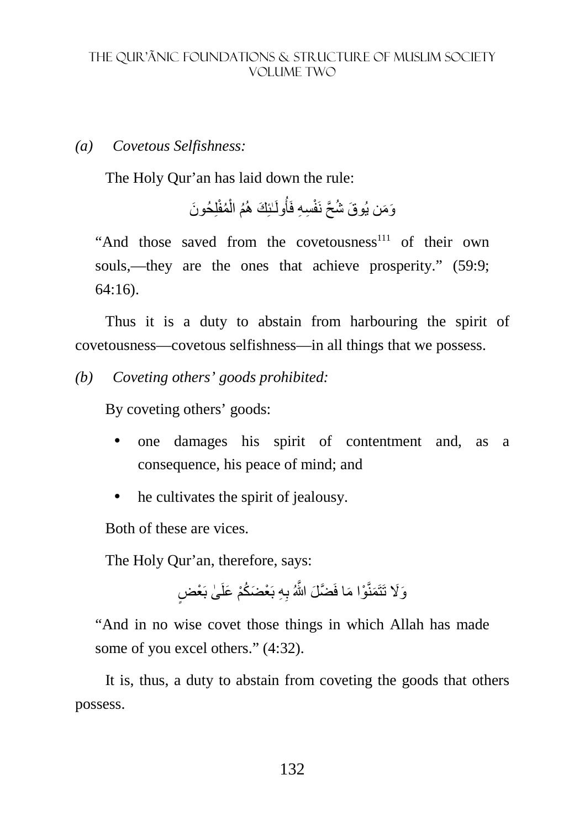#### *(a) Covetous Selfishness:*

The Holy Qur'an has laid down the rule:

وَمَن يُوقَ شُحَّ نَفْسِهِ فَأُولَـٰئِكَ هُمُ الْمُفْلِحُونَ ْ

"And those saved from the covetousness<sup>111</sup> of their own souls,—they are the ones that achieve prosperity." (59:9; 64:16).

Thus it is a duty to abstain from harbouring the spirit of covetousness—covetous selfishness—in all things that we possess.

*(b) Coveting others' goods prohibited:* 

By coveting others' goods:

- one damages his spirit of contentment and, as a consequence, his peace of mind; and
- he cultivates the spirit of jealousy.

Both of these are vices.

The Holy Qur'an, therefore, says:

وَلَا تَتَمَنَّوْا مَا فَضَّلَ اللَّهُ بِهِ بَعْضَكُمْ عَلَىٰ بَعْضٍ

"And in no wise covet those things in which Allah has made some of you excel others." (4:32).

It is, thus, a duty to abstain from coveting the goods that others possess.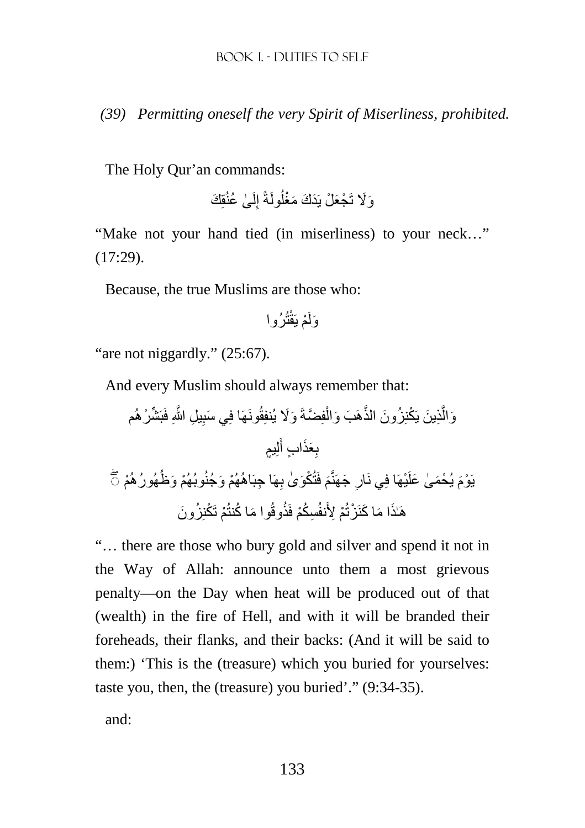*(39) Permitting oneself the very Spirit of Miserliness, prohibited.*

The Holy Qur'an commands:

ٰى ُ عنُقِ َك لَ ِ ُولَةً إ َو%َ تَ ْج َع ْل يَ َد َك َ مْغل

"Make not your hand tied (in miserliness) to your neck…" (17:29).

Because, the true Muslims are those who:

تُرُوا ْم يَقْ َولَ

"are not niggardly." (25:67).

And every Muslim should always remember that:

ِّش ْرھُم ِ ِ يل َّ اللهِ فَبَ َونھَا فِ َي سب َ و%َ يُنفِقُ فِ َّضةَ ْ ُز َون الذَّھَ َب َ وال ْكنِ ِذ َ ين يَ َّ َوال لِ ٍيم َ ِ َعَذ ٍ اب أ ب ْ يُح َم ٰى َ علَ َ ْم يَ ْوم ھُورُھُ ْ وبُھُم َ وظُ ْھُم َ وجُنُ ِھَ ِ ا جبَاھُ َ فَتُ ْكَو ٰى ب َ ج َھنَّم ْيھَا فِي نَار ۖ◌ ِ ُز َون ْم َ ت ْكنِ َ وا م ُ ا كنتُ ِس ُكْم فَذُوقُ ْم ِ >َنفُ ا م َ ا كنَ ْزتُ َ ھَٰـ َذ

"… there are those who bury gold and silver and spend it not in the Way of Allah: announce unto them a most grievous penalty—on the Day when heat will be produced out of that (wealth) in the fire of Hell, and with it will be branded their foreheads, their flanks, and their backs: (And it will be said to them:) 'This is the (treasure) which you buried for yourselves: taste you, then, the (treasure) you buried'." (9:34-35).

and: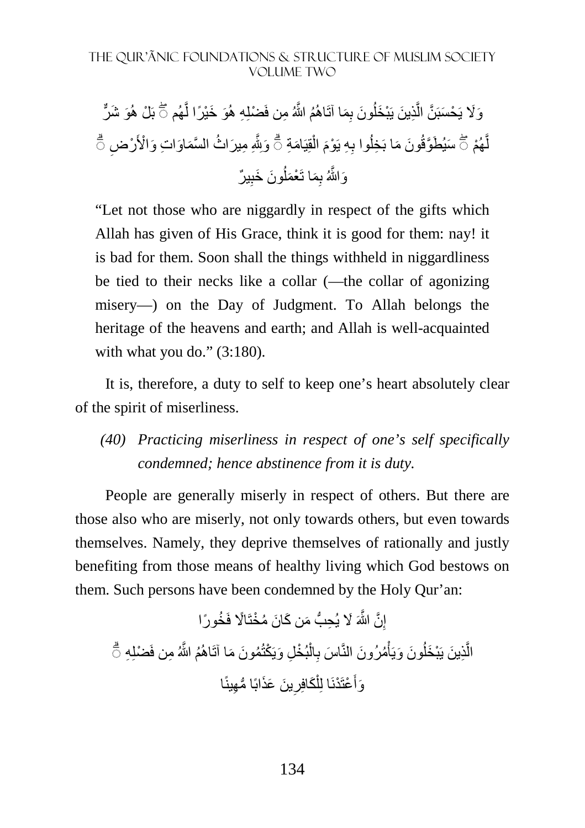وَ لَا يَحْسَبَنَّ الَّذِينَ يَبْخَلُونَ بِمَا آتَاهُمُ اللَّهُ مِن فَضْلِهِ هُوَ خَيْرًا لَّهُم ۞ بَلْ هُوَ شَرٍّ ا<br>ا َّ لَّهُمْ ۞ سَيُطَوَّقُونَ مَا بَخِلُوا بِهِ يَوْمَ الْقِيَامَةِ ۞ وَبِلَّهِ مِيرَاتُ السَّمَاوَاتِ وَالْأَرْضِ ۞ ً<br>م ْ وَاللَّهُ بِمَا تَعْمَلُونَ خَبِيرٌ اُ ِ

"Let not those who are niggardly in respect of the gifts which Allah has given of His Grace, think it is good for them: nay! it is bad for them. Soon shall the things withheld in niggardliness be tied to their necks like a collar (—the collar of agonizing misery—) on the Day of Judgment. To Allah belongs the heritage of the heavens and earth; and Allah is well-acquainted with what you do."  $(3:180)$ .

It is, therefore, a duty to self to keep one's heart absolutely clear of the spirit of miserliness.

*(40) Practicing miserliness in respect of one's self specifically condemned; hence abstinence from it is duty.* 

People are generally miserly in respect of others. But there are those also who are miserly, not only towards others, but even towards themselves. Namely, they deprive themselves of rationally and justly benefiting from those means of healthy living which God bestows on them. Such persons have been condemned by the Holy Qur'an:

إِنَّ اللَّهَ لَا يُحِبُّ مَن كَانَ مُخْتَالًا فَخُورًا ِ الَّذِينَ يَبْخَلُونَ وَيَأْمُرُونَ النَّاسَ بِالْبُخْلِ وَيَكْتُمُونَ مَا آتَاهُمُ اللَّهُ مِن فَضْلِهِ ۖ أَّ **∶ ٔ** اُ وَأَعْتَدْنَا لِلْكَافِرِينَ عَذَابًا مُّهِينًا ِ ْ َ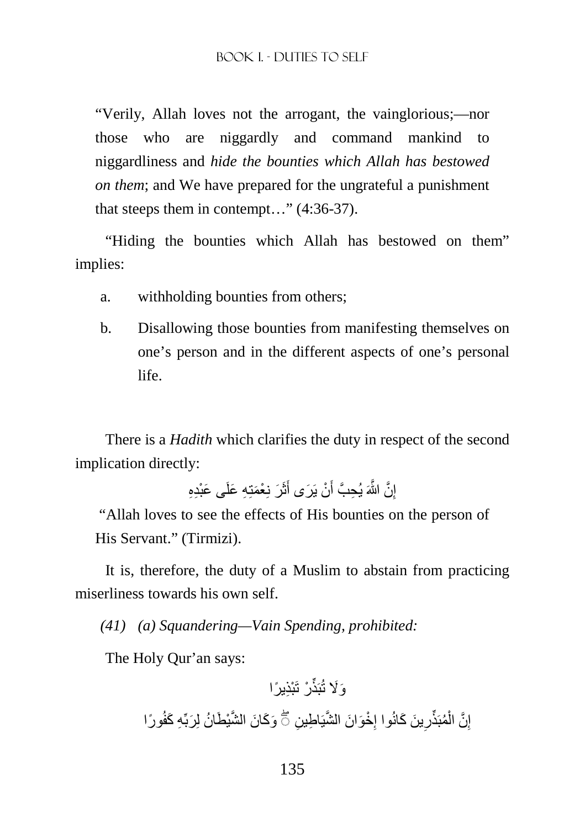"Verily, Allah loves not the arrogant, the vainglorious;—nor those who are niggardly and command mankind to niggardliness and *hide the bounties which Allah has bestowed on them*; and We have prepared for the ungrateful a punishment that steeps them in contempt…" (4:36-37).

"Hiding the bounties which Allah has bestowed on them" implies:

- a. withholding bounties from others;
- b. Disallowing those bounties from manifesting themselves on one's person and in the different aspects of one's personal life.

There is a *Hadith* which clarifies the duty in respect of the second implication directly:

> إِنَّ اللَّهَ يُحِبَّ أَنْ يَرَى أَثَرَ نِعْمَتِهِ عَلَى عَبْدِهِ َ َ ِ

"Allah loves to see the effects of His bounties on the person of His Servant." (Tirmizi).

It is, therefore, the duty of a Muslim to abstain from practicing miserliness towards his own self.

*(41) (a) Squandering—Vain Spending, prohibited:* 

The Holy Qur'an says:

ْر َ تْب ِذ ً يرا َو%َ تُبَذِّ ًورا ِه َ كفُ ين َو َك َ ان َّ الشْي َط ُ ان لِ َربِّ ْخ َو َ ان َّ الشيَ ِ اط ِ ِ َ ين َ كانُوا إ ِ ُمبَذِّر ْ َّن ال إ ۖ◌ ِ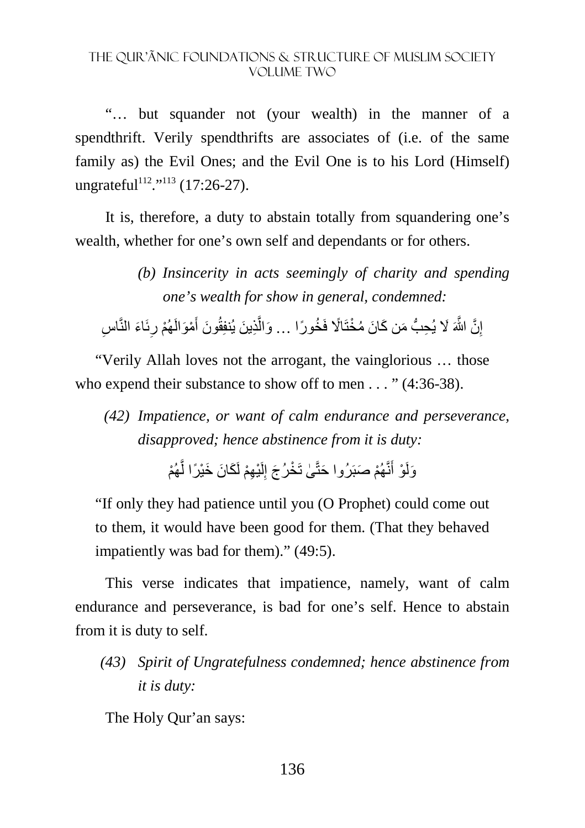"… but squander not (your wealth) in the manner of a spendthrift. Verily spendthrifts are associates of (i.e. of the same family as) the Evil Ones; and the Evil One is to his Lord (Himself) ungrateful<sup>112</sup>."<sup>113</sup> (17:26-27).

It is, therefore, a duty to abstain totally from squandering one's wealth, whether for one's own self and dependants or for others.

إِنَّ اللَّهَ لَا يُحِبُّ مَن كَانَ مُخْتَالًا فَخُورًا … وَالَّذِينَ يُنفِقُونَ أَمْوَالَهُمْ رِئَاءَ النَّاسِ ِ ِ َ َّ ِ

"Verily Allah loves not the arrogant, the vainglorious … those who expend their substance to show off to men . . . " (4:36-38).

 *(42) Impatience, or want of calm endurance and perseverance, disapproved; hence abstinence from it is duty:* 

> وَلَوْ أَنَّهُمْ صَبَرُوا حَتَّىٰ تَخْرُجَ إِلَيْهِمْ لَكَانَ خَيْرًا لَّهُمْ َّ لَ ِ َ

"If only they had patience until you (O Prophet) could come out to them, it would have been good for them. (That they behaved impatiently was bad for them)." (49:5).

This verse indicates that impatience, namely, want of calm endurance and perseverance, is bad for one's self. Hence to abstain from it is duty to self.

*(43) Spirit of Ungratefulness condemned; hence abstinence from it is duty:* 

The Holy Qur'an says:

*<sup>(</sup>b) Insincerity in acts seemingly of charity and spending one's wealth for show in general, condemned:*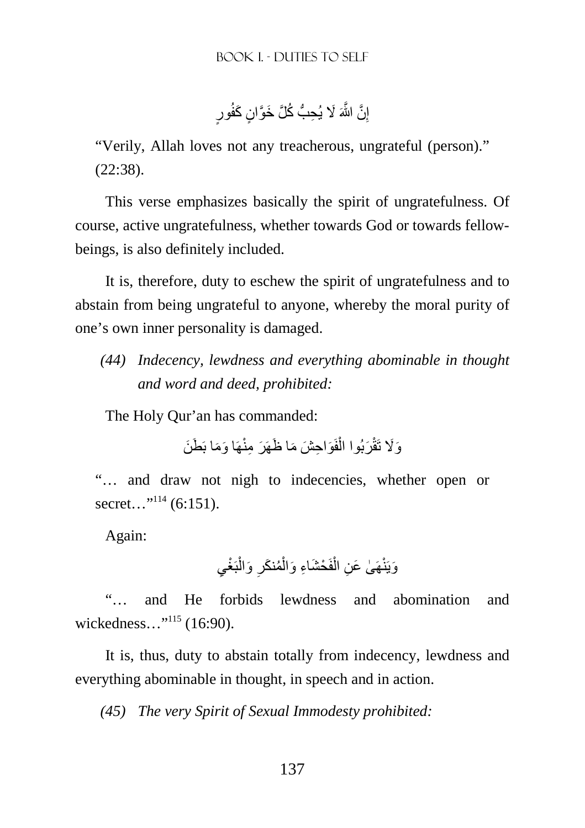إِنَّ اللَّهَ لَا يُحِبُّ كُُلَّ خَوَّانٍ كَفُورٍ ِ

"Verily, Allah loves not any treacherous, ungrateful (person)." (22:38).

This verse emphasizes basically the spirit of ungratefulness. Of course, active ungratefulness, whether towards God or towards fellowbeings, is also definitely included.

It is, therefore, duty to eschew the spirit of ungratefulness and to abstain from being ungrateful to anyone, whereby the moral purity of one's own inner personality is damaged.

*(44) Indecency, lewdness and everything abominable in thought and word and deed, prohibited:* 

The Holy Qur'an has commanded:

وَلَا تَقْرَبُوا الْفَوَاحِشَ مَا ظَهَرَ مِنْهَا وَمَا بَطَنَ ْ

"… and draw not nigh to indecencies, whether open or secret..."<sup>114</sup> (6:151).

Again:

وَيَنْهَىٰ عَنِ الْفَحْشَاءِ وَالْمُنكَرِ وَالْبَغْيِ ْ ْ ْ

"… and He forbids lewdness and abomination and wickedness..."<sup>115</sup> (16:90).

It is, thus, duty to abstain totally from indecency, lewdness and everything abominable in thought, in speech and in action.

*(45) The very Spirit of Sexual Immodesty prohibited:*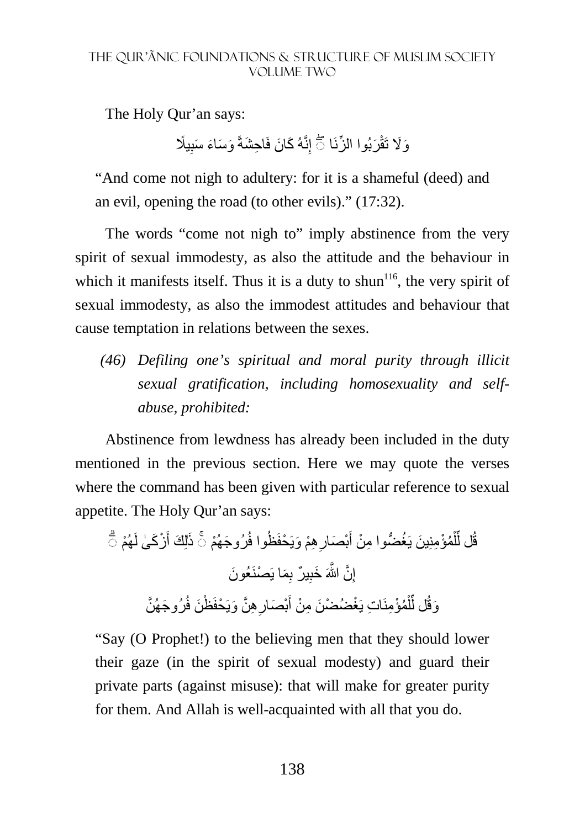The Holy Qur'an says:

وَلَا تَقْرَبُوا الزِّنَا ۞ إِنَّهُ كَانَ فَاحِشَةً وَسَاءَ سَبِيلًا ِ

"And come not nigh to adultery: for it is a shameful (deed) and an evil, opening the road (to other evils)." (17:32).

The words "come not nigh to" imply abstinence from the very spirit of sexual immodesty, as also the attitude and the behaviour in which it manifests itself. Thus it is a duty to shun<sup>116</sup>, the very spirit of sexual immodesty, as also the immodest attitudes and behaviour that cause temptation in relations between the sexes.

*(46) Defiling one's spiritual and moral purity through illicit sexual gratification, including homosexuality and selfabuse, prohibited:* 

Abstinence from lewdness has already been included in the duty mentioned in the previous section. Here we may quote the verses where the command has been given with particular reference to sexual appetite. The Holy Qur'an says:

قُل لِّلْمُؤْمِنِينَ يَغُضُّوا مِنْ أَبْصَارِ هِمْ وَيَحْفَظُوا فُرُوجَهُمْ ۞ ذَلِكَ أَزْكَىٰ لَهُمْ ۞ **∶** َ ْ ِّ إِنَّ اللَّهَ خَبِيرٌ بِمَا يَصْنَعُونَ ِ ِ وَقُل لِّلْمُؤْمِنَاتِ يَغْضُضْنَ مِنْ أَبْصَارِ هِنَّ وَيَحْفَظْنَ فُرُوجَهُنَّ ِ َ ْ ِّ

"Say (O Prophet!) to the believing men that they should lower their gaze (in the spirit of sexual modesty) and guard their private parts (against misuse): that will make for greater purity for them. And Allah is well-acquainted with all that you do.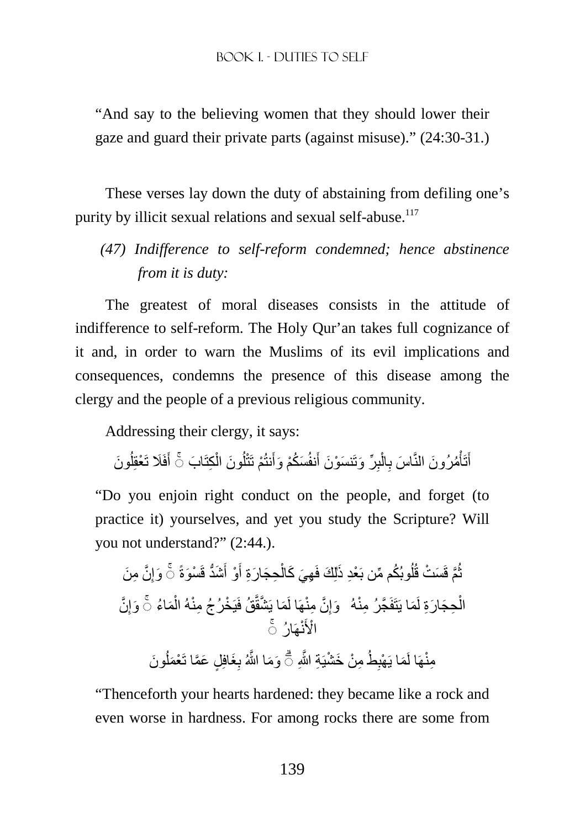"And say to the believing women that they should lower their gaze and guard their private parts (against misuse)." (24:30-31.)

These verses lay down the duty of abstaining from defiling one's purity by illicit sexual relations and sexual self-abuse.<sup>117</sup>

*(47) Indifference to self-reform condemned; hence abstinence from it is duty:* 

The greatest of moral diseases consists in the attitude of indifference to self-reform. The Holy Qur'an takes full cognizance of it and, in order to warn the Muslims of its evil implications and consequences, condemns the presence of this disease among the clergy and the people of a previous religious community.

Addressing their clergy, it says:

أَتَأْمُرُونَ النَّاسَ بِالْبِرِّ وَتَنسَوْنَ أَنفُسَكُمْ وَأَنتُمْ تَتْلُونَ الْكِتَابَ ۞ أَفَلَا تَعْقِلُونَ اُ َ ْ ُ ِ ْ ِ ْ َ

"Do you enjoin right conduct on the people, and forget (to practice it) yourselves, and yet you study the Scripture? Will you not understand?" (2:44.).

َّن ِ م َن ِ ُ ُ وبُك ِّ م من بَ ْعِد َ ذ َوإ ل َس ْت قُ َّم قَ َشُّد قَ ْس َو ث ٰ ةً ُ َ ْو أ َ ِح َج َ ارِة أ ْ ِھ َي َ كال ۚ◌ لِ َك فَ َّن ِ َم ُاء َوإ ْ ْخ ِ رُجُ منْهُ ال ُق فَيَ َم َ ا ي َّشقَّ َّن ِ منْھَا لَ ِ َوإ َما يَتَفَ َّج ِرُ منْهُ ۚ◌ ِح َج َ ارِة لَ ْ ال نْھَارُ ۚ◌ ْا>َ َون َو َم ُ َغافِ ٍل َ ع َّما تَ ْعَمل ِ َّ ا اللهُ ب ِ م ْن َ خ ْشيَ ِة َّ اللهِ ِطُ َما يَ ْھب ۗ◌ ِمن ْھَا لَ

"Thenceforth your hearts hardened: they became like a rock and even worse in hardness. For among rocks there are some from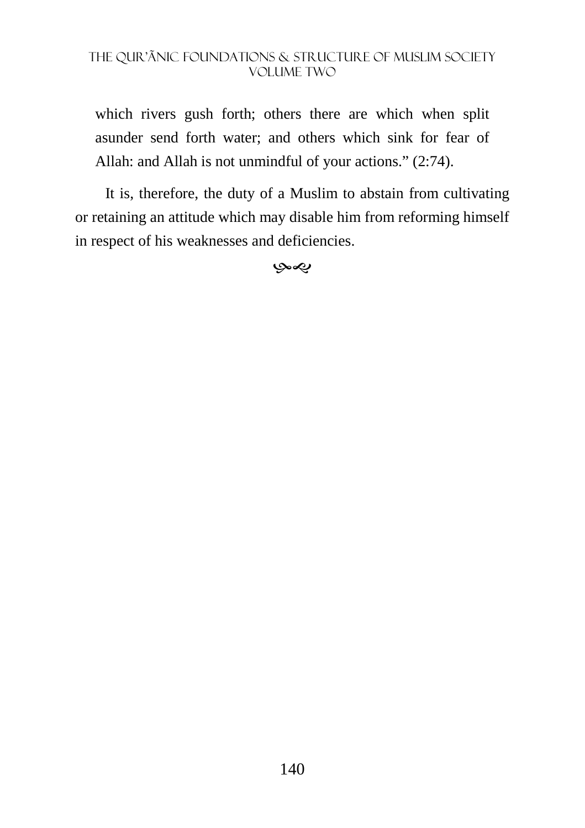which rivers gush forth; others there are which when split asunder send forth water; and others which sink for fear of Allah: and Allah is not unmindful of your actions." (2:74).

It is, therefore, the duty of a Muslim to abstain from cultivating or retaining an attitude which may disable him from reforming himself in respect of his weaknesses and deficiencies.

 $\infty$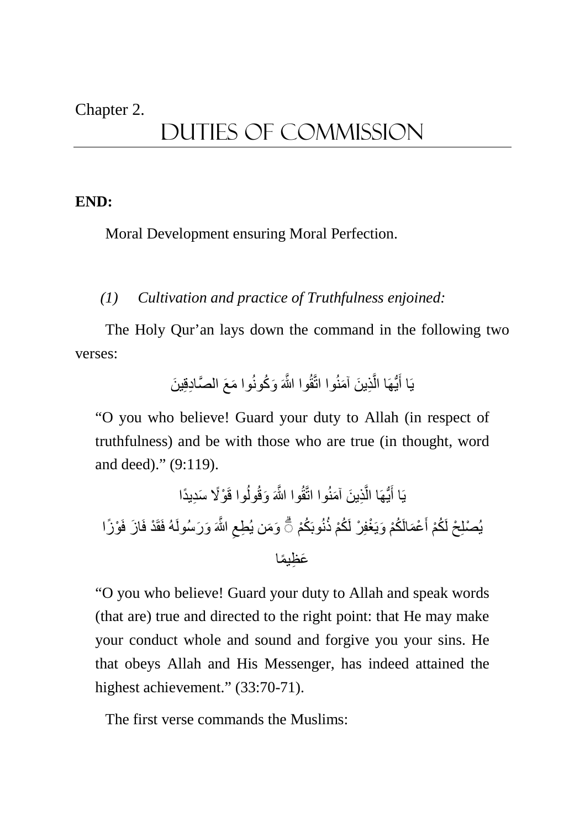#### Chapter 2.

# DUTIES of Commission

#### **END:**

Moral Development ensuring Moral Perfection.

#### *(1) Cultivation and practice of Truthfulness enjoined:*

The Holy Qur'an lays down the command in the following two verses:

َ وا م َع َّ الص ِادقِ َ ين ِذ َ ين َ آمنُوا اتَّقُ َّ وا اللهَ َ و ُكونُ َّ ُّيھَا ال َ يَا أ

"O you who believe! Guard your duty to Allah (in respect of truthfulness) and be with those who are true (in thought, word and deed)." (9:119).

ْو%ً َ سِد ًيدا ُوا قَ ِذ َ ين َ آمنُوا اتَّقُ َّ وا اللهَ َ وقُول َّ ُّيھَا ال َ يَا أ ْو ًزا َّ اللهَ َ و َرسُولَهُ فَقَ ْد فَ َ از فَ ِ ُكْم َو َم ِ ن يُطع نُوبَ ْغفِ ْر لَ ُكْم ذُ ْع َمالَ ُكْم َ ويَ َ ْ يُصلِ ۗ◌ ْح لَ ُكْم أ َع ِظ ًيما

"O you who believe! Guard your duty to Allah and speak words (that are) true and directed to the right point: that He may make your conduct whole and sound and forgive you your sins. He that obeys Allah and His Messenger, has indeed attained the highest achievement." (33:70-71).

The first verse commands the Muslims: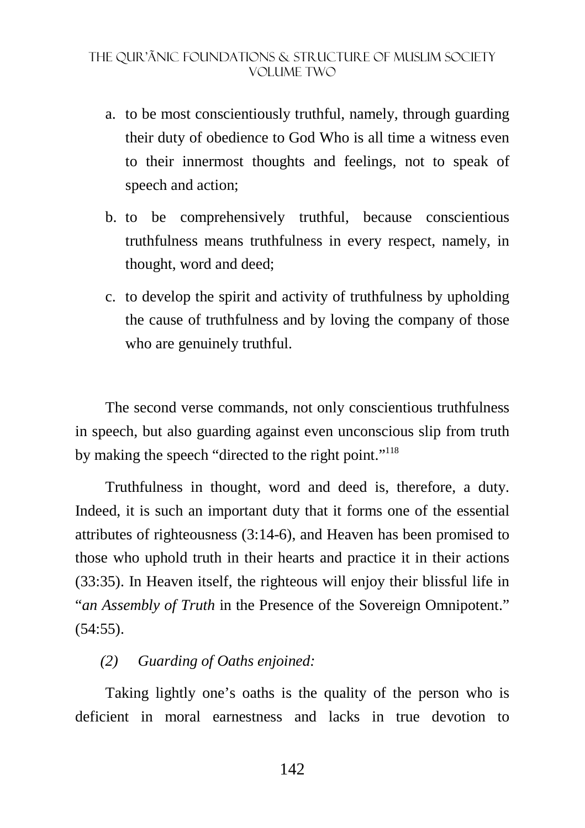- a. to be most conscientiously truthful, namely, through guarding their duty of obedience to God Who is all time a witness even to their innermost thoughts and feelings, not to speak of speech and action;
- b. to be comprehensively truthful, because conscientious truthfulness means truthfulness in every respect, namely, in thought, word and deed;
- c. to develop the spirit and activity of truthfulness by upholding the cause of truthfulness and by loving the company of those who are genuinely truthful.

The second verse commands, not only conscientious truthfulness in speech, but also guarding against even unconscious slip from truth by making the speech "directed to the right point."<sup>118</sup>

Truthfulness in thought, word and deed is, therefore, a duty. Indeed, it is such an important duty that it forms one of the essential attributes of righteousness (3:14-6), and Heaven has been promised to those who uphold truth in their hearts and practice it in their actions (33:35). In Heaven itself, the righteous will enjoy their blissful life in "*an Assembly of Truth* in the Presence of the Sovereign Omnipotent." (54:55).

## *(2) Guarding of Oaths enjoined:*

Taking lightly one's oaths is the quality of the person who is deficient in moral earnestness and lacks in true devotion to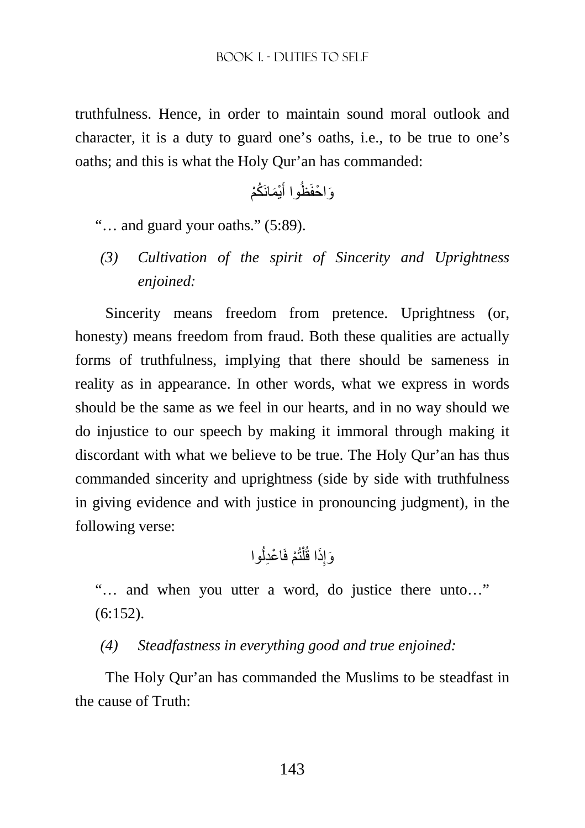truthfulness. Hence, in order to maintain sound moral outlook and character, it is a duty to guard one's oaths, i.e., to be true to one's oaths; and this is what the Holy Qur'an has commanded:

َم َان ُكْم ْي َ َو ْ احفَظُوا أ

"… and guard your oaths." (5:89).

*(3) Cultivation of the spirit of Sincerity and Uprightness enjoined:* 

Sincerity means freedom from pretence. Uprightness (or, honesty) means freedom from fraud. Both these qualities are actually forms of truthfulness, implying that there should be sameness in reality as in appearance. In other words, what we express in words should be the same as we feel in our hearts, and in no way should we do injustice to our speech by making it immoral through making it discordant with what we believe to be true. The Holy Qur'an has thus commanded sincerity and uprightness (side by side with truthfulness in giving evidence and with justice in pronouncing judgment), in the following verse:

ُوا ْم فَ ْ اعِدل تُ ْ ل َذا قُ ِ َوإ

"… and when you utter a word, do justice there unto…" (6:152).

*(4) Steadfastness in everything good and true enjoined:* 

The Holy Qur'an has commanded the Muslims to be steadfast in the cause of Truth: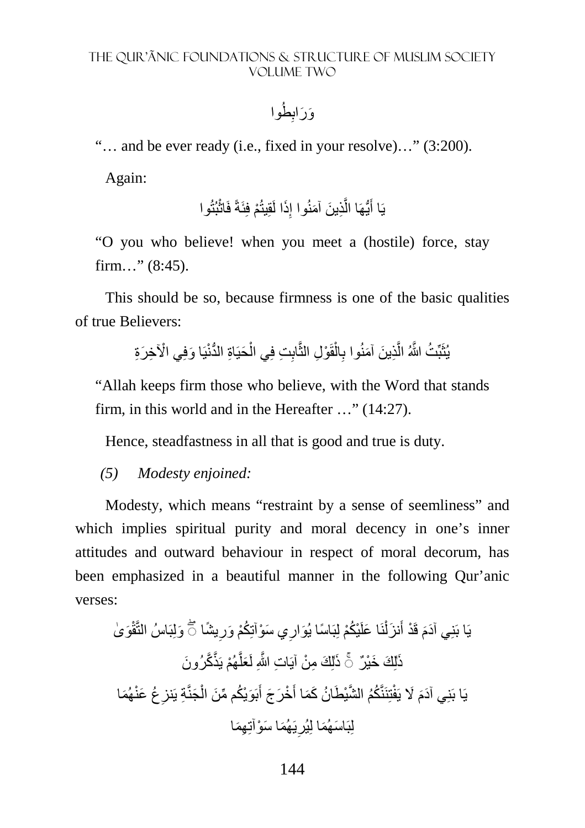وَرَابِطُوا

"… and be ever ready (i.e., fixed in your resolve)…" (3:200).

Again:

يَا أَيُّهَا الَّذِينَ آمَنُوا إِذَا لَقِيتُمْ فِئَةً فَاتُبُتُوا ِ َّ َ

"O you who believe! when you meet a (hostile) force, stay firm…" (8:45).

This should be so, because firmness is one of the basic qualities of true Believers:

> يُثَبِّتُ اللَّهُ الَّذِينَ آمَنُوا بِالْقَوْلِ الثَّابِتِ فِي الْحَيَاةِ الدُّنْيَا وَفِي الْآخِرَةِ ْ ْ ِ َّ

"Allah keeps firm those who believe, with the Word that stands firm, in this world and in the Hereafter …" (14:27).

Hence, steadfastness in all that is good and true is duty.

#### *(5) Modesty enjoined:*

Modesty, which means "restraint by a sense of seemliness" and which implies spiritual purity and moral decency in one's inner attitudes and outward behaviour in respect of moral decorum, has been emphasized in a beautiful manner in the following Qur'anic verses:

َو ٰى َولِبَاسُ التَّقْ ً يشا ِ ُكْم َ ور َي س ْوآتِ ِ ْي ُكْم لِبَ ً اس َ ا يُوار نَ َ ا علَ ْ َ نزل َ يَا بَنِ َ ي آدم ۖ◌ َ قَ ْد أ ٰذ ْھُم يَذَّ َّك َ رُون َ َّ َعل ٰذ ٌر لِ َك ِ م ْن آيَ ِ ات َّ اللهِ لَ ۚ◌ لِ َك َ خْي َ َھُما ُع َ عنْ ِ ِة يَنز َجنَّ ْ بَ َوْي ُك ِّ م م َن ال َ َ ْخ َر َج أ تِنَنَّ ُكُم َّ الشْي َط ُ ان َ كَما أ َ % يَفْ َ يَا بَنِ َ ي آدم ِھَما َھُم َ ا س ْو ِآت َي ِ لِبَ َ اس َھُما لِيُر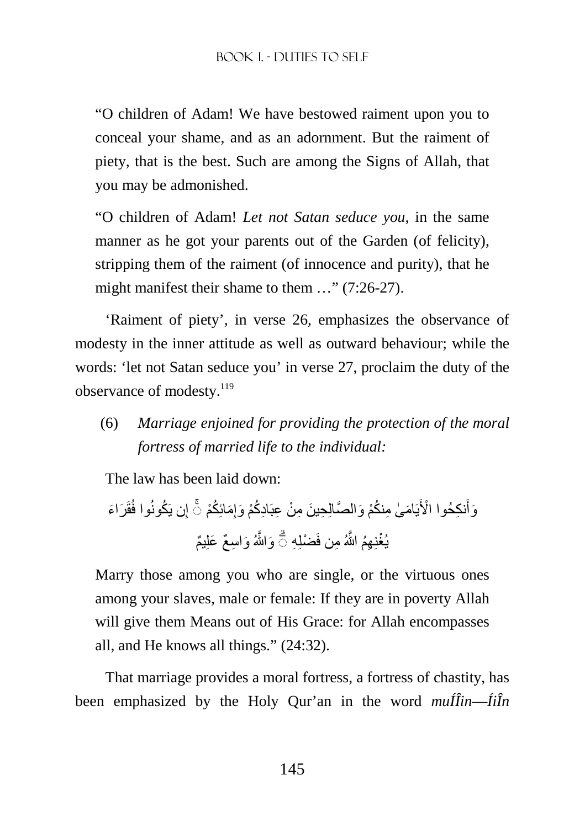"O children of Adam! We have bestowed raiment upon you to conceal your shame, and as an adornment. But the raiment of piety, that is the best. Such are among the Signs of Allah, that you may be admonished.

"O children of Adam! *Let not Satan seduce you*, in the same manner as he got your parents out of the Garden (of felicity), stripping them of the raiment (of innocence and purity), that he might manifest their shame to them ..." (7:26-27).

'Raiment of piety', in verse 26, emphasizes the observance of modesty in the inner attitude as well as outward behaviour; while the words: 'let not Satan seduce you' in verse 27, proclaim the duty of the observance of modesty.<sup>119</sup>

(6) *Marriage enjoined for providing the protection of the moral fortress of married life to the individual:* 

The law has been laid down:

َر َ اء قَ ُكونُوا فُ ِن يَ إ ِ نك ْ حُوا ا>َ َ ُك َو ْم أ ِ َمائِ نكْم َ و َّ الصالِ ِح َ ين ِ م ْن ِ عبَ ِاد ُكْم َ وإ ام ٰى ِ م ُ َ ۚ◌ يَ ِھُم َّ اللهُ ِ من فَ ْضلِ ِه َو َّاللهُ َ و ِ اس ٌع َ علِ ٌيم ۗ◌ ْيُغِن

Marry those among you who are single, or the virtuous ones among your slaves, male or female: If they are in poverty Allah will give them Means out of His Grace: for Allah encompasses all, and He knows all things." (24:32).

That marriage provides a moral fortress, a fortress of chastity, has been emphasized by the Holy Qur'an in the word *muÍÎin*—*ÍiÎn*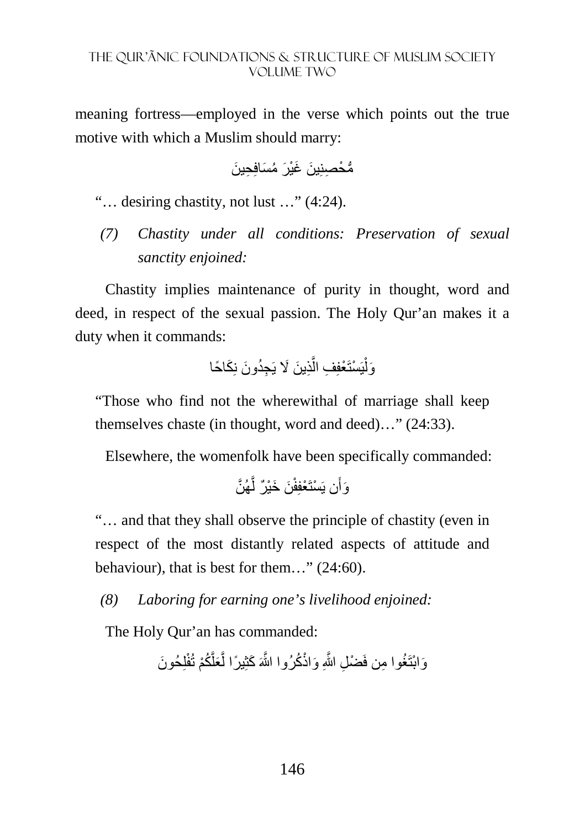meaning fortress—employed in the verse which points out the true motive with which a Muslim should marry:

ُّم ْح ِصنِ َ ين َ غْي َر ُ م َسافِ ِح َ ين

"… desiring chastity, not lust …" (4:24).

*(7) Chastity under all conditions: Preservation of sexual sanctity enjoined:* 

Chastity implies maintenance of purity in thought, word and deed, in respect of the sexual passion. The Holy Qur'an makes it a duty when it commands:

َك ً احا ِذ َ ين َ % يَ ِجُد َون نِ َّ يَ ْستَ ْعفِ ِف ال ْ َول

"Those who find not the wherewithal of marriage shall keep themselves chaste (in thought, word and deed)…" (24:33).

Elsewhere, the womenfolk have been specifically commanded:

َّھُن َّ َن َ خْي ٌر ل َن يَ ْستَ ْعفِفْ َوأ

"… and that they shall observe the principle of chastity (even in respect of the most distantly related aspects of attitude and behaviour), that is best for them…" (24:60).

*(8) Laboring for earning one's livelihood enjoined:* 

The Holy Qur'an has commanded:

َّ َ كثِ ً يرا ل لِ َ حُون َو ْابتَ ُغ ِ وا من فَ ْض ِل َّ اللهِ َ واذْ ُك َّ رُوا اللهَ َّ ُكْم تُفْ َعل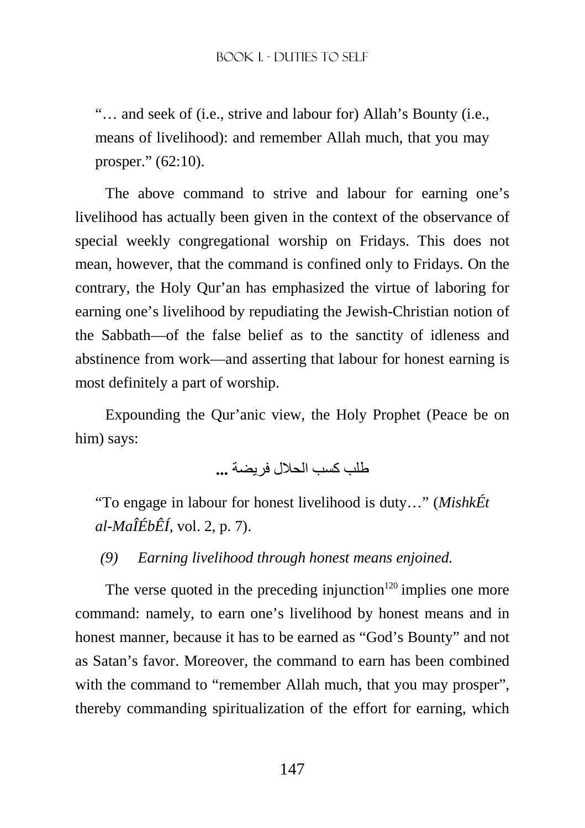"… and seek of (i.e., strive and labour for) Allah's Bounty (i.e., means of livelihood): and remember Allah much, that you may prosper." (62:10).

The above command to strive and labour for earning one's livelihood has actually been given in the context of the observance of special weekly congregational worship on Fridays. This does not mean, however, that the command is confined only to Fridays. On the contrary, the Holy Qur'an has emphasized the virtue of laboring for earning one's livelihood by repudiating the Jewish-Christian notion of the Sabbath—of the false belief as to the sanctity of idleness and abstinence from work—and asserting that labour for honest earning is most definitely a part of worship.

Expounding the Qur'anic view, the Holy Prophet (Peace be on him) says:

طلب كسب الحل فريضة **...**

"To engage in labour for honest livelihood is duty…" (*MishkÉt al-MaÎÉbÊÍ,* vol. 2, p. 7).

*(9) Earning livelihood through honest means enjoined.*

The verse quoted in the preceding injunction<sup>120</sup> implies one more command: namely, to earn one's livelihood by honest means and in honest manner, because it has to be earned as "God's Bounty" and not as Satan's favor. Moreover, the command to earn has been combined with the command to "remember Allah much, that you may prosper", thereby commanding spiritualization of the effort for earning, which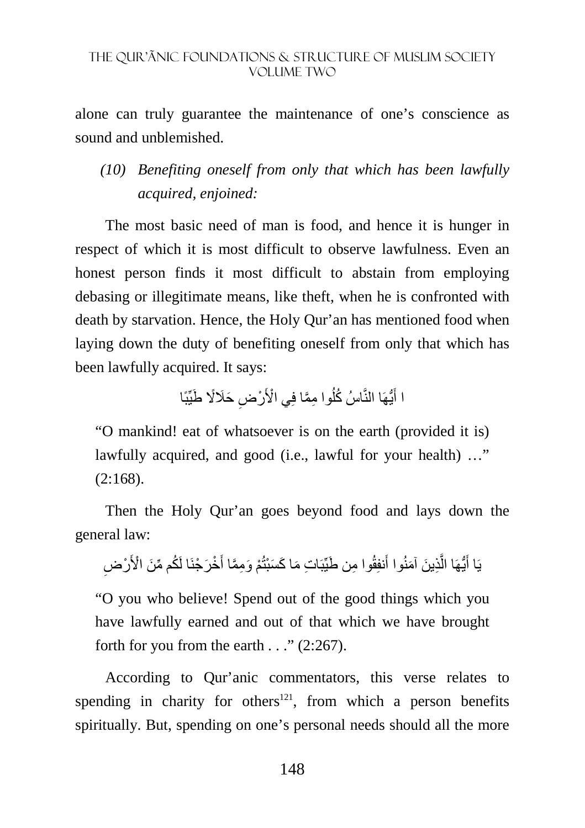alone can truly guarantee the maintenance of one's conscience as sound and unblemished.

# *(10) Benefiting oneself from only that which has been lawfully acquired, enjoined:*

The most basic need of man is food, and hence it is hunger in respect of which it is most difficult to observe lawfulness. Even an honest person finds it most difficult to abstain from employing debasing or illegitimate means, like theft, when he is confronted with death by starvation. Hence, the Holy Qur'an has mentioned food when laying down the duty of benefiting oneself from only that which has been lawfully acquired. It says:

> ا أَيُّهَا النَّاسُ كُلُوا مِمَّا فِي الْأَرْضِ حَلَالًا طَيِّبًا اُ َ

"O mankind! eat of whatsoever is on the earth (provided it is) lawfully acquired, and good (i.e., lawful for your health) ..."  $(2:168).$ 

Then the Holy Qur'an goes beyond food and lays down the general law:

يَا أَيُّهَا الَّذِينَ آمَنُوا أَنفِقُوا مِن طَيِّبَاتِ مَا كَسَبْتُمْ وَمِمَّا أَخْرَجْنَا لَكُم مِّنَ الْأَرْضِ َّ َ

"O you who believe! Spend out of the good things which you have lawfully earned and out of that which we have brought forth for you from the earth  $\ldots$  " (2:267).

According to Qur'anic commentators, this verse relates to spending in charity for others<sup>121</sup>, from which a person benefits spiritually. But, spending on one's personal needs should all the more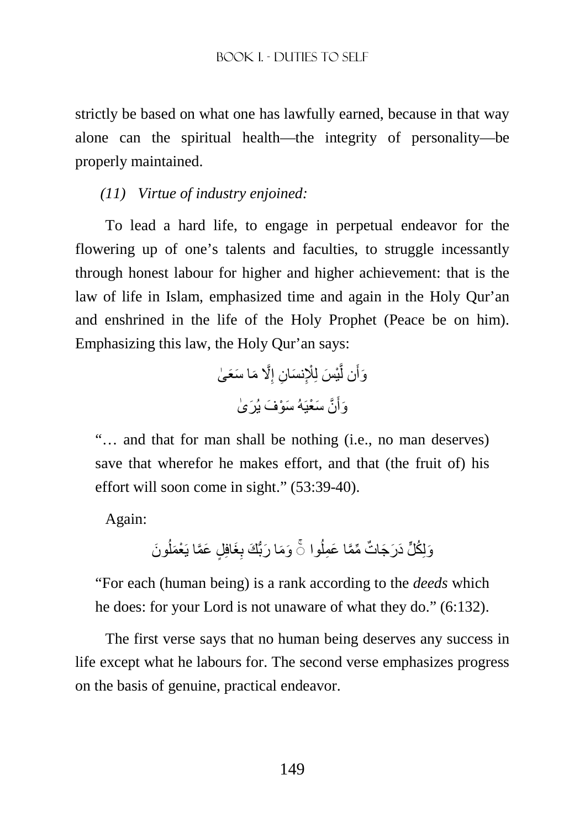strictly be based on what one has lawfully earned, because in that way alone can the spiritual health—the integrity of personality—be properly maintained.

*(11) Virtue of industry enjoined:* 

To lead a hard life, to engage in perpetual endeavor for the flowering up of one's talents and faculties, to struggle incessantly through honest labour for higher and higher achievement: that is the law of life in Islam, emphasized time and again in the Holy Qur'an and enshrined in the life of the Holy Prophet (Peace be on him). Emphasizing this law, the Holy Qur'an says:

َّ% َ م َ ا س َع ٰى ِ ان إ ِْ َ نس ِ ْي َس لِ َّ َن ل َوأ َّن َ س ْعيَ َ هُ س ْو َف َ يُر ٰى َ َوأ

"… and that for man shall be nothing (i.e., no man deserves) save that wherefor he makes effort, and that (the fruit of) his effort will soon come in sight." (53:39-40).

Again:

َون ُ َغافِ ٍل َ ع َّما يَ ْعَمل ِ َو َم َ ا رُّب َك ب ُوا ات ِّ مَّم َ ا ع ِمل ُك َلٍّ د َر َج ٌ َولِ ◌ۚ

"For each (human being) is a rank according to the *deeds* which he does: for your Lord is not unaware of what they do." (6:132).

The first verse says that no human being deserves any success in life except what he labours for. The second verse emphasizes progress on the basis of genuine, practical endeavor.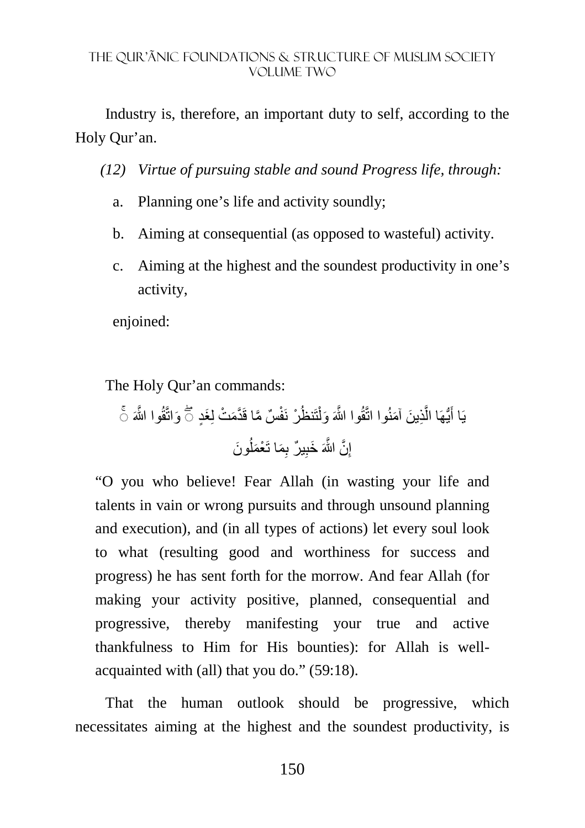Industry is, therefore, an important duty to self, according to the Holy Qur'an.

*(12) Virtue of pursuing stable and sound Progress life, through:* 

- a. Planning one's life and activity soundly;
- b. Aiming at consequential (as opposed to wasteful) activity.
- c. Aiming at the highest and the soundest productivity in one's activity,

enjoined:

The Holy Qur'an commands:

َواتَّقُ َّ وا اللهَ َغٍد ۚ◌ َم ْت لِ ٌس َّ ما قَ َّد ْر َ نفْ تَنظُ ْ ِذ َ ين َ آمنُوا اتَّقُ َّ وا اللهَ َ ول َّ ُّيھَا ال يَا أ ۖ◌ َ َون ُ ِ َم َ ا ت ْعَمل ٌ ير ب ِ َ خب َّن َّ اللهَ ِ إ

"O you who believe! Fear Allah (in wasting your life and talents in vain or wrong pursuits and through unsound planning and execution), and (in all types of actions) let every soul look to what (resulting good and worthiness for success and progress) he has sent forth for the morrow. And fear Allah (for making your activity positive, planned, consequential and progressive, thereby manifesting your true and active thankfulness to Him for His bounties): for Allah is wellacquainted with (all) that you do." (59:18).

That the human outlook should be progressive, which necessitates aiming at the highest and the soundest productivity, is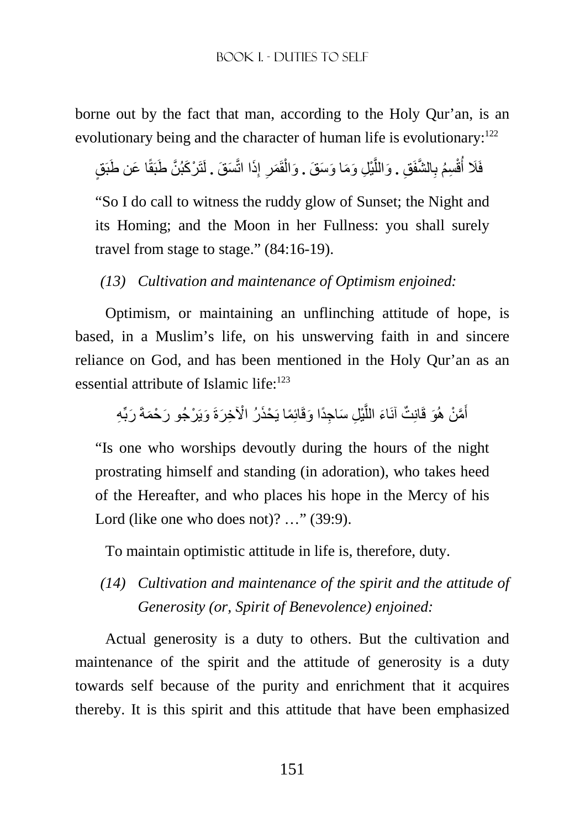borne out by the fact that man, according to the Holy Qur'an, is an evolutionary being and the character of human life is evolutionary: $^{122}$ 

فَلَا أُقْسِمُ بِالشَّفَقِ . وَاللَّيْلِ وَمَا وَسَ**قَ .** وَالْقَمَرِ إِذَا اتَّسَقَ . لَتَرْكَبُنَّ طَبَقًا عَن طَبَقٍ ِ ِ ْ َّ َّ **∶** اُ

"So I do call to witness the ruddy glow of Sunset; the Night and its Homing; and the Moon in her Fullness: you shall surely travel from stage to stage." (84:16-19).

*(13) Cultivation and maintenance of Optimism enjoined:* 

Optimism, or maintaining an unflinching attitude of hope, is based, in a Muslim's life, on his unswerving faith in and sincere reliance on God, and has been mentioned in the Holy Qur'an as an essential attribute of Islamic life: $123$ 

أَمَّنْ هُوَ قَانِتٌ آنَاءَ اللَّيْلِ سَاجِدًا وَقَائِمًا يَحْذَرُ الْآخِرَةَ وَيَرْجُو رَحْمَةَ رَبِّهِ َّ َ

"Is one who worships devoutly during the hours of the night prostrating himself and standing (in adoration), who takes heed of the Hereafter, and who places his hope in the Mercy of his Lord (like one who does not)? ..." (39:9).

To maintain optimistic attitude in life is, therefore, duty.

*(14) Cultivation and maintenance of the spirit and the attitude of Generosity (or, Spirit of Benevolence) enjoined:* 

Actual generosity is a duty to others. But the cultivation and maintenance of the spirit and the attitude of generosity is a duty towards self because of the purity and enrichment that it acquires thereby. It is this spirit and this attitude that have been emphasized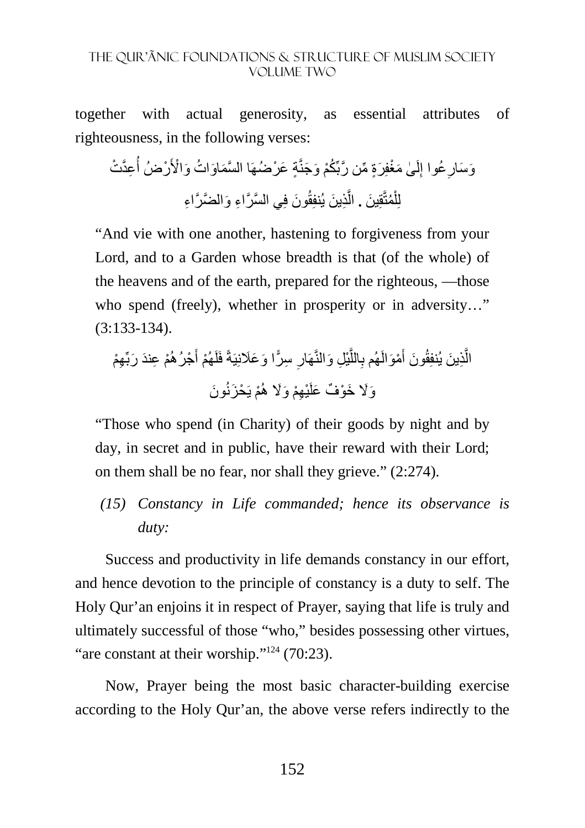together with actual generosity, as essential attributes of righteousness, in the following verses:

ات َ و ْا>َ ٍة َ ع ْرضُھَ َّ ا الس َم َاو ُ ُكْم َ و َجنَّ ٰى َ مْغفِ َرٍة ِّ م َّن ربِّ لَ ِ ُعوا إ ِ ِعَّد ْت َو َسار ُ ْرضُ أ َون فِ َّ ي الس َّر ِ اء َ و َّ الض َّر ِ اء ِذ َ ين يُنفِقُ َّ ُمتَّقِ َ ين **.** ال ْ لِل

"And vie with one another, hastening to forgiveness from your Lord, and to a Garden whose breadth is that (of the whole) of the heavens and of the earth, prepared for the righteous, —those who spend (freely), whether in prosperity or in adversity..." (3:133-134).

ِھْم ْم ِ ع َند َ ربِّ ْجرُھُ َ ْھُم أ َ ا و َعَنِيَةً فَلَ ِ س ّرً ِ ِل َ والنَّھَار ْي َّ الل ِ ْمَوالَھُم ب َ َون أ ِذ َ ين يُنفِقُ َّ ال ْم ِھْم َ و%َ ھُ ْي َون َو%َ َ خ ْو ٌف َ علَ يَ ْح َزنُ

"Those who spend (in Charity) of their goods by night and by day, in secret and in public, have their reward with their Lord; on them shall be no fear, nor shall they grieve." (2:274).

*(15) Constancy in Life commanded; hence its observance is duty:* 

Success and productivity in life demands constancy in our effort, and hence devotion to the principle of constancy is a duty to self. The Holy Qur'an enjoins it in respect of Prayer, saying that life is truly and ultimately successful of those "who," besides possessing other virtues, "are constant at their worship."<sup>124</sup> (70:23).

Now, Prayer being the most basic character-building exercise according to the Holy Qur'an, the above verse refers indirectly to the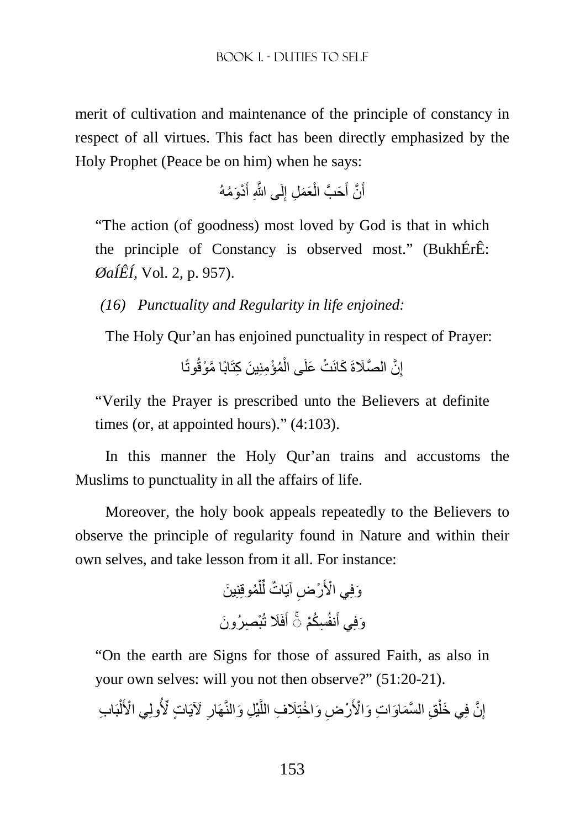merit of cultivation and maintenance of the principle of constancy in respect of all virtues. This fact has been directly emphasized by the Holy Prophet (Peace be on him) when he says:

> أَنَّ أَحَبَّ الْعَمَلِ إِلَى اللَّهِ أَدْوَمُهُ َ ِ ْ اً َ

"The action (of goodness) most loved by God is that in which the principle of Constancy is observed most." (BukhÉrÊ: *ØaÍÊÍ*, Vol. 2, p. 957).

*(16) Punctuality and Regularity in life enjoined:* 

The Holy Qur'an has enjoined punctuality in respect of Prayer:

إِنَّ الصَّلَاةَ كَانَتْ عَلَى الْمُؤْمِنِينَ كِتَابًا مَّوْقُوتًا ْ ِ

"Verily the Prayer is prescribed unto the Believers at definite times (or, at appointed hours)." (4:103).

In this manner the Holy Qur'an trains and accustoms the Muslims to punctuality in all the affairs of life.

Moreover, the holy book appeals repeatedly to the Believers to observe the principle of regularity found in Nature and within their own selves, and take lesson from it all. For instance:

> وَفِي الْأَرْضِ آيَاتٌ لِّلْمُوقِنِينَ ْ ِّ وَفِي أَنفُسِكُمْ ۞ أَفَلَا تُبْصِرُونَ أَ

"On the earth are Signs for those of assured Faith, as also in your own selves: will you not then observe?" (51:20-21).

إِنَّ فِي خَلْقِ السَّمَاوَاتِ وَالْأَرْضِ وَاخْتِلَافِ اللَّيْلِ وَالنَّهَارِ لآيَاتٍ لِّأُولِي الْأَلْبَابِ ْ ِ َّ ْ ِ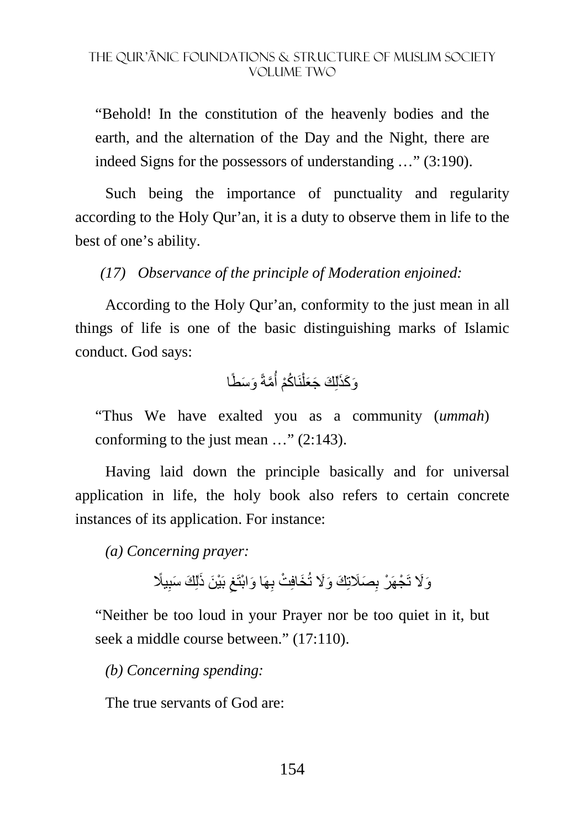"Behold! In the constitution of the heavenly bodies and the earth, and the alternation of the Day and the Night, there are indeed Signs for the possessors of understanding …" (3:190).

Such being the importance of punctuality and regularity according to the Holy Qur'an, it is a duty to observe them in life to the best of one's ability.

*(17) Observance of the principle of Moderation enjoined:* 

According to the Holy Qur'an, conformity to the just mean in all things of life is one of the basic distinguishing marks of Islamic conduct. God says:

> وَكَذَٰلِكَ جَعَلْنَاكُمْ أُمَّةً وَسَطًا  $\overline{\phantom{a}}$ أُ ْ

"Thus We have exalted you as a community (*ummah*) conforming to the just mean …" (2:143).

Having laid down the principle basically and for universal application in life, the holy book also refers to certain concrete instances of its application. For instance:

*(a) Concerning prayer:* 

وَلَا تَجْهَرْ بِصَلَاتِكَ وَلَا تُخَافِتْ بِهَا وَابْتَغِ بَيْنَ ذَٰلِكَ سَبِيلًا ِ ِ

"Neither be too loud in your Prayer nor be too quiet in it, but seek a middle course between." (17:110).

*(b) Concerning spending:* 

The true servants of God are: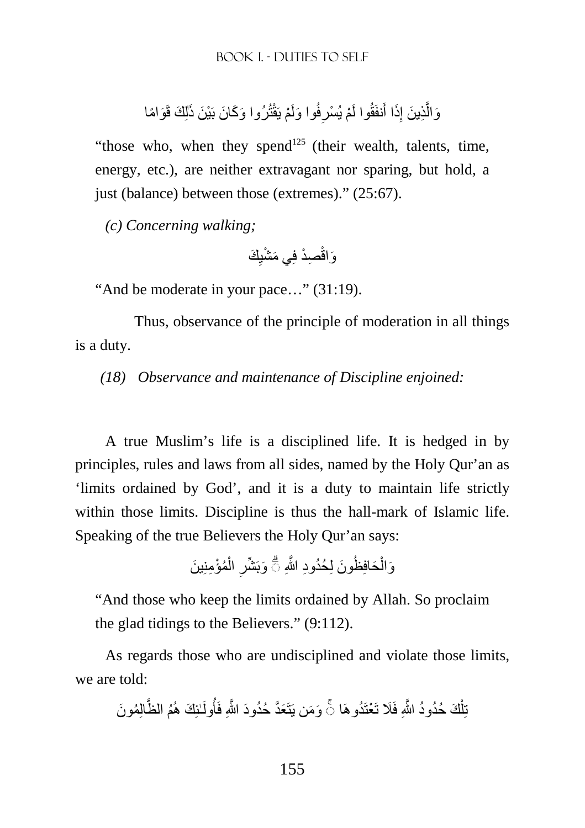وَالَّذِينَ إِذَا أَنفَقُوا لَمْ يُسْرِفُوا وَلَمْ يَقْتُرُوا وَكَانَ بَيْنَ ذَٰلِكَ قَوَامًا ِ ِ َّ

"those who, when they spend<sup>125</sup> (their wealth, talents, time, energy, etc.), are neither extravagant nor sparing, but hold, a just (balance) between those (extremes)." (25:67).

*(c) Concerning walking;* 

َك ِ ِصْد فِ َي م ْشي َواقْ

"And be moderate in your pace…" (31:19).

 Thus, observance of the principle of moderation in all things is a duty.

*(18) Observance and maintenance of Discipline enjoined:* 

A true Muslim's life is a disciplined life. It is hedged in by principles, rules and laws from all sides, named by the Holy Qur'an as 'limits ordained by God', and it is a duty to maintain life strictly within those limits. Discipline is thus the hall-mark of Islamic life. Speaking of the true Believers the Holy Qur'an says:

> وَالْحَافِظُونَ لِحُدُودِ اللَّهِ ۖ وَبَشِّرِ الْمُؤْمِنِينَ ْ ِ

"And those who keep the limits ordained by Allah. So proclaim the glad tidings to the Believers." (9:112).

As regards those who are undisciplined and violate those limits, we are told:

تِلْكَ حُدُودُ اللَّهِ فَلَا تَعْنَدُو هَا ۞ وَمَن يَتَعَدَّ حُدُودَ اللَّهِ فَأُولَـٰئِكَ هُمُ الظَّالِمُونَ ْ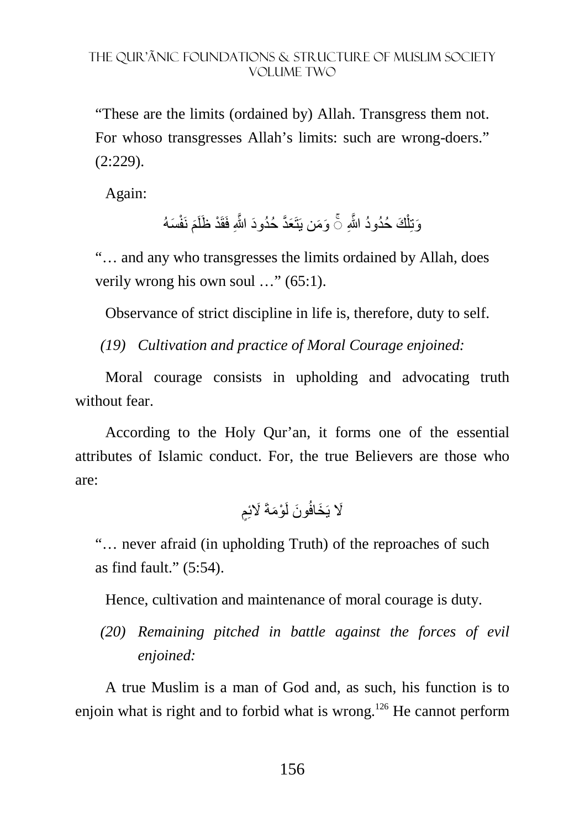"These are the limits (ordained by) Allah. Transgress them not. For whoso transgresses Allah's limits: such are wrong-doers." (2:229).

Again:

وَتِلْكَ حُدُودُ اللَّهِ ۞ وَمَن يَتَعَدَّ حُدُودَ اللَّهِ فَقَدْ ظَلَمَ نَفْسَهُ ْ

"… and any who transgresses the limits ordained by Allah, does verily wrong his own soul …" (65:1).

Observance of strict discipline in life is, therefore, duty to self.

*(19) Cultivation and practice of Moral Courage enjoined:* 

Moral courage consists in upholding and advocating truth without fear

According to the Holy Qur'an, it forms one of the essential attributes of Islamic conduct. For, the true Believers are those who are:

لَا يَخَافُونَ لَوْمَةَ لَائِمِ

"… never afraid (in upholding Truth) of the reproaches of such as find fault." (5:54).

Hence, cultivation and maintenance of moral courage is duty.

*(20) Remaining pitched in battle against the forces of evil enjoined:* 

A true Muslim is a man of God and, as such, his function is to enjoin what is right and to forbid what is wrong.<sup>126</sup> He cannot perform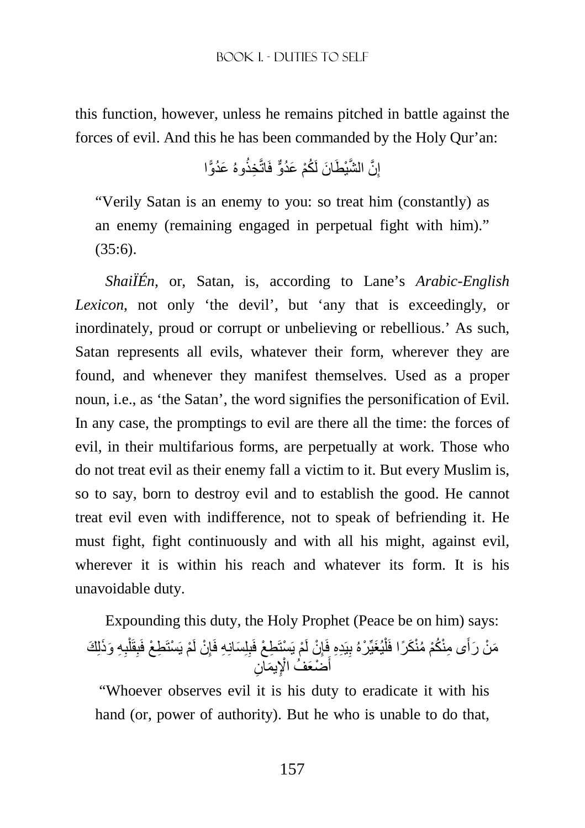this function, however, unless he remains pitched in battle against the forces of evil. And this he has been commanded by the Holy Qur'an:

> إِنَّ الشَّيْطَانَ لَكُمْ عَدُوٌّ فَاتَّخِذُوهُ عَدُوًّا ِ

"Verily Satan is an enemy to you: so treat him (constantly) as an enemy (remaining engaged in perpetual fight with him)."  $(35:6)$ .

*ShaiÏÉn*, or, Satan, is, according to Lane's *Arabic-English Lexicon*, not only 'the devil', but 'any that is exceedingly, or inordinately, proud or corrupt or unbelieving or rebellious.' As such, Satan represents all evils, whatever their form, wherever they are found, and whenever they manifest themselves. Used as a proper noun, i.e., as 'the Satan', the word signifies the personification of Evil. In any case, the promptings to evil are there all the time: the forces of evil, in their multifarious forms, are perpetually at work. Those who do not treat evil as their enemy fall a victim to it. But every Muslim is, so to say, born to destroy evil and to establish the good. He cannot treat evil even with indifference, not to speak of befriending it. He must fight, fight continuously and with all his might, against evil, wherever it is within his reach and whatever its form. It is his unavoidable duty.

Expounding this duty, the Holy Prophet (Peace be on him) says: مَنْ رَأَى مِنْكُمْ مُنْكَرًا فَلْيُغَيِّرْهُ بِيَدِهِ فَإِنْ لَمْ يَسْتَطِعْ فَبِلِسَانِهِ فَإِنْ لَمْ يَسْتَطِعْ فَبِقَلْبِهِ وَذَلِكَ َ ِ ِ ْ **∣** ِ ِ أَضُعَفُ الْإِيمَانِ َ ِ َ

"Whoever observes evil it is his duty to eradicate it with his hand (or, power of authority). But he who is unable to do that,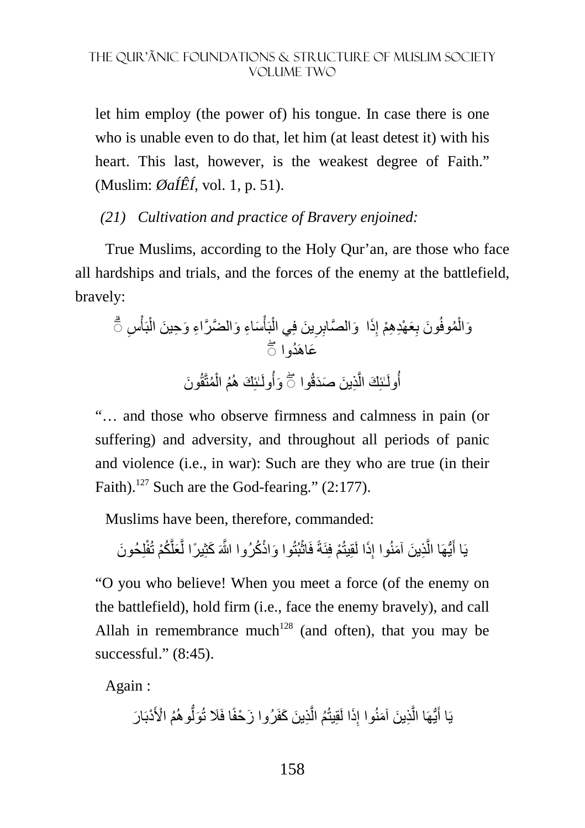let him employ (the power of) his tongue. In case there is one who is unable even to do that, let him (at least detest it) with his heart. This last, however, is the weakest degree of Faith." (Muslim: *ØaÍÊÍ*, vol. 1, p. 51).

### *(21) Cultivation and practice of Bravery enjoined:*

True Muslims, according to the Holy Qur'an, are those who face all hardships and trials, and the forces of the enemy at the battlefield, bravely:

ِس ْ بَأ ْ َس ِاء َ و َّ الض َّر ِ اء َ و ِح َ ين ال ْ بَأ ْ َ ين فِي ال ِ ِر َذا ۗ◌ َو َّ الصاب ِ ِ َع ْھِد ِھ ْم إ َون ب ُموفُ ْ َوال َعاھَ ُدوا ۖ◌ ٰـئِ َك ھُ ُولَ َون َوأ ُمتَّقُ ْ ِذ َ ين َ صَدقُوا ُم ال َّ ٰـئِ َك ال أ ۖ◌ ُولَ

"… and those who observe firmness and calmness in pain (or suffering) and adversity, and throughout all periods of panic and violence (i.e., in war): Such are they who are true (in their Faith).<sup>127</sup> Such are the God-fearing."  $(2:177)$ .

Muslims have been, therefore, commanded:

يَا أَيُّهَا الَّذِينَ آمَنُوا إِذَا لَقِيتُمْ فِئَةً فَاثْبُتُوا وَاذْكُرُوا اللَّهَ كَثِيرًا لَّعَلَّكُمْ تُفْلِحُونَ َّ ِ َّ َ

"O you who believe! When you meet a force (of the enemy on the battlefield), hold firm (i.e., face the enemy bravely), and call Allah in remembrance much<sup>128</sup> (and often), that you may be successful." (8:45).

Again :

يَا أَيُّهَا الَّذِينَ آمَنُوا إِذَا لَقِيتُمُ الَّذِينَ كَفَرُوا زَحْفًا فَلَا تُوَلَّو هُمُ الْأَدْبَارَ َّ ِ َّ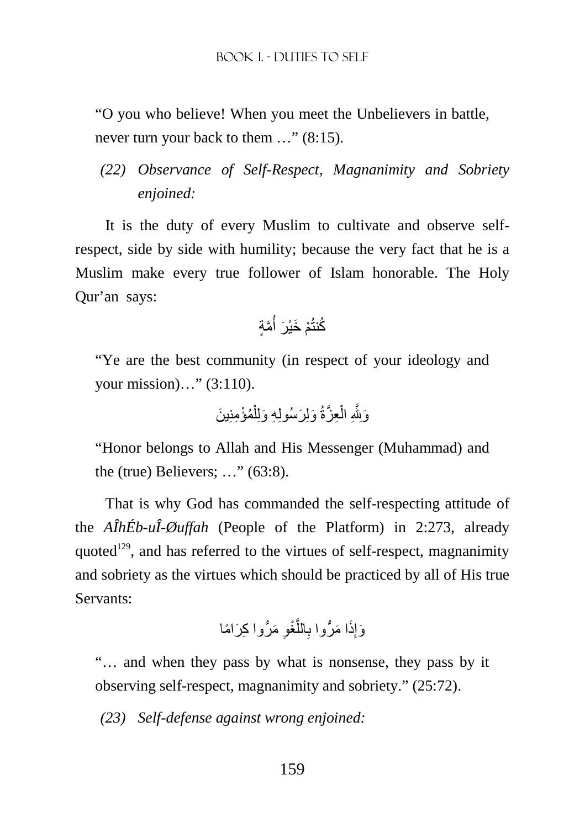"O you who believe! When you meet the Unbelievers in battle, never turn your back to them …" (8:15).

*(22) Observance of Self-Respect, Magnanimity and Sobriety enjoined:* 

It is the duty of every Muslim to cultivate and observe selfrespect, side by side with humility; because the very fact that he is a Muslim make every true follower of Islam honorable. The Holy Qur'an says:

َّمٍة ُ ْم َ خْي َر أ ُكنتُ

"Ye are the best community (in respect of your ideology and your mission)…" (3:110).

ُمْؤ ِمنِ َ ين ْ َ ولِ َرسُولِ ِه َ ولِل ِع َّزةُ ْ ِ ال َوِjَّ

"Honor belongs to Allah and His Messenger (Muhammad) and the (true) Believers;  $\ldots$ " (63:8).

That is why God has commanded the self-respecting attitude of the *AÎhÉb-uÎ-Øuffah* (People of the Platform) in 2:273, already quoted<sup>129</sup>, and has referred to the virtues of self-respect, magnanimity and sobriety as the virtues which should be practiced by all of His true Servants:

ِ َ م ُّر ِ وا ك َر ً اما َّ ْغو الل ِ ا م ُّروا ب َ َذ ِ َوإ

"… and when they pass by what is nonsense, they pass by it observing self-respect, magnanimity and sobriety." (25:72).

*(23) Self-defense against wrong enjoined:*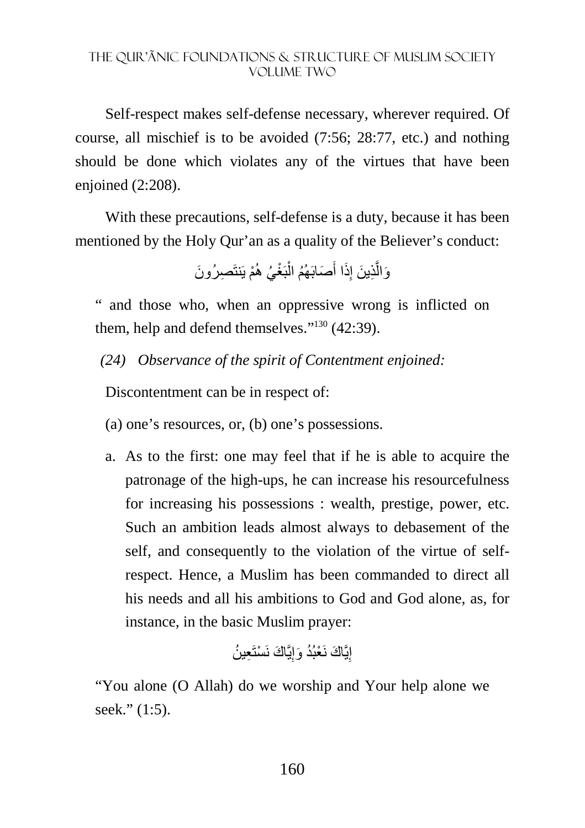Self-respect makes self-defense necessary, wherever required. Of course, all mischief is to be avoided (7:56; 28:77, etc.) and nothing should be done which violates any of the virtues that have been enjoined (2:208).

With these precautions, self-defense is a duty, because it has been mentioned by the Holy Qur'an as a quality of the Believer's conduct:

ِص َ رُون ْم يَنتَ ْغ ُي ھُ بَ ْ َصابَ ُھُم ال َ َذا أ ِ ِذ َ ين إ َّ َوال

" and those who, when an oppressive wrong is inflicted on them, help and defend themselves." $130$  (42:39).

*(24) Observance of the spirit of Contentment enjoined:* 

Discontentment can be in respect of:

- (a) one's resources, or, (b) one's possessions.
- a. As to the first: one may feel that if he is able to acquire the patronage of the high-ups, he can increase his resourcefulness for increasing his possessions : wealth, prestige, power, etc. Such an ambition leads almost always to debasement of the self, and consequently to the violation of the virtue of selfrespect. Hence, a Muslim has been commanded to direct all his needs and all his ambitions to God and God alone, as, for instance, in the basic Muslim prayer:

إِيَّاكَ نَعْبُدُ وَإِيَّاكَ نَسْتَعِينُ

"You alone (O Allah) do we worship and Your help alone we seek." (1:5).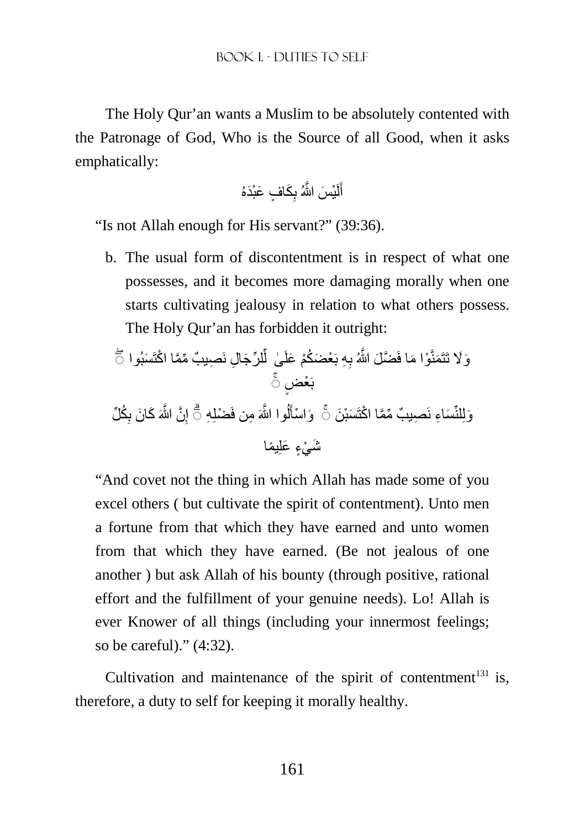The Holy Qur'an wants a Muslim to be absolutely contented with the Patronage of God, Who is the Source of all Good, when it asks emphatically:

َك ٍ اف َ عْب َدهُ ِ ْي َس َّ اللهُ ب لَ َ أ

"Is not Allah enough for His servant?" (39:36).

b. The usual form of discontentment is in respect of what one possesses, and it becomes more damaging morally when one starts cultivating jealousy in relation to what others possess. The Holy Qur'an has forbidden it outright:

وَ لا تَتَمَنَّوٌا مَا فَضَلَ اشَّ*هُ* بِهِ بَعُضَكُمُ عَلَىٰ لَّلرِّجَالِ نَصِيبُّ مِّمَّا اكُتَسَبُو اَتُ
$$
\tilde{\bar{C}}
$$
وَيَلِئُسَاءِ نَصِيبُ مِّمًا اكُتَسَبُنَ  $\bar{\bar{C}}$  وَاسُأَلُوا الُّمَ منِ فَضُلِهِ تُّ إِنََ الُّمَ كَانَ بِكُلِّ وَيُلِمَّا

"And covet not the thing in which Allah has made some of you excel others ( but cultivate the spirit of contentment). Unto men a fortune from that which they have earned and unto women from that which they have earned. (Be not jealous of one another ) but ask Allah of his bounty (through positive, rational effort and the fulfillment of your genuine needs). Lo! Allah is ever Knower of all things (including your innermost feelings; so be careful)." (4:32).

Cultivation and maintenance of the spirit of contentment $131$  is, therefore, a duty to self for keeping it morally healthy.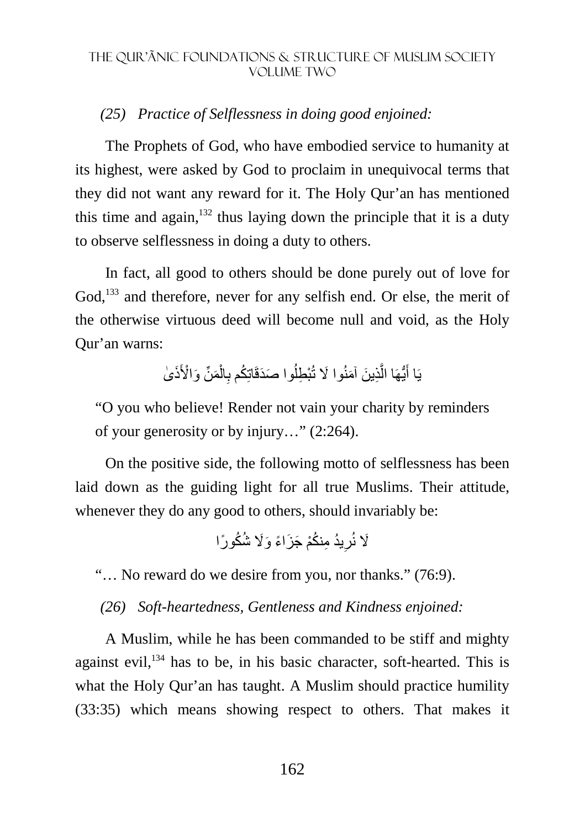### *(25) Practice of Selflessness in doing good enjoined:*

The Prophets of God, who have embodied service to humanity at its highest, were asked by God to proclaim in unequivocal terms that they did not want any reward for it. The Holy Qur'an has mentioned this time and again,  $132$  thus laying down the principle that it is a duty to observe selflessness in doing a duty to others.

In fact, all good to others should be done purely out of love for God,<sup>133</sup> and therefore, never for any selfish end. Or else, the merit of the otherwise virtuous deed will become null and void, as the Holy Qur'an warns:

> يَا أَيُّهَا الَّذِينَ آمَنُوا لَا تُبْطِلُوا صَدَقَاتِكُم بِالْمَنِّ وَالْأَذَىٰ ْ ِ اُ َّ َ

"O you who believe! Render not vain your charity by reminders of your generosity or by injury…" (2:264).

On the positive side, the following motto of selflessness has been laid down as the guiding light for all true Muslims. Their attitude, whenever they do any good to others, should invariably be:

نكْم َ ج َز ً اء َ و%َ ُ ش ُك ًورا ُيد ِ م ُ ِ %َ نُر

"… No reward do we desire from you, nor thanks." (76:9).

*(26) Soft-heartedness, Gentleness and Kindness enjoined:* 

A Muslim, while he has been commanded to be stiff and mighty against evil,<sup>134</sup> has to be, in his basic character, soft-hearted. This is what the Holy Qur'an has taught. A Muslim should practice humility (33:35) which means showing respect to others. That makes it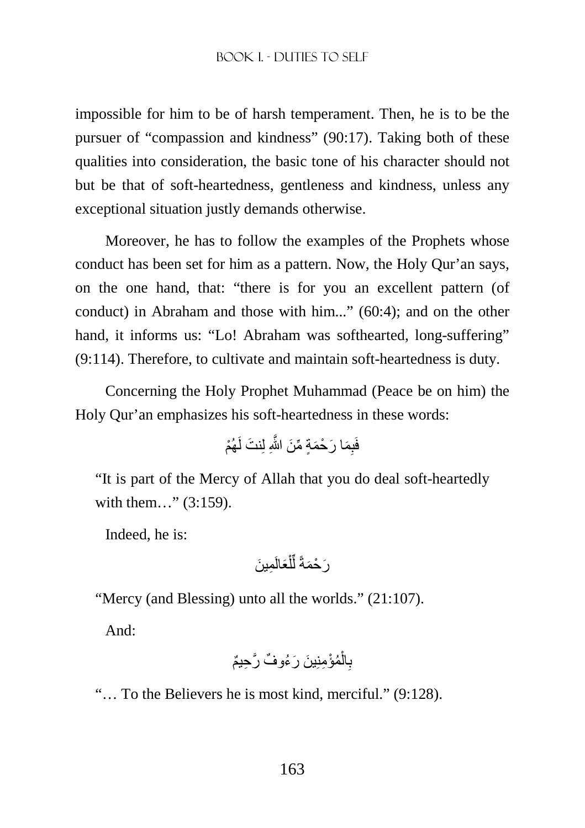#### BOOK I. - DUTIES TO SELF

impossible for him to be of harsh temperament. Then, he is to be the pursuer of "compassion and kindness" (90:17). Taking both of these qualities into consideration, the basic tone of his character should not but be that of soft-heartedness, gentleness and kindness, unless any exceptional situation justly demands otherwise.

Moreover, he has to follow the examples of the Prophets whose conduct has been set for him as a pattern. Now, the Holy Qur'an says, on the one hand, that: "there is for you an excellent pattern (of conduct) in Abraham and those with him..." (60:4); and on the other hand, it informs us: "Lo! Abraham was softhearted, long-suffering" (9:114). Therefore, to cultivate and maintain soft-heartedness is duty.

Concerning the Holy Prophet Muhammad (Peace be on him) the Holy Qur'an emphasizes his soft-heartedness in these words:

ْھُم َ نت لَ ِ َم َ ا ر ْح َمٍة ِّ م َن َّ اللهِ لِ فَب

"It is part of the Mercy of Allah that you do deal soft-heartedly with them..." (3:159).

Indeed, he is:

ِم َ ين َعالَ ْ ل ِّ َر ْح َمةً ل

"Mercy (and Blessing) unto all the worlds." (21:107).

And:

ُمْؤ ِمِن َ ين َ ر ُء ٌ وف َّ ر ِح ٌيم ْ ال ِ ب

"… To the Believers he is most kind, merciful." (9:128).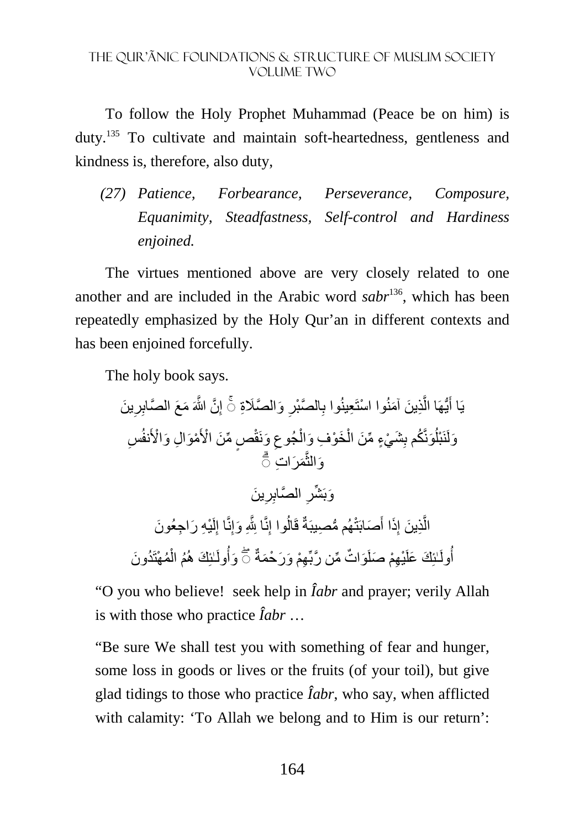To follow the Holy Prophet Muhammad (Peace be on him) is duty.<sup>135</sup> To cultivate and maintain soft-heartedness, gentleness and kindness is, therefore, also duty,

*(27) Patience, Forbearance, Perseverance, Composure, Equanimity, Steadfastness, Self-control and Hardiness enjoined.* 

The virtues mentioned above are very closely related to one another and are included in the Arabic word *sabr*<sup>136</sup>, which has been repeatedly emphasized by the Holy Qur'an in different contexts and has been enjoined forcefully.

The holy book says.

َ ين ِ ِر َّن َّ اللهَ َ م َع َّ الصاب ِ ِ َ و َّ الصَِة إ َّ الصْبر ِ ِعينُوا ب ْ وا استَ ِذ َ ين َ آمنُ َّ ُّيھَا ال َ ۚ◌ يَا أ ِس ْمَو ِ ال َ و ْا>َنفُ ٍص ِّ م َن ْ ا>َ َ وَنقْ ِ ْجُوع َخ ْو ِف َ وال ْ َش ْي ٍء ِّ م َن ال ِ َونَّ ُكم ب ُ َولَنَ ْبل َم َر ِ ات َّ ۗ◌ َوالث ا ِ ِّشر َ ين َوبَ ِ ِر َّ لصاب ْي ِه َ ر ِ اج َ عُون لَ ِ ِنَّا إ ِ َ وإ ِ ا jَّ ِنَّ ُوا إ ُّ ھُم م ِصيبَةٌ قَال َصابَتْ َ َذا أ ِ ِذ َ ين إ َّ ال ُم ْھتَ ُد َون ْ ُم ال ٰـئِ َك ھُ ُولَ َوأ ِھْم َ و َر ْح َمةٌ ات ِّ م َّن ربِّ َو ٌ ِھْم َ صلَ ْي ٰـئِ َك َ علَ أ ۖ◌ ُولَ

"O you who believe! seek help in *Îabr* and prayer; verily Allah is with those who practice *Îabr* …

"Be sure We shall test you with something of fear and hunger, some loss in goods or lives or the fruits (of your toil), but give glad tidings to those who practice *Îabr*, who say, when afflicted with calamity: 'To Allah we belong and to Him is our return':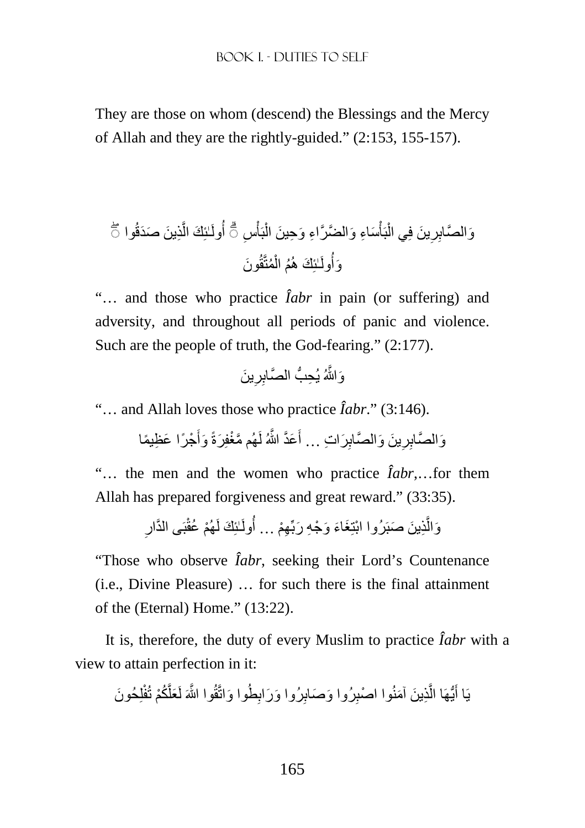They are those on whom (descend) the Blessings and the Mercy of Allah and they are the rightly-guided." (2:153, 155-157).

ِذ َ ين َ صَدقُوا َّ ٰـئِ َك ال َس ِاء َ و َّ الض َّرا أ ۖ◌ ُولَ ْ بَأ ْ َ ين فِي ال ِ ِر ِس َو َّ الصاب ْ بَأ ْ ۗ◌ ِء َ و ِح َ ين ال َون ُمتَّقُ ْ ُم ال ٰـئِ َك ھُ ُولَ َوأ

"… and those who practice *Îabr* in pain (or suffering) and adversity, and throughout all periods of panic and violence. Such are the people of truth, the God-fearing." (2:177).

َ ين َو َّاللهُ يُ ِ ِر ِح ُّب َّ الصاب

"… and Allah loves those who practice *Îabr*." (3:146).

وَالصَّابِرِينَ وَالصَّابِرَاتِ … أَعَدَّ اللَّهُ لَهُم مَّغْفِرَةً وَأَجْرًا عَظِيمًا َ َ ِ

"… the men and the women who practice *Îabr*,…for them Allah has prepared forgiveness and great reward." (33:35).

> ِ وَالَّذِينَ صَبَرُوا ابْتِغَاءَ وَجْهِ رَبِّهِمْ … أُولَـٰئِكَ لَهُمْ عُقْبَى الذَّارِ َّ

"Those who observe *Îabr*, seeking their Lord's Countenance (i.e., Divine Pleasure) … for such there is the final attainment of the (Eternal) Home." (13:22).

It is, therefore, the duty of every Muslim to practice *Îabr* with a view to attain perfection in it:

لِ َ حُون َّ ُكْم تُفْ َعل َ وا واتَّقُ َّ وا اللهَ لَ ِطُ ِ َ رُوا و َراب ِ َ رُوا و َصاب ْ وا اصب ِذ َ ين َ آمنُ َّ ُّيھَا ال َ يَا أ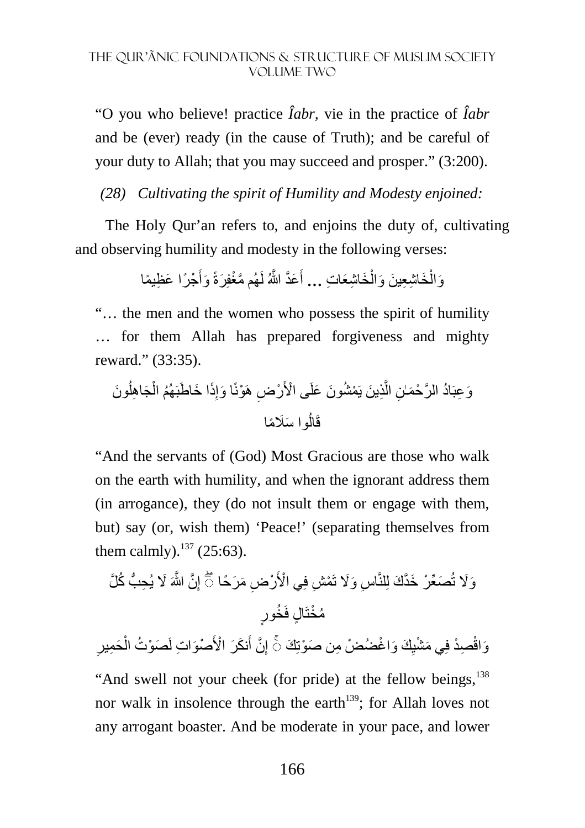"O you who believe! practice *Îabr,* vie in the practice of *Îabr* and be (ever) ready (in the cause of Truth); and be careful of your duty to Allah; that you may succeed and prosper." (3:200).

*(28) Cultivating the spirit of Humility and Modesty enjoined:* 

The Holy Qur'an refers to, and enjoins the duty of, cultivating and observing humility and modesty in the following verses:

> وَالْخَاشِعِينَ وَالْخَاشِعَاتِ ... أَعَدَّ اللَّهُ لَهُم مَّغْفِرَةً وَأَجْرًا عَظِيمًا اً َ ْ ْ

"… the men and the women who possess the spirit of humility … for them Allah has prepared forgiveness and mighty reward." (33:35).

وَعِبَادُ الرَّحْمَـٰنِ الَّذِينَ يَمْشُونَ عَلَى الْأَرْضِ هَوْنًا وَإِذَا خَاطَبَهُمُ الْجَاهِلُونَ ا<br>ا ْ ِ َّ قَالُوا سَلَامًا اُ

"And the servants of (God) Most Gracious are those who walk on the earth with humility, and when the ignorant address them (in arrogance), they (do not insult them or engage with them, but) say (or, wish them) 'Peace!' (separating themselves from them calmly). $137$  (25:63).

وَلَا تُصَعِّرْ خَذَّكَ لِلنَّاسِ وَلَا تَمْشِ فِي الْأَرْضِ مَرَحًا ۖ إِنَّ اللَّهَ لَا يُحِبُّ كُلَّ ِ مُخْتَالٍ فَخُورٍ

ِ وَاقْصِدْ فِي مَشْيِكَ وَاغْضُضْ مِن صَوْتِكَ ۞ إِنَّ أَنكَرَ الْأَصْوَاتِ لَصَوْتُ الْحَمِيرِ ْ َ ِ ِ

"And swell not your cheek (for pride) at the fellow beings, $138$ nor walk in insolence through the earth<sup>139</sup>; for Allah loves not any arrogant boaster. And be moderate in your pace, and lower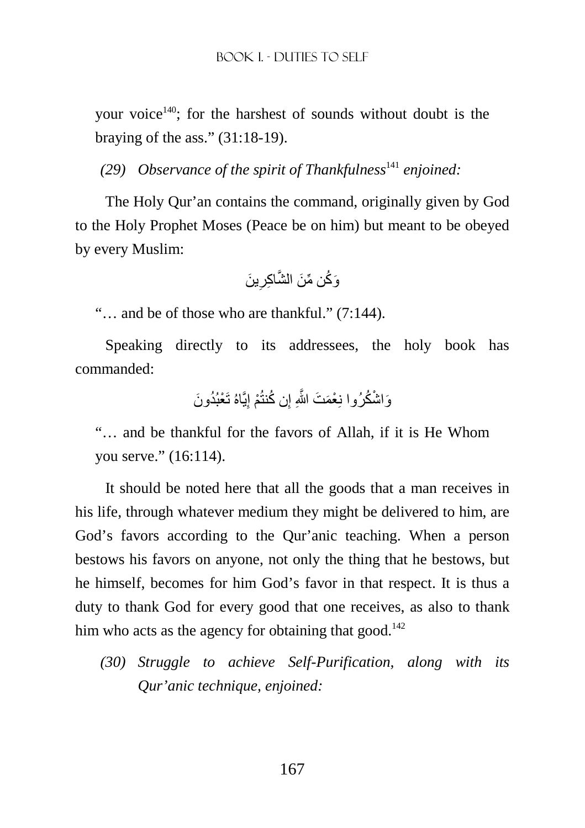your voice<sup>140</sup>; for the harshest of sounds without doubt is the braying of the ass." (31:18-19).

*(29) Observance of the spirit of Thankfulness*<sup>141</sup> enjoined:

The Holy Qur'an contains the command, originally given by God to the Holy Prophet Moses (Peace be on him) but meant to be obeyed by every Muslim:

َ ين ِ َو ُك ِّن م َن َّ الش ِ اكر

"… and be of those who are thankful." (7:144).

Speaking directly to its addressees, the holy book has commanded:

ِيَّاهُ َ ت ْع ُبُد َون ْم إ ُن كنتُ ِ َو ْ اش ُكرُوا نِ ْعَم َت َّ اللهِ إ

"… and be thankful for the favors of Allah, if it is He Whom you serve." (16:114).

It should be noted here that all the goods that a man receives in his life, through whatever medium they might be delivered to him, are God's favors according to the Qur'anic teaching. When a person bestows his favors on anyone, not only the thing that he bestows, but he himself, becomes for him God's favor in that respect. It is thus a duty to thank God for every good that one receives, as also to thank him who acts as the agency for obtaining that good.<sup>142</sup>

*(30) Struggle to achieve Self-Purification, along with its Qur'anic technique, enjoined:*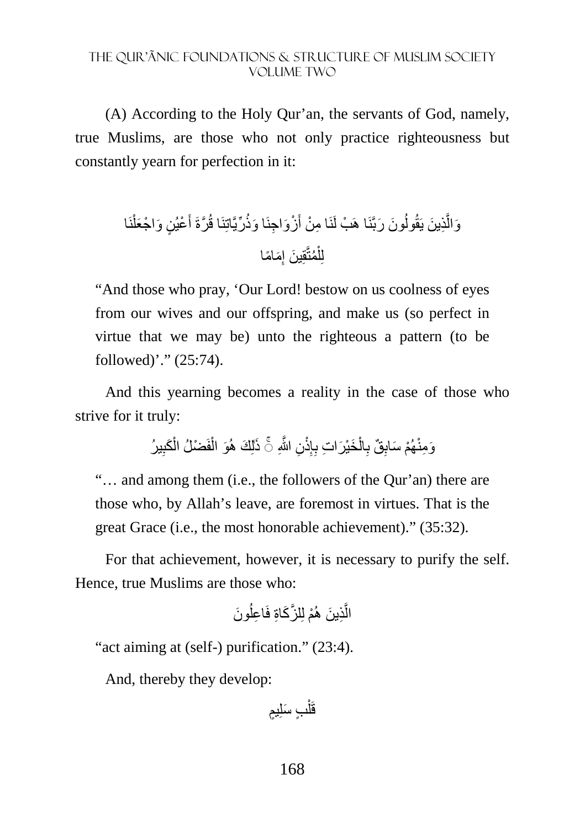(A) According to the Holy Qur'an, the servants of God, namely, true Muslims, are those who not only practice righteousness but constantly yearn for perfection in it:

َون َ ربَّنَا ُ ِذ َ ين يَقُول َّ َوال نَا ْ ْع ٍ يُن َ و ْ اج َعل َ َّرةَ أ ِّريَّاتِنَا قُ َ ا وذُ َ ْز َو ِ اجنَ ِ ا م ْن أ ھَ ْب لَنَ ِ َم ًاما ُمتَّقِ َ ين إ ْ لِل

"And those who pray, 'Our Lord! bestow on us coolness of eyes from our wives and our offspring, and make us (so perfect in virtue that we may be) unto the righteous a pattern (to be followed)'." (25:74).

And this yearning becomes a reality in the case of those who strive for it truly:

> وَمِنْهُمْ سَابِقٌ بِالْخَيْرَاتِ بِإِنْنِ اللَّهِ ۚ ذَٰلِكَ هُوَ الْفَضْلُ الْكَبِيرُ َ ِ ْ ْ ِ ْ ِ ِ

"… and among them (i.e., the followers of the Qur'an) there are those who, by Allah's leave, are foremost in virtues. That is the great Grace (i.e., the most honorable achievement)." (35:32).

For that achievement, however, it is necessary to purify the self. Hence, true Muslims are those who:

َون ُ ِ اعل َّ لز َك ِاة فَ ْم لِ ِذ َ ين ھُ َّ ال

"act aiming at (self-) purification." (23:4).

And, thereby they develop:

قَلْبِ سَلِيمٍ ْ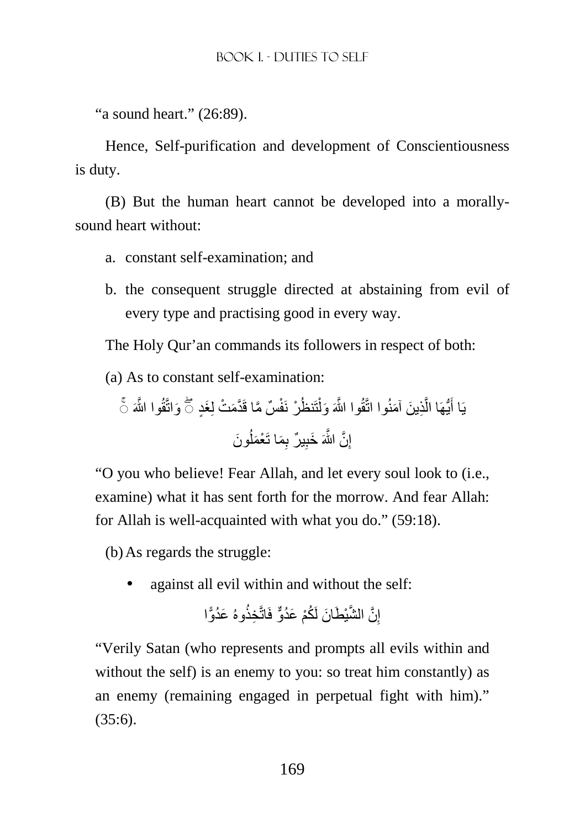"a sound heart." (26:89).

Hence, Self-purification and development of Conscientiousness is duty.

(B) But the human heart cannot be developed into a morallysound heart without:

- a. constant self-examination; and
- b. the consequent struggle directed at abstaining from evil of every type and practising good in every way.

The Holy Qur'an commands its followers in respect of both:

(a) As to constant self-examination:

َواتَّقُ َّ وا اللهَ َغٍد ۚ◌ َم ْت لِ ٌس َّ ما قَ َّد ْر َ نفْ تَنظُ ْ ِذ َ ين َ آمنُوا اتَّقُ َّ وا اللهَ َ ول َّ ُّيھَا ال يَا أ ۖ◌ َ َون ُ ِ َم َ ا ت ْعَمل ٌ ير ب ِ َ خب َّن َّ اللهَ ِ إ

"O you who believe! Fear Allah, and let every soul look to (i.e., examine) what it has sent forth for the morrow. And fear Allah: for Allah is well-acquainted with what you do." (59:18).

(b) As regards the struggle:

• against all evil within and without the self:

$$
\text{if} \quad \text{if} \quad \text{if} \quad \text{if} \quad \text{if} \quad \text{if} \quad \text{if} \quad \text{if} \quad \text{if} \quad \text{if} \quad \text{if} \quad \text{if} \quad \text{if} \quad \text{if} \quad \text{if} \quad \text{if} \quad \text{if} \quad \text{if} \quad \text{if} \quad \text{if} \quad \text{if} \quad \text{if} \quad \text{if} \quad \text{if} \quad \text{if} \quad \text{if} \quad \text{if} \quad \text{if} \quad \text{if} \quad \text{if} \quad \text{if} \quad \text{if} \quad \text{if} \quad \text{if} \quad \text{if} \quad \text{if} \quad \text{if} \quad \text{if} \quad \text{if} \quad \text{if} \quad \text{if} \quad \text{if} \quad \text{if} \quad \text{if} \quad \text{if} \quad \text{if} \quad \text{if} \quad \text{if} \quad \text{if} \quad \text{if} \quad \text{if} \quad \text{if} \quad \text{if} \quad \text{if} \quad \text{if} \quad \text{if} \quad \text{if} \quad \text{if} \quad \text{if} \quad \text{if} \quad \text{if} \quad \text{if} \quad \text{if} \quad \text{if} \quad \text{if} \quad \text{if} \quad \text{if} \quad \text{if} \quad \text{if} \quad \text{if} \quad \text{if} \quad \text{if} \quad \text{if} \quad \text{if} \quad \text{if} \quad \text{if} \quad \text{if} \quad \text{if} \quad \text{if} \quad \text{if} \quad \text{if} \quad \text{if} \quad \text{if} \quad \text{if} \quad \text{if} \quad \text{if} \quad \text{if} \quad \text{if} \quad \text{if} \quad \text{if} \quad \text{if} \quad \text{if} \quad \text{if} \quad \text{if} \quad \text{if} \quad \text{if} \quad \text{if} \quad \text{if} \quad \text{if} \quad \text{if} \quad \text{if} \quad \text{if} \quad \text{if} \quad \text{if} \quad \text{if} \quad \text{if} \quad \text{if} \quad \text{if} \quad \text{if
$$

"Verily Satan (who represents and prompts all evils within and without the self) is an enemy to you: so treat him constantly) as an enemy (remaining engaged in perpetual fight with him)."  $(35:6)$ .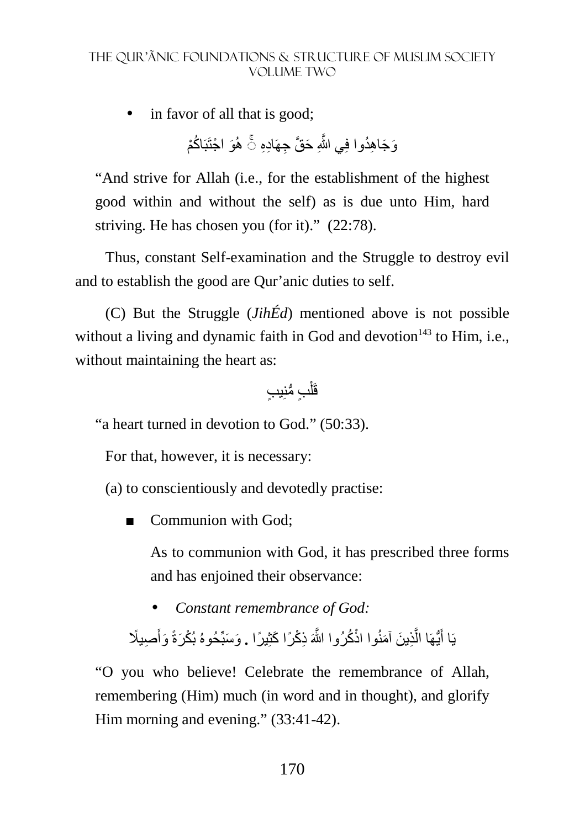in favor of all that is good;

وَجَاهِدُوا فِي اللَّهِ حَقَّ جِهَادِهِ ۞ هُوَ اجْتَبَاكُمْ ُ َّ

"And strive for Allah (i.e., for the establishment of the highest good within and without the self) as is due unto Him, hard striving. He has chosen you (for it)." (22:78).

Thus, constant Self-examination and the Struggle to destroy evil and to establish the good are Qur'anic duties to self.

(C) But the Struggle (*JihÉd*) mentioned above is not possible without a living and dynamic faith in God and devotion $143$  to Him, i.e., without maintaining the heart as:

ٍب ُّ منِ ٍ يب ْ قَل

"a heart turned in devotion to God." (50:33).

For that, however, it is necessary:

(a) to conscientiously and devotedly practise:

■ Communion with God:

As to communion with God, it has prescribed three forms and has enjoined their observance:

• *Constant remembrance of God:* 

يَا أَيُّهَا الَّذِينَ آمَنُوا اذْكُرُوا اللَّهَ ذِكْرًا كَثِيرًا . وَسَبِّحُوهُ بُكْرَةً وَأَصبِيلًا َ َّ َ

"O you who believe! Celebrate the remembrance of Allah, remembering (Him) much (in word and in thought), and glorify Him morning and evening." (33:41-42).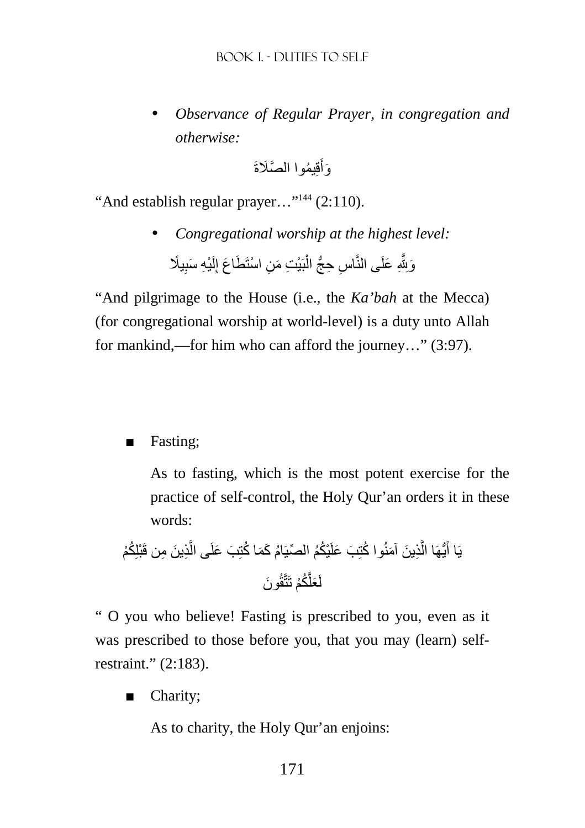• *Observance of Regular Prayer, in congregation and otherwise:* 

> وَأُقِيمُوا الصَّلَاةَ َ

"And establish regular prayer..."<sup>144</sup> (2:110).

• *Congregational worship at the highest level:*  وَبِلَّهِ عَلَى النَّاسِ حِجُّ الْبَيْتِ مَنِ اسْتَطَاعَ إِلَيْهِ سَبِيلًا ِ لَ ِ ْ ِ

"And pilgrimage to the House (i.e., the *Ka'bah* at the Mecca) (for congregational worship at world-level) is a duty unto Allah for mankind,—for him who can afford the journey…" (3:97).

### ■ Fasting;

As to fasting, which is the most potent exercise for the practice of self-control, the Holy Qur'an orders it in these words:

يَا أَيُّهَا الَّذِينَ آمَنُو ا كُتِبَ عَلَيُكُمُ المصِّيَامُ كَمَا كُتِبَ عَلَى الَّذِينَ مِن قَبَّلِكُم۫
$$
\overrightarrow{a}
$$

" O you who believe! Fasting is prescribed to you, even as it was prescribed to those before you, that you may (learn) selfrestraint." (2:183).

■ Charity;

As to charity, the Holy Qur'an enjoins: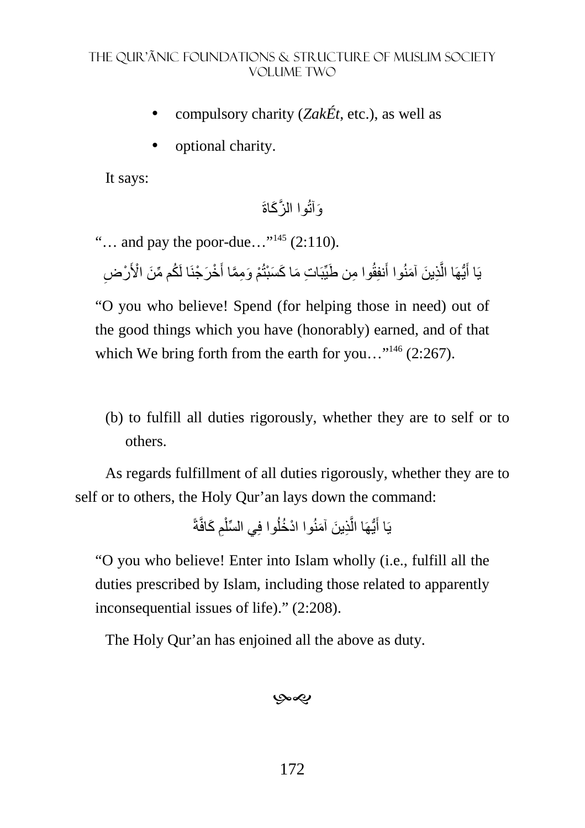- compulsory charity (*ZakÉt*, etc.), as well as
- optional charity.

It says:

َوآتُ َّ وا الز َكاةَ

"... and pay the poor-due..."<sup>145</sup> (2:110).

يَا أَيُّهَا الَّذِينَ آمَنُوا أَنفِقُوا مِن طَيِّبَاتِ مَا كَسَبْتُمْ وَمِمَّا أَخْرَجْنَا لَكُم مِّنَ الْأَرْضِ َّ َ

"O you who believe! Spend (for helping those in need) out of the good things which you have (honorably) earned, and of that which We bring forth from the earth for you..."<sup>146</sup> (2:267).

(b) to fulfill all duties rigorously, whether they are to self or to others.

As regards fulfillment of all duties rigorously, whether they are to self or to others, the Holy Qur'an lays down the command:

> يَا أَيُّهَا الَّذِينَ آمَنُوا ادْخُلُوا فِي السِّلْمِ كَافَّةً ْ َّ َ

"O you who believe! Enter into Islam wholly (i.e., fulfill all the duties prescribed by Islam, including those related to apparently inconsequential issues of life)." (2:208).

The Holy Qur'an has enjoined all the above as duty.

بهي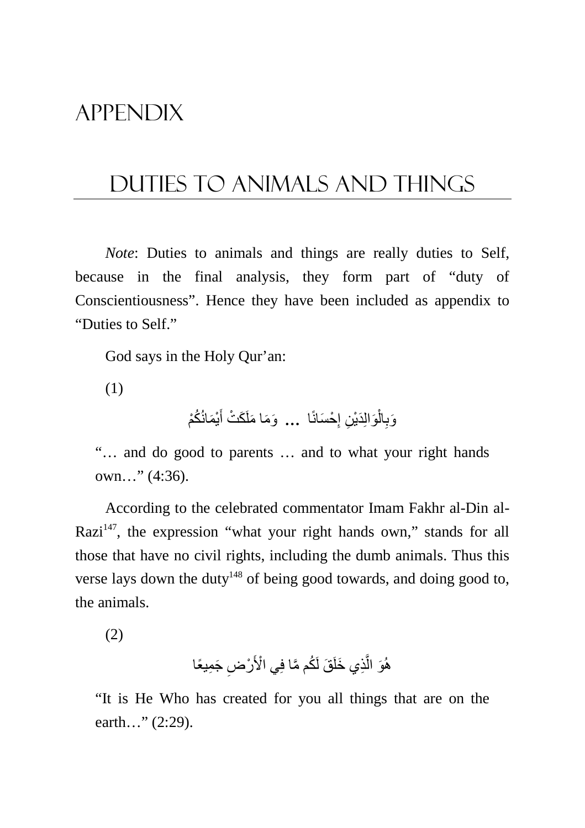# APPENDIX

# DUTIES TO ANIMALS AND THINGS

*Note*: Duties to animals and things are really duties to Self, because in the final analysis, they form part of "duty of Conscientiousness". Hence they have been included as appendix to "Duties to Self."

God says in the Holy Qur'an:

(1)

وَبِالْوَالِدَيْنِ إِحْسَانًا ... وَمَا مَلَكَتْ أَيْمَانُكُمْ َ ן<br>ְ ْ ِ

"… and do good to parents … and to what your right hands own…" (4:36).

According to the celebrated commentator Imam Fakhr al-Din al-Razi $147$ , the expression "what your right hands own," stands for all those that have no civil rights, including the dumb animals. Thus this verse lays down the duty<sup>148</sup> of being good towards, and doing good to, the animals.

(2)

هُوَ الَّذِي خَلَقَ لَكُم مَّا فِي الْأَرْضِ جَمِيعًا َّ

"It is He Who has created for you all things that are on the earth..." (2:29).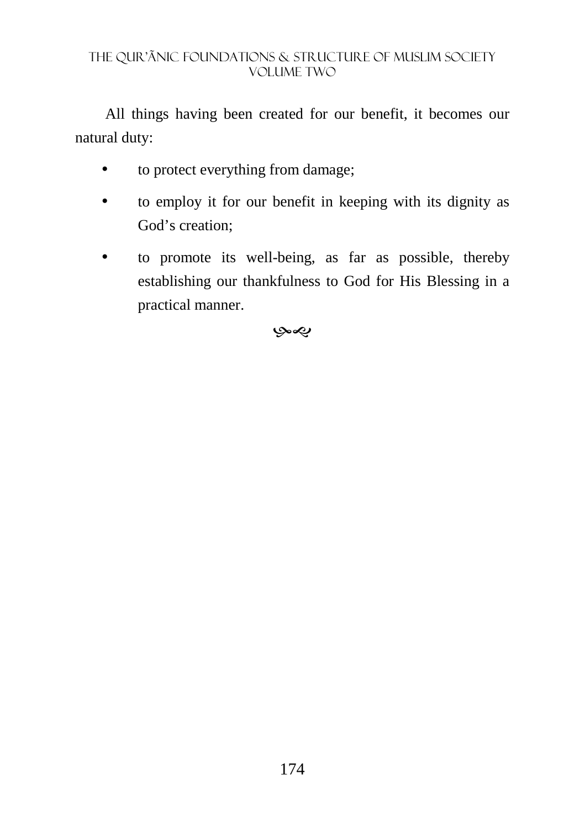All things having been created for our benefit, it becomes our natural duty:

- to protect everything from damage;
- to employ it for our benefit in keeping with its dignity as God's creation;
- to promote its well-being, as far as possible, thereby establishing our thankfulness to God for His Blessing in a practical manner.

بهي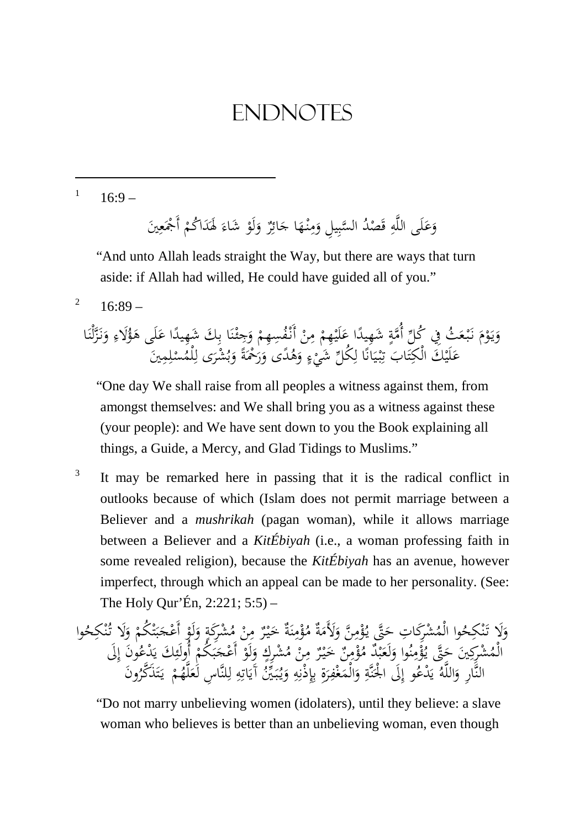1  $16.9 -$ 

<u>.</u>

وَعَلَى اللَّهِ قَصْدُ السَّبِيلِ وَمِنْهَا جَائِزٌ وَلَوْ شَاءَ لَهَدَاكُمْ أَجْمَعِينَ َ َ ِم<br>ٍ ِ َ َ ٍ<br>بُلِ َ ْ َ َ َ ِ ْ

 "And unto Allah leads straight the Way, but there are ways that turn aside: if Allah had willed, He could have guided all of you."

2  $16.89 -$ 

> َ وَيَوْمَ نَبْعَثُ فِي كُلِّ أُمَّةٍ شَهِيدًا عَلَيْهِمْ مِنْ أَنْفُسِهِمْ وَجِئْنَا بِكَ شَهِيدًا عَلَى هَؤُلاءِ وَنَزَّلْنَا<br>عَلَالَهُ عَلَيْهِمْ الْكَمَالُ عَلَيْهِمْ الْمُحْمَّدِينَ عَلَيْهِمْ مِنْ أَنْفُسِهِمْ وَجِئْن ْ يا<br>. َ ْ َ ِ <u>ۃ</u> ا ر<br>ا :<br>∶ ء<br>ا .<br>-<br>-ِ ْ َ ن ْ و<br>يہ ِ .<br>.  $\frac{1}{2}$ َ ِ **م** َ عَلَيْكَ الْكِتَابَ تِبْيَانًا لِكُلِّ شَيْءٍ وَهُدًى وَرَحْمَةً وَبُشْرَى لِلْمُسْلِمِينَ َ ت ِ .<br>ا  $\ddot{\phantom{0}}$ ي ْ ِ: ت ِ ل .<br>ءِ .<br>.  $\ddot{\cdot}$ َ َ َ ر<br>ا ب َ ا **ـ** ِ<br>ل

 "One day We shall raise from all peoples a witness against them, from amongst themselves: and We shall bring you as a witness against these (your people): and We have sent down to you the Book explaining all things, a Guide, a Mercy, and Glad Tidings to Muslims."

3 It may be remarked here in passing that it is the radical conflict in outlooks because of which (Islam does not permit marriage between a Believer and a *mushrikah* (pagan woman), while it allows marriage between a Believer and a *KitÉbiyah* (i.e., a woman professing faith in some revealed religion), because the *KitÉbiyah* has an avenue, however imperfect, through which an appeal can be made to her personality. (See: The Holy Qur'Én, 2:221; 5:5) –

َلا َ و وا ُ ْكِح ن َ ْشِرَك ِ ات تـ ُ الْم تى َ ن ح ِ م ْ ؤ ُ ٌ يـ ة َ َلأَم َ ٌ َ و ة ن ِ م ْ ؤ ُ م ٌ ر ْ يـَ خ ْ ن ِ م ٍ ُ ْشِرَكة م ْ لَو َ و ْ ْ ُكم ت َ ب َ ْج َلا أَع َ و وا ُ ْكِح ن ُ تـ َين ْشِركِ ُ الْم تى َ ح وا ُ ن ِ م ْ ؤ ُ ٌْد يـ ب َ لَع َ و ٌ ن ِ م ْ ؤ ُ م ٌ ر ْ يـ َ خ ْ ن ِ م ُ ْشِركٍ م ْ لَو َ و ْ أَع ْ ُكم َ ب َ َك َون ِ ُ ج أُولَئ ْدع َ َلى ي ِ إ النار ِ ُ الله َ و و ُ ْدع َ َلى ي ِ إ ِ نة َ ْ الج ةِ َ ر ِ ْف غ َ الْم َ و ِ ه ِ ْذن ِ إ ِ ب ينُ َ بـ ُ يـ َ و ِ ه ِ ات َ آَي ِ لناس ِ ل ْ م ُ له َ َون لَع ُ َذكر َ ت َ يـ

 "Do not marry unbelieving women (idolaters), until they believe: a slave woman who believes is better than an unbelieving woman, even though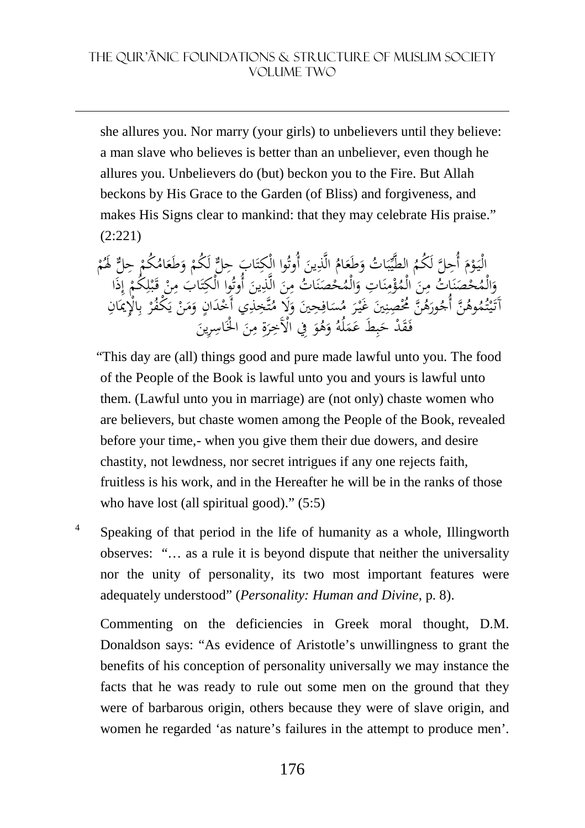she allures you. Nor marry (your girls) to unbelievers until they believe: a man slave who believes is better than an unbeliever, even though he allures you. Unbelievers do (but) beckon you to the Fire. But Allah beckons by His Grace to the Garden (of Bliss) and forgiveness, and makes His Signs clear to mankind: that they may celebrate His praise." (2:221)

َ الْيَوْمَ أُحِلَّ لَكُمُ الطَّيِّبَاتُ وَطَعَامُ الَّذِينَ أُوتُوا الْكِتَابَ حِلٌّ لَكُمْ وَطَعَامُكُمْ حِلٌّ لَهُمْ<br>'م فريجا بِم سي الْمُعْ بَابِدِ بِالْمُرُّهِ وَيَزِيدُ سي الَّذِينُ فَي الْكِتَابَ مِنْ يَوْاجُ وَيِزَي ْ َ ي َ َ :<br>-ِ ت ْ ً<br>، َ ْ ْ وَالْمُحْصَنَاتُ مِنَ الْمُؤْمِنَاتِ وَالْمُحْصَنَاتُ مِنَ الَّذِينَ أُوتُوا الْكِتَابَ مِنْ قَبْلِكُمْ إِذَا<br>رَبُّهُمْ فُرِيطٌ فُرِيطٌ وَ مُنْ سَبَّرَ زَيْبِهِ مِرَانِ وَ كَلا مِنَّ مَنْ أَرْدَانِ وَ كُرْثُوهِ بِالْهَيَ ن َ َ :<br>ة ∕' .<br>. ن ٍ<br>≀ ْ ن .<br>. و<br>، :<br>^ ِ :<br>: ِ ت ِ .<br>-<br>-ِم ا<br>أ ِ ْ ب ق<br>ء ِ آَتَيْتُمُوهُنَّ أُجُورَهُ ۖ مُحْصِّنِينَ غَيْرَ مُسَافِحِينَ وَلَا مُتَّخِلِّي أَخْدَانٍ وَمَنْ يَكْفُرْ بِالْإِيمَانِ<br>آَتَيْتُمُوهُنَّ أُجُورَهُ ۚ مُحْصِّنِينَ غَيْرَ مُسَافِحِينَ وَلَا مُتَّخِلِّي أَخْدَانٍ وَمَنْ يَكْ ت ْ ي <u>ت</u> َ ِ ُ<br>ِ **∶**  $\ddot{\phantom{0}}$ ہ<br>ا ِ ٍ<br>ا .<br>- $\overline{\phantom{a}}$ َ ر<br>. يا<br>. ي ُ<br>ا ِ ب خَفَلْ حَبِطَ عَمَلُهُ وَهُوَ فِي الْأَخِرَةِ مِنَ الْخَاسِرِيْنَ ب َ  $\ddot{\phantom{0}}$ َ َ َ ِ َ ِ<br>پر َ َ

- "This day are (all) things good and pure made lawful unto you. The food of the People of the Book is lawful unto you and yours is lawful unto them. (Lawful unto you in marriage) are (not only) chaste women who are believers, but chaste women among the People of the Book, revealed before your time,- when you give them their due dowers, and desire chastity, not lewdness, nor secret intrigues if any one rejects faith, fruitless is his work, and in the Hereafter he will be in the ranks of those who have lost (all spiritual good)." (5:5)
- 4 Speaking of that period in the life of humanity as a whole, Illingworth observes: "… as a rule it is beyond dispute that neither the universality nor the unity of personality, its two most important features were adequately understood" (*Personality: Human and Divine*, p. 8).

Commenting on the deficiencies in Greek moral thought, D.M. Donaldson says: "As evidence of Aristotle's unwillingness to grant the benefits of his conception of personality universally we may instance the facts that he was ready to rule out some men on the ground that they were of barbarous origin, others because they were of slave origin, and women he regarded 'as nature's failures in the attempt to produce men'.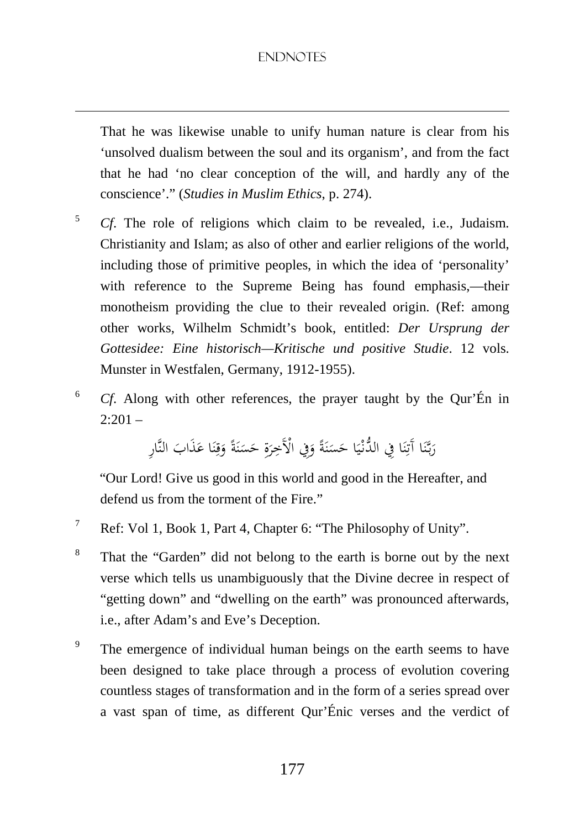<u>.</u>

That he was likewise unable to unify human nature is clear from his 'unsolved dualism between the soul and its organism', and from the fact that he had 'no clear conception of the will, and hardly any of the conscience'." (*Studies in Muslim Ethics*, p. 274).

- 5 *Cf*. The role of religions which claim to be revealed, i.e., Judaism. Christianity and Islam; as also of other and earlier religions of the world, including those of primitive peoples, in which the idea of 'personality' with reference to the Supreme Being has found emphasis,—their monotheism providing the clue to their revealed origin. (Ref: among other works, Wilhelm Schmidt's book, entitled: *Der Ursprung der Gottesidee: Eine historisch—Kritische und positive Studie*. 12 vols. Munster in Westfalen, Germany, 1912-1955).
- 6 *Cf*. Along with other references, the prayer taught by the Qur'Én in  $2:201 -$

رَبَّنَا آَتِنَا فِي الذَّنْيَا حَسَنَةً وَفِي الْأَخِرَةِ حَسَنَةً وَقِنَا عَذَابَ النَّارِ  $\ddot{ }$ ر<br>ا .<br>أ ن ِ<br>ت َ ي .<br>. ً .<br>أ ن  $\ddot{\phantom{0}}$ َ َ .<br>أ ن  $\ddot{\phantom{0}}$ .<br>أ ِ َ ً<br>ا َ

 "Our Lord! Give us good in this world and good in the Hereafter, and defend us from the torment of the Fire."

- 7 Ref: Vol 1, Book 1, Part 4, Chapter 6: "The Philosophy of Unity".
- 8 That the "Garden" did not belong to the earth is borne out by the next verse which tells us unambiguously that the Divine decree in respect of "getting down" and "dwelling on the earth" was pronounced afterwards, i.e., after Adam's and Eve's Deception.
- 9 The emergence of individual human beings on the earth seems to have been designed to take place through a process of evolution covering countless stages of transformation and in the form of a series spread over a vast span of time, as different Qur'Énic verses and the verdict of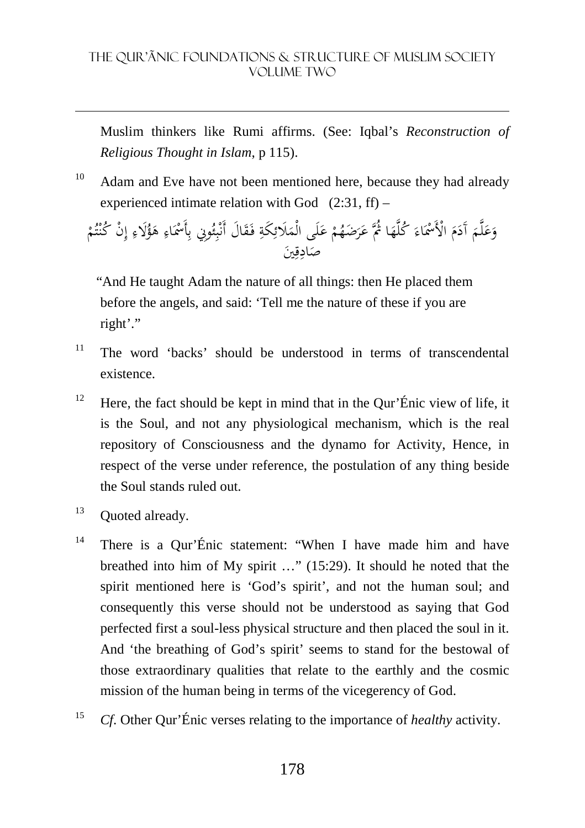Muslim thinkers like Rumi affirms. (See: Iqbal's *Reconstruction of Religious Thought in Islam*, p 115).

 $10$  Adam and Eve have not been mentioned here, because they had already experienced intimate relation with God  $(2:31, ff)$  –

َ وَعَلَّمَ أَدَمَ الْأَسْمَاءَ كُلَّهَا ثُمَّ عَرَضَهُمْ عَلَى الْمَلَائِكَةِ فَقَالَ أَنْبِئُونِي بِأَسْمَاءِ هَؤُلَاءِ إِنْ كُنْتُمْ َ َ َ ٔ. َ اب<br>ا َ ْ .<br>ل َ ة<br>4 ِ<br>ئ ٍ<sup>م</sup> .<br>م ئ ِ ب :<br>أ َ َ ِ ْ ت **:** َين ِ ق ِ اد  $\overline{a}$ ص

 "And He taught Adam the nature of all things: then He placed them before the angels, and said: 'Tell me the nature of these if you are right'."

- $11$  The word 'backs' should be understood in terms of transcendental existence.
- <sup>12</sup> Here, the fact should be kept in mind that in the Qur'Énic view of life, it is the Soul, and not any physiological mechanism, which is the real repository of Consciousness and the dynamo for Activity, Hence, in respect of the verse under reference, the postulation of any thing beside the Soul stands ruled out.
- <sup>13</sup> Quoted already.

- <sup>14</sup> There is a Qur'Énic statement: "When I have made him and have breathed into him of My spirit …" (15:29). It should he noted that the spirit mentioned here is 'God's spirit', and not the human soul; and consequently this verse should not be understood as saying that God perfected first a soul-less physical structure and then placed the soul in it. And 'the breathing of God's spirit' seems to stand for the bestowal of those extraordinary qualities that relate to the earthly and the cosmic mission of the human being in terms of the vicegerency of God.
- 15 *Cf*. Other Qur'Énic verses relating to the importance of *healthy* activity.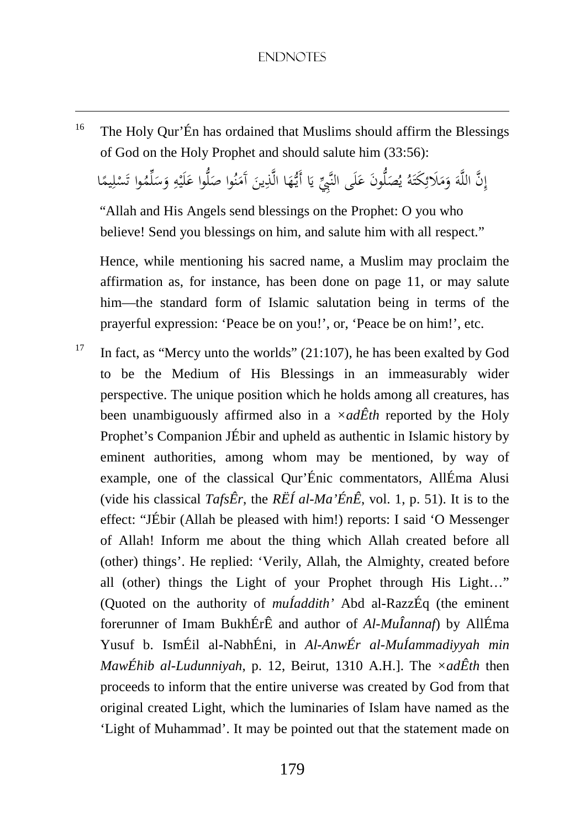<sup>16</sup> The Holy Qur'Én has ordained that Muslims should affirm the Blessings of God on the Holy Prophet and should salute him (33:56):

<u>.</u>

إِنَّ اللَّهَ وَمَلَائِكَتَهُ يُصَلُّونَ عَلَى النَّبِيِّ يَا أَيُّهَا الَّذِينَ آَمَنُوا صَلُّوا عَلَيْهِ وَسَلِّمُوا تَسْلِيمًا ِ ً<br>م <u>ً</u> ِ<br>ئ َ َ  $\overline{a}$ َ بہ<br>ا َ :<br>ا ِ ن  $\overline{a}$  $\overline{a}$ <u>ہ</u> ْ َ ٔ<br>أ َ ً ِ ْ ت

 "Allah and His Angels send blessings on the Prophet: O you who believe! Send you blessings on him, and salute him with all respect."

 Hence, while mentioning his sacred name, a Muslim may proclaim the affirmation as, for instance, has been done on page 11, or may salute him—the standard form of Islamic salutation being in terms of the prayerful expression: 'Peace be on you!', or, 'Peace be on him!', etc.

<sup>17</sup> In fact, as "Mercy unto the worlds" (21:107), he has been exalted by God to be the Medium of His Blessings in an immeasurably wider perspective. The unique position which he holds among all creatures, has been unambiguously affirmed also in a *×adÊth* reported by the Holy Prophet's Companion JÉbir and upheld as authentic in Islamic history by eminent authorities, among whom may be mentioned, by way of example, one of the classical Qur'Énic commentators, AllÉma Alusi (vide his classical *TafsÊr*, the  $R\ddot{E}I$  *al-Ma'* $\acute{E}n\hat{E}$ , vol. 1, p. 51). It is to the effect: "JÉbir (Allah be pleased with him!) reports: I said 'O Messenger of Allah! Inform me about the thing which Allah created before all (other) things'. He replied: 'Verily, Allah, the Almighty, created before all (other) things the Light of your Prophet through His Light…" (Quoted on the authority of *muÍaddith'* Abd al-RazzÉq (the eminent forerunner of Imam BukhÉrÊ and author of *Al-MuÎannaf*) by AllÉma Yusuf b. IsmÉil al-NabhÉni, in *Al-AnwÉr al-MuÍammadiyyah min MawÉhib al-Ludunniyah*, p. 12, Beirut, 1310 A.H.]. The *×adÊth* then proceeds to inform that the entire universe was created by God from that original created Light, which the luminaries of Islam have named as the 'Light of Muhammad'. It may be pointed out that the statement made on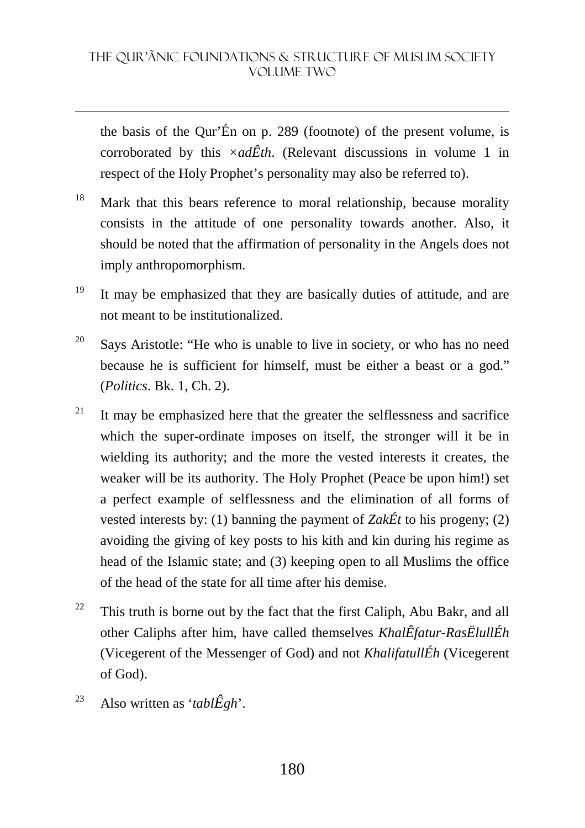the basis of the Qur'Én on p. 289 (footnote) of the present volume, is corroborated by this *×adÊth*. (Relevant discussions in volume 1 in respect of the Holy Prophet's personality may also be referred to).

- <sup>18</sup> Mark that this bears reference to moral relationship, because morality consists in the attitude of one personality towards another. Also, it should be noted that the affirmation of personality in the Angels does not imply anthropomorphism.
- <sup>19</sup> It may be emphasized that they are basically duties of attitude, and are not meant to be institutionalized.
- <sup>20</sup> Says Aristotle: "He who is unable to live in society, or who has no need because he is sufficient for himself, must be either a beast or a god." (*Politics*. Bk. 1, Ch. 2).
- <sup>21</sup> It may be emphasized here that the greater the selflessness and sacrifice which the super-ordinate imposes on itself, the stronger will it be in wielding its authority; and the more the vested interests it creates, the weaker will be its authority. The Holy Prophet (Peace be upon him!) set a perfect example of selflessness and the elimination of all forms of vested interests by: (1) banning the payment of *ZakÉt* to his progeny; (2) avoiding the giving of key posts to his kith and kin during his regime as head of the Islamic state; and (3) keeping open to all Muslims the office of the head of the state for all time after his demise.
- $22$  This truth is borne out by the fact that the first Caliph, Abu Bakr, and all other Caliphs after him, have called themselves *KhalÊfatur-RasËlullÉh* (Vicegerent of the Messenger of God) and not *KhalifatullÉh* (Vicegerent of God).
- <sup>23</sup> Also written as '*tabl* $\hat{E}$ *gh*'.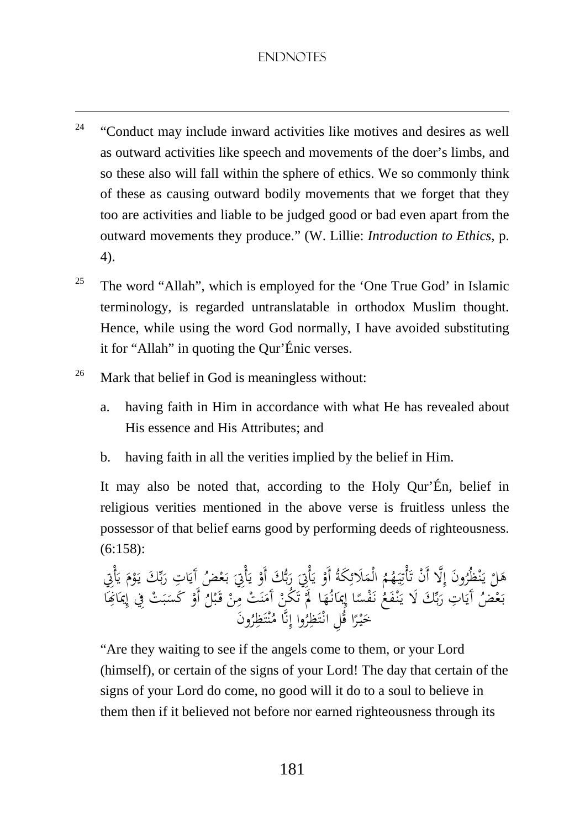- $24$  "Conduct may include inward activities like motives and desires as well as outward activities like speech and movements of the doer's limbs, and so these also will fall within the sphere of ethics. We so commonly think of these as causing outward bodily movements that we forget that they too are activities and liable to be judged good or bad even apart from the outward movements they produce." (W. Lillie: *Introduction to Ethics*, p. 4).
- <sup>25</sup> The word "Allah", which is employed for the 'One True God' in Islamic terminology, is regarded untranslatable in orthodox Muslim thought. Hence, while using the word God normally, I have avoided substituting it for "Allah" in quoting the Qur'Énic verses.
- $26$  Mark that belief in God is meaningless without:

<u>.</u>

- a. having faith in Him in accordance with what He has revealed about His essence and His Attributes; and
- b. having faith in all the verities implied by the belief in Him.

It may also be noted that, according to the Holy Qur'Én, belief in religious verities mentioned in the above verse is fruitless unless the possessor of that belief earns good by performing deeds of righteousness. (6:158):

ْ هَلْ يَنْظُرُونَ إِلَّا أَنْ تَأْتِيَهُمُ الْمَلَائِكَةُ أَوْ يَأْتِيَ رَبُّكَ أَوْ يَأْتِيَ بَعْضُ آيَاتِ رَبِّكَ يَوْمَ يَأْتِي<br>مُشَوْرُ مِنْ أَيَا بِهِ رَبِّئَ أَوْ مِنْهُ وَ إِلا إِسْرَتُهَا لَهُ يَكُو وَكَرَ بِهِ وَ ن يہ<br>و ֦֧֧֦֧֦֓֝֝֝֝֝֝֝֬֝֝֬֝֓֝֬֝֓֟ ؚ<br>ڹ َ ت ِ<br>ئ َ ْ  $\frac{1}{2}$ ب<br>أ ب ر<br>مر ْ  $\zeta$ یہ<br>، ب<br>. يا<br>. بولية ر<br>ر مُ ْ يا<br>. بَعْضُ آَيَاتِ رَبِّكَ لَا يَنْفَعُ نَفْسًا إِيمَانُهَا ۖ أَوَ تَكُّنْ آَمَنَتْ مِنْ قَبْلُ أَوْ كَسَبَتْ فِي إِيمَاغِكَ<br>بِمَعْضُ آَيَاتِ رَبِّكَ لَا يَنْفَعُ نَفْسًا إِيمَانُهَا ۖ أَوَ يَهْدَاهِ إِنَّهُ الْمَنْسَ مِنْ قَ ب<br>. بر ر<br>ٍ ً<br>، €<br>، ْ :<br>' ن م<br>ر .<br>-<br>-..<br>م ب َ ْ ب  $\ddot{\phantom{0}}$ ُ<br>ما ا ِ إ ا ر<br>ا ُ خَيْرًا قُلِ انْتَظِرُوا إِنَّا مُنْتَظِرُونَ **∶** َ ت .<br>. ت **:** ن

"Are they waiting to see if the angels come to them, or your Lord (himself), or certain of the signs of your Lord! The day that certain of the signs of your Lord do come, no good will it do to a soul to believe in them then if it believed not before nor earned righteousness through its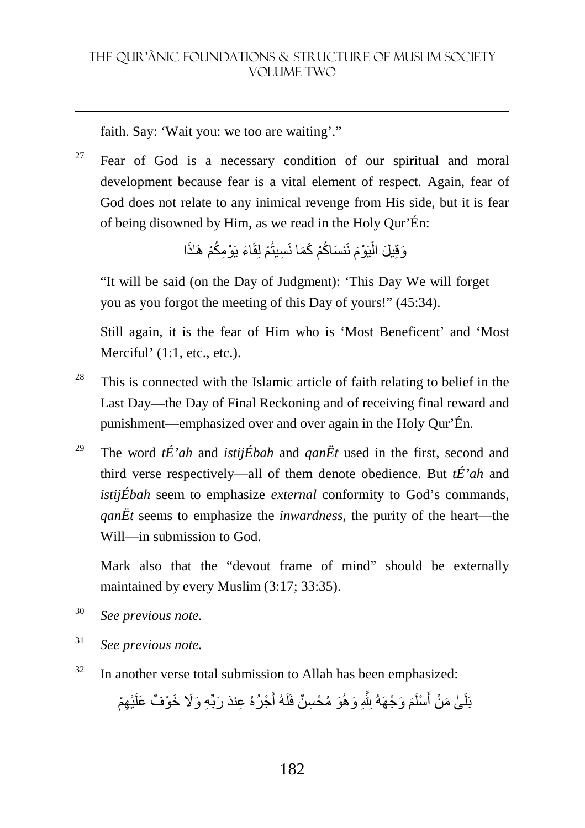faith. Say: 'Wait you: we too are waiting'."

<u>.</u>

 $27$  Fear of God is a necessary condition of our spiritual and moral development because fear is a vital element of respect. Again, fear of God does not relate to any inimical revenge from His side, but it is fear of being disowned by Him, as we read in the Holy Qur'Én:

> وَقِيلَ الْيَوْمَ نَنسَاكُمْ كَمَا نَسِيتُمْ لِقَاءَ يَوْمِكُمْ هَـٰذَا ْ

"It will be said (on the Day of Judgment): 'This Day We will forget you as you forgot the meeting of this Day of yours!" (45:34).

Still again, it is the fear of Him who is 'Most Beneficent' and 'Most Merciful' (1:1, etc., etc.).

- $28$  This is connected with the Islamic article of faith relating to belief in the Last Day—the Day of Final Reckoning and of receiving final reward and punishment—emphasized over and over again in the Holy Qur'Én.
- <sup>29</sup> The word *tÉ'ah* and *istijÉbah* and *qanËt* used in the first, second and third verse respectively—all of them denote obedience. But *tÉ'ah* and *istijÉbah* seem to emphasize *external* conformity to God's commands, *qanËt* seems to emphasize the *inwardness,* the purity of the heart—the Will—in submission to God.

Mark also that the "devout frame of mind" should be externally maintained by every Muslim (3:17; 33:35).

- 30 *See previous note.*
- 31 *See previous note.*
- $32$  In another verse total submission to Allah has been emphasized:

بَلَىٰ مَنْ أَسْلَمَ وَجْهَهُ لِلَّهِ وَهُوَ مُحْسِنٌ فَلَهُ أَجْرُهُ عِندَ رَبِّهِ وَلَا خَوْفٌ عَلَيْهِمْ أَ َ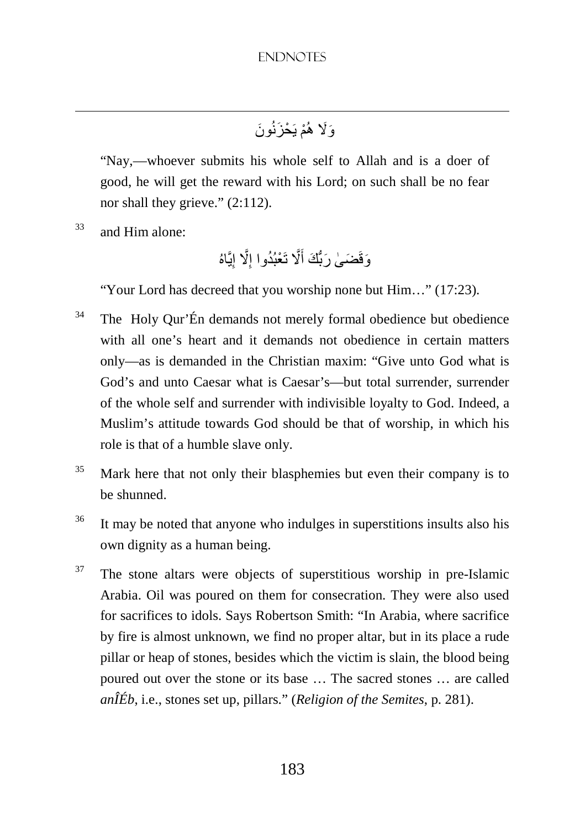# وَلَا هُمْ يَحْزَنُونَ

"Nay,—whoever submits his whole self to Allah and is a doer of good, he will get the reward with his Lord; on such shall be no fear nor shall they grieve." (2:112).

 $33$  and Him alone:

<u>.</u>

وَقَضَىٰ رَبُّكَ أَلَّا تَعْبُدُوا إِلَّا إِيَّاهُ ِ

"Your Lord has decreed that you worship none but Him…" (17:23).

- <sup>34</sup> The Holy Qur'Én demands not merely formal obedience but obedience with all one's heart and it demands not obedience in certain matters only—as is demanded in the Christian maxim: "Give unto God what is God's and unto Caesar what is Caesar's—but total surrender, surrender of the whole self and surrender with indivisible loyalty to God. Indeed, a Muslim's attitude towards God should be that of worship, in which his role is that of a humble slave only.
- $35$  Mark here that not only their blasphemies but even their company is to be shunned.
- <sup>36</sup> It may be noted that anyone who indulges in superstitions insults also his own dignity as a human being.
- <sup>37</sup> The stone altars were objects of superstitious worship in pre-Islamic Arabia. Oil was poured on them for consecration. They were also used for sacrifices to idols. Says Robertson Smith: "In Arabia, where sacrifice by fire is almost unknown, we find no proper altar, but in its place a rude pillar or heap of stones, besides which the victim is slain, the blood being poured out over the stone or its base … The sacred stones … are called *anÎÉb*, i.e., stones set up, pillars." (*Religion of the Semites*, p. 281).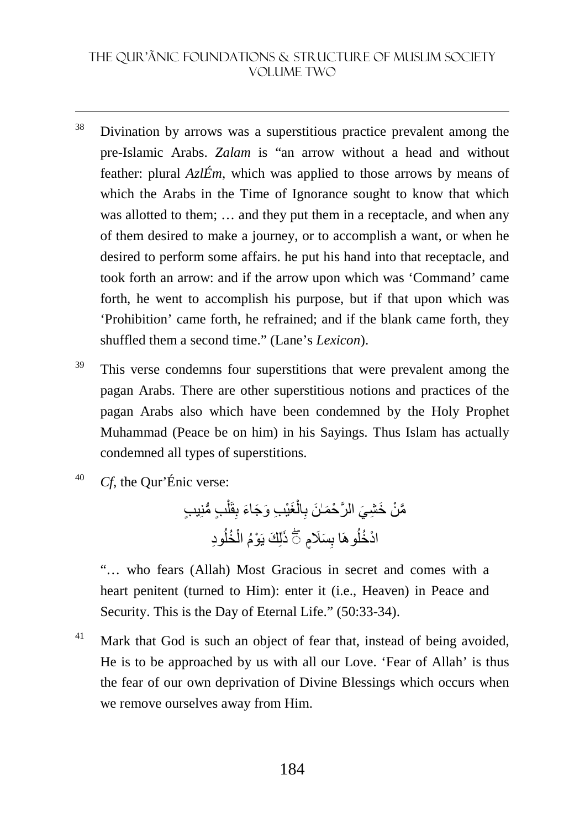#### THE QUR'ãNIC FOUNDATIONS & STRUCTURE OF MUSLIM SOCIETY VOLUME TWO

- <sup>38</sup> Divination by arrows was a superstitious practice prevalent among the pre-Islamic Arabs. *Zalam* is "an arrow without a head and without feather: plural *AzlÉm*, which was applied to those arrows by means of which the Arabs in the Time of Ignorance sought to know that which was allotted to them; … and they put them in a receptacle, and when any of them desired to make a journey, or to accomplish a want, or when he desired to perform some affairs. he put his hand into that receptacle, and took forth an arrow: and if the arrow upon which was 'Command' came forth, he went to accomplish his purpose, but if that upon which was 'Prohibition' came forth, he refrained; and if the blank came forth, they shuffled them a second time." (Lane's *Lexicon*).
- <sup>39</sup> This verse condemns four superstitions that were prevalent among the pagan Arabs. There are other superstitious notions and practices of the pagan Arabs also which have been condemned by the Holy Prophet Muhammad (Peace be on him) in his Sayings. Thus Islam has actually condemned all types of superstitions.
- 40 *Cf*, the Qur'Énic verse:

<u>.</u>

ٍب ُّ منِ ٍ يب ْ قَل ِ َغْي ِب َ و َج َاء ب ْ ال ِ َّم ْن َ خ ِش َي َّ الر ْح َمٰـ َن ب ٰذ ِود َ ُ ُخل ْ ُوھَا لِ َك يَ ْوُم ال ب ۖ◌ ِ َسٍَم ْاد ُخل

"… who fears (Allah) Most Gracious in secret and comes with a heart penitent (turned to Him): enter it (i.e., Heaven) in Peace and Security. This is the Day of Eternal Life." (50:33-34).

<sup>41</sup> Mark that God is such an object of fear that, instead of being avoided, He is to be approached by us with all our Love. 'Fear of Allah' is thus the fear of our own deprivation of Divine Blessings which occurs when we remove ourselves away from Him.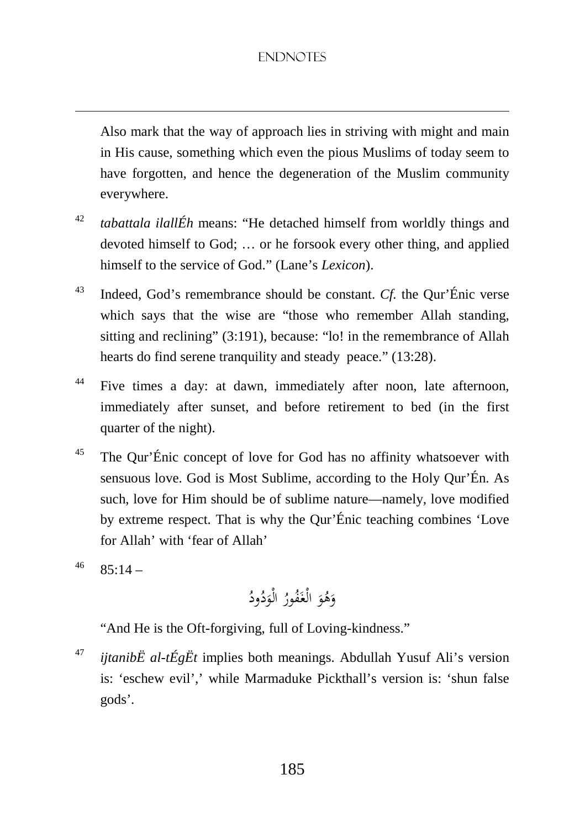Also mark that the way of approach lies in striving with might and main in His cause, something which even the pious Muslims of today seem to have forgotten, and hence the degeneration of the Muslim community everywhere.

- 42 *tabattala ilallÉh* means: "He detached himself from worldly things and devoted himself to God; … or he forsook every other thing, and applied himself to the service of God." (Lane's *Lexicon*).
- <sup>43</sup> Indeed, God's remembrance should be constant. *Cf.* the Qur'Énic verse which says that the wise are "those who remember Allah standing, sitting and reclining" (3:191), because: "lo! in the remembrance of Allah hearts do find serene tranquility and steady peace." (13:28).
- <sup>44</sup> Five times a day: at dawn, immediately after noon, late afternoon, immediately after sunset, and before retirement to bed (in the first quarter of the night).
- $45$  The Qur'Énic concept of love for God has no affinity whatsoever with sensuous love. God is Most Sublime, according to the Holy Qur'Én. As such, love for Him should be of sublime nature—namely, love modified by extreme respect. That is why the Qur'Énic teaching combines 'Love for Allah' with 'fear of Allah'
- $^{46}$  85:14 –

<u>.</u>

َ و ُ ه َ و ُ ُور َف الْغ ُ ود ُ د َ الْو

"And He is the Oft-forgiving, full of Loving-kindness."

47 *ijtanibË al-tÉgËt* implies both meanings. Abdullah Yusuf Ali's version is: 'eschew evil',' while Marmaduke Pickthall's version is: 'shun false gods'.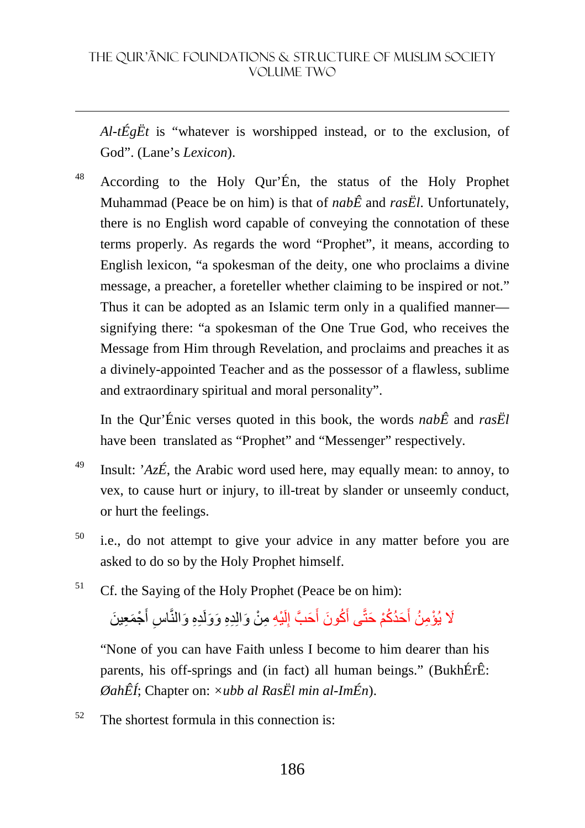*Al-tÉgËt* is "whatever is worshipped instead, or to the exclusion, of God". (Lane's *Lexicon*).

<sup>48</sup> According to the Holy Qur'Én, the status of the Holy Prophet Muhammad (Peace be on him) is that of *nabÊ* and *rasËl*. Unfortunately, there is no English word capable of conveying the connotation of these terms properly. As regards the word "Prophet", it means, according to English lexicon, "a spokesman of the deity, one who proclaims a divine message, a preacher, a foreteller whether claiming to be inspired or not." Thus it can be adopted as an Islamic term only in a qualified manner signifying there: "a spokesman of the One True God, who receives the Message from Him through Revelation, and proclaims and preaches it as a divinely-appointed Teacher and as the possessor of a flawless, sublime and extraordinary spiritual and moral personality".

In the Qur'Énic verses quoted in this book, the words *nabÊ* and *rasËl*  have been translated as "Prophet" and "Messenger" respectively.

- <sup>49</sup> Insult: ' $Az\acute{E}$ , the Arabic word used here, may equally mean: to annoy, to vex, to cause hurt or injury, to ill-treat by slander or unseemly conduct, or hurt the feelings.
- <sup>50</sup> i.e., do not attempt to give your advice in any matter before you are asked to do so by the Holy Prophet himself.
- <sup>51</sup> Cf. the Saying of the Holy Prophet (Peace be on him):

#### لَا يُؤْمِنُ أَحَدُكُمْ حَتَّى أَكُونَ أَحَبَّ إِلَيْهِ مِنْ وَالِدِهِ وَوَلَدِهِ وَالنَّاسِ أَجْمَعِينَ لَ ِ َ َ َ ِ

 "None of you can have Faith unless I become to him dearer than his parents, his off-springs and (in fact) all human beings." (BukhÉrÊ: *ØahÊÍ*; Chapter on: *×ubb al RasËl min al-ImÉn*).

 $52$  The shortest formula in this connection is: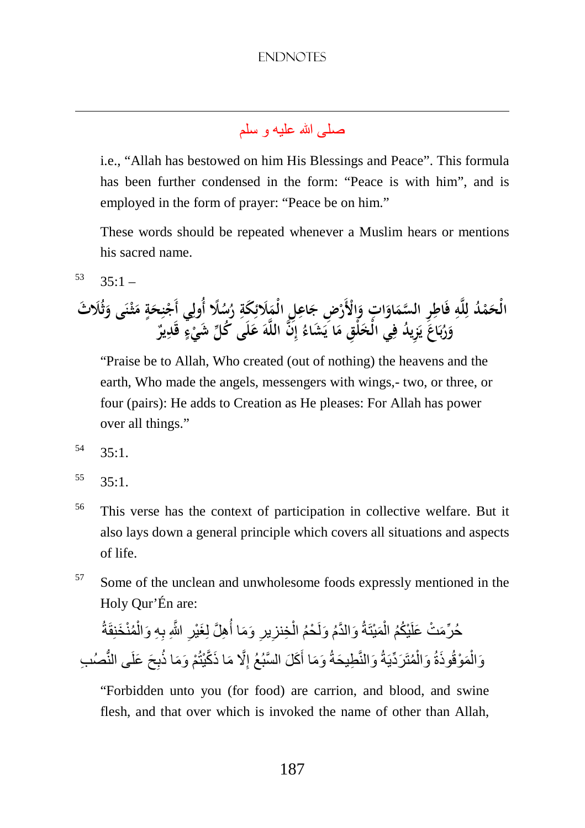# صلى الله عليه و سلم

 i.e., "Allah has bestowed on him His Blessings and Peace". This formula has been further condensed in the form: "Peace is with him", and is employed in the form of prayer: "Peace be on him."

These words should be repeated whenever a Muslim hears or mentions his sacred name.

 $53 \quad 35 \cdot 1 -$ 

<u>.</u>

**ْ ُد م َ ِ الْح ه ل ِ ل ِر ِ ات فَاطِ َ او َ ِض السم ْ ْالأَر َ و ِل ِ اع َ ج ِ َكة ِ َلائ َ ًلا الْم ُ ُس ر ي ِ ٍ أُول ة َ ِح ن ْ أَج ى َ ن ْ ثـ َُلا َث َ م ث َ و َ َ اع ب ُ ر َ يد ُ و ِز َ ي ي الْخ ف ْلِق ِ َ ا َ م ُ َ َشاء ي ن ِ إ َ ه الل لَى َ ُ ك ل ع ٍ ء ْ ٌ َ شي قَدِير**

"Praise be to Allah, Who created (out of nothing) the heavens and the earth, Who made the angels, messengers with wings,- two, or three, or four (pairs): He adds to Creation as He pleases: For Allah has power over all things."

- $54 \quad 35:1$ .
- $55 \quad 35:1$ .
- <sup>56</sup> This verse has the context of participation in collective welfare. But it also lays down a general principle which covers all situations and aspects of life.
- <sup>57</sup> Some of the unclean and unwholesome foods expressly mentioned in the Holy Qur'Én are:

#### ِ حُرٌمَتْ عَلَيْكُمُ الْمَيْتَةُ وَالدَّمُ وَلَحْمُ الْخِنزِيزِ وَمَا أُهِلَّ لِغَيْرِ اللَّهِ بِهِ وَالْمُنْخَنِقَةُ **∶** ْ ْ ْ **∶** من معرض المسلمان المسلمان المسلمان المسلمان المسلمان المسلمان المسلمان المسلمان المسلمان المسلمان المسلمان الم<br>المسلمان المسلمان المسلمان المسلمان المسلمان المسلمان المسلمان المسلمان المسلمان المسلمان المسلمان المسلمان ال وَالْمَوْقُو ذَةُ وَالْمُتَرَدِّيَةُ وَالنَّطِيحَةُ وَمَا أَكَلَ السَّبُعُ إِلَّا مَا ذَكَّيْتُمْ وَمَا ذُبِحَ عَلَى النُّصُب ِ أَ ْ ْ

 "Forbidden unto you (for food) are carrion, and blood, and swine flesh, and that over which is invoked the name of other than Allah,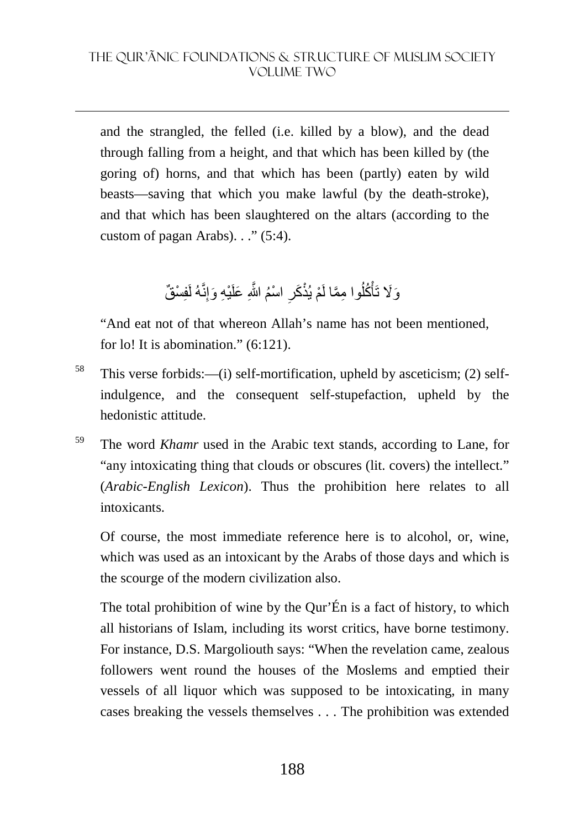and the strangled, the felled (i.e. killed by a blow), and the dead through falling from a height, and that which has been killed by (the goring of) horns, and that which has been (partly) eaten by wild beasts—saving that which you make lawful (by the death-stroke), and that which has been slaughtered on the altars (according to the custom of pagan Arabs). . ." (5:4).

> وَلَا تَأْكُلُوا مِمَّا لَمْ يُذْكَرِ اسْمُ اللَّهِ عَلَيْهِ وَإِنَّهُ لَفِسْقٌ **∶** اُ ْ

 "And eat not of that whereon Allah's name has not been mentioned, for lo! It is abomination."  $(6:121)$ .

- <sup>58</sup> This verse forbids:—(i) self-mortification, upheld by asceticism; (2) selfindulgence, and the consequent self-stupefaction, upheld by the hedonistic attitude.
- <sup>59</sup> The word *Khamr* used in the Arabic text stands, according to Lane, for "any intoxicating thing that clouds or obscures (lit. covers) the intellect." (*Arabic-English Lexicon*). Thus the prohibition here relates to all intoxicants.

Of course, the most immediate reference here is to alcohol, or, wine, which was used as an intoxicant by the Arabs of those days and which is the scourge of the modern civilization also.

The total prohibition of wine by the Qur'Én is a fact of history, to which all historians of Islam, including its worst critics, have borne testimony. For instance, D.S. Margoliouth says: "When the revelation came, zealous followers went round the houses of the Moslems and emptied their vessels of all liquor which was supposed to be intoxicating, in many cases breaking the vessels themselves . . . The prohibition was extended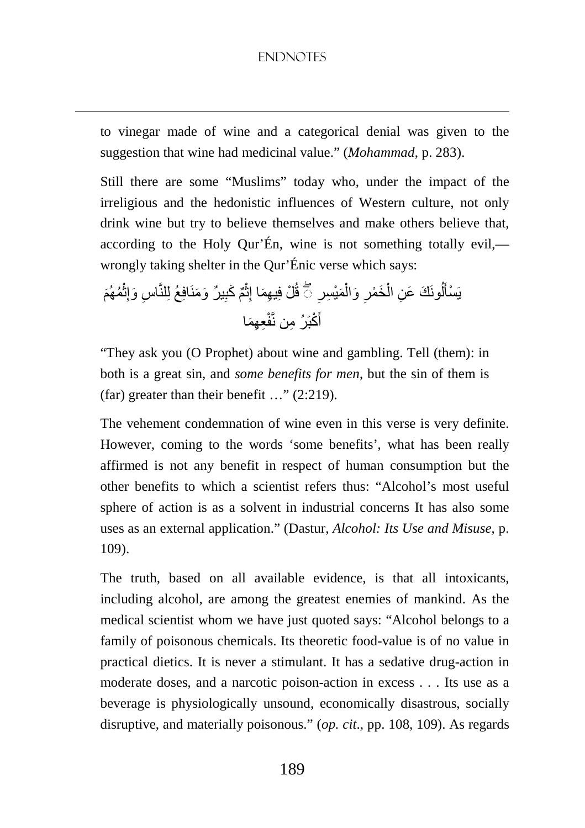<u>.</u>

to vinegar made of wine and a categorical denial was given to the suggestion that wine had medicinal value." (*Mohammad*, p. 283).

Still there are some "Muslims" today who, under the impact of the irreligious and the hedonistic influences of Western culture, not only drink wine but try to believe themselves and make others believe that, according to the Holy Qur'En, wine is not something totally evil, wrongly taking shelter in the Qur'Énic verse which says:

َ ُمھُم ْ ِث اس َ وإ ِ ٌ ير َ و َمنَافِعُ لِلنَّ ِ ٌم َ كب ْ ِث ْل فِ ِ يھَما إ قُ ِ َمْي ِسر ْ ِ َ وال َخ ْمر ْ ُونَ َك َ ع ِن ال ل َ يَ ۖ◌ ْسأ ِع ِھَما َ ْكبَ ِرُ من نَّفْ أ

 "They ask you (O Prophet) about wine and gambling. Tell (them): in both is a great sin, and *some benefits for men*, but the sin of them is (far) greater than their benefit …" (2:219).

The vehement condemnation of wine even in this verse is very definite. However, coming to the words 'some benefits', what has been really affirmed is not any benefit in respect of human consumption but the other benefits to which a scientist refers thus: "Alcohol's most useful sphere of action is as a solvent in industrial concerns It has also some uses as an external application." (Dastur, *Alcohol: Its Use and Misuse*, p. 109).

The truth, based on all available evidence, is that all intoxicants, including alcohol, are among the greatest enemies of mankind. As the medical scientist whom we have just quoted says: "Alcohol belongs to a family of poisonous chemicals. Its theoretic food-value is of no value in practical dietics. It is never a stimulant. It has a sedative drug-action in moderate doses, and a narcotic poison-action in excess . . . Its use as a beverage is physiologically unsound, economically disastrous, socially disruptive, and materially poisonous." (*op. cit*., pp. 108, 109). As regards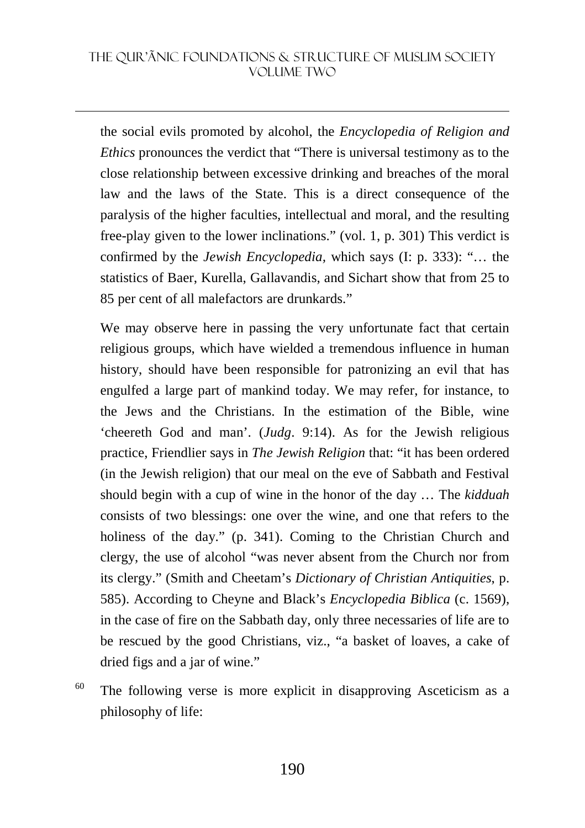the social evils promoted by alcohol, the *Encyclopedia of Religion and Ethics* pronounces the verdict that "There is universal testimony as to the close relationship between excessive drinking and breaches of the moral law and the laws of the State. This is a direct consequence of the paralysis of the higher faculties, intellectual and moral, and the resulting free-play given to the lower inclinations." (vol. 1, p. 301) This verdict is confirmed by the *Jewish Encyclopedia,* which says (I: p. 333): "… the statistics of Baer, Kurella, Gallavandis, and Sichart show that from 25 to 85 per cent of all malefactors are drunkards."

We may observe here in passing the very unfortunate fact that certain religious groups, which have wielded a tremendous influence in human history, should have been responsible for patronizing an evil that has engulfed a large part of mankind today. We may refer, for instance, to the Jews and the Christians. In the estimation of the Bible, wine 'cheereth God and man'. (*Judg*. 9:14). As for the Jewish religious practice, Friendlier says in *The Jewish Religion* that: "it has been ordered (in the Jewish religion) that our meal on the eve of Sabbath and Festival should begin with a cup of wine in the honor of the day … The *kidduah* consists of two blessings: one over the wine, and one that refers to the holiness of the day." (p. 341). Coming to the Christian Church and clergy, the use of alcohol "was never absent from the Church nor from its clergy." (Smith and Cheetam's *Dictionary of Christian Antiquities*, p. 585). According to Cheyne and Black's *Encyclopedia Biblica* (c. 1569), in the case of fire on the Sabbath day, only three necessaries of life are to be rescued by the good Christians, viz., "a basket of loaves, a cake of dried figs and a jar of wine."

 $60$  The following verse is more explicit in disapproving Asceticism as a philosophy of life: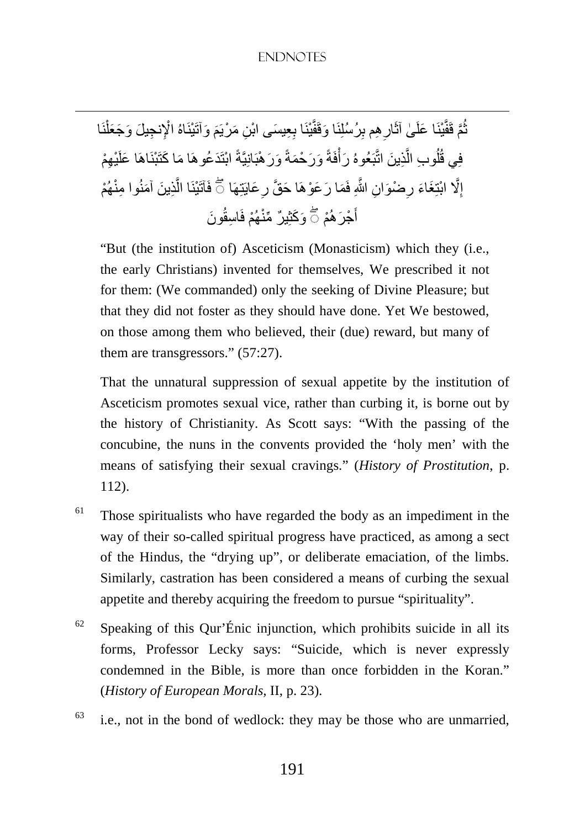**∶** ثُمَّ قَفَّيْنَا عَلَىٰ آثَارِ هِم بِرُسُلِنَا وَقَفَّيْنَا بِعِيسَى ابْنِ مَرْيَمَ وَآتَيْنَاهُ الْإِنجِيلَ وَجَعَلْنَا ُ ْ فِي قُلُوبِ الَّذِينَ اتَّبَعُوهُ رَأَفَةً وَرَحْمَةً وَرَهْبَانِيَّةً ابْتَدَعُوهَا مَا كَتَبْنَاهَا عَلَيْهِمْ í ْ َّ ا<br>ا إِلَّا ابْتِغَاءَ رِضْوَانِ اللَّهِ فَمَا رَعَوْهَا حَقَّ رِعَايَتِهَا ۞ فَآتَيْنَا الَّذِينَ آمَنُوا مِنْهُمْ َّ ِ **∶** ِ أَجْرَ هُمْ ۞ وَكَثِيرٌ مِّنْهُمْ فَاسِقُونَ

<u>.</u>

 "But (the institution of) Asceticism (Monasticism) which they (i.e., the early Christians) invented for themselves, We prescribed it not for them: (We commanded) only the seeking of Divine Pleasure; but that they did not foster as they should have done. Yet We bestowed, on those among them who believed, their (due) reward, but many of them are transgressors." (57:27).

That the unnatural suppression of sexual appetite by the institution of Asceticism promotes sexual vice, rather than curbing it, is borne out by the history of Christianity. As Scott says: "With the passing of the concubine, the nuns in the convents provided the 'holy men' with the means of satisfying their sexual cravings." (*History of Prostitution*, p. 112).

- $61$  Those spiritualists who have regarded the body as an impediment in the way of their so-called spiritual progress have practiced, as among a sect of the Hindus, the "drying up", or deliberate emaciation, of the limbs. Similarly, castration has been considered a means of curbing the sexual appetite and thereby acquiring the freedom to pursue "spirituality".
- $62$  Speaking of this Qur'Énic injunction, which prohibits suicide in all its forms, Professor Lecky says: "Suicide, which is never expressly condemned in the Bible, is more than once forbidden in the Koran." (*History of European Morals,* II, p. 23).
- $63$  i.e., not in the bond of wedlock: they may be those who are unmarried,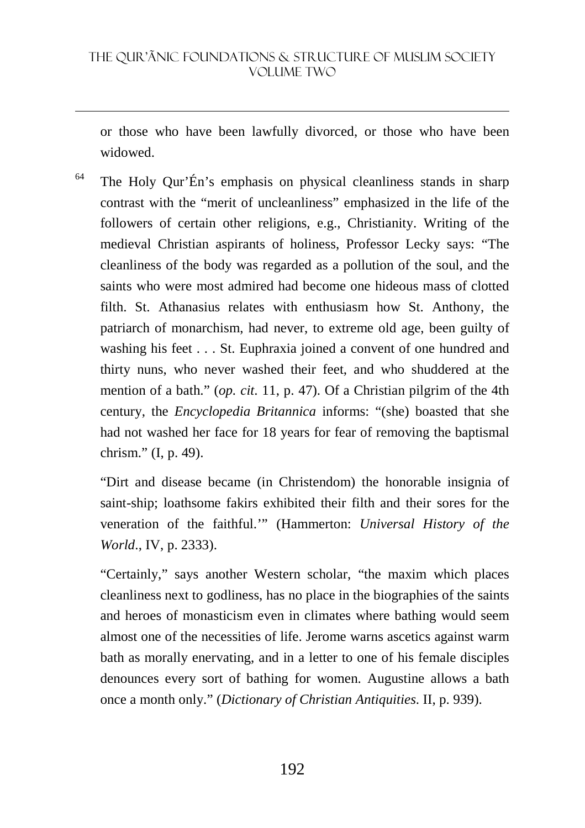or those who have been lawfully divorced, or those who have been widowed.

 $64$  The Holy Qur'Én's emphasis on physical cleanliness stands in sharp contrast with the "merit of uncleanliness" emphasized in the life of the followers of certain other religions, e.g., Christianity. Writing of the medieval Christian aspirants of holiness, Professor Lecky says: "The cleanliness of the body was regarded as a pollution of the soul, and the saints who were most admired had become one hideous mass of clotted filth. St. Athanasius relates with enthusiasm how St. Anthony, the patriarch of monarchism, had never, to extreme old age, been guilty of washing his feet . . . St. Euphraxia joined a convent of one hundred and thirty nuns, who never washed their feet, and who shuddered at the mention of a bath." (*op. cit*. 11, p. 47). Of a Christian pilgrim of the 4th century, the *Encyclopedia Britannica* informs: "(she) boasted that she had not washed her face for 18 years for fear of removing the baptismal chrism." (I, p. 49).

"Dirt and disease became (in Christendom) the honorable insignia of saint-ship; loathsome fakirs exhibited their filth and their sores for the veneration of the faithful.'" (Hammerton: *Universal History of the World*., IV, p. 2333).

"Certainly," says another Western scholar, "the maxim which places cleanliness next to godliness, has no place in the biographies of the saints and heroes of monasticism even in climates where bathing would seem almost one of the necessities of life. Jerome warns ascetics against warm bath as morally enervating, and in a letter to one of his female disciples denounces every sort of bathing for women. Augustine allows a bath once a month only." (*Dictionary of Christian Antiquities*. II, p. 939).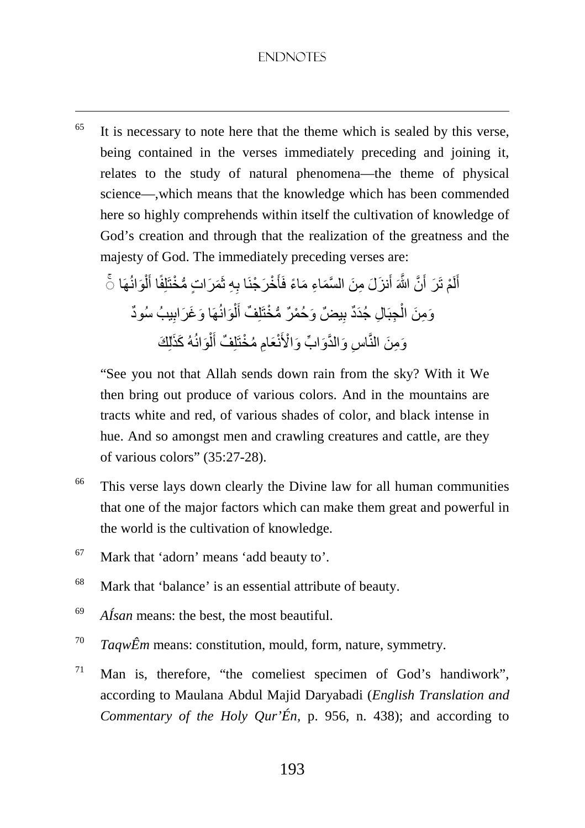$65$  It is necessary to note here that the theme which is sealed by this verse, being contained in the verses immediately preceding and joining it, relates to the study of natural phenomena—the theme of physical science—,which means that the knowledge which has been commended here so highly comprehends within itself the cultivation of knowledge of God's creation and through that the realization of the greatness and the majesty of God. The immediately preceding verses are:

أَلَمْ تَرَ أَنَّ اللَّهَ أَنزَلَ مِنَ السَّمَاءِ مَاءً فَأَخْرَجْنَا بِهِ ثَمَرَاتٍ مُّخْتَلِفًا أَلْوَانُهَا ثَ َ َ لَ َ ْ َ وَمِنَ الْجِبَالِ جُدَدٌ بِيضٌ وَحُمْرٌ مُّخْتَلِفٌ أَلْوَانُهَا وَغَرَابِيبُ سُودٌ ِ ْ َ ِ ْ وَمِنَ النَّاسِ وَالذَّوَابِّ وَالْأَنْعَامِ مُخْتَلِفٌ أَلْوَانُهُ كَذَٰلِكَ ْ َ ِ

 "See you not that Allah sends down rain from the sky? With it We then bring out produce of various colors. And in the mountains are tracts white and red, of various shades of color, and black intense in hue. And so amongst men and crawling creatures and cattle, are they of various colors" (35:27-28).

- <sup>66</sup> This verse lays down clearly the Divine law for all human communities that one of the major factors which can make them great and powerful in the world is the cultivation of knowledge.
- <sup>67</sup> Mark that 'adorn' means 'add beauty to'.

- <sup>68</sup> Mark that 'balance' is an essential attribute of beauty.
- 69 *AÍsan* means: the best, the most beautiful.
- 70 *TaqwÊm* means: constitution, mould, form, nature, symmetry.
- <sup>71</sup> Man is, therefore, "the comeliest specimen of God's handiwork", according to Maulana Abdul Majid Daryabadi (*English Translation and Commentary of the Holy Qur'Én,* p. 956, n. 438); and according to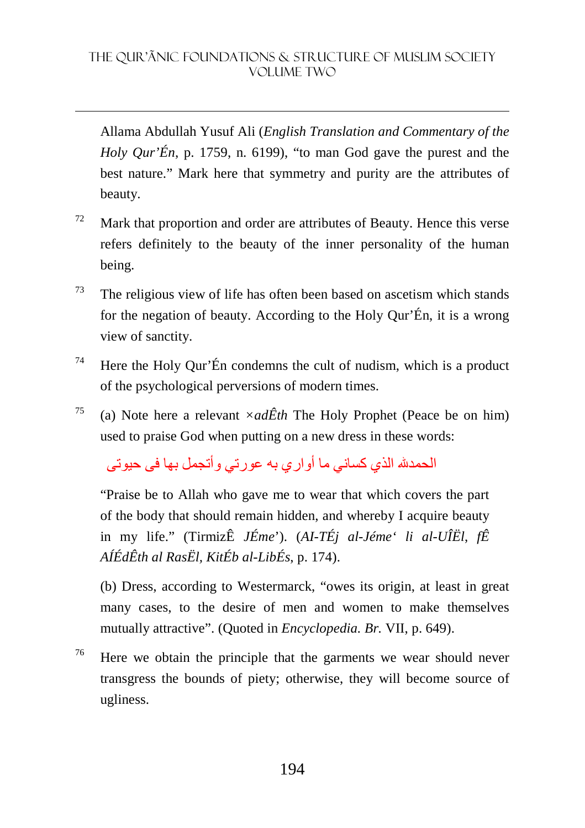Allama Abdullah Yusuf Ali (*English Translation and Commentary of the Holy Qur'Én*, p. 1759, n. 6199), "to man God gave the purest and the best nature." Mark here that symmetry and purity are the attributes of beauty.

- $72$  Mark that proportion and order are attributes of Beauty. Hence this verse refers definitely to the beauty of the inner personality of the human being.
- $73$  The religious view of life has often been based on ascetism which stands for the negation of beauty. According to the Holy Qur'Én, it is a wrong view of sanctity.
- <sup>74</sup> Here the Holy Qur'Én condemns the cult of nudism, which is a product of the psychological perversions of modern times.
- <sup>75</sup> (a) Note here a relevant  $\times ad\hat{E}th$  The Holy Prophet (Peace be on him) used to praise God when putting on a new dress in these words:

الحمدش الذي كساني ما أو ار ي به عور تي و أتجمل بها في حيو تي

 "Praise be to Allah who gave me to wear that which covers the part of the body that should remain hidden, and whereby I acquire beauty in my life." (TirmizÊ *JÉme*'). (*AI-TÉj al-Jéme' li al-UÎËl*, *fÊ AÍÉdÊth al RasËl, KitÉb al-LibÉs*, p. 174).

(b) Dress, according to Westermarck, "owes its origin, at least in great many cases, to the desire of men and women to make themselves mutually attractive". (Quoted in *Encyclopedia. Br.* VII, p. 649).

 $76$  Here we obtain the principle that the garments we wear should never transgress the bounds of piety; otherwise, they will become source of ugliness.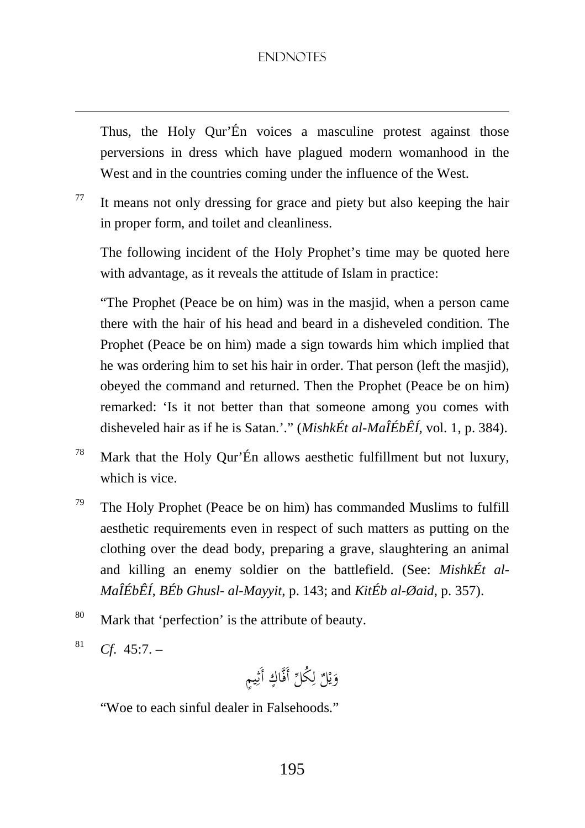Thus, the Holy Qur'Én voices a masculine protest against those perversions in dress which have plagued modern womanhood in the West and in the countries coming under the influence of the West.

 $77$  It means not only dressing for grace and piety but also keeping the hair in proper form, and toilet and cleanliness.

The following incident of the Holy Prophet's time may be quoted here with advantage, as it reveals the attitude of Islam in practice:

"The Prophet (Peace be on him) was in the masjid, when a person came there with the hair of his head and beard in a disheveled condition. The Prophet (Peace be on him) made a sign towards him which implied that he was ordering him to set his hair in order. That person (left the masjid), obeyed the command and returned. Then the Prophet (Peace be on him) remarked: 'Is it not better than that someone among you comes with disheveled hair as if he is Satan.'." (*MishkÉt al-MaÎÉbÊÍ,* vol. 1, p. 384).

- <sup>78</sup> Mark that the Holy Qur'Én allows aesthetic fulfillment but not luxury, which is vice.
- $79$  The Holy Prophet (Peace be on him) has commanded Muslims to fulfill aesthetic requirements even in respect of such matters as putting on the clothing over the dead body, preparing a grave, slaughtering an animal and killing an enemy soldier on the battlefield. (See: *MishkÉt al-MaÎÉbÊÍ, BÉb Ghusl- al-Mayyit*, p. 143; and *KitÉb al-Øaid*, p. 357).
- <sup>80</sup> Mark that 'perfection' is the attribute of beauty.
- 81 *Cf*. 45:7. –

<u>.</u>

وَيْلٌ لِكُلِّ أَفَّاكٍ أَثِيمٍ ي َ ِ ل ٍ<br>با

"Woe to each sinful dealer in Falsehoods."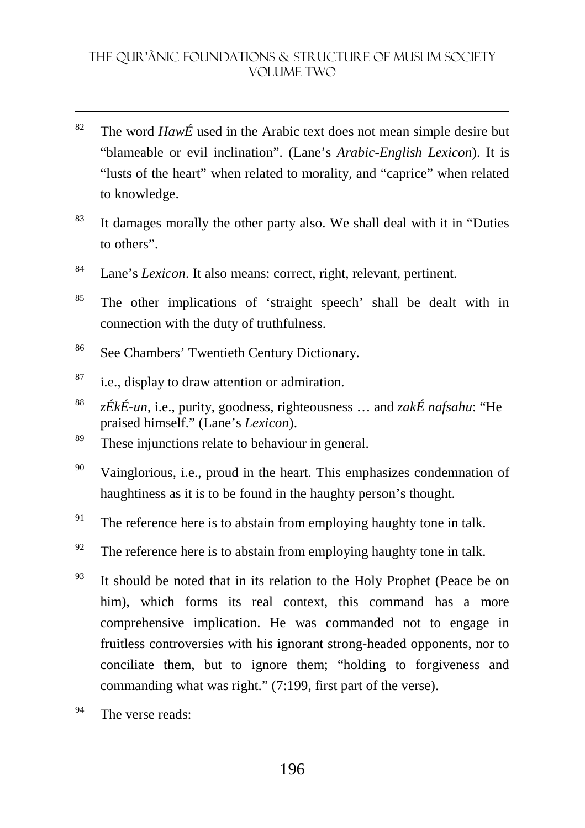- <sup>82</sup> The word  $Haw\acute{E}$  used in the Arabic text does not mean simple desire but "blameable or evil inclination". (Lane's *Arabic-English Lexicon*). It is "lusts of the heart" when related to morality, and "caprice" when related to knowledge.
- <sup>83</sup> It damages morally the other party also. We shall deal with it in "Duties" to others".
- <sup>84</sup> Lane's *Lexicon*. It also means: correct, right, relevant, pertinent.
- <sup>85</sup> The other implications of 'straight speech' shall be dealt with in connection with the duty of truthfulness.
- <sup>86</sup> See Chambers' Twentieth Century Dictionary.
- $87$  i.e., display to draw attention or admiration.
- 88 *zÉkÉ-un*, i.e., purity, goodness, righteousness … and *zakÉ nafsahu*: "He praised himself." (Lane's *Lexicon*).
- <sup>89</sup> These injunctions relate to behaviour in general.
- $90$  Vainglorious, i.e., proud in the heart. This emphasizes condemnation of haughtiness as it is to be found in the haughty person's thought.
- <sup>91</sup> The reference here is to abstain from employing haughty tone in talk.
- $92$  The reference here is to abstain from employing haughty tone in talk.
- $93$  It should be noted that in its relation to the Holy Prophet (Peace be on him), which forms its real context, this command has a more comprehensive implication. He was commanded not to engage in fruitless controversies with his ignorant strong-headed opponents, nor to conciliate them, but to ignore them; "holding to forgiveness and commanding what was right." (7:199, first part of the verse).
- $94$  The verse reads: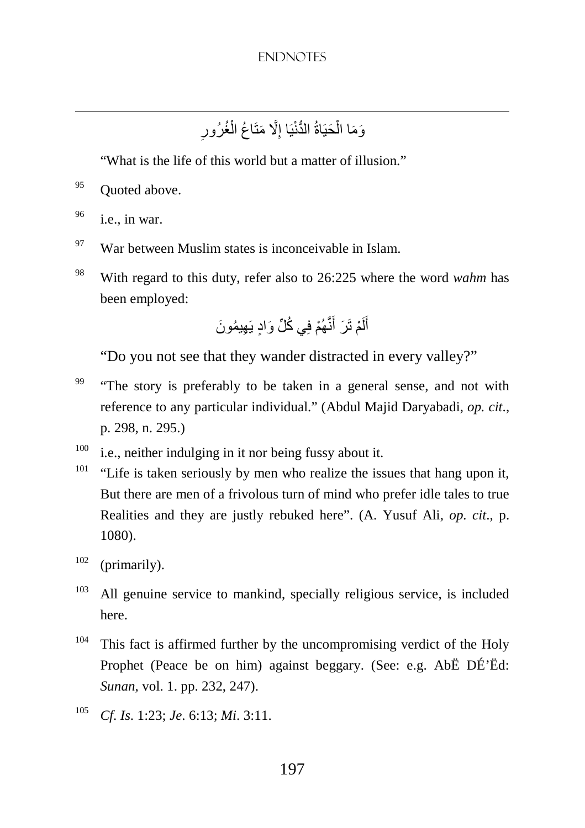ِ وَمَا الْحَيَاةُ الدُّنْيَا إِلَّا مَتَاعُ الْغُرُورِ ْ ِ ْ

"What is the life of this world but a matter of illusion."

<sup>95</sup> Ouoted above.

 $96$  i.e., in war.

<u>.</u>

- $97$  War between Muslim states is inconceivable in Islam.
- <sup>98</sup> With regard to this duty, refer also to 26:225 where the word *wahm* has been employed:

أَلَمْ تَرَ أَنَّهُمْ فِي كُُلِّ وَادٍ يَهِيمُونَ َ لَ

"Do you not see that they wander distracted in every valley?"

- <sup>99</sup> "The story is preferably to be taken in a general sense, and not with reference to any particular individual." (Abdul Majid Daryabadi, *op. cit*., p. 298, n. 295.)
- $100$  i.e., neither indulging in it nor being fussy about it.
- <sup>101</sup> "Life is taken seriously by men who realize the issues that hang upon it, But there are men of a frivolous turn of mind who prefer idle tales to true Realities and they are justly rebuked here". (A. Yusuf Ali, *op. cit*., p. 1080).
- $102$  (primarily).
- $103$  All genuine service to mankind, specially religious service, is included here.
- $104$  This fact is affirmed further by the uncompromising verdict of the Holy Prophet (Peace be on him) against beggary. (See: e.g. AbË DÉ'Ëd: *Sunan*, vol. 1. pp. 232, 247).
- 105 *Cf*. *Is*. 1:23; *Je*. 6:13; *Mi*. 3:11.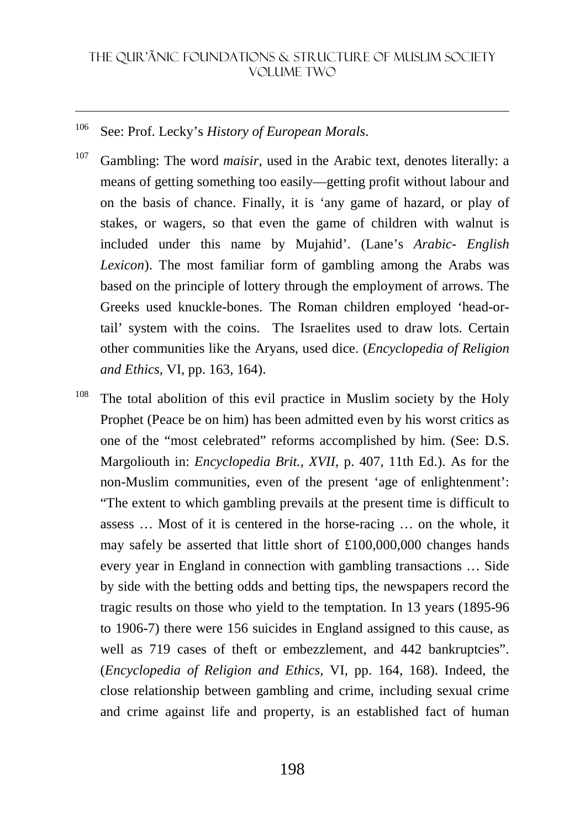## <sup>106</sup> See: Prof. Lecky's *History of European Morals*.

<u>.</u>

<sup>107</sup> Gambling: The word *maisir*, used in the Arabic text, denotes literally: a means of getting something too easily—getting profit without labour and on the basis of chance. Finally, it is 'any game of hazard, or play of stakes, or wagers, so that even the game of children with walnut is included under this name by Mujahid'. (Lane's *Arabic- English Lexicon*). The most familiar form of gambling among the Arabs was based on the principle of lottery through the employment of arrows. The Greeks used knuckle-bones. The Roman children employed 'head-ortail' system with the coins. The Israelites used to draw lots. Certain other communities like the Aryans, used dice. (*Encyclopedia of Religion and Ethics,* VI, pp. 163, 164).

<sup>108</sup> The total abolition of this evil practice in Muslim society by the Holy Prophet (Peace be on him) has been admitted even by his worst critics as one of the "most celebrated" reforms accomplished by him. (See: D.S. Margoliouth in: *Encyclopedia Brit., XVII*, p. 407, 11th Ed.). As for the non-Muslim communities, even of the present 'age of enlightenment': "The extent to which gambling prevails at the present time is difficult to assess … Most of it is centered in the horse-racing … on the whole, it may safely be asserted that little short of £100,000,000 changes hands every year in England in connection with gambling transactions … Side by side with the betting odds and betting tips, the newspapers record the tragic results on those who yield to the temptation. In 13 years (1895-96 to 1906-7) there were 156 suicides in England assigned to this cause, as well as 719 cases of theft or embezzlement, and 442 bankruptcies". (*Encyclopedia of Religion and Ethics,* VI, pp. 164, 168). Indeed, the close relationship between gambling and crime, including sexual crime and crime against life and property, is an established fact of human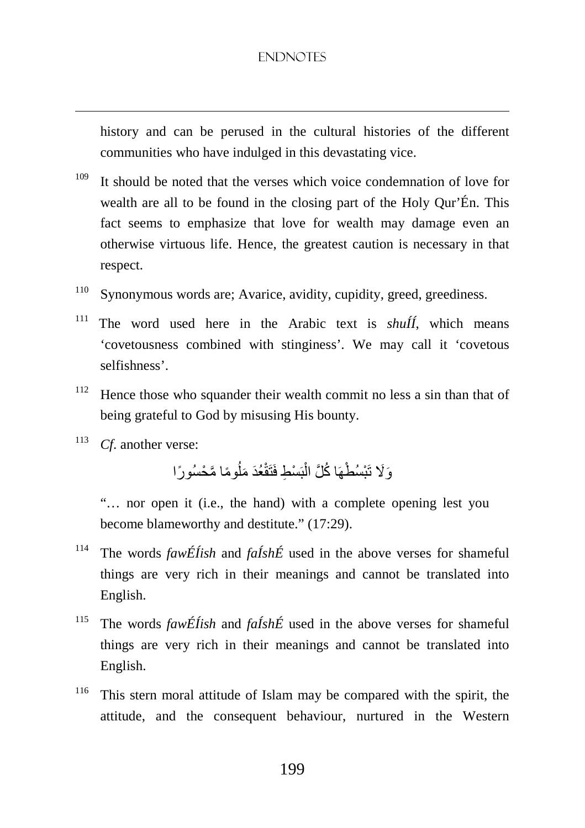history and can be perused in the cultural histories of the different communities who have indulged in this devastating vice.

- $109$  It should be noted that the verses which voice condemnation of love for wealth are all to be found in the closing part of the Holy Qur'Én. This fact seems to emphasize that love for wealth may damage even an otherwise virtuous life. Hence, the greatest caution is necessary in that respect.
- <sup>110</sup> Synonymous words are; Avarice, avidity, cupidity, greed, greediness.
- <sup>111</sup> The word used here in the Arabic text is *shuÍÍ*, which means 'covetousness combined with stinginess'. We may call it 'covetous selfishness'.
- <sup>112</sup> Hence those who squander their wealth commit no less a sin than that of being grateful to God by misusing His bounty.
- 113 *Cf*. another verse:

<u>.</u>

ُ وَلَا تَبْسُطْهَا كُُلَّ الْبَسْطِ فَتَقْعُدَ مَلُومًا مَّحْسُورًا ْ

 "… nor open it (i.e., the hand) with a complete opening lest you become blameworthy and destitute." (17:29).

- <sup>114</sup> The words *fawÉÍish* and *faÍshÉ* used in the above verses for shameful things are very rich in their meanings and cannot be translated into English.
- <sup>115</sup> The words *fawÉÍish* and *faÍshÉ* used in the above verses for shameful things are very rich in their meanings and cannot be translated into English.
- <sup>116</sup> This stern moral attitude of Islam may be compared with the spirit, the attitude, and the consequent behaviour, nurtured in the Western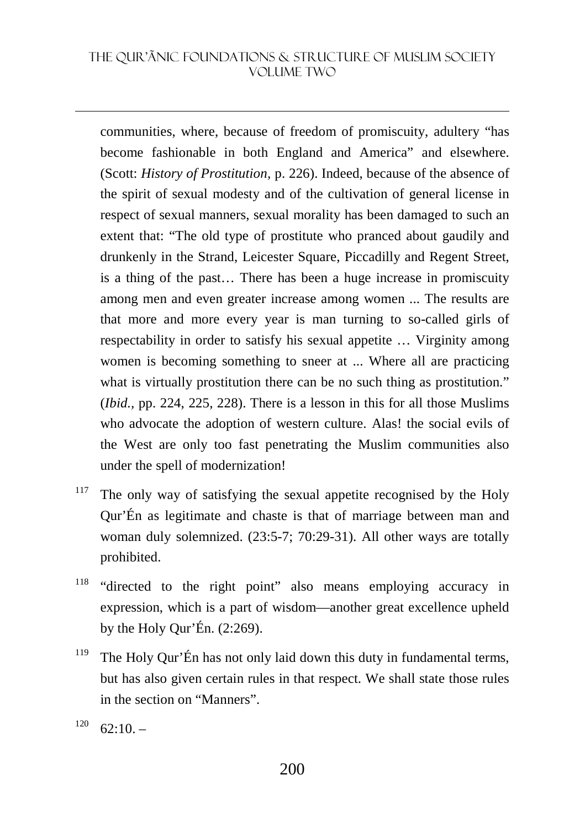#### THE QUR'ãNIC FOUNDATIONS & STRUCTURE OF MUSLIM SOCIETY VOLUME TWO

communities, where, because of freedom of promiscuity, adultery "has become fashionable in both England and America" and elsewhere. (Scott: *History of Prostitution,* p. 226). Indeed, because of the absence of the spirit of sexual modesty and of the cultivation of general license in respect of sexual manners, sexual morality has been damaged to such an extent that: "The old type of prostitute who pranced about gaudily and drunkenly in the Strand, Leicester Square, Piccadilly and Regent Street, is a thing of the past… There has been a huge increase in promiscuity among men and even greater increase among women ... The results are that more and more every year is man turning to so-called girls of respectability in order to satisfy his sexual appetite … Virginity among women is becoming something to sneer at ... Where all are practicing what is virtually prostitution there can be no such thing as prostitution." (*Ibid.,* pp. 224, 225, 228). There is a lesson in this for all those Muslims who advocate the adoption of western culture. Alas! the social evils of the West are only too fast penetrating the Muslim communities also under the spell of modernization!

- <sup>117</sup> The only way of satisfying the sexual appetite recognised by the Holy Qur'Én as legitimate and chaste is that of marriage between man and woman duly solemnized. (23:5-7; 70:29-31). All other ways are totally prohibited.
- <sup>118</sup> "directed to the right point" also means employing accuracy in expression, which is a part of wisdom—another great excellence upheld by the Holy Qur'Én.  $(2:269)$ .
- <sup>119</sup> The Holy Qur'Én has not only laid down this duty in fundamental terms, but has also given certain rules in that respect. We shall state those rules in the section on "Manners".
- $120 \quad 62:10.$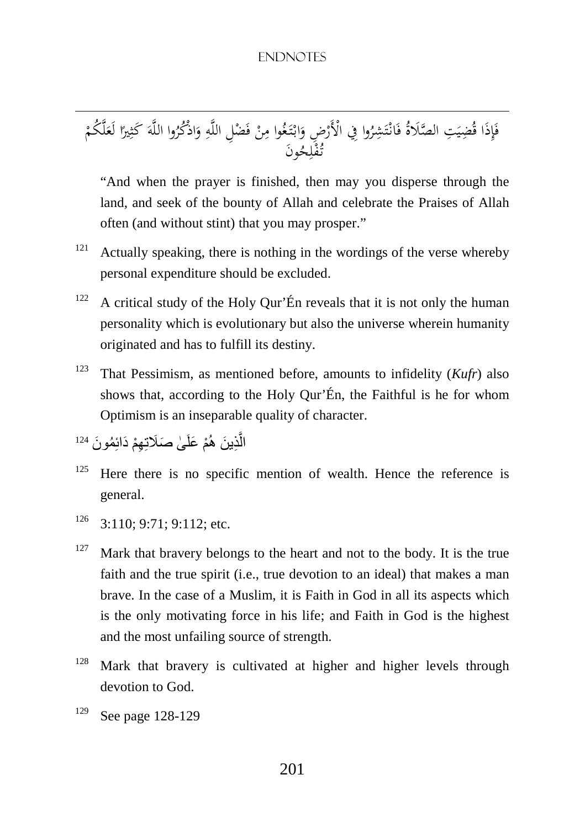ذَا ِ إ َ ِت ف َ ِضي ُ ُ ق الصَلاة وا ُ ر َشِ ت ْ انـ َ في ِض ف ِ ْ ُ ْالأَر وا غ َ تـ ْ ابـ َ و ْ ن َ ْض م ِل ِ ف ِ الل وا ه ُ اذُْكر َ و َ الل ا ه ً ير ِ َ كث ْ ُكم ل َ لَع َون ُ ح ِ ل ْ ُف تـ

 "And when the prayer is finished, then may you disperse through the land, and seek of the bounty of Allah and celebrate the Praises of Allah often (and without stint) that you may prosper."

- $121$  Actually speaking, there is nothing in the wordings of the verse whereby personal expenditure should be excluded.
- $122$  A critical study of the Holy Qur'Én reveals that it is not only the human personality which is evolutionary but also the universe wherein humanity originated and has to fulfill its destiny.
- <sup>123</sup> That Pessimism, as mentioned before, amounts to infidelity (*Kufr*) also shows that, according to the Holy Qur'Én, the Faithful is he for whom Optimism is an inseparable quality of character.

```
الَّذِينَ هُمْ عَلَىٰ صَلَاتِهِمْ دَائِمُونَ <sup>124</sup>
                                              َّ
```
- $125$  Here there is no specific mention of wealth. Hence the reference is general.
- $126$  3:110; 9:71; 9:112; etc.
- $127$  Mark that bravery belongs to the heart and not to the body. It is the true faith and the true spirit (i.e., true devotion to an ideal) that makes a man brave. In the case of a Muslim, it is Faith in God in all its aspects which is the only motivating force in his life; and Faith in God is the highest and the most unfailing source of strength.
- <sup>128</sup> Mark that bravery is cultivated at higher and higher levels through devotion to God.
- <sup>129</sup> See page 128-129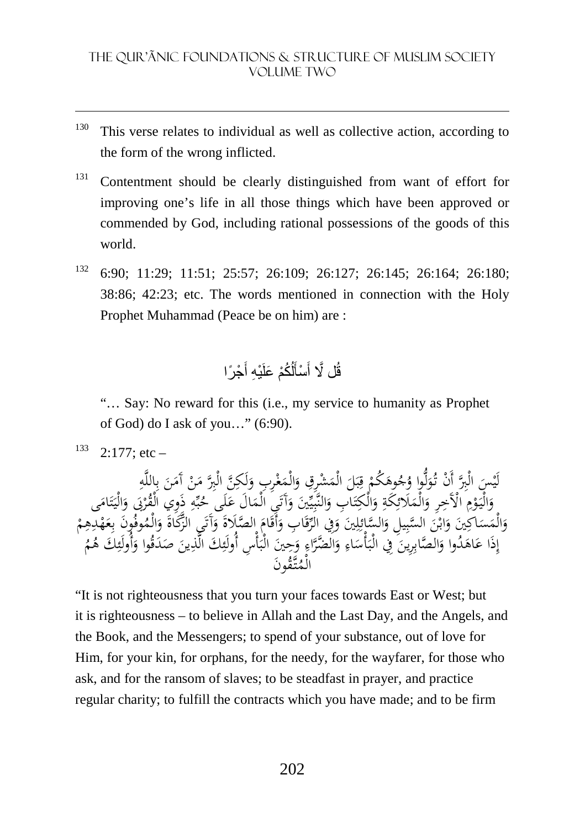- $130$  This verse relates to individual as well as collective action, according to the form of the wrong inflicted.
- <sup>131</sup> Contentment should be clearly distinguished from want of effort for improving one's life in all those things which have been approved or commended by God, including rational possessions of the goods of this world.
- <sup>132</sup> 6:90; 11:29; 11:51; 25:57; 26:109; 26:127; 26:145; 26:164; 26:180; 38:86; 42:23; etc. The words mentioned in connection with the Holy Prophet Muhammad (Peace be on him) are :

#### قُل لَّا أَسْأَلُكُمْ عَلَيْهِ أَجْرًا َ َ َ

 "… Say: No reward for this (i.e., my service to humanity as Prophet of God) do I ask of you…" (6:90).

 $133$  2:177; etc –

<u>.</u>

ِ لَيْسَ الْبِرَّ أَنْ تُوَلُّوا وُجُوهَكُمْ قِبَلَ الْمَشْرِقِ وَالْمَغْرِبِ وَلَكِنَّ الْبِرَّ مَنْ آمَنَ بِاللَّهِ<br>عائمه بالْقَمِّد على الْمَجْرَة عِلَيْكِمَا عِبَاسَةً ﴾ بِآءٌ وَإِيادَ بِهَا عَلَيْهِ فَيَ الْأَمْرَ ل َ ْ ۵<br>بر َ .<br>بر ب ِ **ً** .<br>فر م<br>آ∶ َ و<br>ا .<br>-<br>-م<br>ِ  $\ddot{\phantom{0}}$  $\overline{\phantom{a}}$ ِم<br>ٍ ِ وَالْيَوْمِ الْأَخِرِ وَالْمَلَّائِكَةِ وَالْكِتَابِ وَالنَّبِيِّينَ وَآَتَيَ الْمَالَ عَلَى حُبِّهِ ذَوِي الْقُرْبَى وَالْيَتَامَى<br>مرح وَالْجَمْعِ الصَّالِ الصَّالِ وَاللَّهُ وَالْمُحَمَّةِ وَالنَّبِيِّينَ وَآتَنِي الْمَ و<br>م ∶ُ َ <u>ہ</u> ِ<br>ئ ٔ َ ً<br>أ ت َ ي ِ ۠ َ َ ء<br>. ۔<br>م ب َ ٌ :ّ ت .<br>: و<br>بر وَالْمَسَاكِينَ وَابْنَ السَّبِيلِ وَالسَّائِلِينَ وَفِي الرَّقَابِ وَأَقَامَ الصَّلَاةَ وَأَتَى الزَّكَاةَ وَالْمُوفُونَ بِعَهْدِهِمْ<br>مِنَا جَاءَ ثَمِي الصَّلِيقَ الصَّبِيلِ وَالسَّائِلِينَ وَفِي الرَّقَابِ وَأَقَامَ الص .<br>. َ :<br>ا َ ِ ِ ِ<br>ئ َ َ َ م و<br>: و<br>ئ ه<br>بر ْ ِ .<br>ب ْ َ ِ ب إِذَا عَاهَدُوا ۖ وَالصَّابِرِينَ ۖ فِي الْبَأْسَاءِ وَالضَّرَّاءِ وَحِينَ الْبَأْسِ أُولَئِكَ الَّذِينَ صَدَقُوا وَأُولَئِكَ هُمُ ِ ۵<br>ا َ  $\ddot{\phantom{0}}$ َ ِ **ـ**  $\ddot{\cdot}$ َ ه<br>بر  $\ddot{\cdot}$ ِ  $\ddot{\phantom{0}}$ ِ ا<br>ا ِ مُونَ تـق ُ الْم

"It is not righteousness that you turn your faces towards East or West; but it is righteousness – to believe in Allah and the Last Day, and the Angels, and the Book, and the Messengers; to spend of your substance, out of love for Him, for your kin, for orphans, for the needy, for the wayfarer, for those who ask, and for the ransom of slaves; to be steadfast in prayer, and practice regular charity; to fulfill the contracts which you have made; and to be firm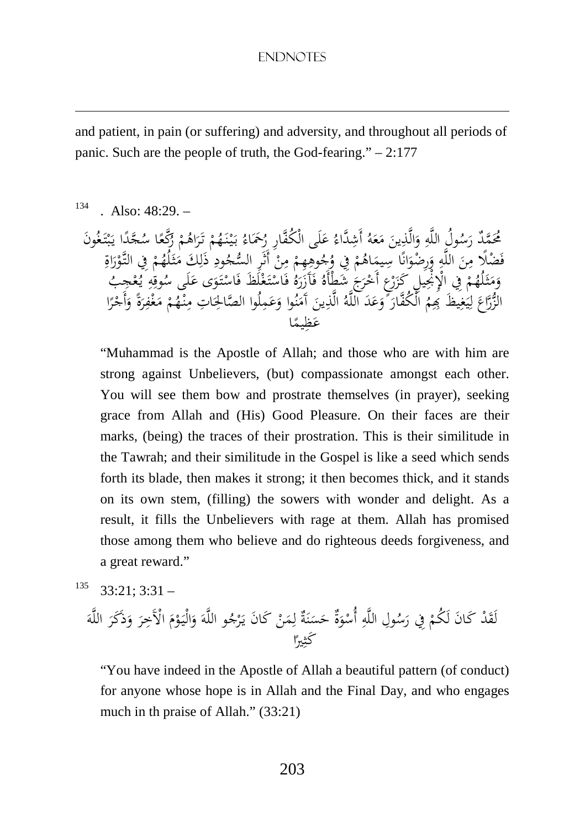and patient, in pain (or suffering) and adversity, and throughout all periods of panic. Such are the people of truth, the God-fearing."  $-2.177$ 

## $134$  Also:  $48:29$ .

<u>.</u>

مُحَمَّدٌ رَسُولُ اللَّهِ وَالَّذِينَ مَعَهُ أَشِدَّاءُ عَلَى الْكُفَّارِ رُحَمَاءُ بَيْنَهُمْ تَرَاهُمْ زَكَّعًا سُجَّدًا يَبْتَغُونَ<br>نَعْقَدْ رَسُلاً عَلَيْهِ اللَّهِ وَالَّذِينَ مَعَهُ أَشِدَّاءُ عَلَى الْكُفَّارِ رُحَ مُحَمَّدٌ رَسُولُ اللَّهِ وَالَّذِينَ مَعَهُ أَشِدًّاءُ عَلَى الْكُفَّارِ رُحَمَاءُ بَيْنَهُمْ تَرَاهُمْ رَكْعًا سُحَّدًا يَبْتَهُ<br>فَضْلًا مِنَ اللَّهِ وَرِضْوَانًا سِيمَاهُمْ فِي وُجُوهِهِمْ مِنْ أَنَّرِ السُّجُودِ ذَلِك ر<br>ا ِم<br>ٍ َ ِ َ .<br>.  $\overline{\phantom{a}}$ ٔ ْ ֝֝֝֝֝֝֝֝֝֝֝֝֝<del>֟</del> َ ْ ر<br>ا ً ل<br>ء ب یہ<br>، :<br>. ِ <u>ہ</u> ن<br>ر َ ه<br>د ده ْ **ِم** م ْ ِ .<br>-ِ <u>ِ</u> ٍٍٍٍٍٍٍٍٍٍٍٍ ْ َ َ ٍ<br>وَ ِرِ ْ َ م<br>ن و<br>ا ِ <u>ز</u> ز ح<br>آ ْ َ .<br>أ :<br>: .<br>. َ .<br>. َ  $\frac{4}{3}$ ِ وَمَثَلَهُمْ فِي الْإِنْجِيلِ كَزَرْعٍ أَخْرَجَ شَطَأْهُ فَآزَرَهُ فَاسْتَغْلَظَ فَاسْتَوَى عَلَى سُوقِهِ يُعْجِبُ<br>الزُّرَاعَ لِيَغِيظَ بِمِمُ الْكُفَّارَ وَعَدَ اللَّهُ الَّذِينَ أَمَنُوا وَعَمِلُوا الصَّالِحَاتِ مِنْهُم ِ ้ ي ؚ<br>ٳ ر<br>ا َ َ :<br>-<br>-ِ ن  $\overline{\phantom{a}}$ َ **ٔ** ْ َ ِ  $\overline{a}$ ً ْ َ ا ٍ<sup>م</sup> يم َظِ ع

 "Muhammad is the Apostle of Allah; and those who are with him are strong against Unbelievers, (but) compassionate amongst each other. You will see them bow and prostrate themselves (in prayer), seeking grace from Allah and (His) Good Pleasure. On their faces are their marks, (being) the traces of their prostration. This is their similitude in the Tawrah; and their similitude in the Gospel is like a seed which sends forth its blade, then makes it strong; it then becomes thick, and it stands on its own stem, (filling) the sowers with wonder and delight. As a result, it fills the Unbelievers with rage at them. Allah has promised those among them who believe and do righteous deeds forgiveness, and a great reward."

$$
^{135} \quad 33:21;3:31-
$$

َ ْد ان لَق َ ك َ ْ في ِول لَ ُكم ِ ُ س َ ر ِ ه الل ةٌ َ و ْ ٌ أُس ة َ ن َ َس ْ ح ن َ م ِ ان و ل َ ك َ ُ ْج ر َ يـ َ الله َ م ْ و َ الْيـَ و َ ر ْالآَخِ َ ذََكر َ و َ الله ا ً ير ِ َ كث

 "You have indeed in the Apostle of Allah a beautiful pattern (of conduct) for anyone whose hope is in Allah and the Final Day, and who engages much in th praise of Allah." (33:21)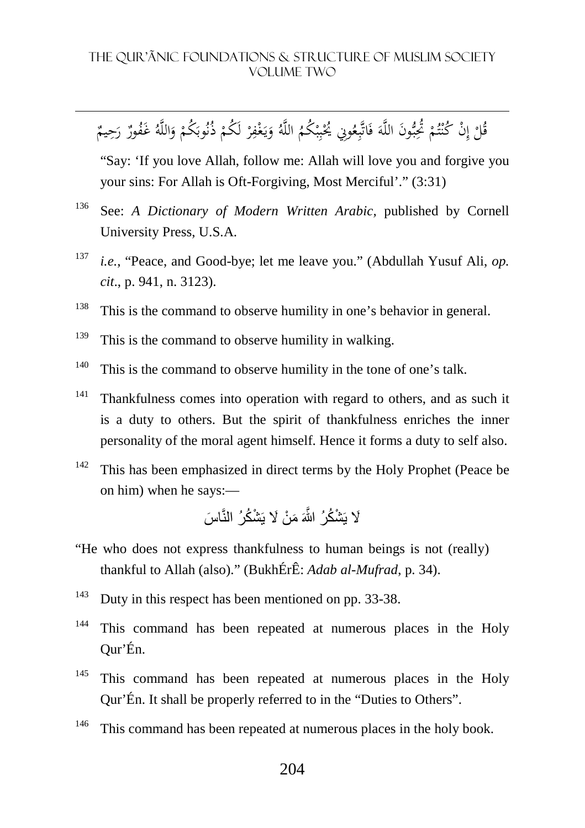#### THE QUR'ãNIC FOUNDATIONS & STRUCTURE OF MUSLIM SOCIETY VOLUME TWO

**ٔ** قُلْ إِنْ كُنْتُمْ تُحِبُّونَ اللَّهَ فَاتَّبِعُونِي يُحْبِبْكُمُ اللَّهُ وَيَغْفِرْ لَكُمْ ذُنُوبَكُمْ وَاللَّهُ غَفُورٌ رَحِيمٌ ِ ْ ت **:** بر<br>بہ َ ِ َ ْ ب ِ ب **ٔ** .<br>. ِ يا<br>. َ ْ ْ َ َ

 "Say: 'If you love Allah, follow me: Allah will love you and forgive you your sins: For Allah is Oft-Forgiving, Most Merciful'." (3:31)

- <sup>136</sup> See: *A Dictionary of Modern Written Arabic,* published by Cornell University Press, U.S.A.
- 137 *i.e.*, "Peace, and Good-bye; let me leave you." (Abdullah Yusuf Ali, *op. cit*., p. 941, n. 3123).
- <sup>138</sup> This is the command to observe humility in one's behavior in general.
- $139$  This is the command to observe humility in walking.

<u>.</u>

- $140$  This is the command to observe humility in the tone of one's talk.
- $141$  Thankfulness comes into operation with regard to others, and as such it is a duty to others. But the spirit of thankfulness enriches the inner personality of the moral agent himself. Hence it forms a duty to self also.
- $142$  This has been emphasized in direct terms by the Holy Prophet (Peace be on him) when he says:—

َلَا يَشْكُرُ اللَّهَ مَنْ لَا يَشْكُرُ النَّاسَ

- "He who does not express thankfulness to human beings is not (really) thankful to Allah (also)." (BukhÉrÊ: *Adab al-Mufrad*, p. 34).
- <sup>143</sup> Duty in this respect has been mentioned on pp. 33-38.
- <sup>144</sup> This command has been repeated at numerous places in the Holy Qur'Én.
- <sup>145</sup> This command has been repeated at numerous places in the Holy Qur'Én. It shall be properly referred to in the "Duties to Others".
- <sup>146</sup> This command has been repeated at numerous places in the holy book.